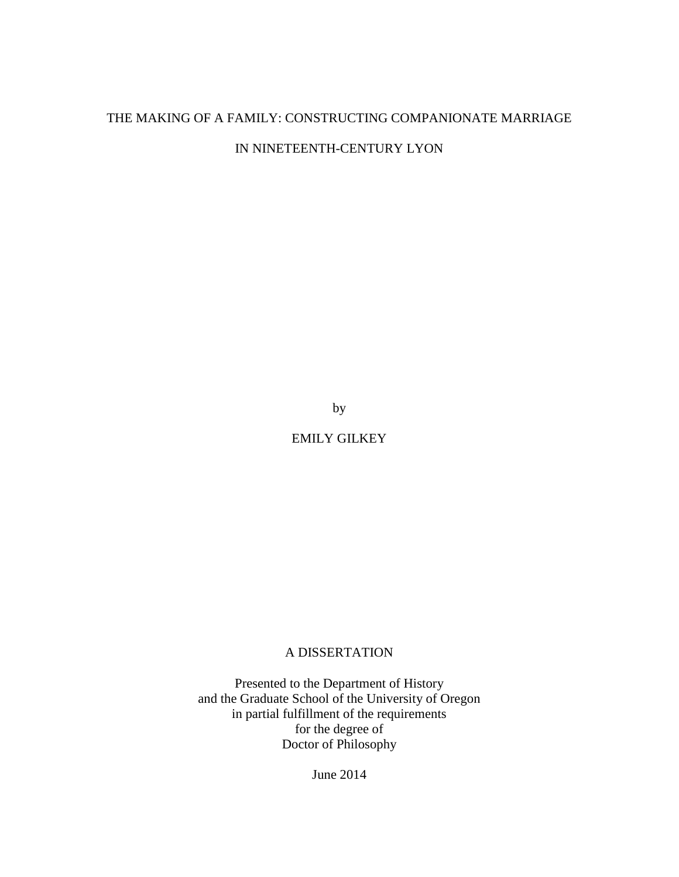# THE MAKING OF A FAMILY: CONSTRUCTING COMPANIONATE MARRIAGE

IN NINETEENTH-CENTURY LYON

by

EMILY GILKEY

# A DISSERTATION

Presented to the Department of History and the Graduate School of the University of Oregon in partial fulfillment of the requirements for the degree of Doctor of Philosophy

June 2014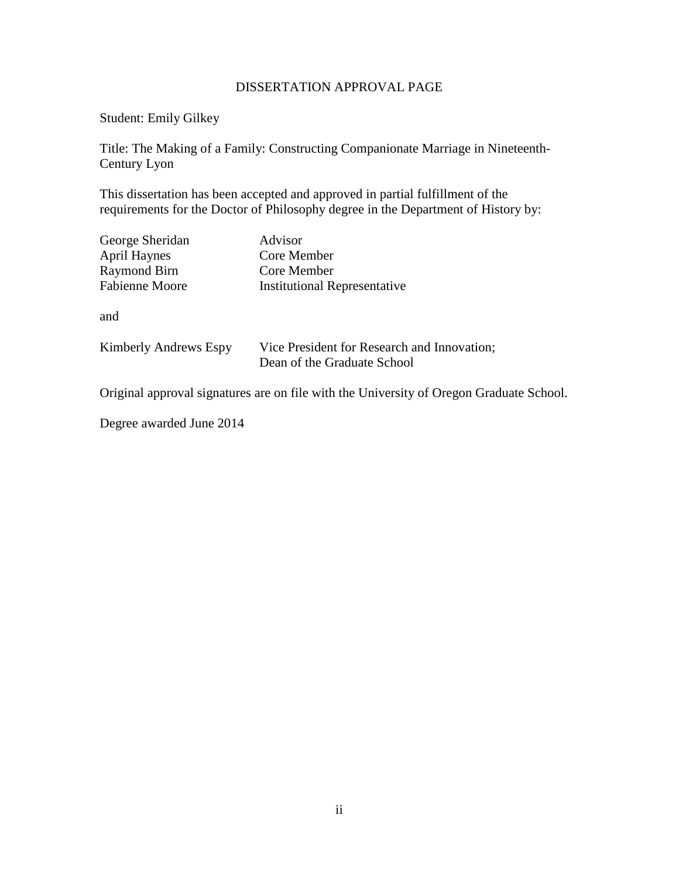# DISSERTATION APPROVAL PAGE

Student: Emily Gilkey

Title: The Making of a Family: Constructing Companionate Marriage in Nineteenth-Century Lyon

This dissertation has been accepted and approved in partial fulfillment of the requirements for the Doctor of Philosophy degree in the Department of History by:

| George Sheridan<br><b>April Haynes</b><br><b>Raymond Birn</b><br><b>Fabienne Moore</b> | Advisor<br>Core Member<br>Core Member<br><b>Institutional Representative</b> |
|----------------------------------------------------------------------------------------|------------------------------------------------------------------------------|
| and                                                                                    |                                                                              |
| <b>Kimberly Andrews Espy</b>                                                           | Vice President for Research and Innovation;<br>Dean of the Graduate School   |

Original approval signatures are on file with the University of Oregon Graduate School.

Degree awarded June 2014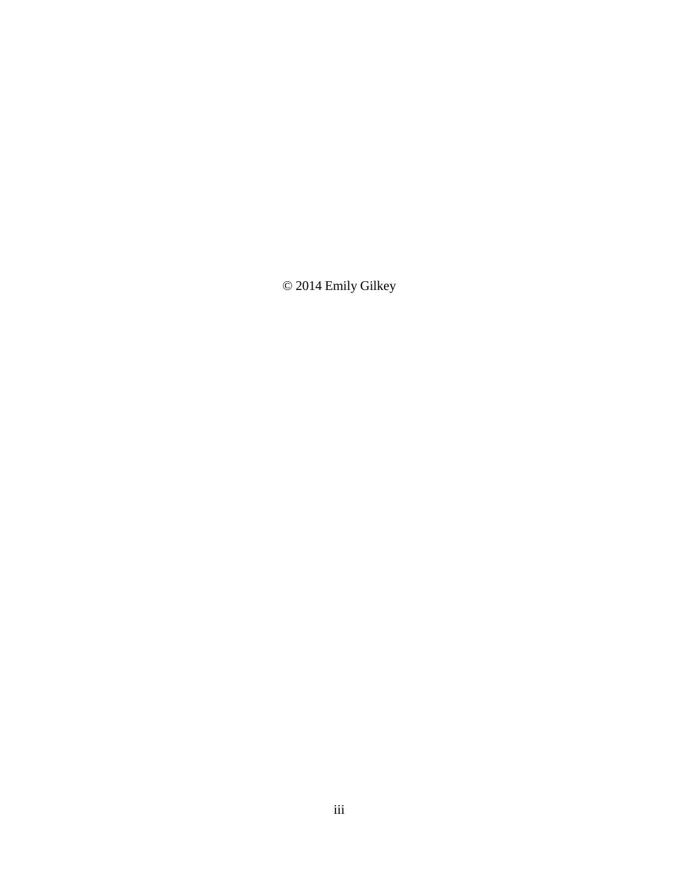© 2014 Emily Gilkey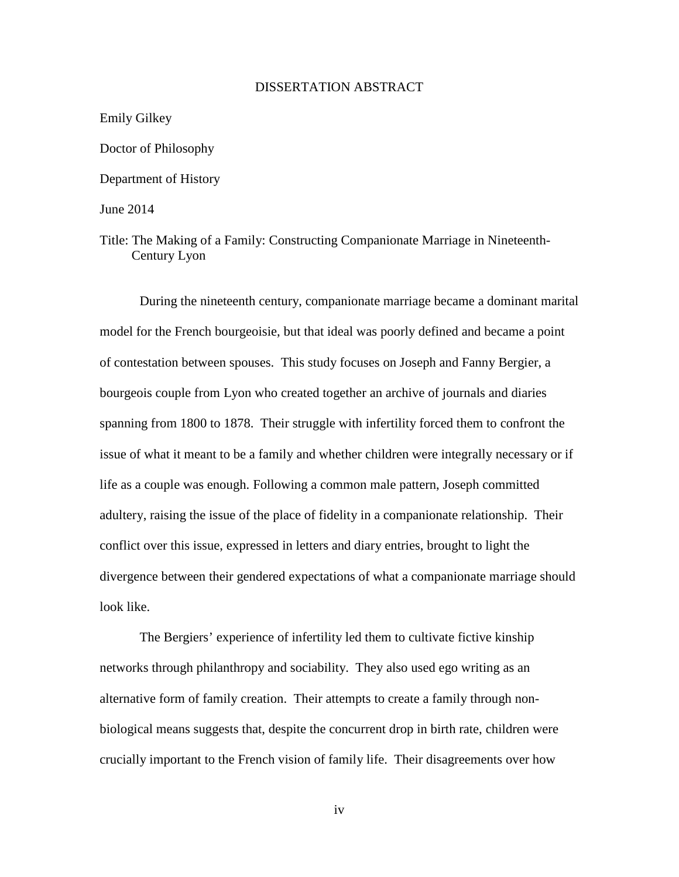## DISSERTATION ABSTRACT

Emily Gilkey Doctor of Philosophy Department of History June 2014

Title: The Making of a Family: Constructing Companionate Marriage in Nineteenth-Century Lyon

During the nineteenth century, companionate marriage became a dominant marital model for the French bourgeoisie, but that ideal was poorly defined and became a point of contestation between spouses. This study focuses on Joseph and Fanny Bergier, a bourgeois couple from Lyon who created together an archive of journals and diaries spanning from 1800 to 1878. Their struggle with infertility forced them to confront the issue of what it meant to be a family and whether children were integrally necessary or if life as a couple was enough. Following a common male pattern, Joseph committed adultery, raising the issue of the place of fidelity in a companionate relationship. Their conflict over this issue, expressed in letters and diary entries, brought to light the divergence between their gendered expectations of what a companionate marriage should look like.

The Bergiers' experience of infertility led them to cultivate fictive kinship networks through philanthropy and sociability. They also used ego writing as an alternative form of family creation. Their attempts to create a family through nonbiological means suggests that, despite the concurrent drop in birth rate, children were crucially important to the French vision of family life. Their disagreements over how

iv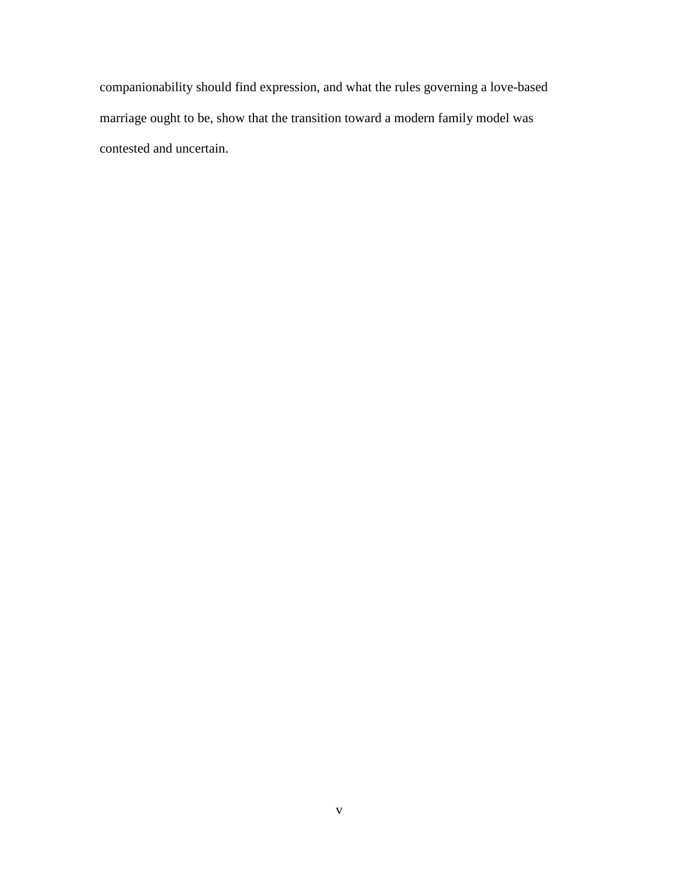companionability should find expression, and what the rules governing a love-based marriage ought to be, show that the transition toward a modern family model was contested and uncertain.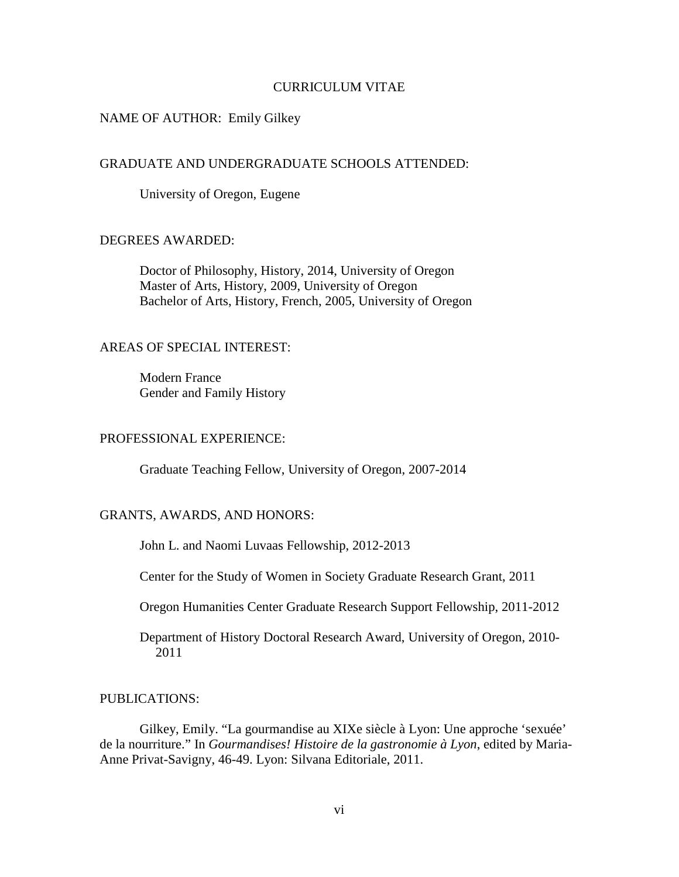## CURRICULUM VITAE

## NAME OF AUTHOR: Emily Gilkey

#### GRADUATE AND UNDERGRADUATE SCHOOLS ATTENDED:

University of Oregon, Eugene

## DEGREES AWARDED:

 Doctor of Philosophy, History, 2014, University of Oregon Master of Arts, History, 2009, University of Oregon Bachelor of Arts, History, French, 2005, University of Oregon

## AREAS OF SPECIAL INTEREST:

 Modern France Gender and Family History

# PROFESSIONAL EXPERIENCE:

Graduate Teaching Fellow, University of Oregon, 2007-2014

#### GRANTS, AWARDS, AND HONORS:

John L. and Naomi Luvaas Fellowship, 2012-2013

Center for the Study of Women in Society Graduate Research Grant, 2011

Oregon Humanities Center Graduate Research Support Fellowship, 2011-2012

 Department of History Doctoral Research Award, University of Oregon, 2010- 2011

#### PUBLICATIONS:

 Gilkey, Emily. "La gourmandise au XIXe siècle à Lyon: Une approche 'sexuée' de la nourriture." In *Gourmandises! Histoire de la gastronomie à Lyon*, edited by Maria-Anne Privat-Savigny, 46-49. Lyon: Silvana Editoriale, 2011.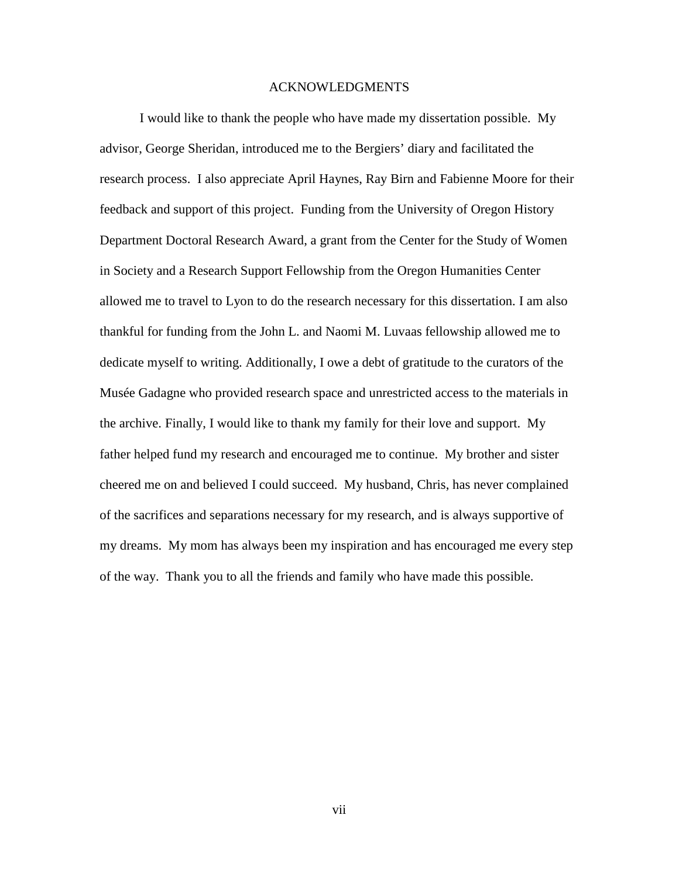#### ACKNOWLEDGMENTS

I would like to thank the people who have made my dissertation possible. My advisor, George Sheridan, introduced me to the Bergiers' diary and facilitated the research process. I also appreciate April Haynes, Ray Birn and Fabienne Moore for their feedback and support of this project. Funding from the University of Oregon History Department Doctoral Research Award, a grant from the Center for the Study of Women in Society and a Research Support Fellowship from the Oregon Humanities Center allowed me to travel to Lyon to do the research necessary for this dissertation. I am also thankful for funding from the John L. and Naomi M. Luvaas fellowship allowed me to dedicate myself to writing. Additionally, I owe a debt of gratitude to the curators of the Musée Gadagne who provided research space and unrestricted access to the materials in the archive. Finally, I would like to thank my family for their love and support. My father helped fund my research and encouraged me to continue. My brother and sister cheered me on and believed I could succeed. My husband, Chris, has never complained of the sacrifices and separations necessary for my research, and is always supportive of my dreams. My mom has always been my inspiration and has encouraged me every step of the way. Thank you to all the friends and family who have made this possible.

vii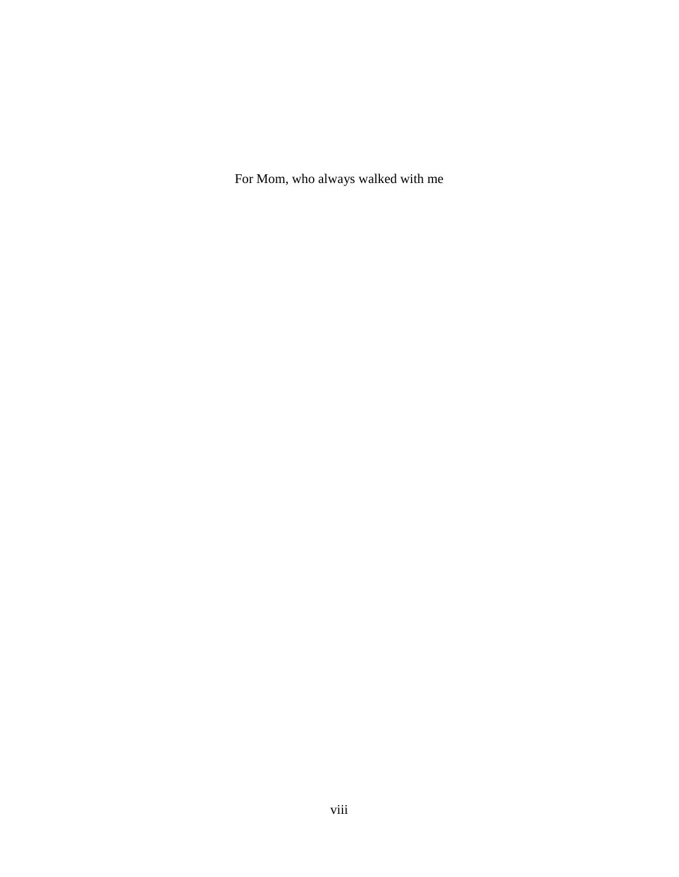For Mom, who always walked with me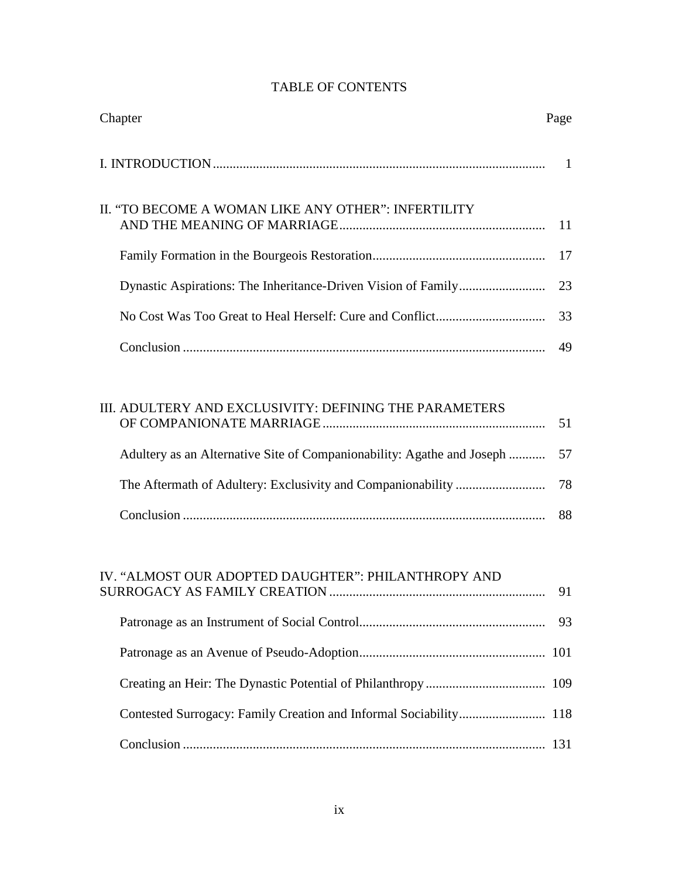| Chapter                                                                | Page |
|------------------------------------------------------------------------|------|
|                                                                        | -1   |
| II. "TO BECOME A WOMAN LIKE ANY OTHER": INFERTILITY                    | 11   |
|                                                                        | 17   |
|                                                                        | 23   |
|                                                                        | 33   |
|                                                                        | 49   |
|                                                                        |      |
| III. ADULTERY AND EXCLUSIVITY: DEFINING THE PARAMETERS                 |      |
| Adultery as an Alternative Site of Companionability: Agathe and Joseph | 57   |

# TABLE OF CONTENTS

| IV. "ALMOST OUR ADOPTED DAUGHTER": PHILANTHROPY AND | 91 |
|-----------------------------------------------------|----|
|                                                     |    |
|                                                     |    |
|                                                     |    |
|                                                     |    |
|                                                     |    |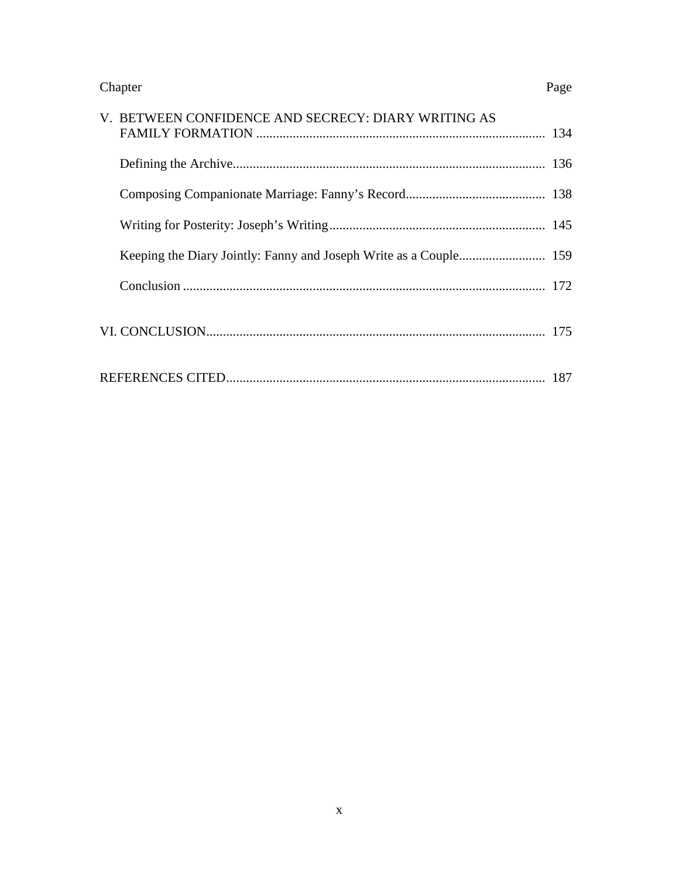Chapter Page

| V. BETWEEN CONFIDENCE AND SECRECY: DIARY WRITING AS |  |
|-----------------------------------------------------|--|
|                                                     |  |
|                                                     |  |
|                                                     |  |
|                                                     |  |
|                                                     |  |
|                                                     |  |
|                                                     |  |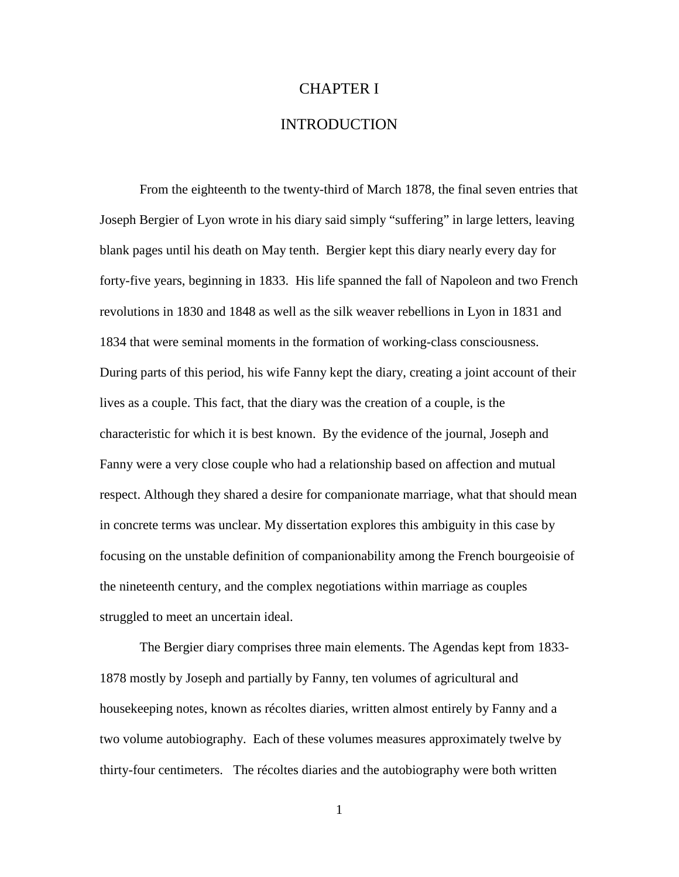#### CHAPTER I

# INTRODUCTION

From the eighteenth to the twenty-third of March 1878, the final seven entries that Joseph Bergier of Lyon wrote in his diary said simply "suffering" in large letters, leaving blank pages until his death on May tenth. Bergier kept this diary nearly every day for forty-five years, beginning in 1833. His life spanned the fall of Napoleon and two French revolutions in 1830 and 1848 as well as the silk weaver rebellions in Lyon in 1831 and 1834 that were seminal moments in the formation of working-class consciousness. During parts of this period, his wife Fanny kept the diary, creating a joint account of their lives as a couple. This fact, that the diary was the creation of a couple, is the characteristic for which it is best known. By the evidence of the journal, Joseph and Fanny were a very close couple who had a relationship based on affection and mutual respect. Although they shared a desire for companionate marriage, what that should mean in concrete terms was unclear. My dissertation explores this ambiguity in this case by focusing on the unstable definition of companionability among the French bourgeoisie of the nineteenth century, and the complex negotiations within marriage as couples struggled to meet an uncertain ideal.

The Bergier diary comprises three main elements. The Agendas kept from 1833- 1878 mostly by Joseph and partially by Fanny, ten volumes of agricultural and housekeeping notes, known as récoltes diaries, written almost entirely by Fanny and a two volume autobiography. Each of these volumes measures approximately twelve by thirty-four centimeters. The récoltes diaries and the autobiography were both written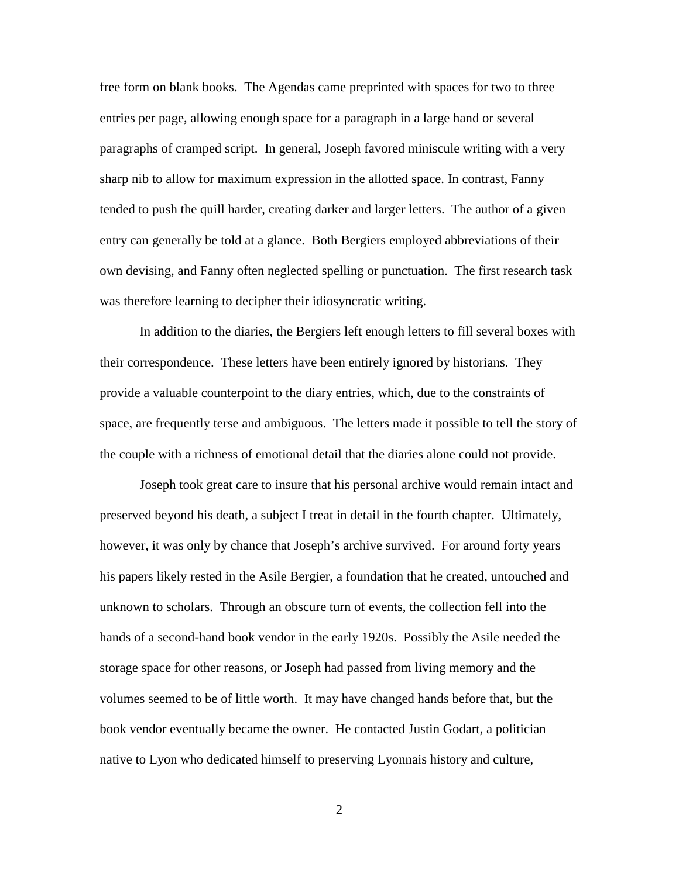free form on blank books. The Agendas came preprinted with spaces for two to three entries per page, allowing enough space for a paragraph in a large hand or several paragraphs of cramped script. In general, Joseph favored miniscule writing with a very sharp nib to allow for maximum expression in the allotted space. In contrast, Fanny tended to push the quill harder, creating darker and larger letters. The author of a given entry can generally be told at a glance. Both Bergiers employed abbreviations of their own devising, and Fanny often neglected spelling or punctuation. The first research task was therefore learning to decipher their idiosyncratic writing.

In addition to the diaries, the Bergiers left enough letters to fill several boxes with their correspondence. These letters have been entirely ignored by historians. They provide a valuable counterpoint to the diary entries, which, due to the constraints of space, are frequently terse and ambiguous. The letters made it possible to tell the story of the couple with a richness of emotional detail that the diaries alone could not provide.

Joseph took great care to insure that his personal archive would remain intact and preserved beyond his death, a subject I treat in detail in the fourth chapter. Ultimately, however, it was only by chance that Joseph's archive survived. For around forty years his papers likely rested in the Asile Bergier, a foundation that he created, untouched and unknown to scholars. Through an obscure turn of events, the collection fell into the hands of a second-hand book vendor in the early 1920s. Possibly the Asile needed the storage space for other reasons, or Joseph had passed from living memory and the volumes seemed to be of little worth. It may have changed hands before that, but the book vendor eventually became the owner. He contacted Justin Godart, a politician native to Lyon who dedicated himself to preserving Lyonnais history and culture,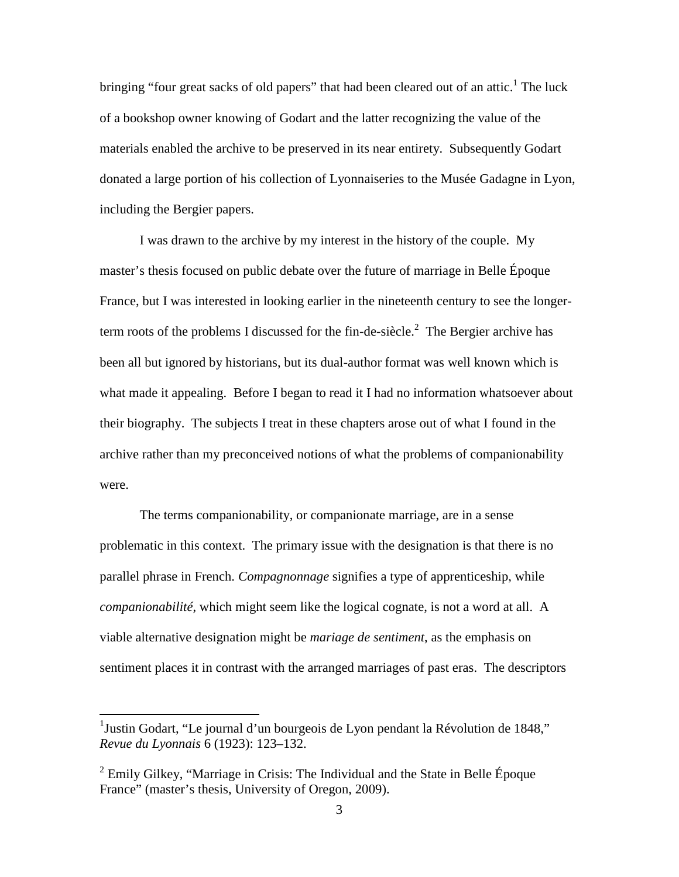bringing "four great sacks of old papers" that had been cleared out of an attic.<sup>1</sup> The luck of a bookshop owner knowing of Godart and the latter recognizing the value of the materials enabled the archive to be preserved in its near entirety. Subsequently Godart donated a large portion of his collection of Lyonnaiseries to the Musée Gadagne in Lyon, including the Bergier papers.

I was drawn to the archive by my interest in the history of the couple. My master's thesis focused on public debate over the future of marriage in Belle Époque France, but I was interested in looking earlier in the nineteenth century to see the longerterm roots of the problems I discussed for the fin-de-siècle.<sup>2</sup> The Bergier archive has been all but ignored by historians, but its dual-author format was well known which is what made it appealing. Before I began to read it I had no information whatsoever about their biography. The subjects I treat in these chapters arose out of what I found in the archive rather than my preconceived notions of what the problems of companionability were.

The terms companionability, or companionate marriage, are in a sense problematic in this context. The primary issue with the designation is that there is no parallel phrase in French. *Compagnonnage* signifies a type of apprenticeship, while *companionabilité*, which might seem like the logical cognate, is not a word at all. A viable alternative designation might be *mariage de sentiment*, as the emphasis on sentiment places it in contrast with the arranged marriages of past eras. The descriptors

 1 Justin Godart, "Le journal d'un bourgeois de Lyon pendant la Révolution de 1848," *Revue du Lyonnais* 6 (1923): 123–132.

 $2$  Emily Gilkey, "Marriage in Crisis: The Individual and the State in Belle Époque France" (master's thesis, University of Oregon, 2009).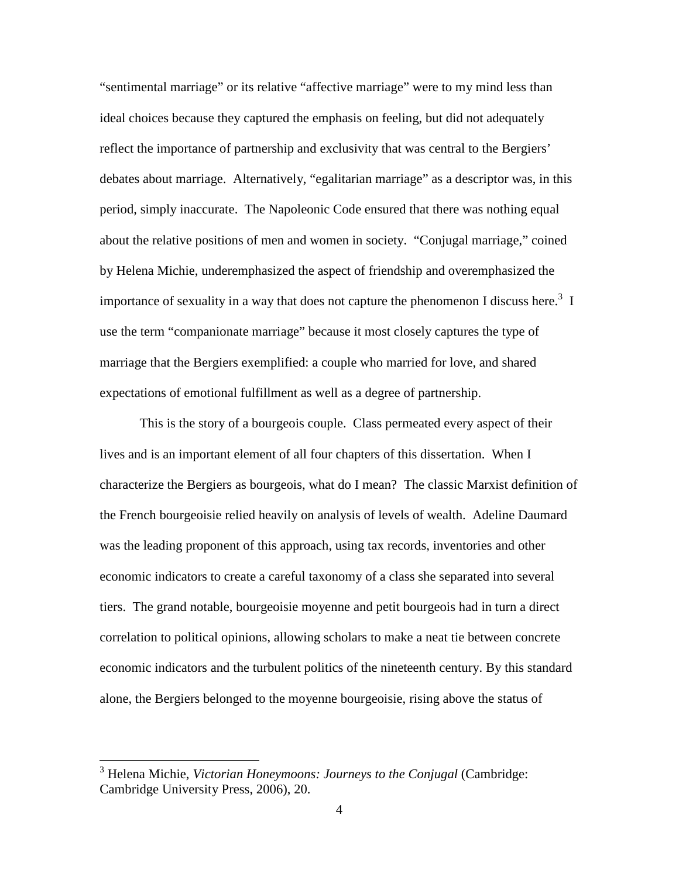"sentimental marriage" or its relative "affective marriage" were to my mind less than ideal choices because they captured the emphasis on feeling, but did not adequately reflect the importance of partnership and exclusivity that was central to the Bergiers' debates about marriage. Alternatively, "egalitarian marriage" as a descriptor was, in this period, simply inaccurate. The Napoleonic Code ensured that there was nothing equal about the relative positions of men and women in society. "Conjugal marriage," coined by Helena Michie, underemphasized the aspect of friendship and overemphasized the importance of sexuality in a way that does not capture the phenomenon I discuss here.<sup>3</sup> I use the term "companionate marriage" because it most closely captures the type of marriage that the Bergiers exemplified: a couple who married for love, and shared expectations of emotional fulfillment as well as a degree of partnership.

This is the story of a bourgeois couple. Class permeated every aspect of their lives and is an important element of all four chapters of this dissertation. When I characterize the Bergiers as bourgeois, what do I mean? The classic Marxist definition of the French bourgeoisie relied heavily on analysis of levels of wealth. Adeline Daumard was the leading proponent of this approach, using tax records, inventories and other economic indicators to create a careful taxonomy of a class she separated into several tiers. The grand notable, bourgeoisie moyenne and petit bourgeois had in turn a direct correlation to political opinions, allowing scholars to make a neat tie between concrete economic indicators and the turbulent politics of the nineteenth century. By this standard alone, the Bergiers belonged to the moyenne bourgeoisie, rising above the status of

 3 Helena Michie, *Victorian Honeymoons: Journeys to the Conjugal* (Cambridge: Cambridge University Press, 2006), 20.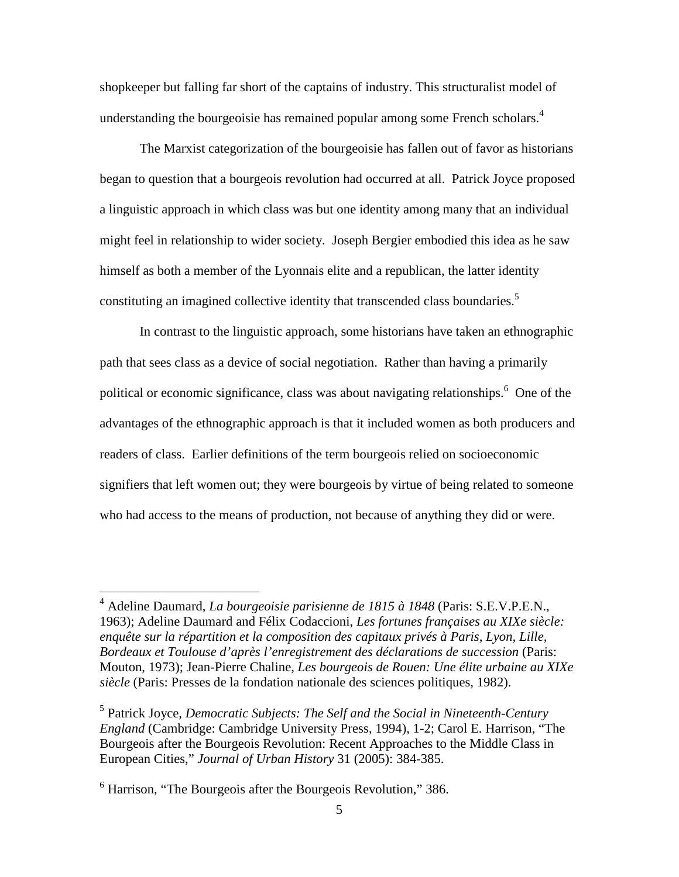shopkeeper but falling far short of the captains of industry. This structuralist model of understanding the bourgeoisie has remained popular among some French scholars.<sup>4</sup>

The Marxist categorization of the bourgeoisie has fallen out of favor as historians began to question that a bourgeois revolution had occurred at all. Patrick Joyce proposed a linguistic approach in which class was but one identity among many that an individual might feel in relationship to wider society. Joseph Bergier embodied this idea as he saw himself as both a member of the Lyonnais elite and a republican, the latter identity constituting an imagined collective identity that transcended class boundaries.<sup>5</sup>

In contrast to the linguistic approach, some historians have taken an ethnographic path that sees class as a device of social negotiation. Rather than having a primarily political or economic significance, class was about navigating relationships.<sup>6</sup> One of the advantages of the ethnographic approach is that it included women as both producers and readers of class. Earlier definitions of the term bourgeois relied on socioeconomic signifiers that left women out; they were bourgeois by virtue of being related to someone who had access to the means of production, not because of anything they did or were.

 4 Adeline Daumard, *La bourgeoisie parisienne de 1815 à 1848* (Paris: S.E.V.P.E.N., 1963); Adeline Daumard and Félix Codaccioni, *Les fortunes françaises au XIXe siècle: enquête sur la répartition et la composition des capitaux privés à Paris, Lyon, Lille, Bordeaux et Toulouse d'après l'enregistrement des déclarations de succession* (Paris: Mouton, 1973); Jean-Pierre Chaline, *Les bourgeois de Rouen: Une élite urbaine au XIXe siècle* (Paris: Presses de la fondation nationale des sciences politiques, 1982).

<sup>5</sup> Patrick Joyce, *Democratic Subjects: The Self and the Social in Nineteenth-Century England* (Cambridge: Cambridge University Press, 1994), 1-2; Carol E. Harrison, "The Bourgeois after the Bourgeois Revolution: Recent Approaches to the Middle Class in European Cities," *Journal of Urban History* 31 (2005): 384-385.

<sup>&</sup>lt;sup>6</sup> Harrison, "The Bourgeois after the Bourgeois Revolution," 386.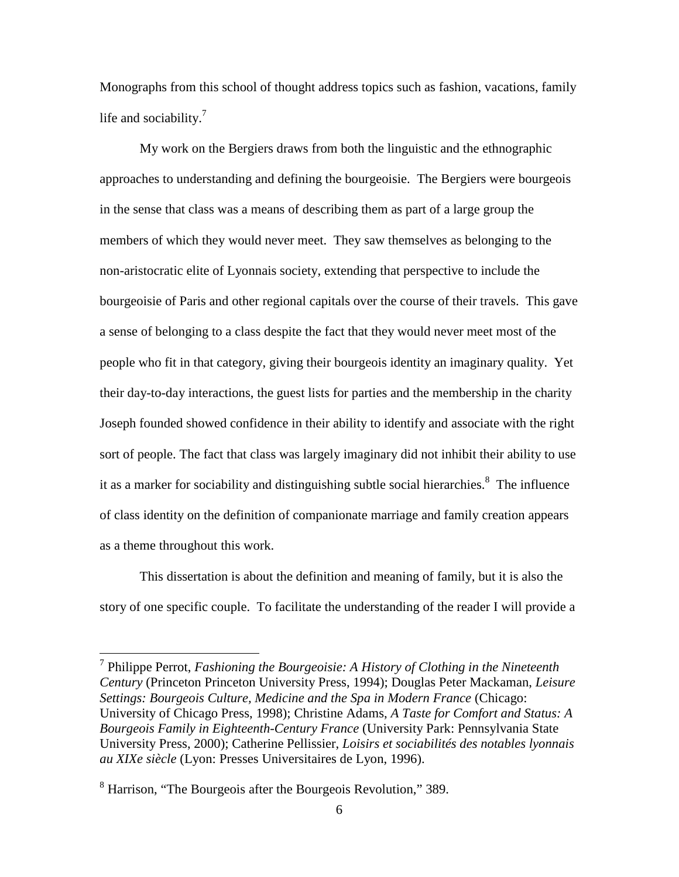Monographs from this school of thought address topics such as fashion, vacations, family life and sociability. $<sup>7</sup>$ </sup>

My work on the Bergiers draws from both the linguistic and the ethnographic approaches to understanding and defining the bourgeoisie. The Bergiers were bourgeois in the sense that class was a means of describing them as part of a large group the members of which they would never meet. They saw themselves as belonging to the non-aristocratic elite of Lyonnais society, extending that perspective to include the bourgeoisie of Paris and other regional capitals over the course of their travels. This gave a sense of belonging to a class despite the fact that they would never meet most of the people who fit in that category, giving their bourgeois identity an imaginary quality. Yet their day-to-day interactions, the guest lists for parties and the membership in the charity Joseph founded showed confidence in their ability to identify and associate with the right sort of people. The fact that class was largely imaginary did not inhibit their ability to use it as a marker for sociability and distinguishing subtle social hierarchies. $\delta$  The influence of class identity on the definition of companionate marriage and family creation appears as a theme throughout this work.

This dissertation is about the definition and meaning of family, but it is also the story of one specific couple. To facilitate the understanding of the reader I will provide a

<sup>7</sup> Philippe Perrot, *Fashioning the Bourgeoisie: A History of Clothing in the Nineteenth Century* (Princeton Princeton University Press, 1994); Douglas Peter Mackaman, *Leisure Settings: Bourgeois Culture, Medicine and the Spa in Modern France* (Chicago: University of Chicago Press, 1998); Christine Adams, *A Taste for Comfort and Status: A Bourgeois Family in Eighteenth-Century France* (University Park: Pennsylvania State University Press, 2000); Catherine Pellissier, *Loisirs et sociabilités des notables lyonnais au XIXe siècle* (Lyon: Presses Universitaires de Lyon, 1996).

<sup>&</sup>lt;sup>8</sup> Harrison, "The Bourgeois after the Bourgeois Revolution," 389.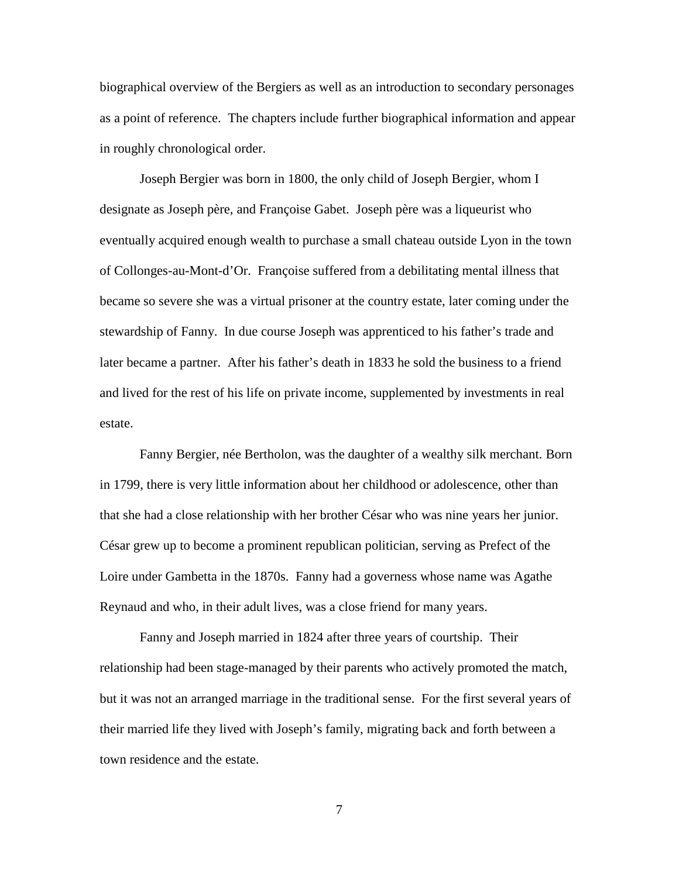biographical overview of the Bergiers as well as an introduction to secondary personages as a point of reference. The chapters include further biographical information and appear in roughly chronological order.

 Joseph Bergier was born in 1800, the only child of Joseph Bergier, whom I designate as Joseph père, and Françoise Gabet. Joseph père was a liqueurist who eventually acquired enough wealth to purchase a small chateau outside Lyon in the town of Collonges-au-Mont-d'Or. Françoise suffered from a debilitating mental illness that became so severe she was a virtual prisoner at the country estate, later coming under the stewardship of Fanny. In due course Joseph was apprenticed to his father's trade and later became a partner. After his father's death in 1833 he sold the business to a friend and lived for the rest of his life on private income, supplemented by investments in real estate.

 Fanny Bergier, née Bertholon, was the daughter of a wealthy silk merchant. Born in 1799, there is very little information about her childhood or adolescence, other than that she had a close relationship with her brother César who was nine years her junior. César grew up to become a prominent republican politician, serving as Prefect of the Loire under Gambetta in the 1870s. Fanny had a governess whose name was Agathe Reynaud and who, in their adult lives, was a close friend for many years.

 Fanny and Joseph married in 1824 after three years of courtship. Their relationship had been stage-managed by their parents who actively promoted the match, but it was not an arranged marriage in the traditional sense. For the first several years of their married life they lived with Joseph's family, migrating back and forth between a town residence and the estate.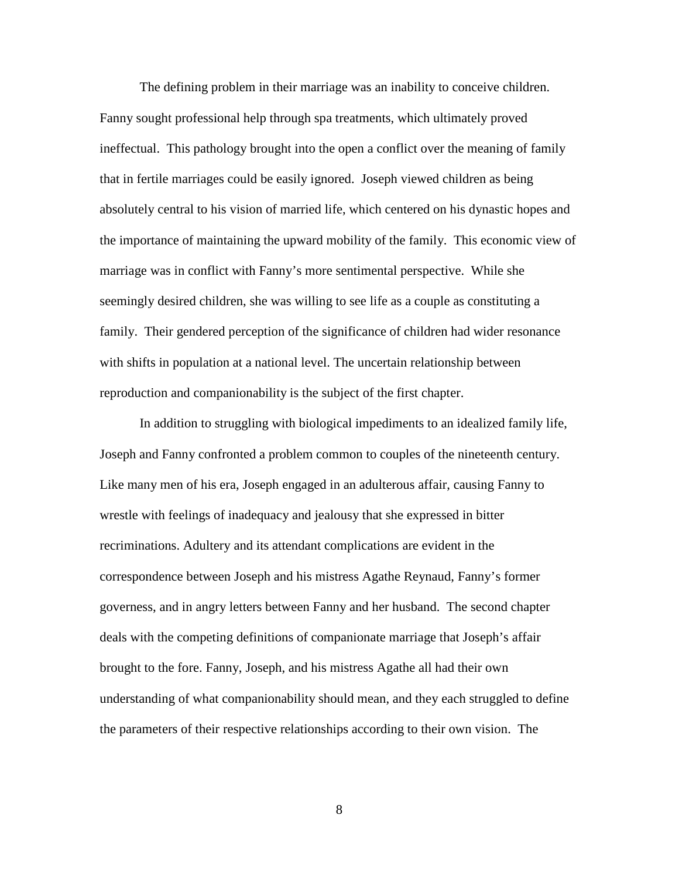The defining problem in their marriage was an inability to conceive children. Fanny sought professional help through spa treatments, which ultimately proved ineffectual. This pathology brought into the open a conflict over the meaning of family that in fertile marriages could be easily ignored. Joseph viewed children as being absolutely central to his vision of married life, which centered on his dynastic hopes and the importance of maintaining the upward mobility of the family. This economic view of marriage was in conflict with Fanny's more sentimental perspective. While she seemingly desired children, she was willing to see life as a couple as constituting a family. Their gendered perception of the significance of children had wider resonance with shifts in population at a national level. The uncertain relationship between reproduction and companionability is the subject of the first chapter.

In addition to struggling with biological impediments to an idealized family life, Joseph and Fanny confronted a problem common to couples of the nineteenth century. Like many men of his era, Joseph engaged in an adulterous affair, causing Fanny to wrestle with feelings of inadequacy and jealousy that she expressed in bitter recriminations. Adultery and its attendant complications are evident in the correspondence between Joseph and his mistress Agathe Reynaud, Fanny's former governess, and in angry letters between Fanny and her husband. The second chapter deals with the competing definitions of companionate marriage that Joseph's affair brought to the fore. Fanny, Joseph, and his mistress Agathe all had their own understanding of what companionability should mean, and they each struggled to define the parameters of their respective relationships according to their own vision. The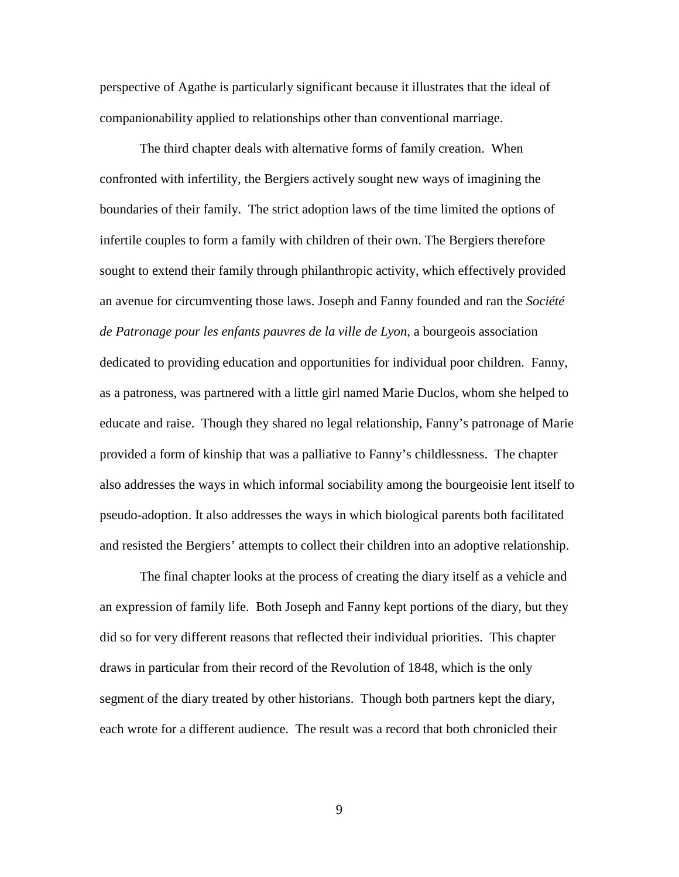perspective of Agathe is particularly significant because it illustrates that the ideal of companionability applied to relationships other than conventional marriage.

 The third chapter deals with alternative forms of family creation. When confronted with infertility, the Bergiers actively sought new ways of imagining the boundaries of their family. The strict adoption laws of the time limited the options of infertile couples to form a family with children of their own. The Bergiers therefore sought to extend their family through philanthropic activity, which effectively provided an avenue for circumventing those laws. Joseph and Fanny founded and ran the *Société de Patronage pour les enfants pauvres de la ville de Lyon*, a bourgeois association dedicated to providing education and opportunities for individual poor children. Fanny, as a patroness, was partnered with a little girl named Marie Duclos, whom she helped to educate and raise. Though they shared no legal relationship, Fanny's patronage of Marie provided a form of kinship that was a palliative to Fanny's childlessness. The chapter also addresses the ways in which informal sociability among the bourgeoisie lent itself to pseudo-adoption. It also addresses the ways in which biological parents both facilitated and resisted the Bergiers' attempts to collect their children into an adoptive relationship.

 The final chapter looks at the process of creating the diary itself as a vehicle and an expression of family life. Both Joseph and Fanny kept portions of the diary, but they did so for very different reasons that reflected their individual priorities. This chapter draws in particular from their record of the Revolution of 1848, which is the only segment of the diary treated by other historians. Though both partners kept the diary, each wrote for a different audience. The result was a record that both chronicled their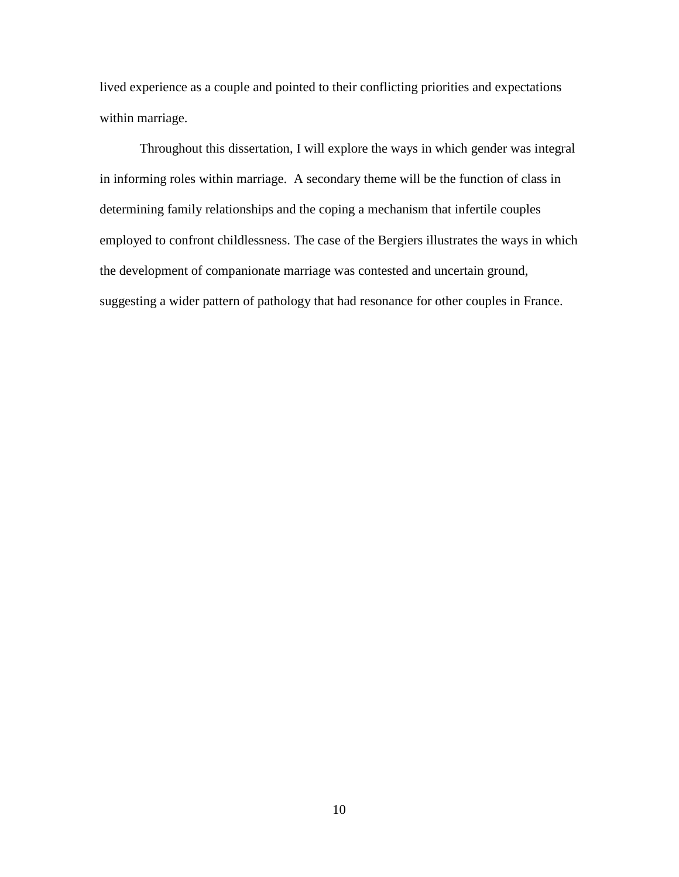lived experience as a couple and pointed to their conflicting priorities and expectations within marriage.

Throughout this dissertation, I will explore the ways in which gender was integral in informing roles within marriage. A secondary theme will be the function of class in determining family relationships and the coping a mechanism that infertile couples employed to confront childlessness. The case of the Bergiers illustrates the ways in which the development of companionate marriage was contested and uncertain ground, suggesting a wider pattern of pathology that had resonance for other couples in France.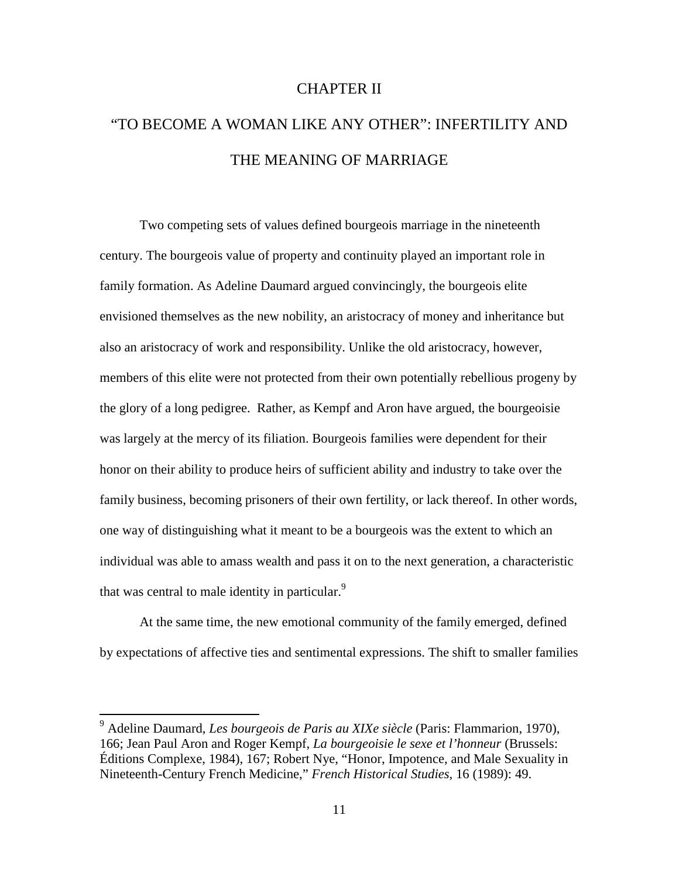## CHAPTER II

# "TO BECOME A WOMAN LIKE ANY OTHER": INFERTILITY AND THE MEANING OF MARRIAGE

Two competing sets of values defined bourgeois marriage in the nineteenth century. The bourgeois value of property and continuity played an important role in family formation. As Adeline Daumard argued convincingly, the bourgeois elite envisioned themselves as the new nobility, an aristocracy of money and inheritance but also an aristocracy of work and responsibility. Unlike the old aristocracy, however, members of this elite were not protected from their own potentially rebellious progeny by the glory of a long pedigree. Rather, as Kempf and Aron have argued, the bourgeoisie was largely at the mercy of its filiation. Bourgeois families were dependent for their honor on their ability to produce heirs of sufficient ability and industry to take over the family business, becoming prisoners of their own fertility, or lack thereof. In other words, one way of distinguishing what it meant to be a bourgeois was the extent to which an individual was able to amass wealth and pass it on to the next generation, a characteristic that was central to male identity in particular.<sup>9</sup>

 At the same time, the new emotional community of the family emerged, defined by expectations of affective ties and sentimental expressions. The shift to smaller families

-

<sup>9</sup> Adeline Daumard, *Les bourgeois de Paris au XIXe siècle* (Paris: Flammarion, 1970), 166; Jean Paul Aron and Roger Kempf, *La bourgeoisie le sexe et l'honneur* (Brussels: Éditions Complexe, 1984), 167; Robert Nye, "Honor, Impotence, and Male Sexuality in Nineteenth-Century French Medicine," *French Historical Studies*, 16 (1989): 49.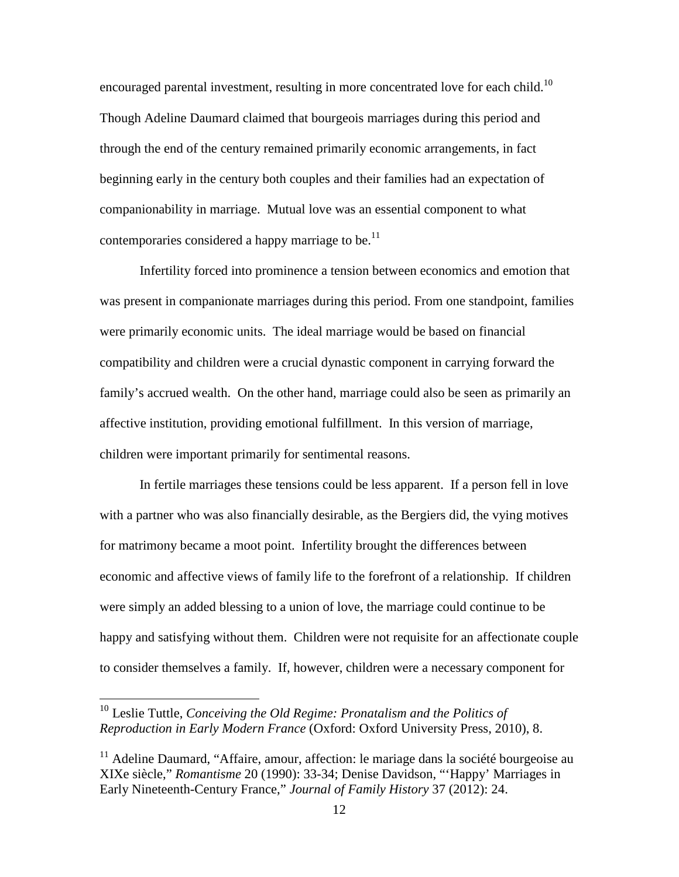encouraged parental investment, resulting in more concentrated love for each child.<sup>10</sup> Though Adeline Daumard claimed that bourgeois marriages during this period and through the end of the century remained primarily economic arrangements, in fact beginning early in the century both couples and their families had an expectation of companionability in marriage. Mutual love was an essential component to what contemporaries considered a happy marriage to be.<sup>11</sup>

Infertility forced into prominence a tension between economics and emotion that was present in companionate marriages during this period. From one standpoint, families were primarily economic units. The ideal marriage would be based on financial compatibility and children were a crucial dynastic component in carrying forward the family's accrued wealth. On the other hand, marriage could also be seen as primarily an affective institution, providing emotional fulfillment. In this version of marriage, children were important primarily for sentimental reasons.

In fertile marriages these tensions could be less apparent. If a person fell in love with a partner who was also financially desirable, as the Bergiers did, the vying motives for matrimony became a moot point. Infertility brought the differences between economic and affective views of family life to the forefront of a relationship. If children were simply an added blessing to a union of love, the marriage could continue to be happy and satisfying without them. Children were not requisite for an affectionate couple to consider themselves a family. If, however, children were a necessary component for

<sup>10</sup> Leslie Tuttle, *Conceiving the Old Regime: Pronatalism and the Politics of Reproduction in Early Modern France* (Oxford: Oxford University Press, 2010), 8.

 $11$  Adeline Daumard, "Affaire, amour, affection: le mariage dans la société bourgeoise au XIXe siècle," *Romantisme* 20 (1990): 33-34; Denise Davidson, "'Happy' Marriages in Early Nineteenth-Century France," *Journal of Family History* 37 (2012): 24.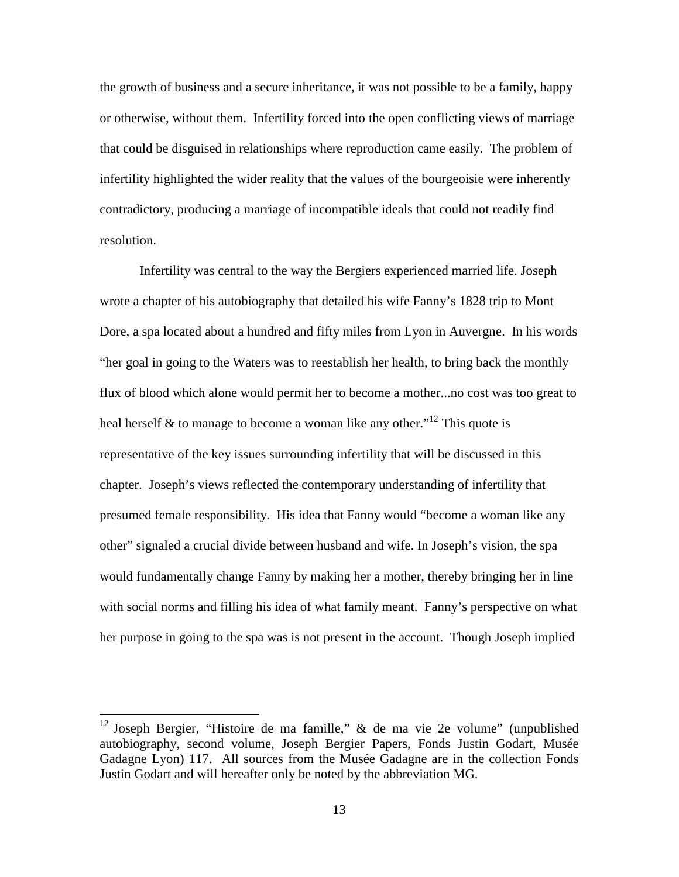the growth of business and a secure inheritance, it was not possible to be a family, happy or otherwise, without them. Infertility forced into the open conflicting views of marriage that could be disguised in relationships where reproduction came easily. The problem of infertility highlighted the wider reality that the values of the bourgeoisie were inherently contradictory, producing a marriage of incompatible ideals that could not readily find resolution.

Infertility was central to the way the Bergiers experienced married life. Joseph wrote a chapter of his autobiography that detailed his wife Fanny's 1828 trip to Mont Dore, a spa located about a hundred and fifty miles from Lyon in Auvergne. In his words "her goal in going to the Waters was to reestablish her health, to bring back the monthly flux of blood which alone would permit her to become a mother...no cost was too great to heal herself & to manage to become a woman like any other."<sup>12</sup> This quote is representative of the key issues surrounding infertility that will be discussed in this chapter. Joseph's views reflected the contemporary understanding of infertility that presumed female responsibility. His idea that Fanny would "become a woman like any other" signaled a crucial divide between husband and wife. In Joseph's vision, the spa would fundamentally change Fanny by making her a mother, thereby bringing her in line with social norms and filling his idea of what family meant. Fanny's perspective on what her purpose in going to the spa was is not present in the account. Though Joseph implied

<sup>&</sup>lt;sup>12</sup> Joseph Bergier, "Histoire de ma famille," & de ma vie 2e volume" (unpublished autobiography, second volume, Joseph Bergier Papers, Fonds Justin Godart, Musée Gadagne Lyon) 117. All sources from the Musée Gadagne are in the collection Fonds Justin Godart and will hereafter only be noted by the abbreviation MG.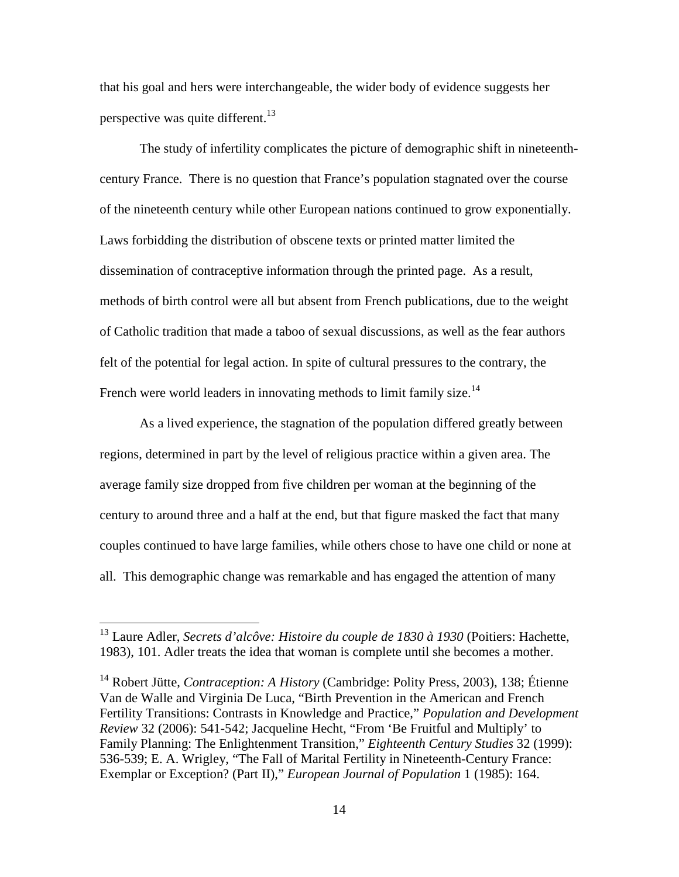that his goal and hers were interchangeable, the wider body of evidence suggests her perspective was quite different.<sup>13</sup>

The study of infertility complicates the picture of demographic shift in nineteenthcentury France.There is no question that France's population stagnated over the course of the nineteenth century while other European nations continued to grow exponentially. Laws forbidding the distribution of obscene texts or printed matter limited the dissemination of contraceptive information through the printed page. As a result, methods of birth control were all but absent from French publications, due to the weight of Catholic tradition that made a taboo of sexual discussions, as well as the fear authors felt of the potential for legal action. In spite of cultural pressures to the contrary, the French were world leaders in innovating methods to limit family size.<sup>14</sup>

As a lived experience, the stagnation of the population differed greatly between regions, determined in part by the level of religious practice within a given area. The average family size dropped from five children per woman at the beginning of the century to around three and a half at the end, but that figure masked the fact that many couples continued to have large families, while others chose to have one child or none at all. This demographic change was remarkable and has engaged the attention of many

<u>.</u>

<sup>13</sup> Laure Adler, *Secrets d'alcôve: Histoire du couple de 1830 à 1930* (Poitiers: Hachette, 1983), 101. Adler treats the idea that woman is complete until she becomes a mother.

<sup>14</sup> Robert Jütte, *Contraception: A History* (Cambridge: Polity Press, 2003), 138; Étienne Van de Walle and Virginia De Luca, "Birth Prevention in the American and French Fertility Transitions: Contrasts in Knowledge and Practice," *Population and Development Review* 32 (2006): 541-542; Jacqueline Hecht, "From 'Be Fruitful and Multiply' to Family Planning: The Enlightenment Transition," *Eighteenth Century Studies* 32 (1999): 536-539; E. A. Wrigley, "The Fall of Marital Fertility in Nineteenth-Century France: Exemplar or Exception? (Part II)," *European Journal of Population* 1 (1985): 164.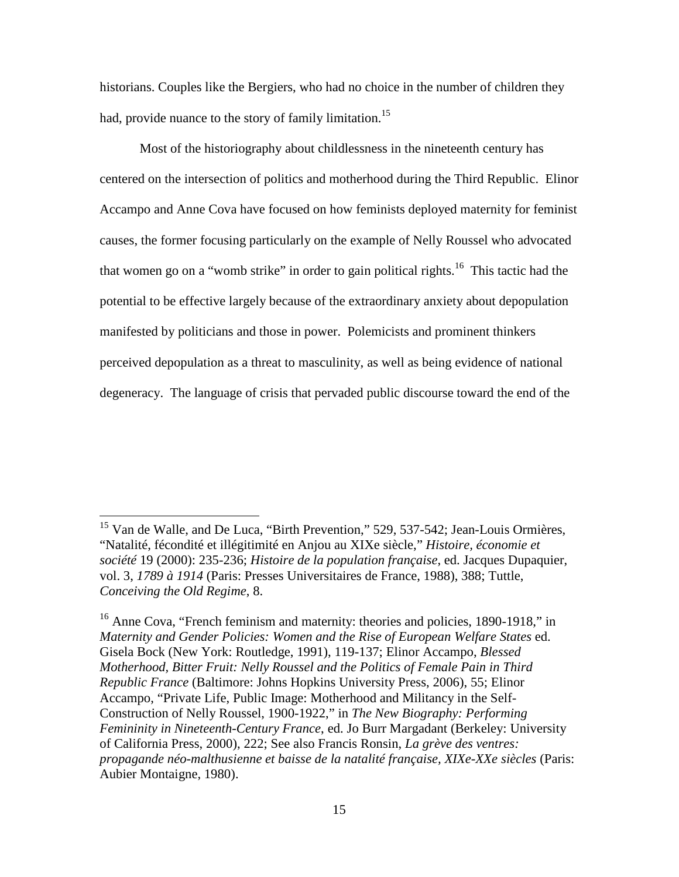historians. Couples like the Bergiers, who had no choice in the number of children they had, provide nuance to the story of family limitation.<sup>15</sup>

Most of the historiography about childlessness in the nineteenth century has centered on the intersection of politics and motherhood during the Third Republic. Elinor Accampo and Anne Cova have focused on how feminists deployed maternity for feminist causes, the former focusing particularly on the example of Nelly Roussel who advocated that women go on a "womb strike" in order to gain political rights.<sup>16</sup> This tactic had the potential to be effective largely because of the extraordinary anxiety about depopulation manifested by politicians and those in power. Polemicists and prominent thinkers perceived depopulation as a threat to masculinity, as well as being evidence of national degeneracy. The language of crisis that pervaded public discourse toward the end of the

<u>.</u>

<sup>&</sup>lt;sup>15</sup> Van de Walle, and De Luca, "Birth Prevention," 529, 537-542; Jean-Louis Ormières, "Natalité, fécondité et illégitimité en Anjou au XIXe siècle," *Histoire, économie et société* 19 (2000): 235-236; *Histoire de la population française*, ed. Jacques Dupaquier, vol. 3, *1789 à 1914* (Paris: Presses Universitaires de France, 1988), 388; Tuttle, *Conceiving the Old Regime*, 8.

<sup>&</sup>lt;sup>16</sup> Anne Cova, "French feminism and maternity: theories and policies, 1890-1918," in *Maternity and Gender Policies: Women and the Rise of European Welfare States* ed. Gisela Bock (New York: Routledge, 1991), 119-137; Elinor Accampo, *Blessed Motherhood, Bitter Fruit: Nelly Roussel and the Politics of Female Pain in Third Republic France* (Baltimore: Johns Hopkins University Press, 2006), 55; Elinor Accampo, "Private Life, Public Image: Motherhood and Militancy in the Self-Construction of Nelly Roussel, 1900-1922," in *The New Biography: Performing Femininity in Nineteenth-Century France*, ed. Jo Burr Margadant (Berkeley: University of California Press, 2000), 222; See also Francis Ronsin, *La grève des ventres: propagande néo-malthusienne et baisse de la natalité française, XIXe-XXe siècles* (Paris: Aubier Montaigne, 1980).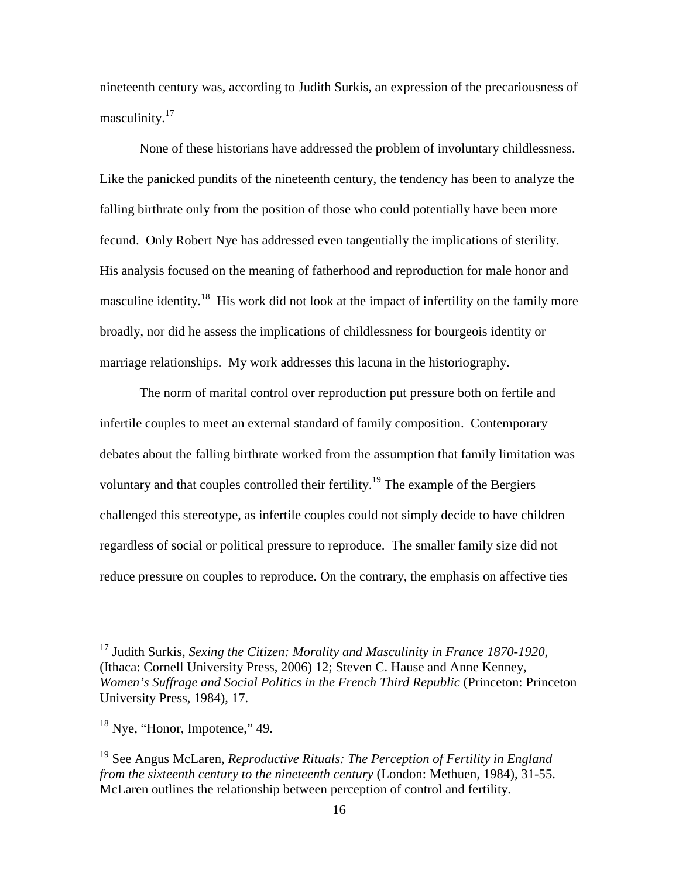nineteenth century was, according to Judith Surkis, an expression of the precariousness of masculinity.<sup>17</sup>

None of these historians have addressed the problem of involuntary childlessness. Like the panicked pundits of the nineteenth century, the tendency has been to analyze the falling birthrate only from the position of those who could potentially have been more fecund. Only Robert Nye has addressed even tangentially the implications of sterility. His analysis focused on the meaning of fatherhood and reproduction for male honor and masculine identity.<sup>18</sup> His work did not look at the impact of infertility on the family more broadly, nor did he assess the implications of childlessness for bourgeois identity or marriage relationships. My work addresses this lacuna in the historiography.

The norm of marital control over reproduction put pressure both on fertile and infertile couples to meet an external standard of family composition.Contemporary debates about the falling birthrate worked from the assumption that family limitation was voluntary and that couples controlled their fertility.<sup>19</sup> The example of the Bergiers challenged this stereotype, as infertile couples could not simply decide to have children regardless of social or political pressure to reproduce. The smaller family size did not reduce pressure on couples to reproduce. On the contrary, the emphasis on affective ties

-

<sup>17</sup> Judith Surkis, *Sexing the Citizen: Morality and Masculinity in France 1870-1920*, (Ithaca: Cornell University Press, 2006) 12; Steven C. Hause and Anne Kenney, *Women's Suffrage and Social Politics in the French Third Republic (Princeton: Princeton* University Press, 1984), 17.

 $18$  Nye, "Honor, Impotence," 49.

<sup>19</sup> See Angus McLaren, *Reproductive Rituals: The Perception of Fertility in England from the sixteenth century to the nineteenth century* (London: Methuen, 1984), 31-55. McLaren outlines the relationship between perception of control and fertility.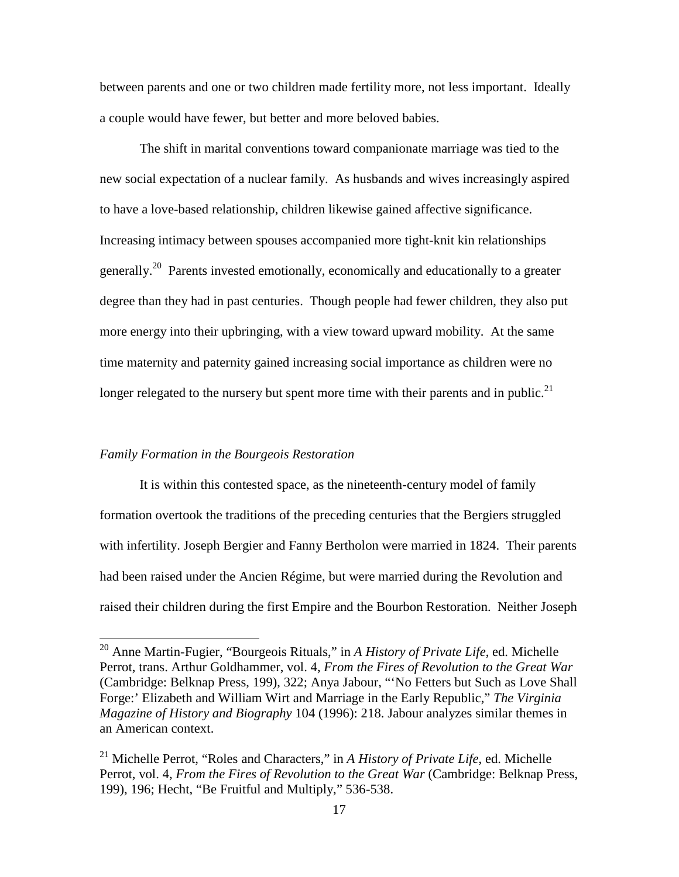between parents and one or two children made fertility more, not less important. Ideally a couple would have fewer, but better and more beloved babies.

The shift in marital conventions toward companionate marriage was tied to the new social expectation of a nuclear family. As husbands and wives increasingly aspired to have a love-based relationship, children likewise gained affective significance. Increasing intimacy between spouses accompanied more tight-knit kin relationships generally.<sup>20</sup> Parents invested emotionally, economically and educationally to a greater degree than they had in past centuries. Though people had fewer children, they also put more energy into their upbringing, with a view toward upward mobility. At the same time maternity and paternity gained increasing social importance as children were no longer relegated to the nursery but spent more time with their parents and in public.<sup>21</sup>

#### *Family Formation in the Bourgeois Restoration*

-

It is within this contested space, as the nineteenth-century model of family formation overtook the traditions of the preceding centuries that the Bergiers struggled with infertility. Joseph Bergier and Fanny Bertholon were married in 1824. Their parents had been raised under the Ancien Régime, but were married during the Revolution and raised their children during the first Empire and the Bourbon Restoration. Neither Joseph

<sup>20</sup> Anne Martin-Fugier, "Bourgeois Rituals," in *A History of Private Life*, ed. Michelle Perrot, trans. Arthur Goldhammer, vol. 4, *From the Fires of Revolution to the Great War* (Cambridge: Belknap Press, 199), 322; Anya Jabour, "'No Fetters but Such as Love Shall Forge:' Elizabeth and William Wirt and Marriage in the Early Republic," *The Virginia Magazine of History and Biography* 104 (1996): 218. Jabour analyzes similar themes in an American context.

<sup>21</sup> Michelle Perrot, "Roles and Characters," in *A History of Private Life*, ed. Michelle Perrot, vol. 4, *From the Fires of Revolution to the Great War* (Cambridge: Belknap Press, 199), 196; Hecht, "Be Fruitful and Multiply," 536-538.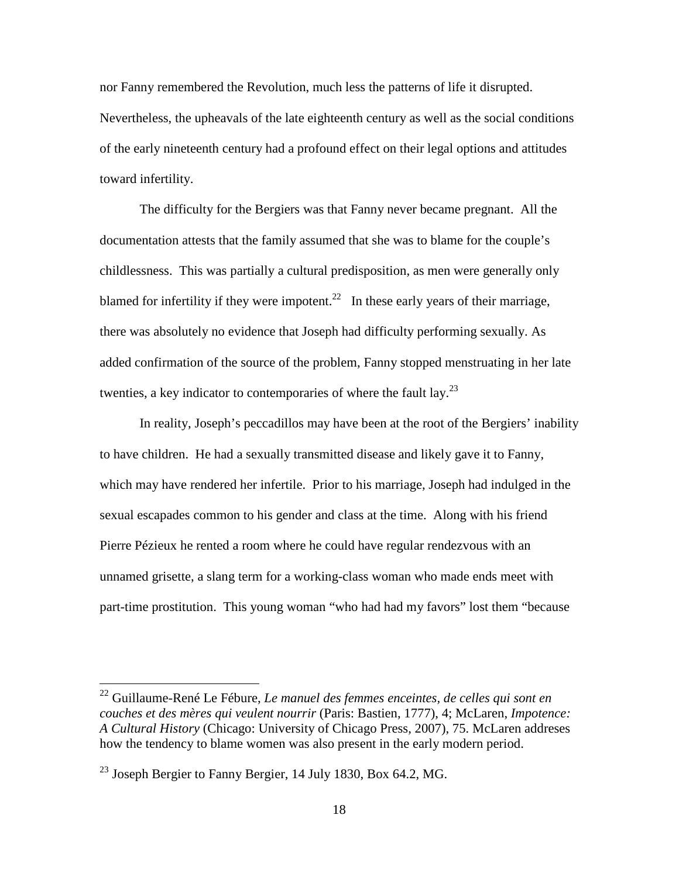nor Fanny remembered the Revolution, much less the patterns of life it disrupted. Nevertheless, the upheavals of the late eighteenth century as well as the social conditions of the early nineteenth century had a profound effect on their legal options and attitudes toward infertility.

The difficulty for the Bergiers was that Fanny never became pregnant. All the documentation attests that the family assumed that she was to blame for the couple's childlessness. This was partially a cultural predisposition, as men were generally only blamed for infertility if they were impotent.<sup>22</sup> In these early years of their marriage, there was absolutely no evidence that Joseph had difficulty performing sexually. As added confirmation of the source of the problem, Fanny stopped menstruating in her late twenties, a key indicator to contemporaries of where the fault lay. $^{23}$ 

In reality, Joseph's peccadillos may have been at the root of the Bergiers' inability to have children. He had a sexually transmitted disease and likely gave it to Fanny, which may have rendered her infertile. Prior to his marriage, Joseph had indulged in the sexual escapades common to his gender and class at the time. Along with his friend Pierre Pézieux he rented a room where he could have regular rendezvous with an unnamed grisette, a slang term for a working-class woman who made ends meet with part-time prostitution. This young woman "who had had my favors" lost them "because

<sup>22</sup> Guillaume-René Le Fébure, *Le manuel des femmes enceintes, de celles qui sont en couches et des mères qui veulent nourrir* (Paris: Bastien, 1777), 4; McLaren, *Impotence: A Cultural History* (Chicago: University of Chicago Press, 2007), 75. McLaren addreses how the tendency to blame women was also present in the early modern period.

 $^{23}$  Joseph Bergier to Fanny Bergier, 14 July 1830, Box 64.2, MG.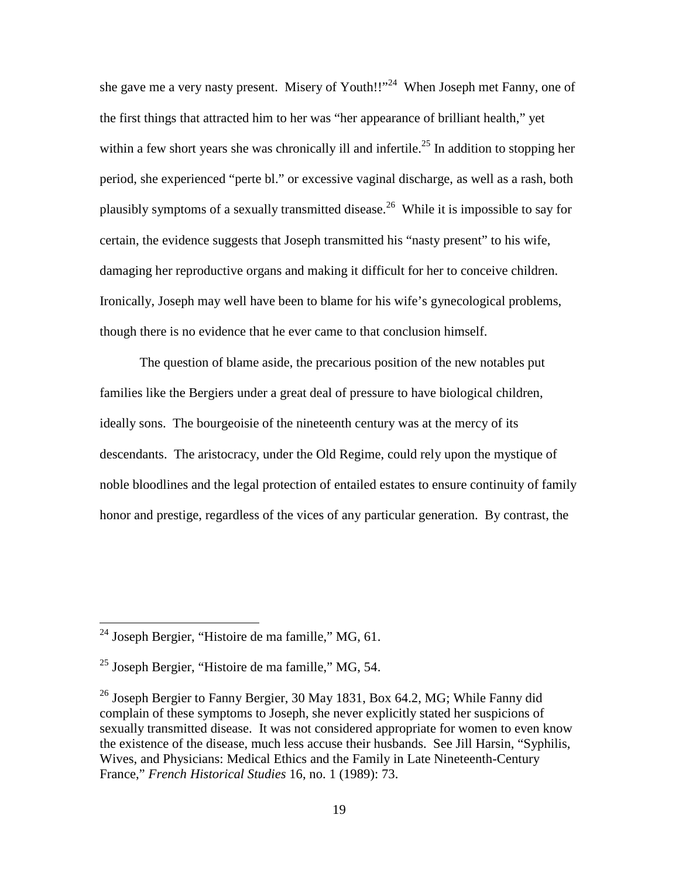she gave me a very nasty present. Misery of Youth!!"<sup>24</sup> When Joseph met Fanny, one of the first things that attracted him to her was "her appearance of brilliant health," yet within a few short years she was chronically ill and infertile.<sup>25</sup> In addition to stopping her period, she experienced "perte bl." or excessive vaginal discharge, as well as a rash, both plausibly symptoms of a sexually transmitted disease.<sup>26</sup> While it is impossible to say for certain, the evidence suggests that Joseph transmitted his "nasty present" to his wife, damaging her reproductive organs and making it difficult for her to conceive children. Ironically, Joseph may well have been to blame for his wife's gynecological problems, though there is no evidence that he ever came to that conclusion himself.

The question of blame aside, the precarious position of the new notables put families like the Bergiers under a great deal of pressure to have biological children, ideally sons. The bourgeoisie of the nineteenth century was at the mercy of its descendants. The aristocracy, under the Old Regime, could rely upon the mystique of noble bloodlines and the legal protection of entailed estates to ensure continuity of family honor and prestige, regardless of the vices of any particular generation. By contrast, the

 $^{24}$  Joseph Bergier, "Histoire de ma famille," MG, 61.

 $25$  Joseph Bergier, "Histoire de ma famille," MG, 54.

<sup>&</sup>lt;sup>26</sup> Joseph Bergier to Fanny Bergier, 30 May 1831, Box 64.2, MG; While Fanny did complain of these symptoms to Joseph, she never explicitly stated her suspicions of sexually transmitted disease. It was not considered appropriate for women to even know the existence of the disease, much less accuse their husbands. See Jill Harsin, "Syphilis, Wives, and Physicians: Medical Ethics and the Family in Late Nineteenth-Century France," *French Historical Studies* 16, no. 1 (1989): 73.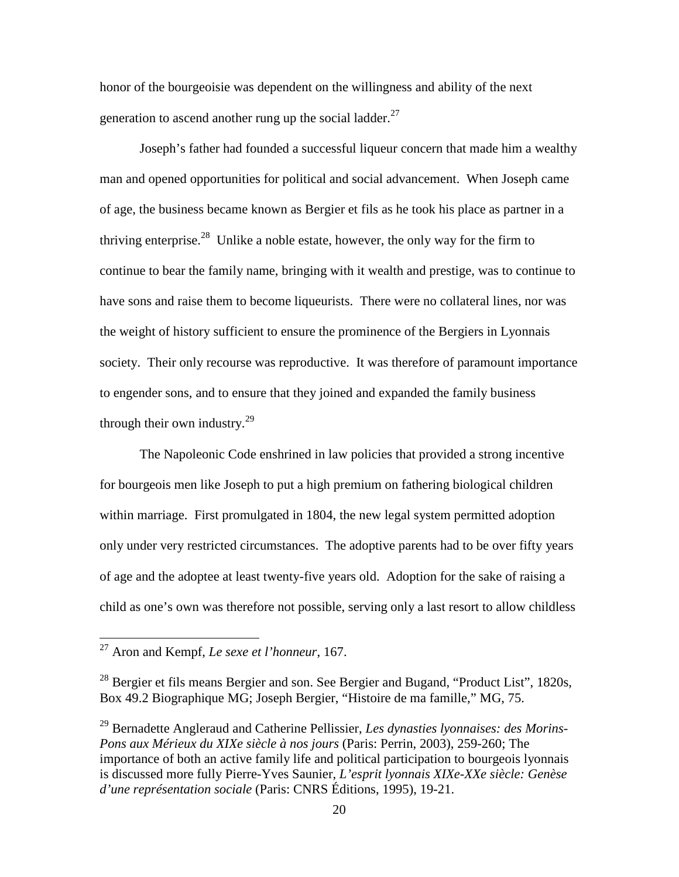honor of the bourgeoisie was dependent on the willingness and ability of the next generation to ascend another rung up the social ladder. $27$ 

 Joseph's father had founded a successful liqueur concern that made him a wealthy man and opened opportunities for political and social advancement. When Joseph came of age, the business became known as Bergier et fils as he took his place as partner in a thriving enterprise.<sup>28</sup> Unlike a noble estate, however, the only way for the firm to continue to bear the family name, bringing with it wealth and prestige, was to continue to have sons and raise them to become liqueurists. There were no collateral lines, nor was the weight of history sufficient to ensure the prominence of the Bergiers in Lyonnais society. Their only recourse was reproductive. It was therefore of paramount importance to engender sons, and to ensure that they joined and expanded the family business through their own industry.<sup>29</sup>

The Napoleonic Code enshrined in law policies that provided a strong incentive for bourgeois men like Joseph to put a high premium on fathering biological children within marriage. First promulgated in 1804, the new legal system permitted adoption only under very restricted circumstances. The adoptive parents had to be over fifty years of age and the adoptee at least twenty-five years old. Adoption for the sake of raising a child as one's own was therefore not possible, serving only a last resort to allow childless

-

<sup>27</sup> Aron and Kempf, *Le sexe et l'honneur*, 167.

<sup>&</sup>lt;sup>28</sup> Bergier et fils means Bergier and son. See Bergier and Bugand, "Product List", 1820s, Box 49.2 Biographique MG; Joseph Bergier, "Histoire de ma famille," MG, 75.

<sup>29</sup> Bernadette Angleraud and Catherine Pellissier, *Les dynasties lyonnaises: des Morins-Pons aux Mérieux du XIXe siècle à nos jours* (Paris: Perrin, 2003), 259-260; The importance of both an active family life and political participation to bourgeois lyonnais is discussed more fully Pierre-Yves Saunier, *L'esprit lyonnais XIXe-XXe siècle: Genèse d'une représentation sociale* (Paris: CNRS Éditions, 1995), 19-21.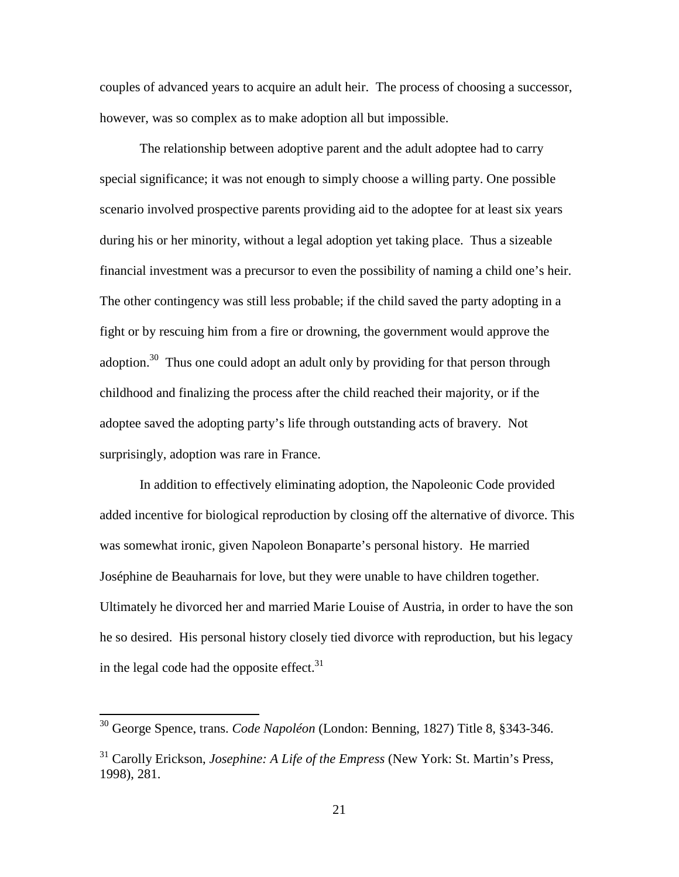couples of advanced years to acquire an adult heir. The process of choosing a successor, however, was so complex as to make adoption all but impossible.

The relationship between adoptive parent and the adult adoptee had to carry special significance; it was not enough to simply choose a willing party. One possible scenario involved prospective parents providing aid to the adoptee for at least six years during his or her minority, without a legal adoption yet taking place. Thus a sizeable financial investment was a precursor to even the possibility of naming a child one's heir. The other contingency was still less probable; if the child saved the party adopting in a fight or by rescuing him from a fire or drowning, the government would approve the adoption.<sup>30</sup> Thus one could adopt an adult only by providing for that person through childhood and finalizing the process after the child reached their majority, or if the adoptee saved the adopting party's life through outstanding acts of bravery. Not surprisingly, adoption was rare in France.

In addition to effectively eliminating adoption, the Napoleonic Code provided added incentive for biological reproduction by closing off the alternative of divorce. This was somewhat ironic, given Napoleon Bonaparte's personal history. He married Joséphine de Beauharnais for love, but they were unable to have children together. Ultimately he divorced her and married Marie Louise of Austria, in order to have the son he so desired. His personal history closely tied divorce with reproduction, but his legacy in the legal code had the opposite effect. $31$ 

-

<sup>30</sup> George Spence, trans. *Code Napoléon* (London: Benning, 1827) Title 8, §343-346.

<sup>31</sup> Carolly Erickson, *Josephine: A Life of the Empress* (New York: St. Martin's Press, 1998), 281.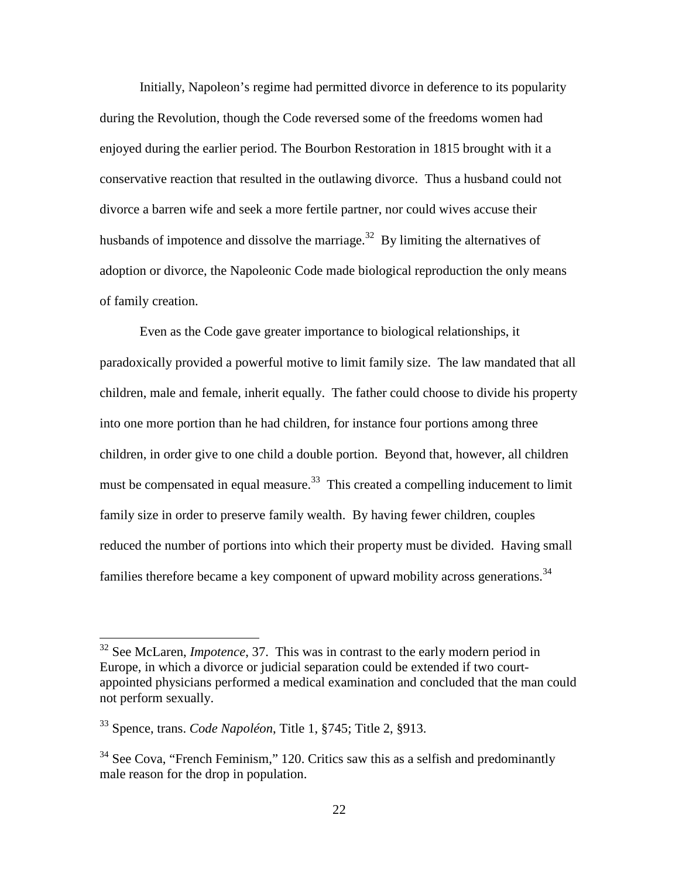Initially, Napoleon's regime had permitted divorce in deference to its popularity during the Revolution, though the Code reversed some of the freedoms women had enjoyed during the earlier period. The Bourbon Restoration in 1815 brought with it a conservative reaction that resulted in the outlawing divorce. Thus a husband could not divorce a barren wife and seek a more fertile partner, nor could wives accuse their husbands of impotence and dissolve the marriage.<sup>32</sup> By limiting the alternatives of adoption or divorce, the Napoleonic Code made biological reproduction the only means of family creation.

Even as the Code gave greater importance to biological relationships, it paradoxically provided a powerful motive to limit family size. The law mandated that all children, male and female, inherit equally. The father could choose to divide his property into one more portion than he had children, for instance four portions among three children, in order give to one child a double portion. Beyond that, however, all children must be compensated in equal measure.<sup>33</sup> This created a compelling inducement to limit family size in order to preserve family wealth. By having fewer children, couples reduced the number of portions into which their property must be divided. Having small families therefore became a key component of upward mobility across generations.<sup>34</sup>

<sup>&</sup>lt;sup>32</sup> See McLaren, *Impotence*, 37. This was in contrast to the early modern period in Europe, in which a divorce or judicial separation could be extended if two courtappointed physicians performed a medical examination and concluded that the man could not perform sexually.

<sup>33</sup> Spence, trans. *Code Napoléon*, Title 1, §745; Title 2, §913.

<sup>&</sup>lt;sup>34</sup> See Cova, "French Feminism," 120. Critics saw this as a selfish and predominantly male reason for the drop in population.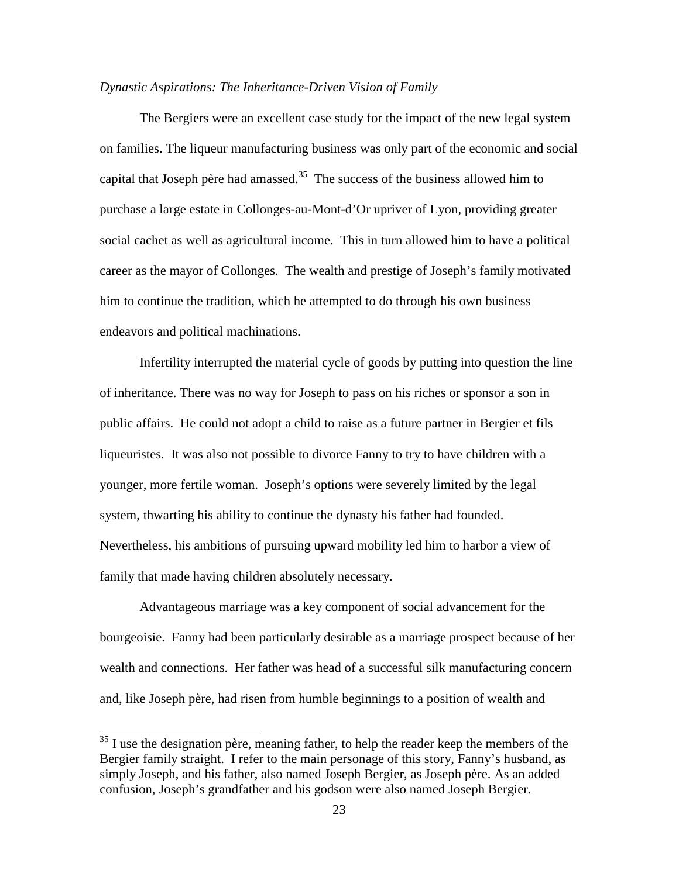#### *Dynastic Aspirations: The Inheritance-Driven Vision of Family*

The Bergiers were an excellent case study for the impact of the new legal system on families. The liqueur manufacturing business was only part of the economic and social capital that Joseph père had amassed. $35$  The success of the business allowed him to purchase a large estate in Collonges-au-Mont-d'Or upriver of Lyon, providing greater social cachet as well as agricultural income. This in turn allowed him to have a political career as the mayor of Collonges. The wealth and prestige of Joseph's family motivated him to continue the tradition, which he attempted to do through his own business endeavors and political machinations.

Infertility interrupted the material cycle of goods by putting into question the line of inheritance. There was no way for Joseph to pass on his riches or sponsor a son in public affairs. He could not adopt a child to raise as a future partner in Bergier et fils liqueuristes. It was also not possible to divorce Fanny to try to have children with a younger, more fertile woman. Joseph's options were severely limited by the legal system, thwarting his ability to continue the dynasty his father had founded. Nevertheless, his ambitions of pursuing upward mobility led him to harbor a view of family that made having children absolutely necessary.

Advantageous marriage was a key component of social advancement for the bourgeoisie. Fanny had been particularly desirable as a marriage prospect because of her wealth and connections. Her father was head of a successful silk manufacturing concern and, like Joseph père, had risen from humble beginnings to a position of wealth and

<u>.</u>

 $35$  I use the designation père, meaning father, to help the reader keep the members of the Bergier family straight. I refer to the main personage of this story, Fanny's husband, as simply Joseph, and his father, also named Joseph Bergier, as Joseph père. As an added confusion, Joseph's grandfather and his godson were also named Joseph Bergier.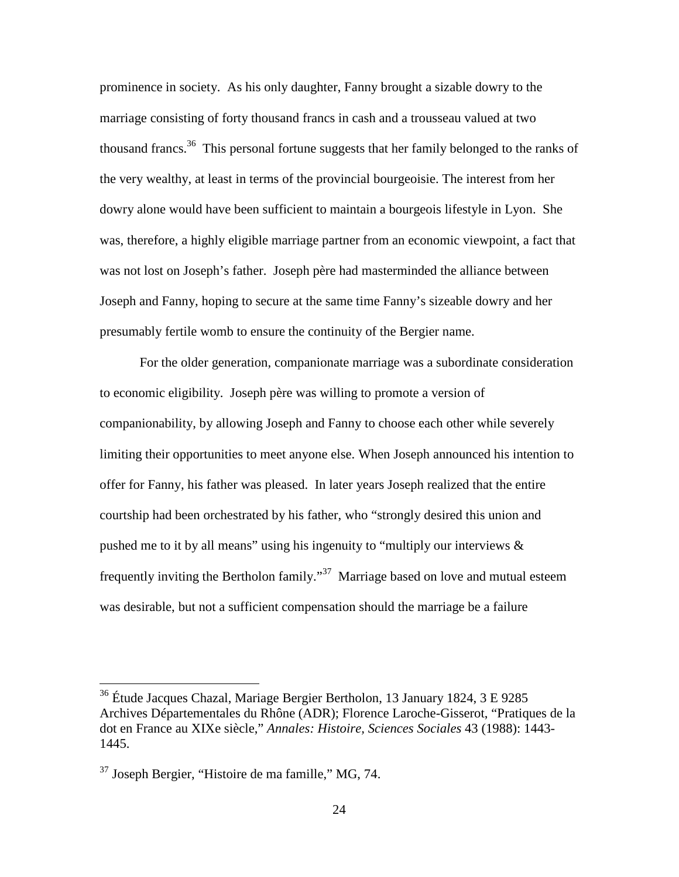prominence in society. As his only daughter, Fanny brought a sizable dowry to the marriage consisting of forty thousand francs in cash and a trousseau valued at two thousand francs.<sup>36</sup> This personal fortune suggests that her family belonged to the ranks of the very wealthy, at least in terms of the provincial bourgeoisie. The interest from her dowry alone would have been sufficient to maintain a bourgeois lifestyle in Lyon. She was, therefore, a highly eligible marriage partner from an economic viewpoint, a fact that was not lost on Joseph's father. Joseph père had masterminded the alliance between Joseph and Fanny, hoping to secure at the same time Fanny's sizeable dowry and her presumably fertile womb to ensure the continuity of the Bergier name.

For the older generation, companionate marriage was a subordinate consideration to economic eligibility. Joseph père was willing to promote a version of companionability, by allowing Joseph and Fanny to choose each other while severely limiting their opportunities to meet anyone else. When Joseph announced his intention to offer for Fanny, his father was pleased. In later years Joseph realized that the entire courtship had been orchestrated by his father, who "strongly desired this union and pushed me to it by all means" using his ingenuity to "multiply our interviews & frequently inviting the Bertholon family."<sup>37</sup> Marriage based on love and mutual esteem was desirable, but not a sufficient compensation should the marriage be a failure

<sup>&</sup>lt;sup>36</sup> Étude Jacques Chazal, Mariage Bergier Bertholon, 13 January 1824, 3 E 9285 Archives Départementales du Rhône (ADR); Florence Laroche-Gisserot, "Pratiques de la dot en France au XIXe siècle," *Annales: Histoire, Sciences Sociales* 43 (1988): 1443- 1445.

 $37$  Joseph Bergier, "Histoire de ma famille," MG, 74.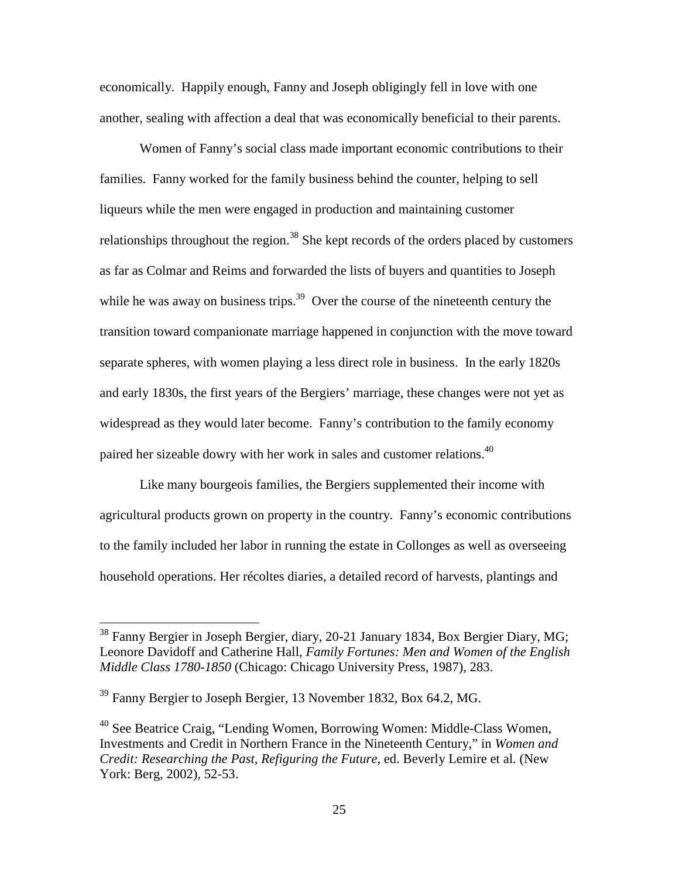economically. Happily enough, Fanny and Joseph obligingly fell in love with one another, sealing with affection a deal that was economically beneficial to their parents.

Women of Fanny's social class made important economic contributions to their families. Fanny worked for the family business behind the counter, helping to sell liqueurs while the men were engaged in production and maintaining customer relationships throughout the region.<sup>38</sup> She kept records of the orders placed by customers as far as Colmar and Reims and forwarded the lists of buyers and quantities to Joseph while he was away on business trips.<sup>39</sup> Over the course of the nineteenth century the transition toward companionate marriage happened in conjunction with the move toward separate spheres, with women playing a less direct role in business. In the early 1820s and early 1830s, the first years of the Bergiers' marriage, these changes were not yet as widespread as they would later become. Fanny's contribution to the family economy paired her sizeable dowry with her work in sales and customer relations.<sup>40</sup>

Like many bourgeois families, the Bergiers supplemented their income with agricultural products grown on property in the country. Fanny's economic contributions to the family included her labor in running the estate in Collonges as well as overseeing household operations. Her récoltes diaries, a detailed record of harvests, plantings and

 $38$  Fanny Bergier in Joseph Bergier, diary, 20-21 January 1834, Box Bergier Diary, MG; Leonore Davidoff and Catherine Hall, *Family Fortunes: Men and Women of the English Middle Class 1780-1850* (Chicago: Chicago University Press, 1987), 283.

<sup>&</sup>lt;sup>39</sup> Fanny Bergier to Joseph Bergier, 13 November 1832, Box 64.2, MG.

<sup>40</sup> See Beatrice Craig, "Lending Women, Borrowing Women: Middle-Class Women, Investments and Credit in Northern France in the Nineteenth Century," in *Women and Credit: Researching the Past, Refiguring the Future*, ed. Beverly Lemire et al. (New York: Berg, 2002), 52-53.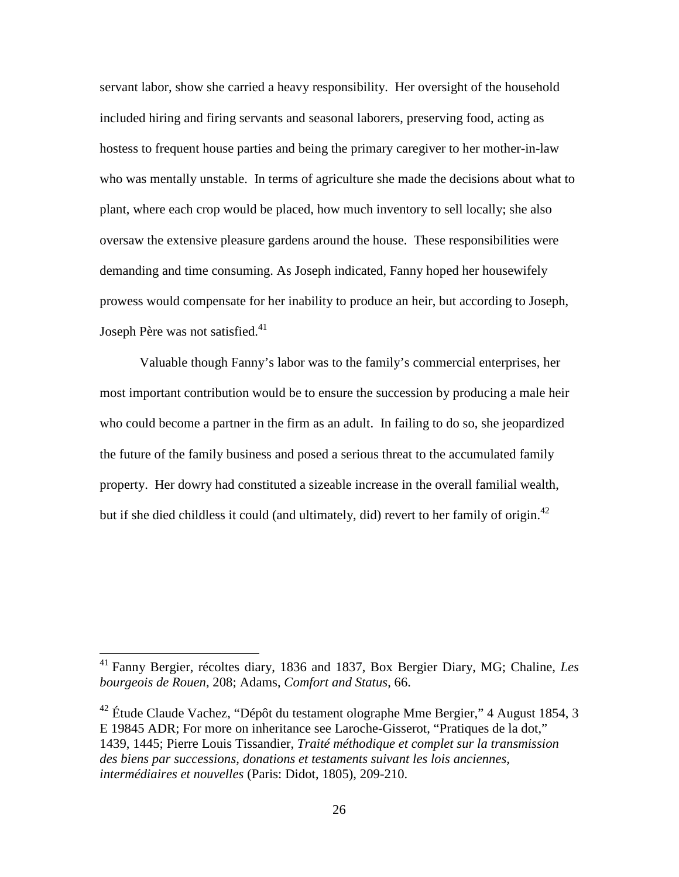servant labor, show she carried a heavy responsibility. Her oversight of the household included hiring and firing servants and seasonal laborers, preserving food, acting as hostess to frequent house parties and being the primary caregiver to her mother-in-law who was mentally unstable. In terms of agriculture she made the decisions about what to plant, where each crop would be placed, how much inventory to sell locally; she also oversaw the extensive pleasure gardens around the house. These responsibilities were demanding and time consuming. As Joseph indicated, Fanny hoped her housewifely prowess would compensate for her inability to produce an heir, but according to Joseph, Joseph Père was not satisfied.<sup>41</sup>

Valuable though Fanny's labor was to the family's commercial enterprises, her most important contribution would be to ensure the succession by producing a male heir who could become a partner in the firm as an adult. In failing to do so, she jeopardized the future of the family business and posed a serious threat to the accumulated family property. Her dowry had constituted a sizeable increase in the overall familial wealth, but if she died childless it could (and ultimately, did) revert to her family of origin.<sup>42</sup>

<sup>41</sup> Fanny Bergier, récoltes diary, 1836 and 1837, Box Bergier Diary, MG; Chaline, *Les bourgeois de Rouen*, 208; Adams, *Comfort and Status*, 66.

<sup>&</sup>lt;sup>42</sup> Étude Claude Vachez, "Dépôt du testament olographe Mme Bergier," 4 August 1854, 3 E 19845 ADR; For more on inheritance see Laroche-Gisserot, "Pratiques de la dot," 1439, 1445; Pierre Louis Tissandier, *Traité méthodique et complet sur la transmission des biens par successions, donations et testaments suivant les lois anciennes, intermédiaires et nouvelles* (Paris: Didot, 1805), 209-210.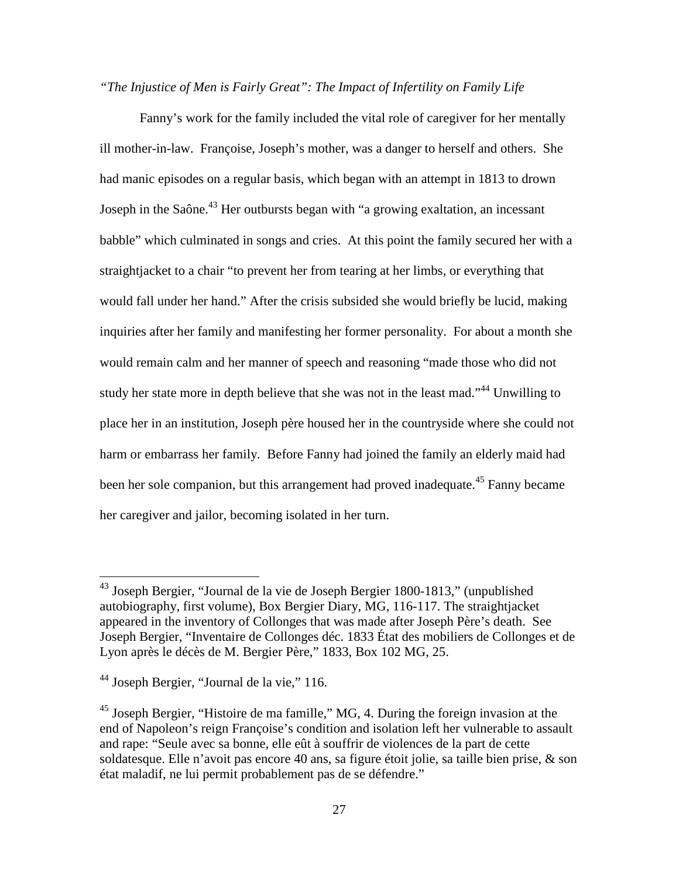*"The Injustice of Men is Fairly Great": The Impact of Infertility on Family Life* 

Fanny's work for the family included the vital role of caregiver for her mentally ill mother-in-law. Françoise, Joseph's mother, was a danger to herself and others. She had manic episodes on a regular basis, which began with an attempt in 1813 to drown Joseph in the Saône.<sup>43</sup> Her outbursts began with "a growing exaltation, an incessant babble" which culminated in songs and cries. At this point the family secured her with a straightjacket to a chair "to prevent her from tearing at her limbs, or everything that would fall under her hand." After the crisis subsided she would briefly be lucid, making inquiries after her family and manifesting her former personality. For about a month she would remain calm and her manner of speech and reasoning "made those who did not study her state more in depth believe that she was not in the least mad."<sup>44</sup> Unwilling to place her in an institution, Joseph père housed her in the countryside where she could not harm or embarrass her family. Before Fanny had joined the family an elderly maid had been her sole companion, but this arrangement had proved inadequate.<sup>45</sup> Fanny became her caregiver and jailor, becoming isolated in her turn.

 $43$  Joseph Bergier, "Journal de la vie de Joseph Bergier 1800-1813," (unpublished autobiography, first volume), Box Bergier Diary, MG, 116-117. The straightjacket appeared in the inventory of Collonges that was made after Joseph Père's death. See Joseph Bergier, "Inventaire de Collonges déc. 1833 État des mobiliers de Collonges et de Lyon après le décès de M. Bergier Père," 1833, Box 102 MG, 25.

 $44$  Joseph Bergier, "Journal de la vie," 116.

<sup>&</sup>lt;sup>45</sup> Joseph Bergier, "Histoire de ma famille," MG, 4. During the foreign invasion at the end of Napoleon's reign Françoise's condition and isolation left her vulnerable to assault and rape: "Seule avec sa bonne, elle eût à souffrir de violences de la part de cette soldatesque. Elle n'avoit pas encore 40 ans, sa figure étoit jolie, sa taille bien prise, & son état maladif, ne lui permit probablement pas de se défendre."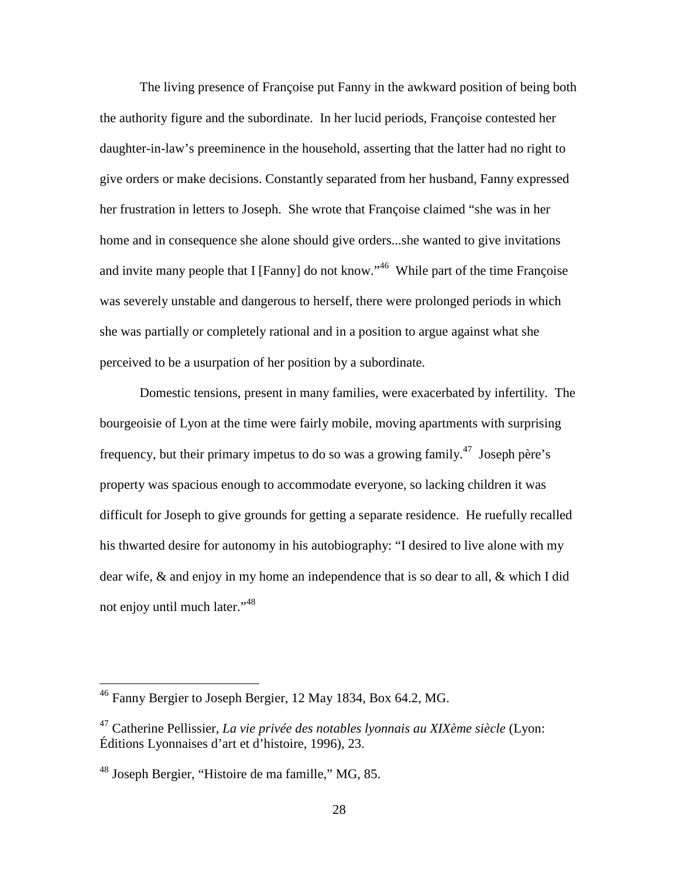The living presence of Françoise put Fanny in the awkward position of being both the authority figure and the subordinate. In her lucid periods, Françoise contested her daughter-in-law's preeminence in the household, asserting that the latter had no right to give orders or make decisions. Constantly separated from her husband, Fanny expressed her frustration in letters to Joseph. She wrote that Françoise claimed "she was in her home and in consequence she alone should give orders...she wanted to give invitations and invite many people that I [Fanny] do not know."<sup>46</sup> While part of the time Françoise was severely unstable and dangerous to herself, there were prolonged periods in which she was partially or completely rational and in a position to argue against what she perceived to be a usurpation of her position by a subordinate.

Domestic tensions, present in many families, were exacerbated by infertility. The bourgeoisie of Lyon at the time were fairly mobile, moving apartments with surprising frequency, but their primary impetus to do so was a growing family.<sup>47</sup> Joseph père's property was spacious enough to accommodate everyone, so lacking children it was difficult for Joseph to give grounds for getting a separate residence. He ruefully recalled his thwarted desire for autonomy in his autobiography: "I desired to live alone with my dear wife, & and enjoy in my home an independence that is so dear to all, & which I did not enjoy until much later."<sup>48</sup>

<sup>&</sup>lt;sup>46</sup> Fanny Bergier to Joseph Bergier, 12 May 1834, Box 64.2, MG.

<sup>47</sup> Catherine Pellissier, *La vie privée des notables lyonnais au XIXème siècle* (Lyon: Éditions Lyonnaises d'art et d'histoire, 1996), 23.

<sup>48</sup> Joseph Bergier, "Histoire de ma famille," MG, 85.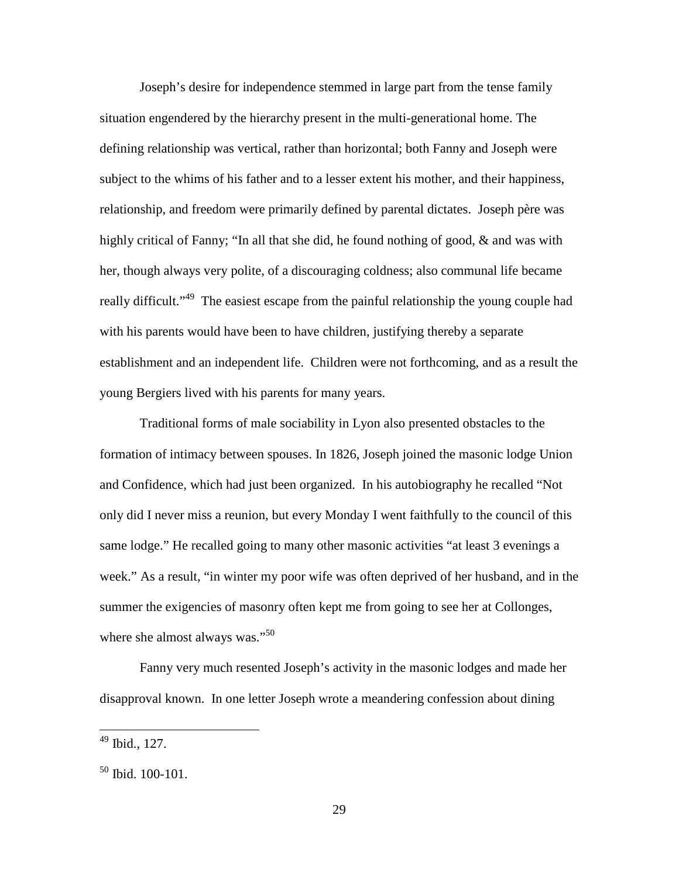Joseph's desire for independence stemmed in large part from the tense family situation engendered by the hierarchy present in the multi-generational home. The defining relationship was vertical, rather than horizontal; both Fanny and Joseph were subject to the whims of his father and to a lesser extent his mother, and their happiness, relationship, and freedom were primarily defined by parental dictates. Joseph père was highly critical of Fanny; "In all that she did, he found nothing of good, & and was with her, though always very polite, of a discouraging coldness; also communal life became really difficult."<sup>49</sup> The easiest escape from the painful relationship the young couple had with his parents would have been to have children, justifying thereby a separate establishment and an independent life. Children were not forthcoming, and as a result the young Bergiers lived with his parents for many years.

Traditional forms of male sociability in Lyon also presented obstacles to the formation of intimacy between spouses. In 1826, Joseph joined the masonic lodge Union and Confidence, which had just been organized. In his autobiography he recalled "Not only did I never miss a reunion, but every Monday I went faithfully to the council of this same lodge." He recalled going to many other masonic activities "at least 3 evenings a week." As a result, "in winter my poor wife was often deprived of her husband, and in the summer the exigencies of masonry often kept me from going to see her at Collonges, where she almost always was."<sup>50</sup>

Fanny very much resented Joseph's activity in the masonic lodges and made her disapproval known. In one letter Joseph wrote a meandering confession about dining

 $49$  Ibid., 127.

<sup>50</sup> Ibid. 100-101.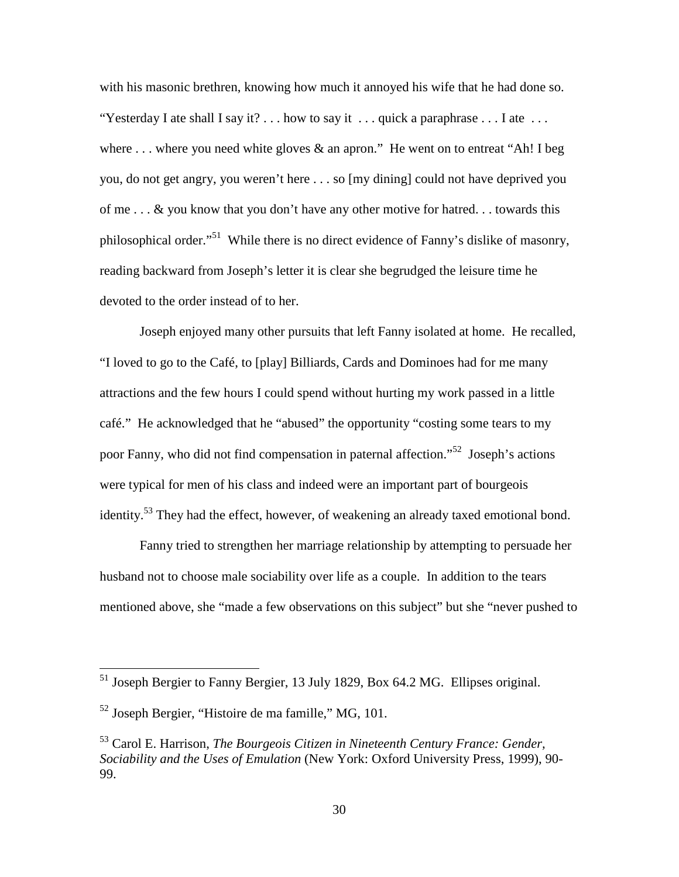with his masonic brethren, knowing how much it annoyed his wife that he had done so. "Yesterday I ate shall I say it? . . . how to say it . . . quick a paraphrase  $\dots$  I ate  $\dots$ where  $\dots$  where you need white gloves  $\&$  an apron." He went on to entreat "Ah! I beg you, do not get angry, you weren't here . . . so [my dining] could not have deprived you of me . . . & you know that you don't have any other motive for hatred. . . towards this philosophical order."<sup>51</sup> While there is no direct evidence of Fanny's dislike of masonry, reading backward from Joseph's letter it is clear she begrudged the leisure time he devoted to the order instead of to her.

 Joseph enjoyed many other pursuits that left Fanny isolated at home. He recalled, "I loved to go to the Café, to [play] Billiards, Cards and Dominoes had for me many attractions and the few hours I could spend without hurting my work passed in a little café." He acknowledged that he "abused" the opportunity "costing some tears to my poor Fanny, who did not find compensation in paternal affection."<sup>52</sup> Joseph's actions were typical for men of his class and indeed were an important part of bourgeois identity.<sup>53</sup> They had the effect, however, of weakening an already taxed emotional bond.

 Fanny tried to strengthen her marriage relationship by attempting to persuade her husband not to choose male sociability over life as a couple. In addition to the tears mentioned above, she "made a few observations on this subject" but she "never pushed to

<sup>&</sup>lt;sup>51</sup> Joseph Bergier to Fanny Bergier, 13 July 1829, Box 64.2 MG. Ellipses original.

<sup>52</sup> Joseph Bergier, "Histoire de ma famille," MG, 101.

<sup>53</sup> Carol E. Harrison, *The Bourgeois Citizen in Nineteenth Century France: Gender, Sociability and the Uses of Emulation* (New York: Oxford University Press, 1999), 90- 99.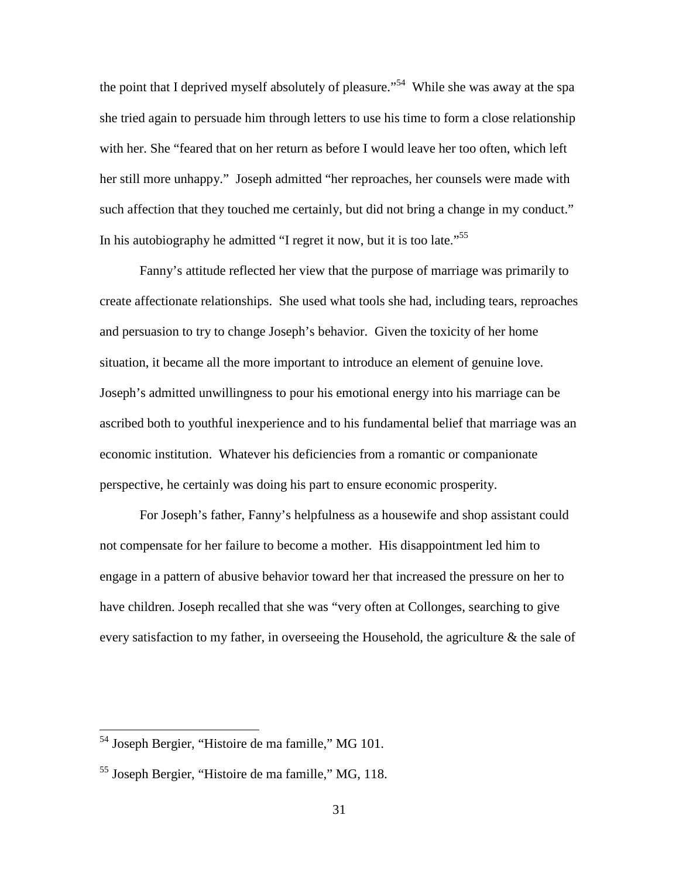the point that I deprived myself absolutely of pleasure."<sup>54</sup> While she was away at the spa she tried again to persuade him through letters to use his time to form a close relationship with her. She "feared that on her return as before I would leave her too often, which left her still more unhappy." Joseph admitted "her reproaches, her counsels were made with such affection that they touched me certainly, but did not bring a change in my conduct." In his autobiography he admitted "I regret it now, but it is too late."<sup>55</sup>

 Fanny's attitude reflected her view that the purpose of marriage was primarily to create affectionate relationships. She used what tools she had, including tears, reproaches and persuasion to try to change Joseph's behavior. Given the toxicity of her home situation, it became all the more important to introduce an element of genuine love. Joseph's admitted unwillingness to pour his emotional energy into his marriage can be ascribed both to youthful inexperience and to his fundamental belief that marriage was an economic institution. Whatever his deficiencies from a romantic or companionate perspective, he certainly was doing his part to ensure economic prosperity.

For Joseph's father, Fanny's helpfulness as a housewife and shop assistant could not compensate for her failure to become a mother. His disappointment led him to engage in a pattern of abusive behavior toward her that increased the pressure on her to have children. Joseph recalled that she was "very often at Collonges, searching to give every satisfaction to my father, in overseeing the Household, the agriculture & the sale of

<sup>&</sup>lt;sup>54</sup> Joseph Bergier, "Histoire de ma famille," MG 101.

<sup>55</sup> Joseph Bergier, "Histoire de ma famille," MG, 118.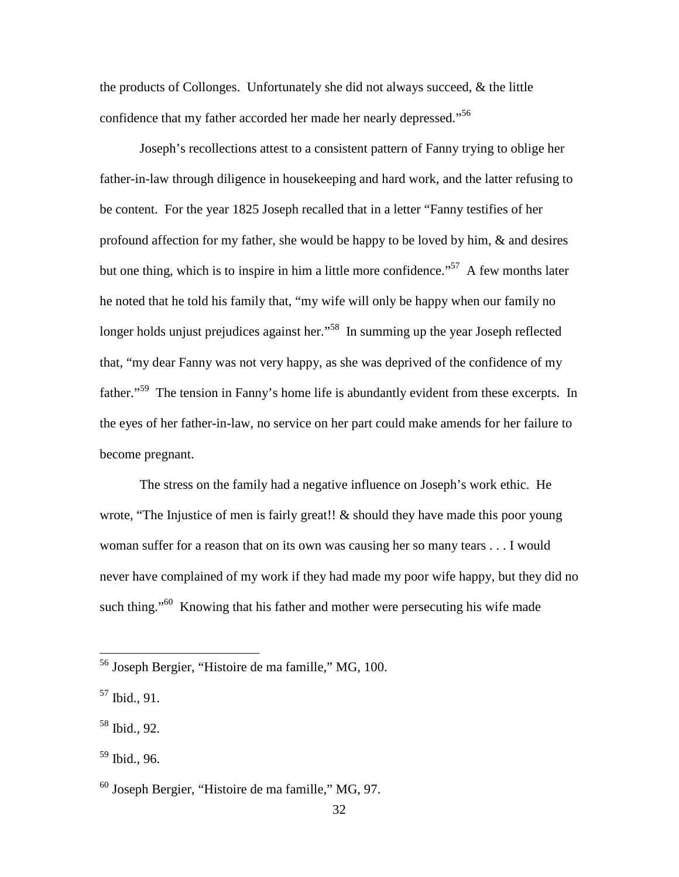the products of Collonges. Unfortunately she did not always succeed, & the little confidence that my father accorded her made her nearly depressed."<sup>56</sup>

Joseph's recollections attest to a consistent pattern of Fanny trying to oblige her father-in-law through diligence in housekeeping and hard work, and the latter refusing to be content. For the year 1825 Joseph recalled that in a letter "Fanny testifies of her profound affection for my father, she would be happy to be loved by him, & and desires but one thing, which is to inspire in him a little more confidence."<sup>57</sup> A few months later he noted that he told his family that, "my wife will only be happy when our family no longer holds unjust prejudices against her."<sup>58</sup> In summing up the year Joseph reflected that, "my dear Fanny was not very happy, as she was deprived of the confidence of my father."<sup>59</sup> The tension in Fanny's home life is abundantly evident from these excerpts. In the eyes of her father-in-law, no service on her part could make amends for her failure to become pregnant.

The stress on the family had a negative influence on Joseph's work ethic. He wrote, "The Injustice of men is fairly great!! & should they have made this poor young woman suffer for a reason that on its own was causing her so many tears . . . I would never have complained of my work if they had made my poor wife happy, but they did no such thing."<sup>60</sup> Knowing that his father and mother were persecuting his wife made

<sup>&</sup>lt;sup>56</sup> Joseph Bergier, "Histoire de ma famille," MG, 100.

 $57$  Ibid., 91.

 $58$  Ibid., 92.

 $59$  Ibid., 96.

 $^{60}$  Joseph Bergier, "Histoire de ma famille," MG, 97.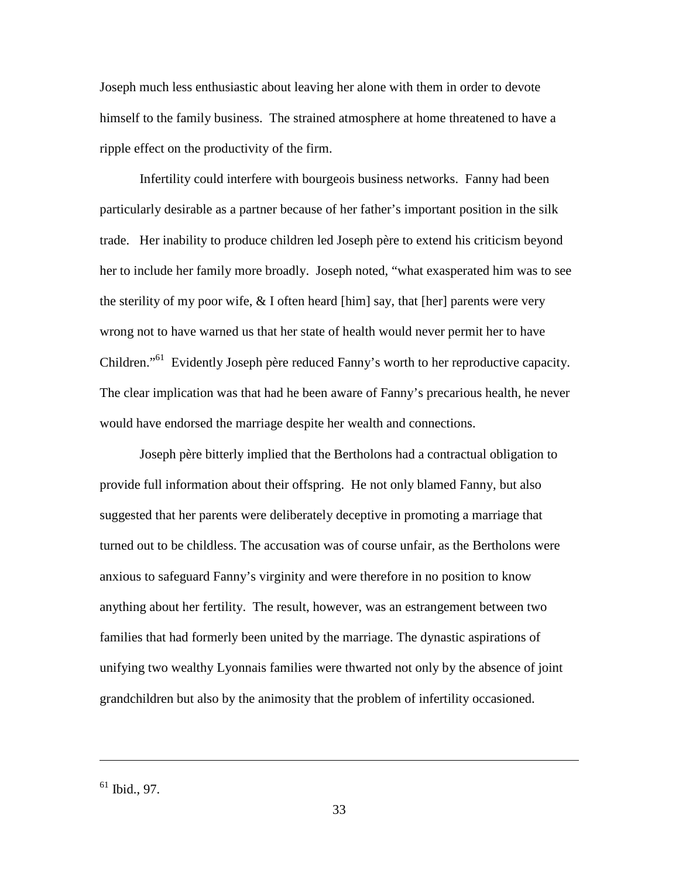Joseph much less enthusiastic about leaving her alone with them in order to devote himself to the family business. The strained atmosphere at home threatened to have a ripple effect on the productivity of the firm.

Infertility could interfere with bourgeois business networks. Fanny had been particularly desirable as a partner because of her father's important position in the silk trade. Her inability to produce children led Joseph père to extend his criticism beyond her to include her family more broadly. Joseph noted, "what exasperated him was to see the sterility of my poor wife,  $\&$  I often heard [him] say, that [her] parents were very wrong not to have warned us that her state of health would never permit her to have Children."<sup>61</sup> Evidently Joseph père reduced Fanny's worth to her reproductive capacity. The clear implication was that had he been aware of Fanny's precarious health, he never would have endorsed the marriage despite her wealth and connections.

Joseph père bitterly implied that the Bertholons had a contractual obligation to provide full information about their offspring. He not only blamed Fanny, but also suggested that her parents were deliberately deceptive in promoting a marriage that turned out to be childless. The accusation was of course unfair, as the Bertholons were anxious to safeguard Fanny's virginity and were therefore in no position to know anything about her fertility. The result, however, was an estrangement between two families that had formerly been united by the marriage. The dynastic aspirations of unifying two wealthy Lyonnais families were thwarted not only by the absence of joint grandchildren but also by the animosity that the problem of infertility occasioned.

 $61$  Ibid., 97.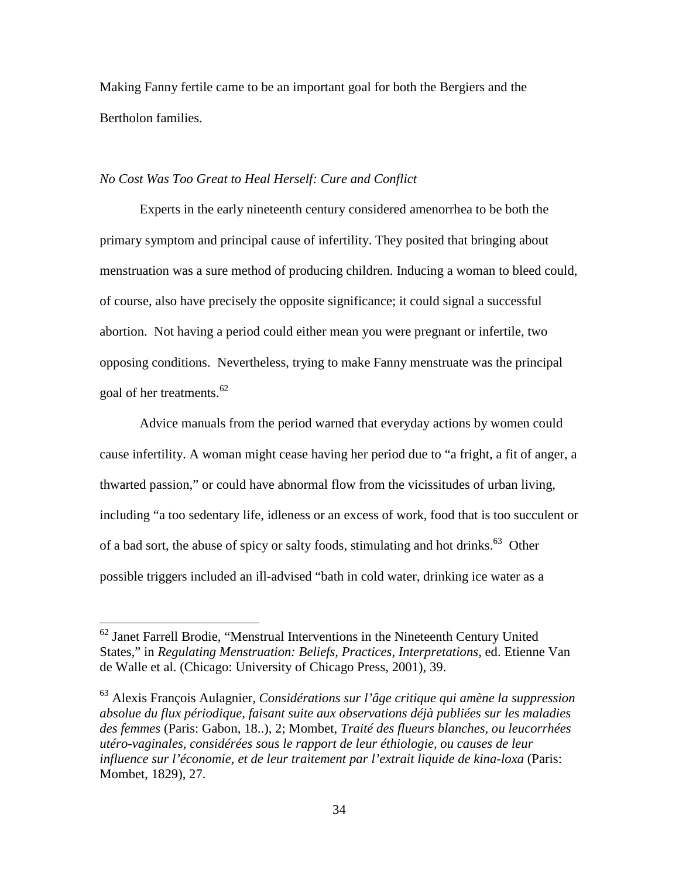Making Fanny fertile came to be an important goal for both the Bergiers and the Bertholon families.

#### *No Cost Was Too Great to Heal Herself: Cure and Conflict*

Experts in the early nineteenth century considered amenorrhea to be both the primary symptom and principal cause of infertility. They posited that bringing about menstruation was a sure method of producing children. Inducing a woman to bleed could, of course, also have precisely the opposite significance; it could signal a successful abortion. Not having a period could either mean you were pregnant or infertile, two opposing conditions. Nevertheless, trying to make Fanny menstruate was the principal goal of her treatments.<sup>62</sup>

Advice manuals from the period warned that everyday actions by women could cause infertility. A woman might cease having her period due to "a fright, a fit of anger, a thwarted passion," or could have abnormal flow from the vicissitudes of urban living, including "a too sedentary life, idleness or an excess of work, food that is too succulent or of a bad sort, the abuse of spicy or salty foods, stimulating and hot drinks.<sup>63</sup> Other possible triggers included an ill-advised "bath in cold water, drinking ice water as a

 $62$  Janet Farrell Brodie, "Menstrual Interventions in the Nineteenth Century United States," in *Regulating Menstruation: Beliefs, Practices, Interpretations*, ed. Etienne Van de Walle et al. (Chicago: University of Chicago Press, 2001), 39.

<sup>63</sup> Alexis François Aulagnier, *Considérations sur l'âge critique qui amène la suppression absolue du flux périodique, faisant suite aux observations déjà publiées sur les maladies des femmes* (Paris: Gabon, 18..), 2; Mombet, *Traité des flueurs blanches, ou leucorrhées utéro-vaginales, considérées sous le rapport de leur éthiologie, ou causes de leur influence sur l'économie, et de leur traitement par l'extrait liquide de kina-loxa* (Paris: Mombet, 1829), 27.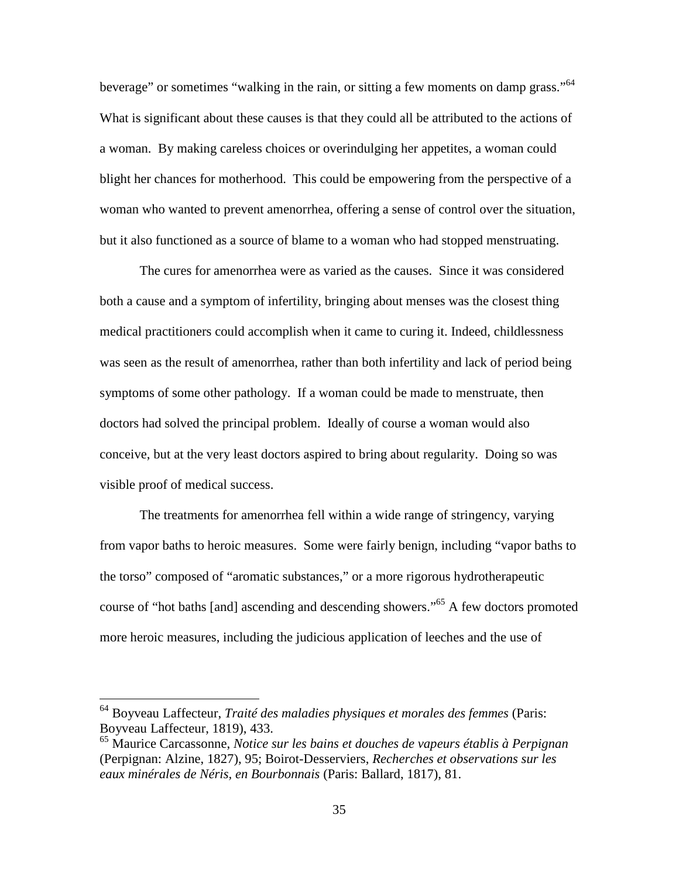beverage" or sometimes "walking in the rain, or sitting a few moments on damp grass."<sup>64</sup> What is significant about these causes is that they could all be attributed to the actions of a woman. By making careless choices or overindulging her appetites, a woman could blight her chances for motherhood. This could be empowering from the perspective of a woman who wanted to prevent amenorrhea, offering a sense of control over the situation, but it also functioned as a source of blame to a woman who had stopped menstruating.

The cures for amenorrhea were as varied as the causes. Since it was considered both a cause and a symptom of infertility, bringing about menses was the closest thing medical practitioners could accomplish when it came to curing it. Indeed, childlessness was seen as the result of amenorrhea, rather than both infertility and lack of period being symptoms of some other pathology. If a woman could be made to menstruate, then doctors had solved the principal problem. Ideally of course a woman would also conceive, but at the very least doctors aspired to bring about regularity. Doing so was visible proof of medical success.

The treatments for amenorrhea fell within a wide range of stringency, varying from vapor baths to heroic measures. Some were fairly benign, including "vapor baths to the torso" composed of "aromatic substances," or a more rigorous hydrotherapeutic course of "hot baths [and] ascending and descending showers."<sup>65</sup> A few doctors promoted more heroic measures, including the judicious application of leeches and the use of

<sup>64</sup> Boyveau Laffecteur, *Traité des maladies physiques et morales des femmes* (Paris: Boyveau Laffecteur, 1819), 433.

<sup>65</sup> Maurice Carcassonne, *Notice sur les bains et douches de vapeurs établis à Perpignan* (Perpignan: Alzine, 1827), 95; Boirot-Desserviers, *Recherches et observations sur les eaux minérales de Néris, en Bourbonnais* (Paris: Ballard, 1817), 81.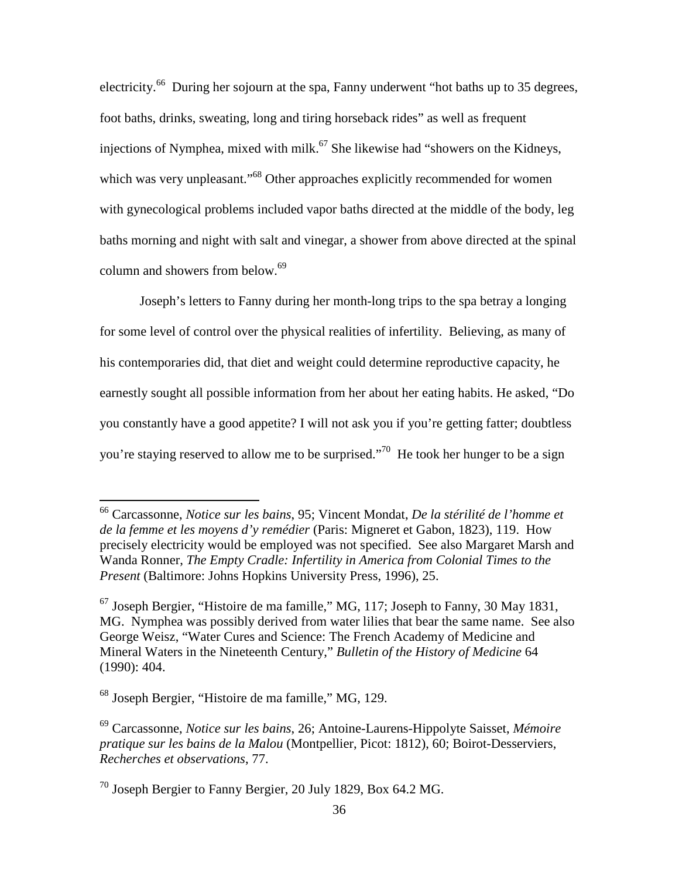electricity.<sup>66</sup> During her sojourn at the spa, Fanny underwent "hot baths up to 35 degrees. foot baths, drinks, sweating, long and tiring horseback rides" as well as frequent injections of Nymphea, mixed with milk.<sup>67</sup> She likewise had "showers on the Kidneys, which was very unpleasant."<sup>68</sup> Other approaches explicitly recommended for women with gynecological problems included vapor baths directed at the middle of the body, leg baths morning and night with salt and vinegar, a shower from above directed at the spinal column and showers from below.<sup>69</sup>

Joseph's letters to Fanny during her month-long trips to the spa betray a longing for some level of control over the physical realities of infertility. Believing, as many of his contemporaries did, that diet and weight could determine reproductive capacity, he earnestly sought all possible information from her about her eating habits. He asked, "Do you constantly have a good appetite? I will not ask you if you're getting fatter; doubtless you're staying reserved to allow me to be surprised."<sup>70</sup> He took her hunger to be a sign

<sup>66</sup> Carcassonne, *Notice sur les bains*, 95; Vincent Mondat, *De la stérilité de l'homme et de la femme et les moyens d'y remédier* (Paris: Migneret et Gabon, 1823), 119. How precisely electricity would be employed was not specified. See also Margaret Marsh and Wanda Ronner, *The Empty Cradle: Infertility in America from Colonial Times to the Present* (Baltimore: Johns Hopkins University Press, 1996), 25.

 $67$  Joseph Bergier, "Histoire de ma famille," MG, 117; Joseph to Fanny, 30 May 1831, MG. Nymphea was possibly derived from water lilies that bear the same name. See also George Weisz, "Water Cures and Science: The French Academy of Medicine and Mineral Waters in the Nineteenth Century," *Bulletin of the History of Medicine* 64 (1990): 404.

<sup>68</sup> Joseph Bergier, "Histoire de ma famille," MG, 129.

<sup>69</sup> Carcassonne, *Notice sur les bains*, 26; Antoine-Laurens-Hippolyte Saisset, *Mémoire pratique sur les bains de la Malou* (Montpellier, Picot: 1812), 60; Boirot-Desserviers, *Recherches et observations*, 77.

<sup>70</sup> Joseph Bergier to Fanny Bergier, 20 July 1829, Box 64.2 MG.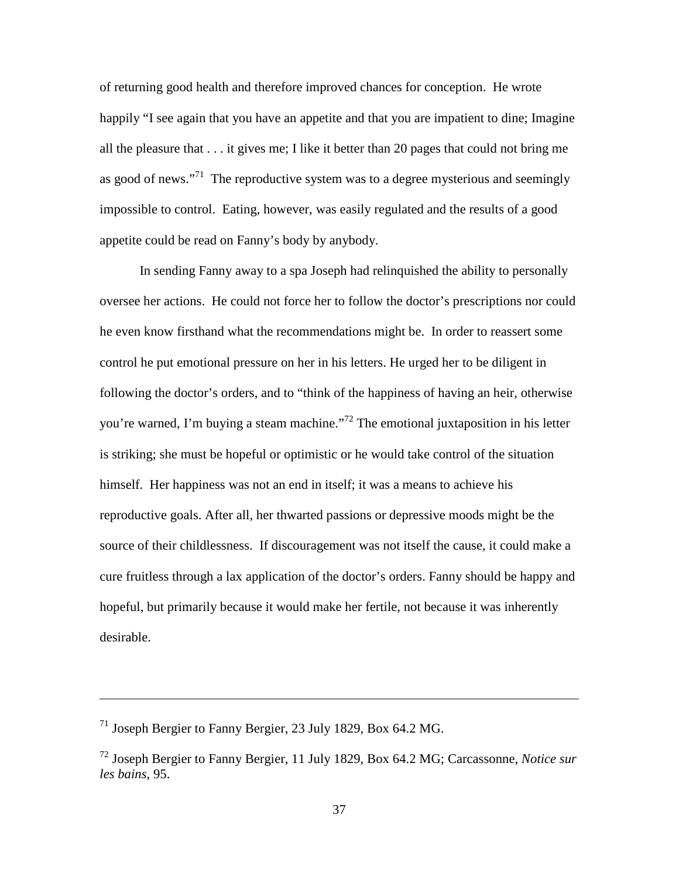of returning good health and therefore improved chances for conception. He wrote happily "I see again that you have an appetite and that you are impatient to dine; Imagine all the pleasure that . . . it gives me; I like it better than 20 pages that could not bring me as good of news."<sup>71</sup> The reproductive system was to a degree mysterious and seemingly impossible to control. Eating, however, was easily regulated and the results of a good appetite could be read on Fanny's body by anybody.

In sending Fanny away to a spa Joseph had relinquished the ability to personally oversee her actions. He could not force her to follow the doctor's prescriptions nor could he even know firsthand what the recommendations might be. In order to reassert some control he put emotional pressure on her in his letters. He urged her to be diligent in following the doctor's orders, and to "think of the happiness of having an heir, otherwise you're warned, I'm buying a steam machine."<sup>72</sup> The emotional juxtaposition in his letter is striking; she must be hopeful or optimistic or he would take control of the situation himself. Her happiness was not an end in itself; it was a means to achieve his reproductive goals. After all, her thwarted passions or depressive moods might be the source of their childlessness. If discouragement was not itself the cause, it could make a cure fruitless through a lax application of the doctor's orders. Fanny should be happy and hopeful, but primarily because it would make her fertile, not because it was inherently desirable.

 $71$  Joseph Bergier to Fanny Bergier, 23 July 1829, Box 64.2 MG.

<sup>72</sup> Joseph Bergier to Fanny Bergier, 11 July 1829, Box 64.2 MG; Carcassonne, *Notice sur les bains*, 95.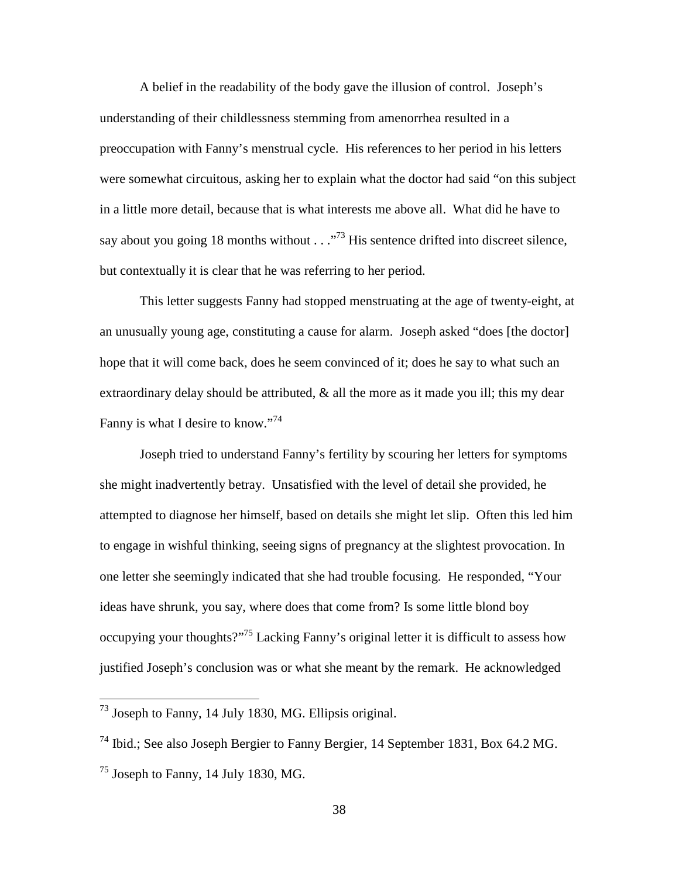A belief in the readability of the body gave the illusion of control. Joseph's understanding of their childlessness stemming from amenorrhea resulted in a preoccupation with Fanny's menstrual cycle. His references to her period in his letters were somewhat circuitous, asking her to explain what the doctor had said "on this subject in a little more detail, because that is what interests me above all. What did he have to say about you going 18 months without  $\ldots$ <sup>73</sup> His sentence drifted into discreet silence, but contextually it is clear that he was referring to her period.

This letter suggests Fanny had stopped menstruating at the age of twenty-eight, at an unusually young age, constituting a cause for alarm. Joseph asked "does [the doctor] hope that it will come back, does he seem convinced of it; does he say to what such an extraordinary delay should be attributed,  $\&$  all the more as it made you ill; this my dear Fanny is what I desire to know."<sup>74</sup>

Joseph tried to understand Fanny's fertility by scouring her letters for symptoms she might inadvertently betray. Unsatisfied with the level of detail she provided, he attempted to diagnose her himself, based on details she might let slip. Often this led him to engage in wishful thinking, seeing signs of pregnancy at the slightest provocation. In one letter she seemingly indicated that she had trouble focusing. He responded, "Your ideas have shrunk, you say, where does that come from? Is some little blond boy occupying your thoughts?"<sup>75</sup> Lacking Fanny's original letter it is difficult to assess how justified Joseph's conclusion was or what she meant by the remark. He acknowledged

 $^{73}$  Joseph to Fanny, 14 July 1830, MG. Ellipsis original.

<sup>74</sup> Ibid.; See also Joseph Bergier to Fanny Bergier, 14 September 1831, Box 64.2 MG.

 $^{75}$  Joseph to Fanny, 14 July 1830, MG.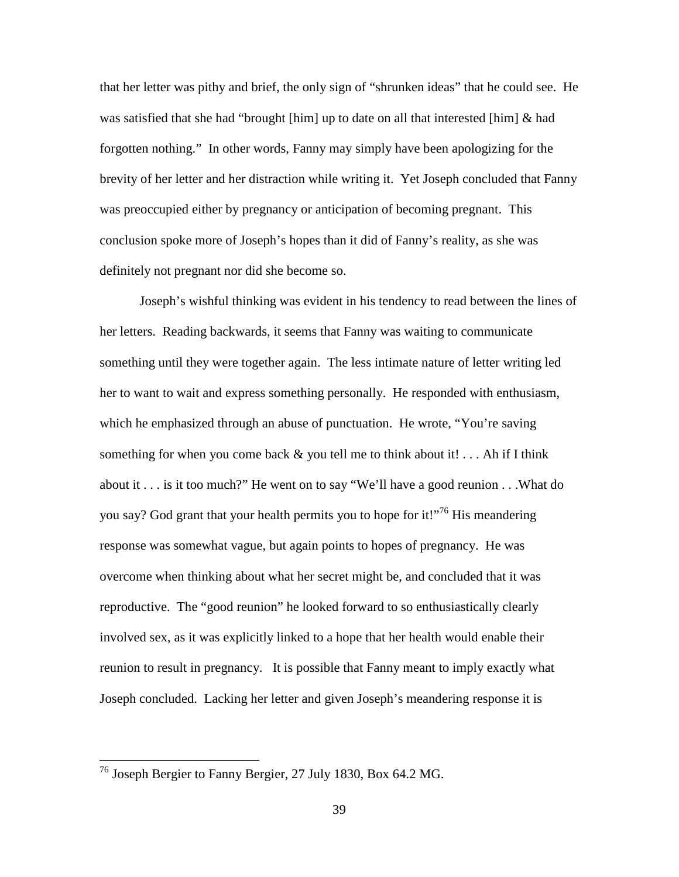that her letter was pithy and brief, the only sign of "shrunken ideas" that he could see. He was satisfied that she had "brought [him] up to date on all that interested [him] & had forgotten nothing." In other words, Fanny may simply have been apologizing for the brevity of her letter and her distraction while writing it. Yet Joseph concluded that Fanny was preoccupied either by pregnancy or anticipation of becoming pregnant. This conclusion spoke more of Joseph's hopes than it did of Fanny's reality, as she was definitely not pregnant nor did she become so.

Joseph's wishful thinking was evident in his tendency to read between the lines of her letters. Reading backwards, it seems that Fanny was waiting to communicate something until they were together again. The less intimate nature of letter writing led her to want to wait and express something personally. He responded with enthusiasm, which he emphasized through an abuse of punctuation. He wrote, "You're saving something for when you come back  $\&$  you tell me to think about it! . . . Ah if I think about it . . . is it too much?" He went on to say "We'll have a good reunion . . .What do you say? God grant that your health permits you to hope for it!"<sup>76</sup> His meandering response was somewhat vague, but again points to hopes of pregnancy. He was overcome when thinking about what her secret might be, and concluded that it was reproductive. The "good reunion" he looked forward to so enthusiastically clearly involved sex, as it was explicitly linked to a hope that her health would enable their reunion to result in pregnancy. It is possible that Fanny meant to imply exactly what Joseph concluded. Lacking her letter and given Joseph's meandering response it is

 $^{76}$  Joseph Bergier to Fanny Bergier, 27 July 1830, Box 64.2 MG.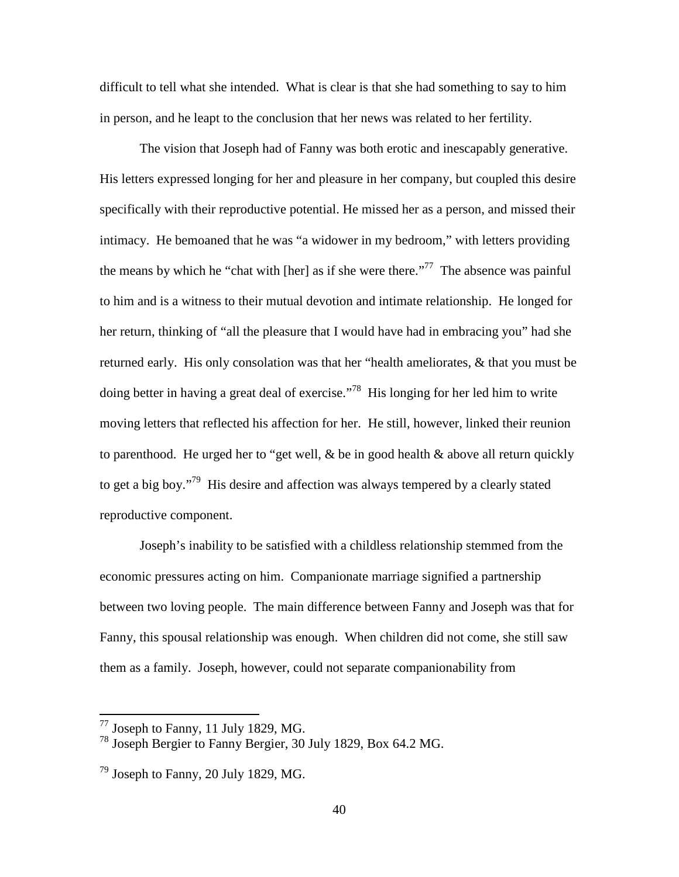difficult to tell what she intended. What is clear is that she had something to say to him in person, and he leapt to the conclusion that her news was related to her fertility.

The vision that Joseph had of Fanny was both erotic and inescapably generative. His letters expressed longing for her and pleasure in her company, but coupled this desire specifically with their reproductive potential. He missed her as a person, and missed their intimacy. He bemoaned that he was "a widower in my bedroom," with letters providing the means by which he "chat with [her] as if she were there."<sup>77</sup> The absence was painful to him and is a witness to their mutual devotion and intimate relationship. He longed for her return, thinking of "all the pleasure that I would have had in embracing you" had she returned early. His only consolation was that her "health ameliorates, & that you must be doing better in having a great deal of exercise."<sup>78</sup> His longing for her led him to write moving letters that reflected his affection for her. He still, however, linked their reunion to parenthood. He urged her to "get well,  $\&$  be in good health  $\&$  above all return quickly to get a big boy."<sup>79</sup> His desire and affection was always tempered by a clearly stated reproductive component.

Joseph's inability to be satisfied with a childless relationship stemmed from the economic pressures acting on him. Companionate marriage signified a partnership between two loving people. The main difference between Fanny and Joseph was that for Fanny, this spousal relationship was enough. When children did not come, she still saw them as a family. Joseph, however, could not separate companionability from

 $^{77}$  Joseph to Fanny, 11 July 1829, MG.

<sup>78</sup> Joseph Bergier to Fanny Bergier, 30 July 1829, Box 64.2 MG.

 $79$  Joseph to Fanny, 20 July 1829, MG.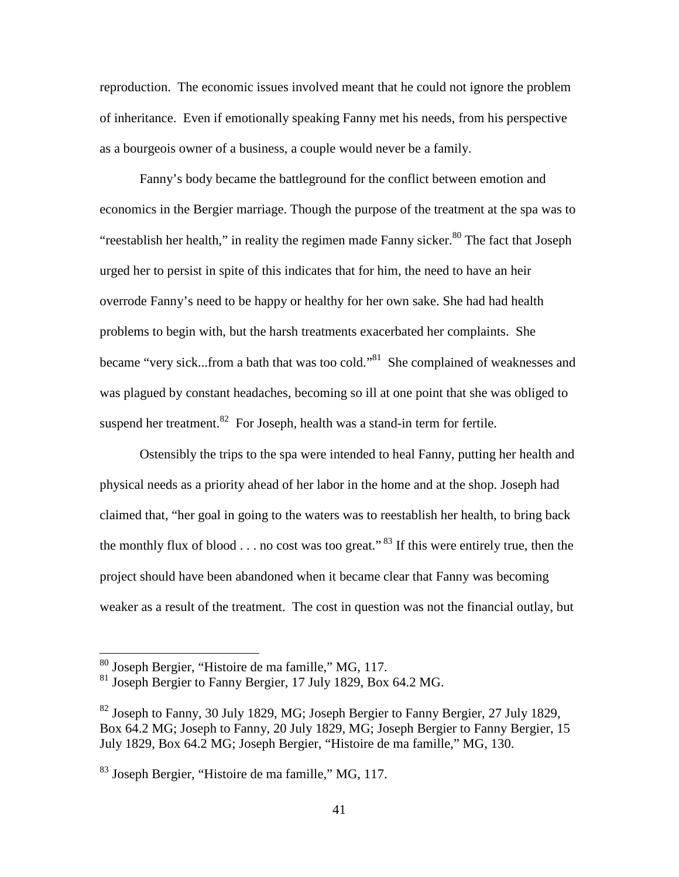reproduction. The economic issues involved meant that he could not ignore the problem of inheritance. Even if emotionally speaking Fanny met his needs, from his perspective as a bourgeois owner of a business, a couple would never be a family.

Fanny's body became the battleground for the conflict between emotion and economics in the Bergier marriage. Though the purpose of the treatment at the spa was to "reestablish her health," in reality the regimen made Fanny sicker. $80$  The fact that Joseph urged her to persist in spite of this indicates that for him, the need to have an heir overrode Fanny's need to be happy or healthy for her own sake. She had had health problems to begin with, but the harsh treatments exacerbated her complaints. She became "very sick...from a bath that was too cold."<sup>81</sup> She complained of weaknesses and was plagued by constant headaches, becoming so ill at one point that she was obliged to suspend her treatment. $82$  For Joseph, health was a stand-in term for fertile.

Ostensibly the trips to the spa were intended to heal Fanny, putting her health and physical needs as a priority ahead of her labor in the home and at the shop. Joseph had claimed that, "her goal in going to the waters was to reestablish her health, to bring back the monthly flux of blood  $\ldots$  no cost was too great."<sup>83</sup> If this were entirely true, then the project should have been abandoned when it became clear that Fanny was becoming weaker as a result of the treatment. The cost in question was not the financial outlay, but

<sup>&</sup>lt;sup>80</sup> Joseph Bergier, "Histoire de ma famille," MG, 117.

<sup>&</sup>lt;sup>81</sup> Joseph Bergier to Fanny Bergier, 17 July 1829, Box 64.2 MG.

 $82$  Joseph to Fanny, 30 July 1829, MG; Joseph Bergier to Fanny Bergier, 27 July 1829, Box 64.2 MG; Joseph to Fanny, 20 July 1829, MG; Joseph Bergier to Fanny Bergier, 15 July 1829, Box 64.2 MG; Joseph Bergier, "Histoire de ma famille," MG, 130.

<sup>83</sup> Joseph Bergier, "Histoire de ma famille," MG, 117.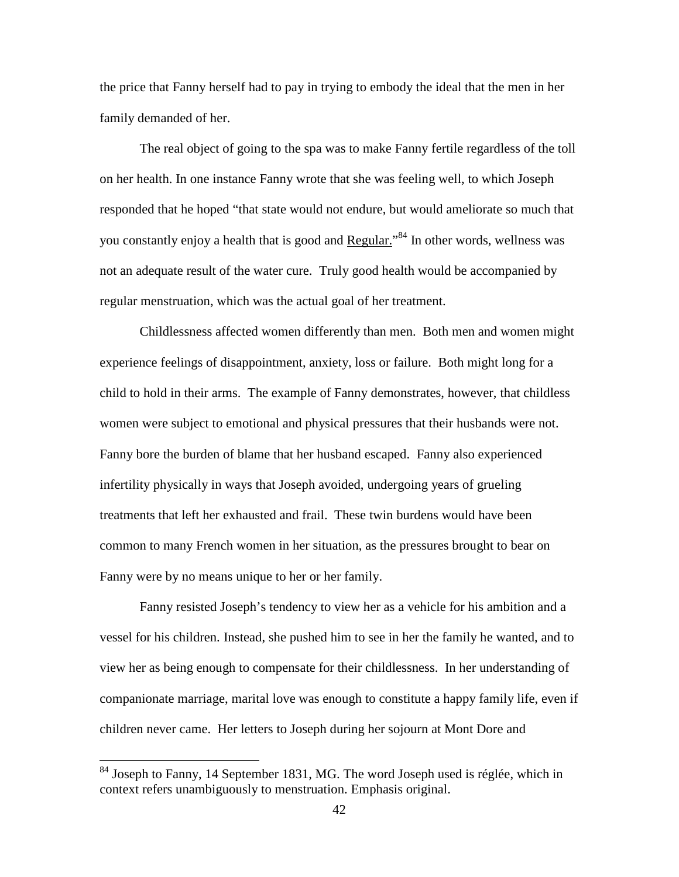the price that Fanny herself had to pay in trying to embody the ideal that the men in her family demanded of her.

The real object of going to the spa was to make Fanny fertile regardless of the toll on her health. In one instance Fanny wrote that she was feeling well, to which Joseph responded that he hoped "that state would not endure, but would ameliorate so much that you constantly enjoy a health that is good and **Regular.**"<sup>84</sup> In other words, wellness was not an adequate result of the water cure. Truly good health would be accompanied by regular menstruation, which was the actual goal of her treatment.

Childlessness affected women differently than men. Both men and women might experience feelings of disappointment, anxiety, loss or failure. Both might long for a child to hold in their arms. The example of Fanny demonstrates, however, that childless women were subject to emotional and physical pressures that their husbands were not. Fanny bore the burden of blame that her husband escaped. Fanny also experienced infertility physically in ways that Joseph avoided, undergoing years of grueling treatments that left her exhausted and frail. These twin burdens would have been common to many French women in her situation, as the pressures brought to bear on Fanny were by no means unique to her or her family.

Fanny resisted Joseph's tendency to view her as a vehicle for his ambition and a vessel for his children. Instead, she pushed him to see in her the family he wanted, and to view her as being enough to compensate for their childlessness. In her understanding of companionate marriage, marital love was enough to constitute a happy family life, even if children never came. Her letters to Joseph during her sojourn at Mont Dore and

<sup>&</sup>lt;sup>84</sup> Joseph to Fanny, 14 September 1831, MG. The word Joseph used is réglée, which in context refers unambiguously to menstruation. Emphasis original.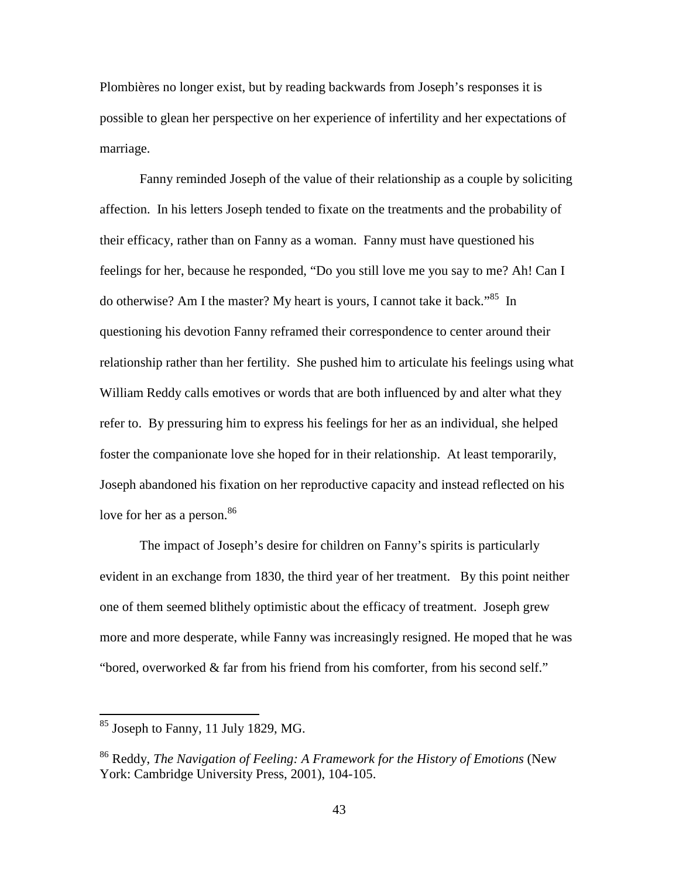Plombières no longer exist, but by reading backwards from Joseph's responses it is possible to glean her perspective on her experience of infertility and her expectations of marriage.

Fanny reminded Joseph of the value of their relationship as a couple by soliciting affection. In his letters Joseph tended to fixate on the treatments and the probability of their efficacy, rather than on Fanny as a woman. Fanny must have questioned his feelings for her, because he responded, "Do you still love me you say to me? Ah! Can I do otherwise? Am I the master? My heart is yours, I cannot take it back."<sup>85</sup> In questioning his devotion Fanny reframed their correspondence to center around their relationship rather than her fertility. She pushed him to articulate his feelings using what William Reddy calls emotives or words that are both influenced by and alter what they refer to. By pressuring him to express his feelings for her as an individual, she helped foster the companionate love she hoped for in their relationship. At least temporarily, Joseph abandoned his fixation on her reproductive capacity and instead reflected on his love for her as a person.<sup>86</sup>

The impact of Joseph's desire for children on Fanny's spirits is particularly evident in an exchange from 1830, the third year of her treatment. By this point neither one of them seemed blithely optimistic about the efficacy of treatment. Joseph grew more and more desperate, while Fanny was increasingly resigned. He moped that he was "bored, overworked & far from his friend from his comforter, from his second self."

-

 $85$  Joseph to Fanny, 11 July 1829, MG.

<sup>86</sup> Reddy, *The Navigation of Feeling: A Framework for the History of Emotions* (New York: Cambridge University Press, 2001), 104-105.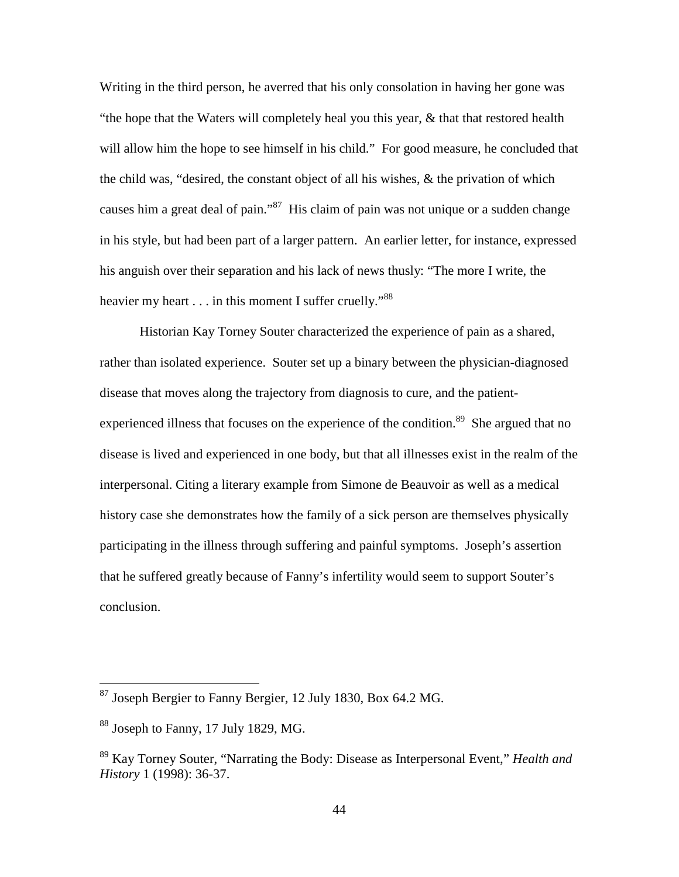Writing in the third person, he averred that his only consolation in having her gone was "the hope that the Waters will completely heal you this year, & that that restored health will allow him the hope to see himself in his child." For good measure, he concluded that the child was, "desired, the constant object of all his wishes, & the privation of which causes him a great deal of pain."<sup>87</sup> His claim of pain was not unique or a sudden change in his style, but had been part of a larger pattern. An earlier letter, for instance, expressed his anguish over their separation and his lack of news thusly: "The more I write, the heavier my heart  $\dots$  in this moment I suffer cruelly."<sup>88</sup>

Historian Kay Torney Souter characterized the experience of pain as a shared, rather than isolated experience. Souter set up a binary between the physician-diagnosed disease that moves along the trajectory from diagnosis to cure, and the patientexperienced illness that focuses on the experience of the condition.<sup>89</sup> She argued that no disease is lived and experienced in one body, but that all illnesses exist in the realm of the interpersonal. Citing a literary example from Simone de Beauvoir as well as a medical history case she demonstrates how the family of a sick person are themselves physically participating in the illness through suffering and painful symptoms. Joseph's assertion that he suffered greatly because of Fanny's infertility would seem to support Souter's conclusion.

<sup>87</sup> Joseph Bergier to Fanny Bergier, 12 July 1830, Box 64.2 MG.

 $88$  Joseph to Fanny, 17 July 1829, MG.

<sup>89</sup> Kay Torney Souter, "Narrating the Body: Disease as Interpersonal Event," *Health and History* 1 (1998): 36-37.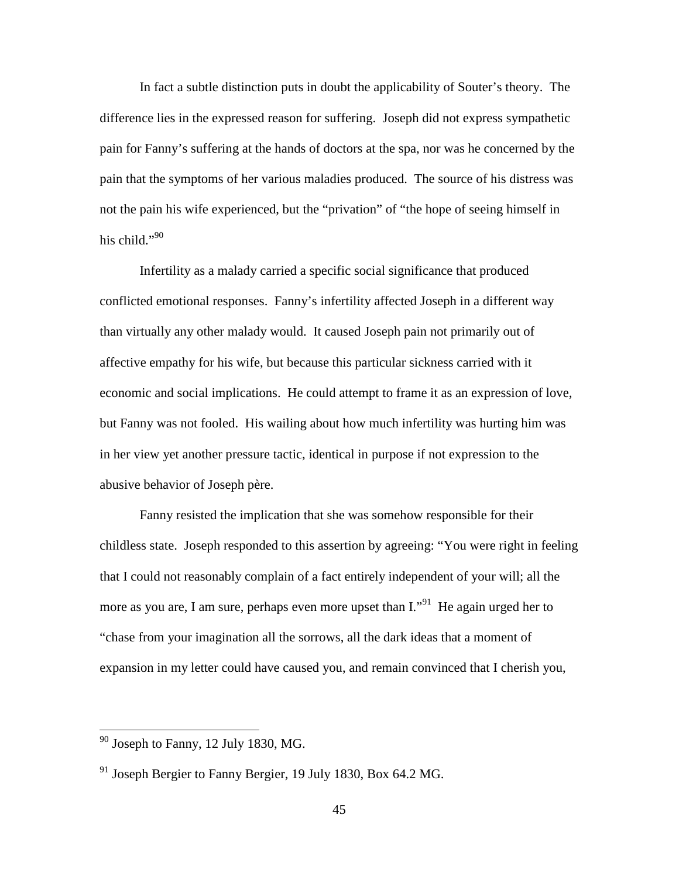In fact a subtle distinction puts in doubt the applicability of Souter's theory. The difference lies in the expressed reason for suffering. Joseph did not express sympathetic pain for Fanny's suffering at the hands of doctors at the spa, nor was he concerned by the pain that the symptoms of her various maladies produced. The source of his distress was not the pain his wife experienced, but the "privation" of "the hope of seeing himself in his child." $90$ 

Infertility as a malady carried a specific social significance that produced conflicted emotional responses. Fanny's infertility affected Joseph in a different way than virtually any other malady would. It caused Joseph pain not primarily out of affective empathy for his wife, but because this particular sickness carried with it economic and social implications. He could attempt to frame it as an expression of love, but Fanny was not fooled. His wailing about how much infertility was hurting him was in her view yet another pressure tactic, identical in purpose if not expression to the abusive behavior of Joseph père.

Fanny resisted the implication that she was somehow responsible for their childless state. Joseph responded to this assertion by agreeing: "You were right in feeling that I could not reasonably complain of a fact entirely independent of your will; all the more as you are, I am sure, perhaps even more upset than  $I^{(9)}$ . He again urged her to "chase from your imagination all the sorrows, all the dark ideas that a moment of expansion in my letter could have caused you, and remain convinced that I cherish you,

 $90$  Joseph to Fanny, 12 July 1830, MG.

 $91$  Joseph Bergier to Fanny Bergier, 19 July 1830, Box 64.2 MG.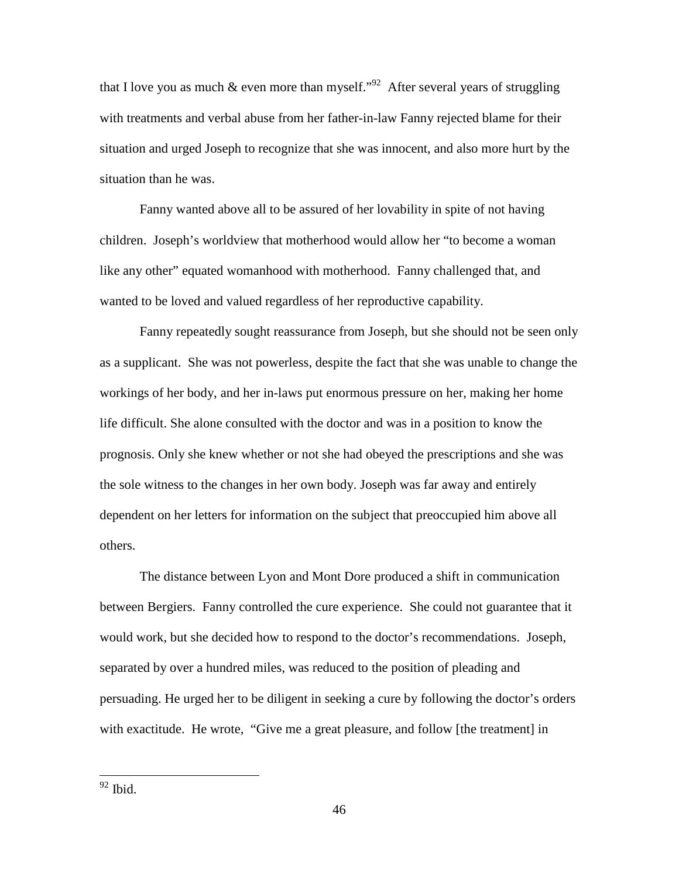that I love you as much & even more than myself."<sup>92</sup> After several years of struggling with treatments and verbal abuse from her father-in-law Fanny rejected blame for their situation and urged Joseph to recognize that she was innocent, and also more hurt by the situation than he was.

Fanny wanted above all to be assured of her lovability in spite of not having children. Joseph's worldview that motherhood would allow her "to become a woman like any other" equated womanhood with motherhood. Fanny challenged that, and wanted to be loved and valued regardless of her reproductive capability.

Fanny repeatedly sought reassurance from Joseph, but she should not be seen only as a supplicant. She was not powerless, despite the fact that she was unable to change the workings of her body, and her in-laws put enormous pressure on her, making her home life difficult. She alone consulted with the doctor and was in a position to know the prognosis. Only she knew whether or not she had obeyed the prescriptions and she was the sole witness to the changes in her own body. Joseph was far away and entirely dependent on her letters for information on the subject that preoccupied him above all others.

The distance between Lyon and Mont Dore produced a shift in communication between Bergiers. Fanny controlled the cure experience. She could not guarantee that it would work, but she decided how to respond to the doctor's recommendations. Joseph, separated by over a hundred miles, was reduced to the position of pleading and persuading. He urged her to be diligent in seeking a cure by following the doctor's orders with exactitude. He wrote, "Give me a great pleasure, and follow [the treatment] in

 $92$  Ibid.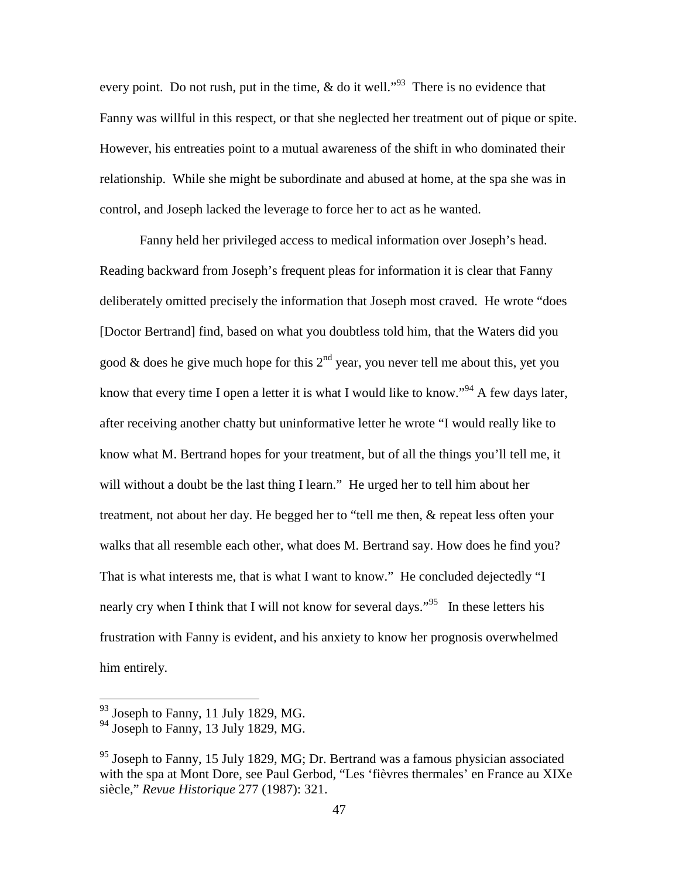every point. Do not rush, put in the time,  $\&$  do it well."<sup>93</sup> There is no evidence that Fanny was willful in this respect, or that she neglected her treatment out of pique or spite. However, his entreaties point to a mutual awareness of the shift in who dominated their relationship. While she might be subordinate and abused at home, at the spa she was in control, and Joseph lacked the leverage to force her to act as he wanted.

Fanny held her privileged access to medical information over Joseph's head. Reading backward from Joseph's frequent pleas for information it is clear that Fanny deliberately omitted precisely the information that Joseph most craved. He wrote "does [Doctor Bertrand] find, based on what you doubtless told him, that the Waters did you good & does he give much hope for this  $2<sup>nd</sup>$  year, you never tell me about this, yet you know that every time I open a letter it is what I would like to know.<sup>"94</sup> A few days later, after receiving another chatty but uninformative letter he wrote "I would really like to know what M. Bertrand hopes for your treatment, but of all the things you'll tell me, it will without a doubt be the last thing I learn." He urged her to tell him about her treatment, not about her day. He begged her to "tell me then, & repeat less often your walks that all resemble each other, what does M. Bertrand say. How does he find you? That is what interests me, that is what I want to know." He concluded dejectedly "I nearly cry when I think that I will not know for several days."<sup>95</sup> In these letters his frustration with Fanny is evident, and his anxiety to know her prognosis overwhelmed him entirely.

 $93$  Joseph to Fanny, 11 July 1829, MG.

 $94$  Joseph to Fanny, 13 July 1829, MG.

 $95$  Joseph to Fanny, 15 July 1829, MG; Dr. Bertrand was a famous physician associated with the spa at Mont Dore, see Paul Gerbod, "Les 'fièvres thermales' en France au XIXe siècle," *Revue Historique* 277 (1987): 321.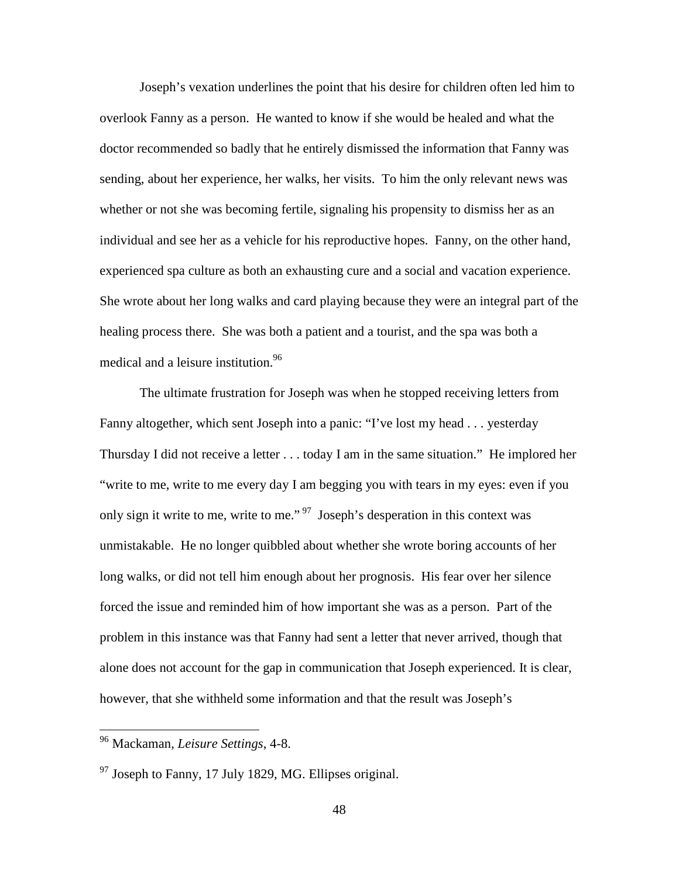Joseph's vexation underlines the point that his desire for children often led him to overlook Fanny as a person. He wanted to know if she would be healed and what the doctor recommended so badly that he entirely dismissed the information that Fanny was sending, about her experience, her walks, her visits. To him the only relevant news was whether or not she was becoming fertile, signaling his propensity to dismiss her as an individual and see her as a vehicle for his reproductive hopes. Fanny, on the other hand, experienced spa culture as both an exhausting cure and a social and vacation experience. She wrote about her long walks and card playing because they were an integral part of the healing process there. She was both a patient and a tourist, and the spa was both a medical and a leisure institution.<sup>96</sup>

The ultimate frustration for Joseph was when he stopped receiving letters from Fanny altogether, which sent Joseph into a panic: "I've lost my head . . . yesterday Thursday I did not receive a letter . . . today I am in the same situation." He implored her "write to me, write to me every day I am begging you with tears in my eyes: even if you only sign it write to me, write to me."<sup>97</sup> Joseph's desperation in this context was unmistakable. He no longer quibbled about whether she wrote boring accounts of her long walks, or did not tell him enough about her prognosis. His fear over her silence forced the issue and reminded him of how important she was as a person. Part of the problem in this instance was that Fanny had sent a letter that never arrived, though that alone does not account for the gap in communication that Joseph experienced. It is clear, however, that she withheld some information and that the result was Joseph's

<sup>96</sup> Mackaman, *Leisure Settings*, 4-8.

 $97$  Joseph to Fanny, 17 July 1829, MG. Ellipses original.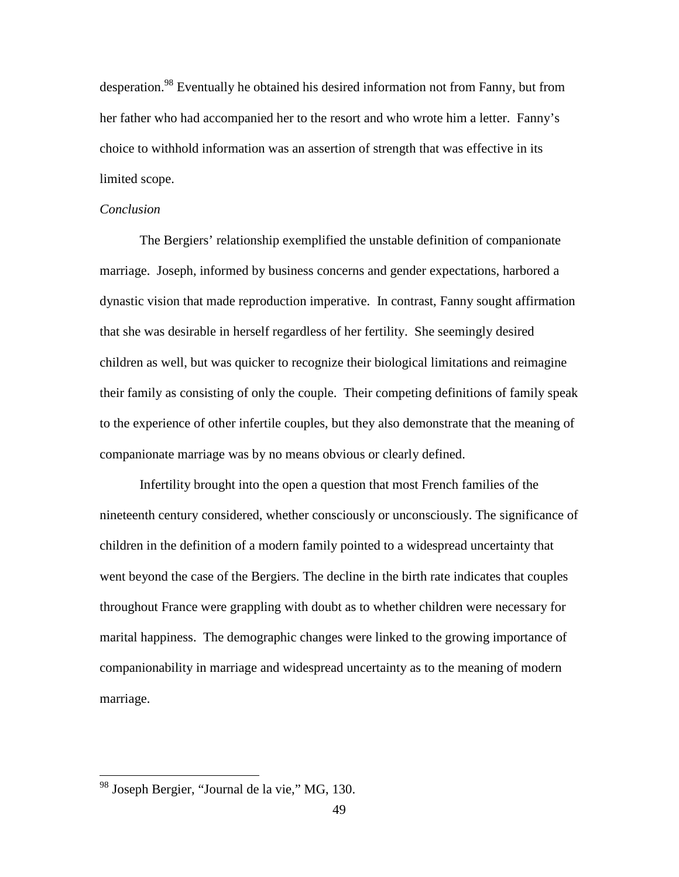desperation.<sup>98</sup> Eventually he obtained his desired information not from Fanny, but from her father who had accompanied her to the resort and who wrote him a letter. Fanny's choice to withhold information was an assertion of strength that was effective in its limited scope.

#### *Conclusion*

The Bergiers' relationship exemplified the unstable definition of companionate marriage. Joseph, informed by business concerns and gender expectations, harbored a dynastic vision that made reproduction imperative. In contrast, Fanny sought affirmation that she was desirable in herself regardless of her fertility. She seemingly desired children as well, but was quicker to recognize their biological limitations and reimagine their family as consisting of only the couple. Their competing definitions of family speak to the experience of other infertile couples, but they also demonstrate that the meaning of companionate marriage was by no means obvious or clearly defined.

Infertility brought into the open a question that most French families of the nineteenth century considered, whether consciously or unconsciously. The significance of children in the definition of a modern family pointed to a widespread uncertainty that went beyond the case of the Bergiers. The decline in the birth rate indicates that couples throughout France were grappling with doubt as to whether children were necessary for marital happiness. The demographic changes were linked to the growing importance of companionability in marriage and widespread uncertainty as to the meaning of modern marriage.

<sup>&</sup>lt;sup>98</sup> Joseph Bergier, "Journal de la vie," MG, 130.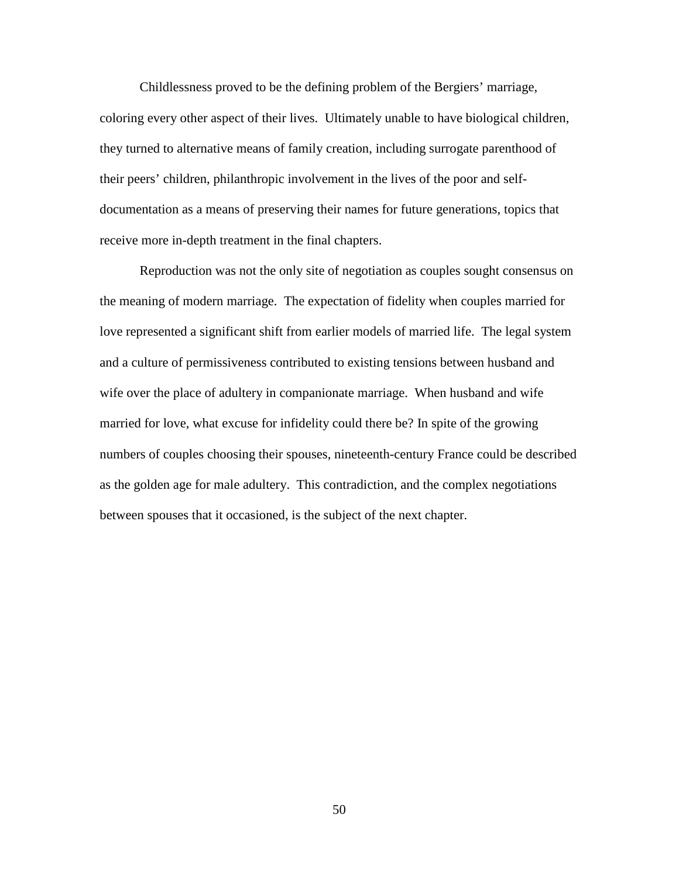Childlessness proved to be the defining problem of the Bergiers' marriage, coloring every other aspect of their lives. Ultimately unable to have biological children, they turned to alternative means of family creation, including surrogate parenthood of their peers' children, philanthropic involvement in the lives of the poor and selfdocumentation as a means of preserving their names for future generations, topics that receive more in-depth treatment in the final chapters.

 Reproduction was not the only site of negotiation as couples sought consensus on the meaning of modern marriage. The expectation of fidelity when couples married for love represented a significant shift from earlier models of married life. The legal system and a culture of permissiveness contributed to existing tensions between husband and wife over the place of adultery in companionate marriage. When husband and wife married for love, what excuse for infidelity could there be? In spite of the growing numbers of couples choosing their spouses, nineteenth-century France could be described as the golden age for male adultery. This contradiction, and the complex negotiations between spouses that it occasioned, is the subject of the next chapter.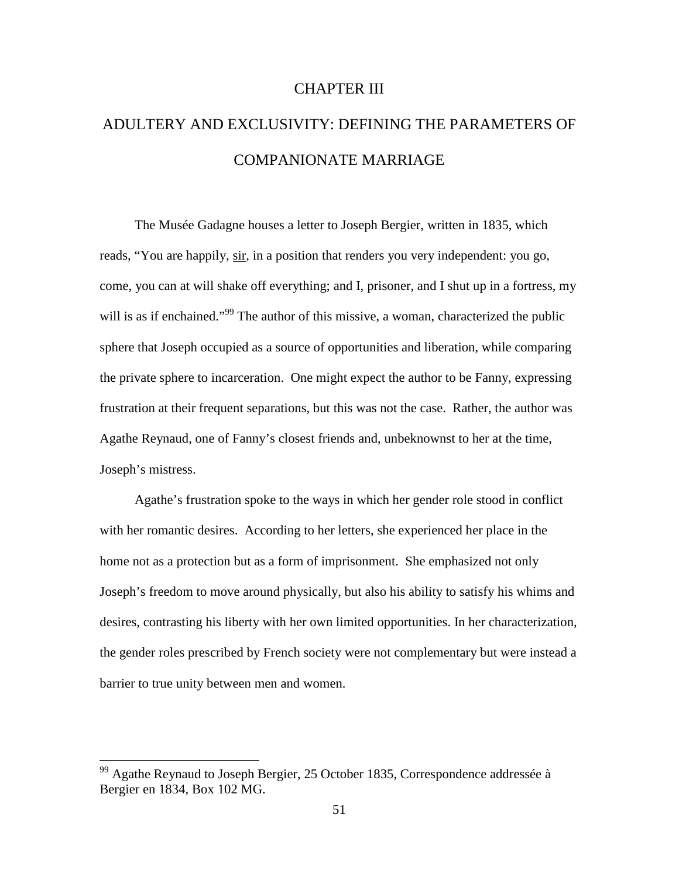### CHAPTER III

# ADULTERY AND EXCLUSIVITY: DEFINING THE PARAMETERS OF COMPANIONATE MARRIAGE

The Musée Gadagne houses a letter to Joseph Bergier, written in 1835, which reads, "You are happily, sir, in a position that renders you very independent: you go, come, you can at will shake off everything; and I, prisoner, and I shut up in a fortress, my will is as if enchained."<sup>99</sup> The author of this missive, a woman, characterized the public sphere that Joseph occupied as a source of opportunities and liberation, while comparing the private sphere to incarceration. One might expect the author to be Fanny, expressing frustration at their frequent separations, but this was not the case. Rather, the author was Agathe Reynaud, one of Fanny's closest friends and, unbeknownst to her at the time, Joseph's mistress.

Agathe's frustration spoke to the ways in which her gender role stood in conflict with her romantic desires. According to her letters, she experienced her place in the home not as a protection but as a form of imprisonment. She emphasized not only Joseph's freedom to move around physically, but also his ability to satisfy his whims and desires, contrasting his liberty with her own limited opportunities. In her characterization, the gender roles prescribed by French society were not complementary but were instead a barrier to true unity between men and women.

 $99$  Agathe Reynaud to Joseph Bergier, 25 October 1835, Correspondence addressée à Bergier en 1834, Box 102 MG.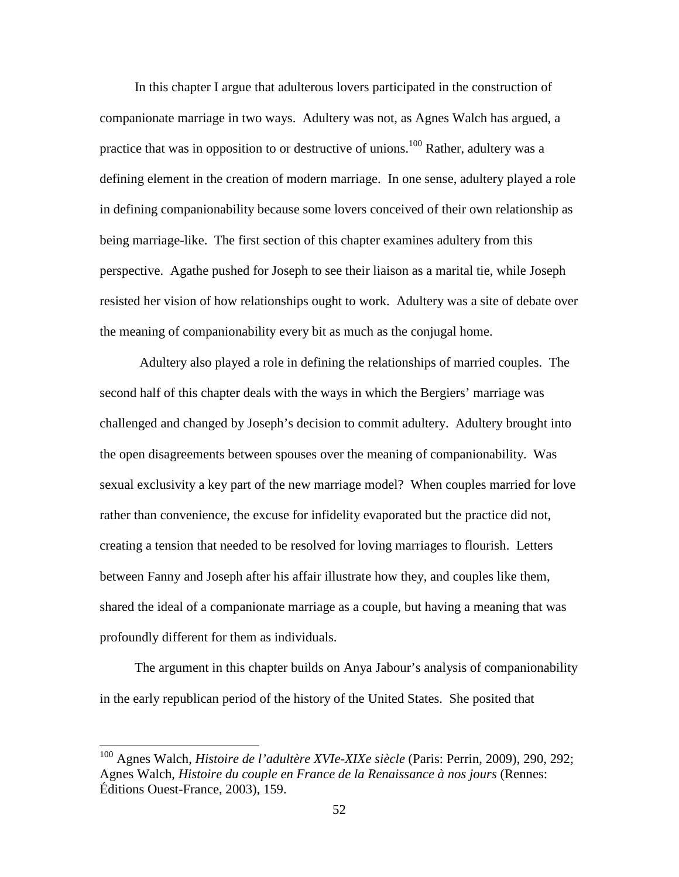In this chapter I argue that adulterous lovers participated in the construction of companionate marriage in two ways. Adultery was not, as Agnes Walch has argued, a practice that was in opposition to or destructive of unions.<sup>100</sup> Rather, adultery was a defining element in the creation of modern marriage. In one sense, adultery played a role in defining companionability because some lovers conceived of their own relationship as being marriage-like. The first section of this chapter examines adultery from this perspective. Agathe pushed for Joseph to see their liaison as a marital tie, while Joseph resisted her vision of how relationships ought to work. Adultery was a site of debate over the meaning of companionability every bit as much as the conjugal home.

 Adultery also played a role in defining the relationships of married couples. The second half of this chapter deals with the ways in which the Bergiers' marriage was challenged and changed by Joseph's decision to commit adultery. Adultery brought into the open disagreements between spouses over the meaning of companionability. Was sexual exclusivity a key part of the new marriage model? When couples married for love rather than convenience, the excuse for infidelity evaporated but the practice did not, creating a tension that needed to be resolved for loving marriages to flourish. Letters between Fanny and Joseph after his affair illustrate how they, and couples like them, shared the ideal of a companionate marriage as a couple, but having a meaning that was profoundly different for them as individuals.

The argument in this chapter builds on Anya Jabour's analysis of companionability in the early republican period of the history of the United States. She posited that

<sup>100</sup> Agnes Walch, *Histoire de l'adultère XVIe-XIXe siècle* (Paris: Perrin, 2009), 290, 292; Agnes Walch, *Histoire du couple en France de la Renaissance à nos jours* (Rennes: Éditions Ouest-France, 2003), 159.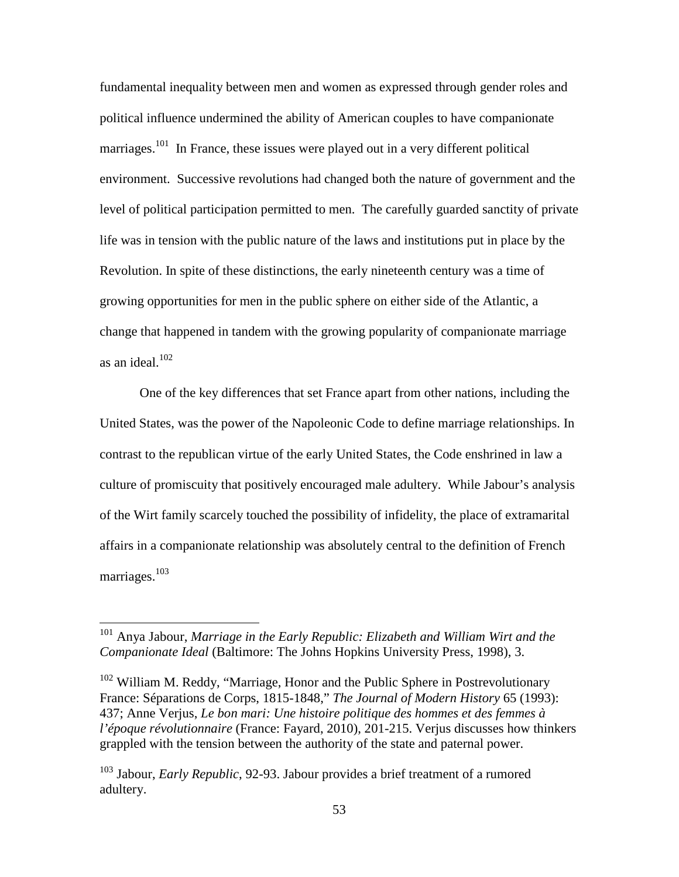fundamental inequality between men and women as expressed through gender roles and political influence undermined the ability of American couples to have companionate marriages.<sup>101</sup> In France, these issues were played out in a very different political environment. Successive revolutions had changed both the nature of government and the level of political participation permitted to men. The carefully guarded sanctity of private life was in tension with the public nature of the laws and institutions put in place by the Revolution. In spite of these distinctions, the early nineteenth century was a time of growing opportunities for men in the public sphere on either side of the Atlantic, a change that happened in tandem with the growing popularity of companionate marriage as an ideal.<sup>102</sup>

One of the key differences that set France apart from other nations, including the United States, was the power of the Napoleonic Code to define marriage relationships. In contrast to the republican virtue of the early United States, the Code enshrined in law a culture of promiscuity that positively encouraged male adultery. While Jabour's analysis of the Wirt family scarcely touched the possibility of infidelity, the place of extramarital affairs in a companionate relationship was absolutely central to the definition of French marriages.<sup>103</sup>

<sup>101</sup> Anya Jabour, *Marriage in the Early Republic: Elizabeth and William Wirt and the Companionate Ideal* (Baltimore: The Johns Hopkins University Press, 1998), 3.

<sup>&</sup>lt;sup>102</sup> William M. Reddy, "Marriage, Honor and the Public Sphere in Postrevolutionary France: Séparations de Corps, 1815-1848," *The Journal of Modern History* 65 (1993): 437; Anne Verjus, *Le bon mari: Une histoire politique des hommes et des femmes à l'époque révolutionnaire* (France: Fayard, 2010), 201-215. Verjus discusses how thinkers grappled with the tension between the authority of the state and paternal power.

<sup>103</sup> Jabour, *Early Republic*, 92-93. Jabour provides a brief treatment of a rumored adultery.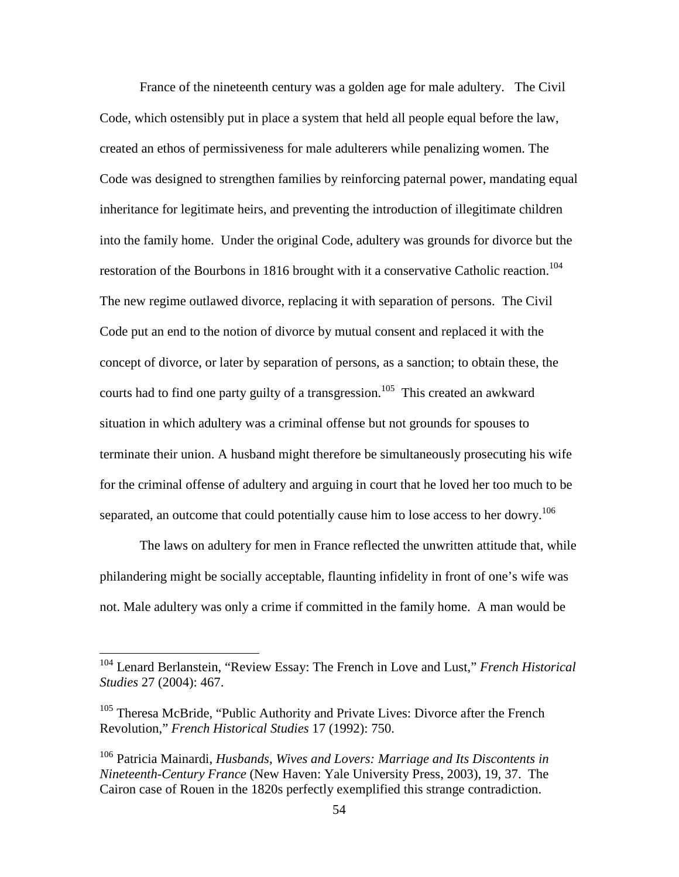France of the nineteenth century was a golden age for male adultery. The Civil Code, which ostensibly put in place a system that held all people equal before the law, created an ethos of permissiveness for male adulterers while penalizing women. The Code was designed to strengthen families by reinforcing paternal power, mandating equal inheritance for legitimate heirs, and preventing the introduction of illegitimate children into the family home. Under the original Code, adultery was grounds for divorce but the restoration of the Bourbons in 1816 brought with it a conservative Catholic reaction.<sup>104</sup> The new regime outlawed divorce, replacing it with separation of persons. The Civil Code put an end to the notion of divorce by mutual consent and replaced it with the concept of divorce, or later by separation of persons, as a sanction; to obtain these, the courts had to find one party guilty of a transgression.<sup>105</sup> This created an awkward situation in which adultery was a criminal offense but not grounds for spouses to terminate their union. A husband might therefore be simultaneously prosecuting his wife for the criminal offense of adultery and arguing in court that he loved her too much to be separated, an outcome that could potentially cause him to lose access to her dowry.<sup>106</sup>

The laws on adultery for men in France reflected the unwritten attitude that, while philandering might be socially acceptable, flaunting infidelity in front of one's wife was not. Male adultery was only a crime if committed in the family home. A man would be

<sup>104</sup> Lenard Berlanstein, "Review Essay: The French in Love and Lust," *French Historical Studies* 27 (2004): 467.

<sup>&</sup>lt;sup>105</sup> Theresa McBride, "Public Authority and Private Lives: Divorce after the French Revolution," *French Historical Studies* 17 (1992): 750.

<sup>106</sup> Patricia Mainardi, *Husbands, Wives and Lovers: Marriage and Its Discontents in Nineteenth-Century France* (New Haven: Yale University Press, 2003), 19, 37. The Cairon case of Rouen in the 1820s perfectly exemplified this strange contradiction.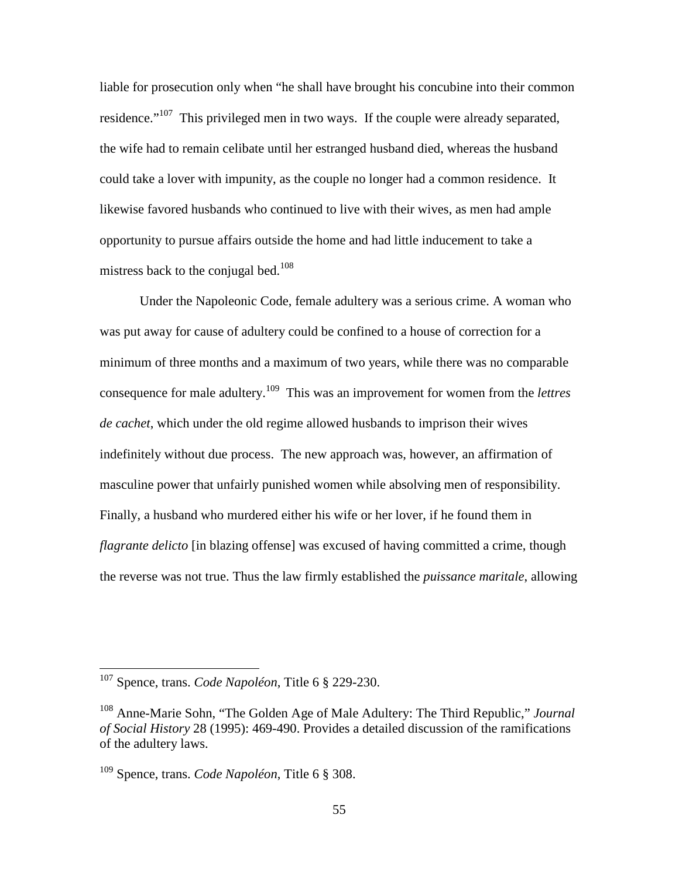liable for prosecution only when "he shall have brought his concubine into their common residence."<sup>107</sup> This privileged men in two ways. If the couple were already separated, the wife had to remain celibate until her estranged husband died, whereas the husband could take a lover with impunity, as the couple no longer had a common residence. It likewise favored husbands who continued to live with their wives, as men had ample opportunity to pursue affairs outside the home and had little inducement to take a mistress back to the conjugal bed.<sup>108</sup>

Under the Napoleonic Code, female adultery was a serious crime. A woman who was put away for cause of adultery could be confined to a house of correction for a minimum of three months and a maximum of two years, while there was no comparable consequence for male adultery.<sup>109</sup> This was an improvement for women from the *lettres de cachet*, which under the old regime allowed husbands to imprison their wives indefinitely without due process. The new approach was, however, an affirmation of masculine power that unfairly punished women while absolving men of responsibility. Finally, a husband who murdered either his wife or her lover, if he found them in *flagrante delicto* [in blazing offense] was excused of having committed a crime, though the reverse was not true. Thus the law firmly established the *puissance maritale*, allowing

<sup>107</sup> Spence, trans. *Code Napoléon*, Title 6 § 229-230.

<sup>108</sup> Anne-Marie Sohn, "The Golden Age of Male Adultery: The Third Republic," *Journal of Social History* 28 (1995): 469-490. Provides a detailed discussion of the ramifications of the adultery laws.

<sup>109</sup> Spence, trans. *Code Napoléon*, Title 6 § 308.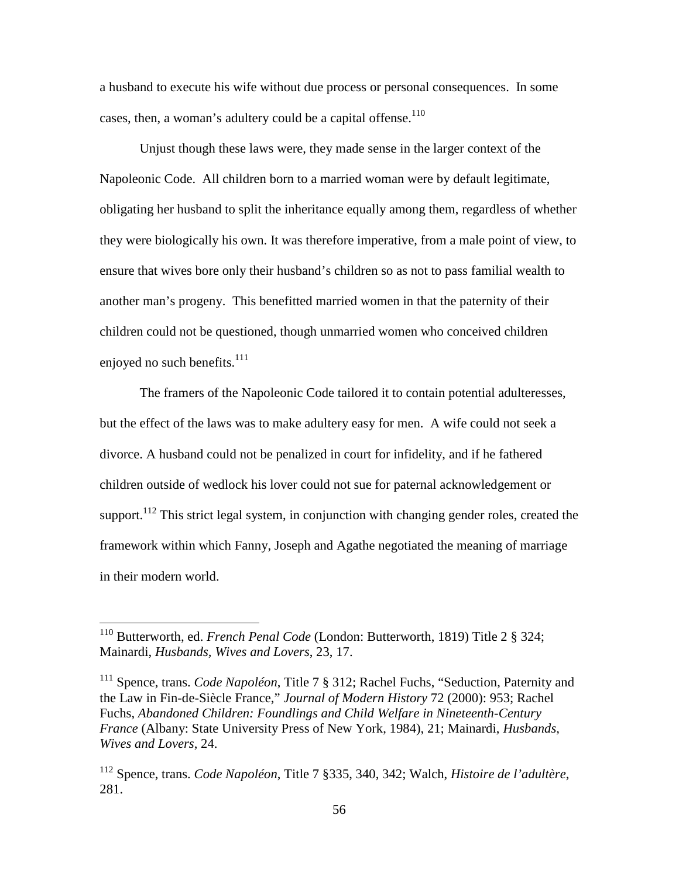a husband to execute his wife without due process or personal consequences. In some cases, then, a woman's adultery could be a capital offense. $110$ 

Unjust though these laws were, they made sense in the larger context of the Napoleonic Code. All children born to a married woman were by default legitimate, obligating her husband to split the inheritance equally among them, regardless of whether they were biologically his own. It was therefore imperative, from a male point of view, to ensure that wives bore only their husband's children so as not to pass familial wealth to another man's progeny. This benefitted married women in that the paternity of their children could not be questioned, though unmarried women who conceived children enjoyed no such benefits.<sup>111</sup>

The framers of the Napoleonic Code tailored it to contain potential adulteresses, but the effect of the laws was to make adultery easy for men. A wife could not seek a divorce. A husband could not be penalized in court for infidelity, and if he fathered children outside of wedlock his lover could not sue for paternal acknowledgement or support.<sup>112</sup> This strict legal system, in conjunction with changing gender roles, created the framework within which Fanny, Joseph and Agathe negotiated the meaning of marriage in their modern world.

<sup>110</sup> Butterworth, ed. *French Penal Code* (London: Butterworth, 1819) Title 2 § 324; Mainardi, *Husbands, Wives and Lovers*, 23, 17.

<sup>111</sup> Spence, trans. *Code Napoléon*, Title 7 § 312; Rachel Fuchs, "Seduction, Paternity and the Law in Fin-de-Siècle France," *Journal of Modern History* 72 (2000): 953; Rachel Fuchs, *Abandoned Children: Foundlings and Child Welfare in Nineteenth-Century France* (Albany: State University Press of New York, 1984), 21; Mainardi, *Husbands, Wives and Lovers*, 24.

<sup>112</sup> Spence, trans. *Code Napoléon*, Title 7 §335, 340, 342; Walch, *Histoire de l'adultère*, 281.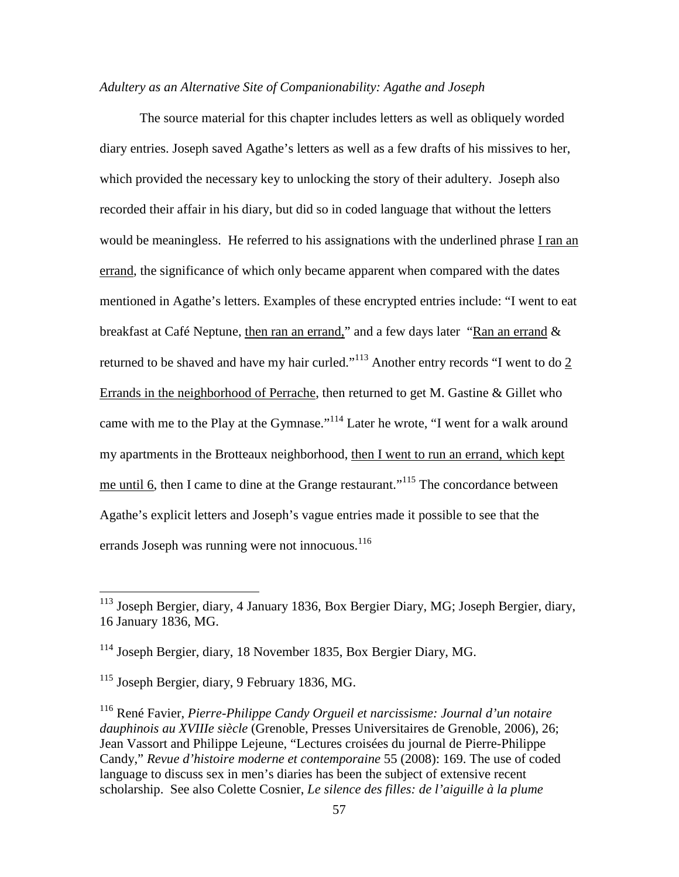## *Adultery as an Alternative Site of Companionability: Agathe and Joseph*

The source material for this chapter includes letters as well as obliquely worded diary entries. Joseph saved Agathe's letters as well as a few drafts of his missives to her, which provided the necessary key to unlocking the story of their adultery. Joseph also recorded their affair in his diary, but did so in coded language that without the letters would be meaningless. He referred to his assignations with the underlined phrase I ran an errand, the significance of which only became apparent when compared with the dates mentioned in Agathe's letters. Examples of these encrypted entries include: "I went to eat breakfast at Café Neptune, then ran an errand," and a few days later "Ran an errand & returned to be shaved and have my hair curled."<sup>113</sup> Another entry records "I went to do 2 Errands in the neighborhood of Perrache, then returned to get M. Gastine & Gillet who came with me to the Play at the Gymnase."<sup>114</sup> Later he wrote, "I went for a walk around my apartments in the Brotteaux neighborhood, then I went to run an errand, which kept me until 6, then I came to dine at the Grange restaurant."<sup>115</sup> The concordance between Agathe's explicit letters and Joseph's vague entries made it possible to see that the errands Joseph was running were not innocuous.<sup>116</sup>

<sup>&</sup>lt;sup>113</sup> Joseph Bergier, diary, 4 January 1836, Box Bergier Diary, MG; Joseph Bergier, diary, 16 January 1836, MG.

 $114$  Joseph Bergier, diary, 18 November 1835, Box Bergier Diary, MG.

<sup>115</sup> Joseph Bergier, diary, 9 February 1836, MG.

<sup>116</sup> René Favier, *Pierre-Philippe Candy Orgueil et narcissisme: Journal d'un notaire dauphinois au XVIIIe siècle* (Grenoble, Presses Universitaires de Grenoble, 2006), 26; Jean Vassort and Philippe Lejeune, "Lectures croisées du journal de Pierre-Philippe Candy," *Revue d'histoire moderne et contemporaine* 55 (2008): 169. The use of coded language to discuss sex in men's diaries has been the subject of extensive recent scholarship. See also Colette Cosnier, *Le silence des filles: de l'aiguille à la plume*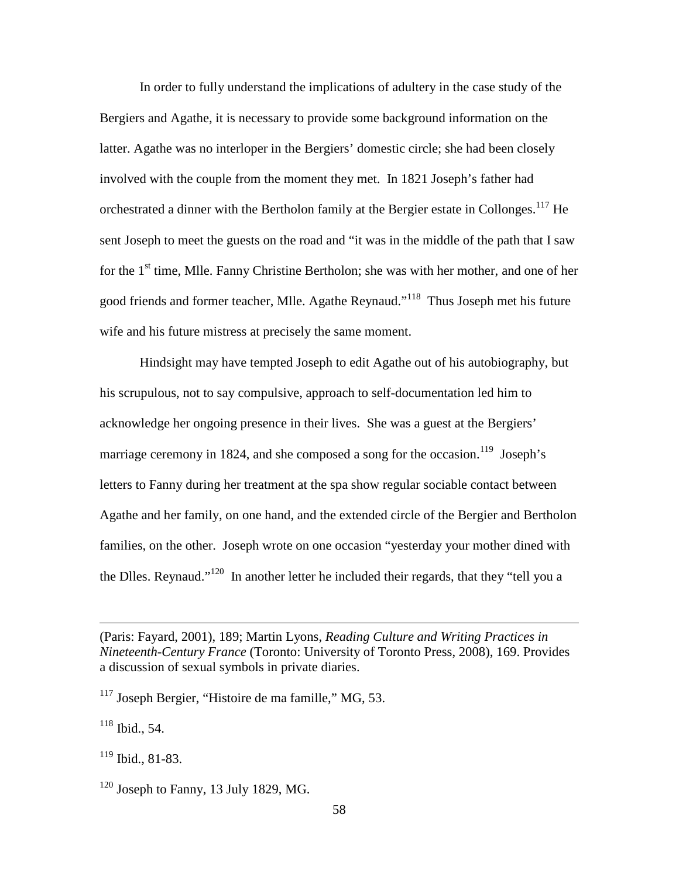In order to fully understand the implications of adultery in the case study of the Bergiers and Agathe, it is necessary to provide some background information on the latter. Agathe was no interloper in the Bergiers' domestic circle; she had been closely involved with the couple from the moment they met. In 1821 Joseph's father had orchestrated a dinner with the Bertholon family at the Bergier estate in Collonges.<sup>117</sup> He sent Joseph to meet the guests on the road and "it was in the middle of the path that I saw for the  $1<sup>st</sup>$  time, Mlle. Fanny Christine Bertholon; she was with her mother, and one of her good friends and former teacher, Mlle. Agathe Reynaud."<sup>118</sup> Thus Joseph met his future wife and his future mistress at precisely the same moment.

Hindsight may have tempted Joseph to edit Agathe out of his autobiography, but his scrupulous, not to say compulsive, approach to self-documentation led him to acknowledge her ongoing presence in their lives. She was a guest at the Bergiers' marriage ceremony in 1824, and she composed a song for the occasion.<sup>119</sup> Joseph's letters to Fanny during her treatment at the spa show regular sociable contact between Agathe and her family, on one hand, and the extended circle of the Bergier and Bertholon families, on the other. Joseph wrote on one occasion "yesterday your mother dined with the Dlles. Reynaud."<sup>120</sup> In another letter he included their regards, that they "tell you a

 $118$  Ibid., 54.

<sup>(</sup>Paris: Fayard, 2001), 189; Martin Lyons, *Reading Culture and Writing Practices in Nineteenth-Century France* (Toronto: University of Toronto Press, 2008), 169. Provides a discussion of sexual symbols in private diaries.

 $117$  Joseph Bergier, "Histoire de ma famille," MG, 53.

 $119$  Ibid., 81-83.

 $120$  Joseph to Fanny, 13 July 1829, MG.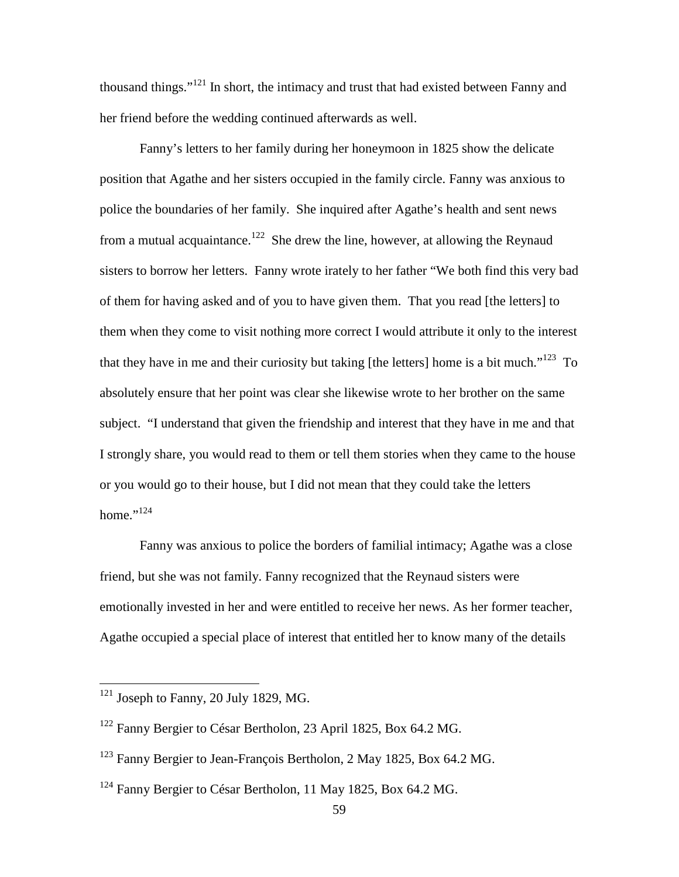thousand things."<sup>121</sup> In short, the intimacy and trust that had existed between Fanny and her friend before the wedding continued afterwards as well.

Fanny's letters to her family during her honeymoon in 1825 show the delicate position that Agathe and her sisters occupied in the family circle. Fanny was anxious to police the boundaries of her family. She inquired after Agathe's health and sent news from a mutual acquaintance.<sup>122</sup> She drew the line, however, at allowing the Reynaud sisters to borrow her letters. Fanny wrote irately to her father "We both find this very bad of them for having asked and of you to have given them. That you read [the letters] to them when they come to visit nothing more correct I would attribute it only to the interest that they have in me and their curiosity but taking [the letters] home is a bit much."<sup>123</sup> To absolutely ensure that her point was clear she likewise wrote to her brother on the same subject. "I understand that given the friendship and interest that they have in me and that I strongly share, you would read to them or tell them stories when they came to the house or you would go to their house, but I did not mean that they could take the letters home." $^{124}$ 

Fanny was anxious to police the borders of familial intimacy; Agathe was a close friend, but she was not family. Fanny recognized that the Reynaud sisters were emotionally invested in her and were entitled to receive her news. As her former teacher, Agathe occupied a special place of interest that entitled her to know many of the details

 $121$  Joseph to Fanny, 20 July 1829, MG.

<sup>122</sup> Fanny Bergier to César Bertholon, 23 April 1825, Box 64.2 MG.

<sup>&</sup>lt;sup>123</sup> Fanny Bergier to Jean-François Bertholon, 2 May 1825, Box 64.2 MG.

<sup>&</sup>lt;sup>124</sup> Fanny Bergier to César Bertholon, 11 May 1825, Box 64.2 MG.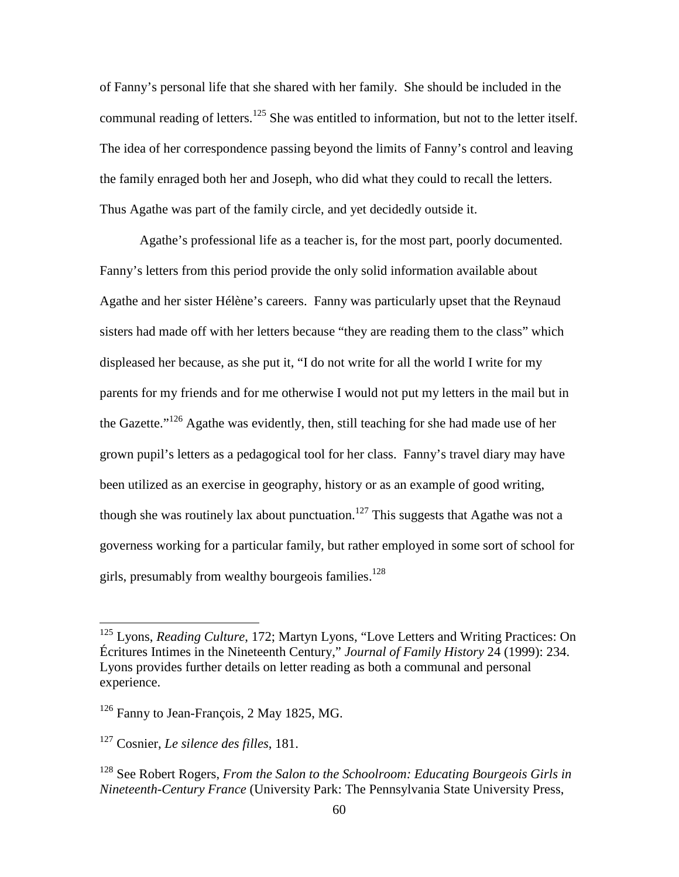of Fanny's personal life that she shared with her family. She should be included in the communal reading of letters.<sup>125</sup> She was entitled to information, but not to the letter itself. The idea of her correspondence passing beyond the limits of Fanny's control and leaving the family enraged both her and Joseph, who did what they could to recall the letters. Thus Agathe was part of the family circle, and yet decidedly outside it.

Agathe's professional life as a teacher is, for the most part, poorly documented. Fanny's letters from this period provide the only solid information available about Agathe and her sister Hélène's careers. Fanny was particularly upset that the Reynaud sisters had made off with her letters because "they are reading them to the class" which displeased her because, as she put it, "I do not write for all the world I write for my parents for my friends and for me otherwise I would not put my letters in the mail but in the Gazette."<sup>126</sup> Agathe was evidently, then, still teaching for she had made use of her grown pupil's letters as a pedagogical tool for her class. Fanny's travel diary may have been utilized as an exercise in geography, history or as an example of good writing, though she was routinely lax about punctuation.<sup>127</sup> This suggests that Agathe was not a governess working for a particular family, but rather employed in some sort of school for girls, presumably from wealthy bourgeois families.<sup>128</sup>

<sup>125</sup> Lyons, *Reading Culture*, 172; Martyn Lyons, "Love Letters and Writing Practices: On Écritures Intimes in the Nineteenth Century," *Journal of Family History* 24 (1999): 234. Lyons provides further details on letter reading as both a communal and personal experience.

 $126$  Fanny to Jean-François, 2 May 1825, MG.

<sup>127</sup> Cosnier, *Le silence des filles*, 181.

<sup>128</sup> See Robert Rogers, *From the Salon to the Schoolroom: Educating Bourgeois Girls in Nineteenth-Century France* (University Park: The Pennsylvania State University Press,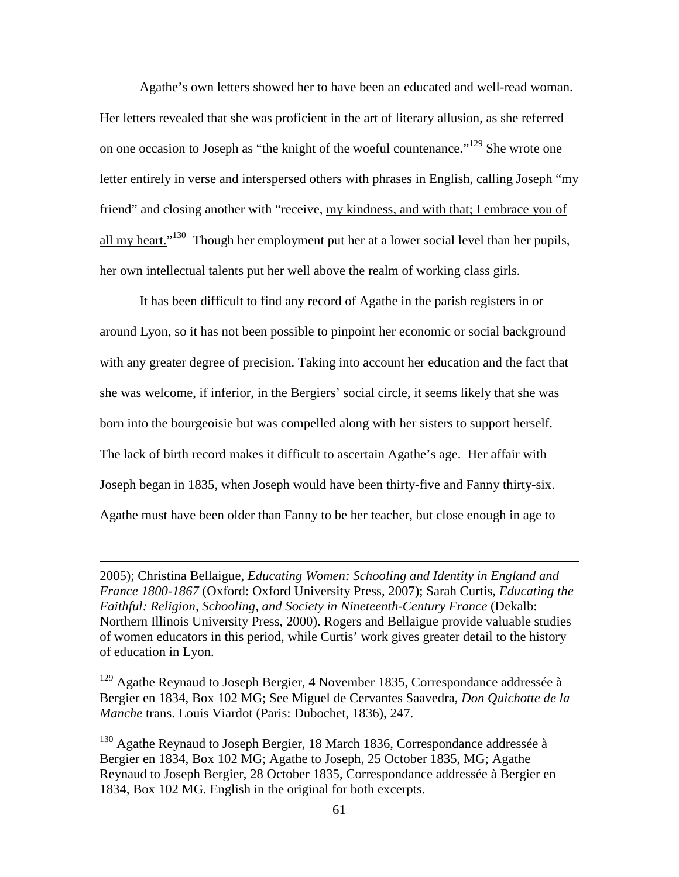Agathe's own letters showed her to have been an educated and well-read woman. Her letters revealed that she was proficient in the art of literary allusion, as she referred on one occasion to Joseph as "the knight of the woeful countenance."<sup>129</sup> She wrote one letter entirely in verse and interspersed others with phrases in English, calling Joseph "my friend" and closing another with "receive, my kindness, and with that; I embrace you of all my heart."<sup>130</sup> Though her employment put her at a lower social level than her pupils, her own intellectual talents put her well above the realm of working class girls.

It has been difficult to find any record of Agathe in the parish registers in or around Lyon, so it has not been possible to pinpoint her economic or social background with any greater degree of precision. Taking into account her education and the fact that she was welcome, if inferior, in the Bergiers' social circle, it seems likely that she was born into the bourgeoisie but was compelled along with her sisters to support herself. The lack of birth record makes it difficult to ascertain Agathe's age. Her affair with Joseph began in 1835, when Joseph would have been thirty-five and Fanny thirty-six. Agathe must have been older than Fanny to be her teacher, but close enough in age to

2005); Christina Bellaigue, *Educating Women: Schooling and Identity in England and France 1800-1867* (Oxford: Oxford University Press, 2007); Sarah Curtis, *Educating the Faithful: Religion, Schooling, and Society in Nineteenth-Century France* (Dekalb: Northern Illinois University Press, 2000). Rogers and Bellaigue provide valuable studies of women educators in this period, while Curtis' work gives greater detail to the history of education in Lyon.

 $\overline{a}$ 

<sup>129</sup> Agathe Reynaud to Joseph Bergier, 4 November 1835, Correspondance addressée à Bergier en 1834, Box 102 MG; See Miguel de Cervantes Saavedra, *Don Quichotte de la Manche* trans. Louis Viardot (Paris: Dubochet, 1836), 247.

<sup>130</sup> Agathe Reynaud to Joseph Bergier, 18 March 1836, Correspondance addressée à Bergier en 1834, Box 102 MG; Agathe to Joseph, 25 October 1835, MG; Agathe Reynaud to Joseph Bergier, 28 October 1835, Correspondance addressée à Bergier en 1834, Box 102 MG*.* English in the original for both excerpts.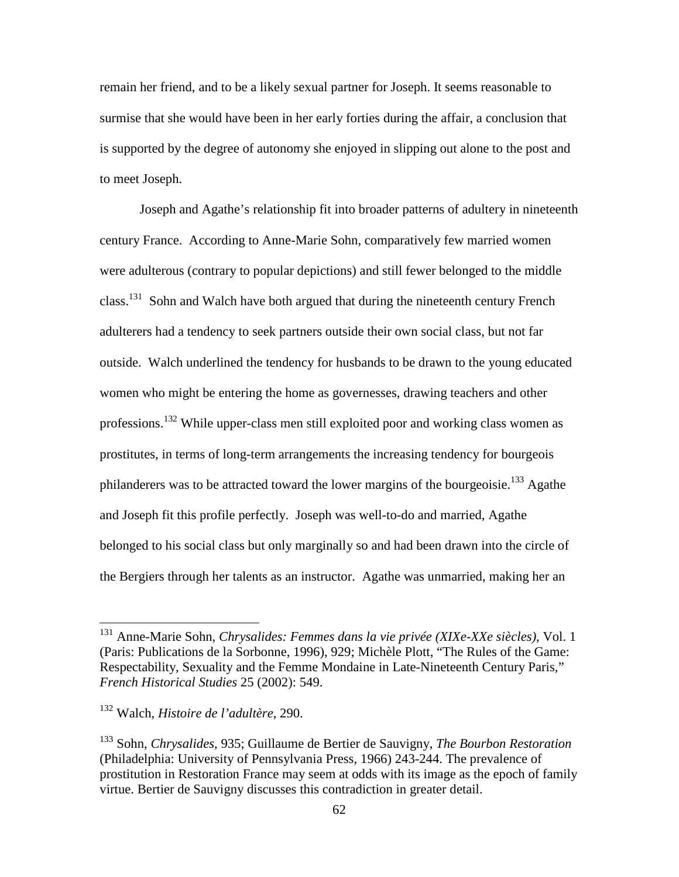remain her friend, and to be a likely sexual partner for Joseph. It seems reasonable to surmise that she would have been in her early forties during the affair, a conclusion that is supported by the degree of autonomy she enjoyed in slipping out alone to the post and to meet Joseph.

Joseph and Agathe's relationship fit into broader patterns of adultery in nineteenth century France. According to Anne-Marie Sohn, comparatively few married women were adulterous (contrary to popular depictions) and still fewer belonged to the middle class.<sup>131</sup> Sohn and Walch have both argued that during the nineteenth century French adulterers had a tendency to seek partners outside their own social class, but not far outside. Walch underlined the tendency for husbands to be drawn to the young educated women who might be entering the home as governesses, drawing teachers and other professions.<sup>132</sup> While upper-class men still exploited poor and working class women as prostitutes, in terms of long-term arrangements the increasing tendency for bourgeois philanderers was to be attracted toward the lower margins of the bourgeoisie.<sup>133</sup> Agathe and Joseph fit this profile perfectly. Joseph was well-to-do and married, Agathe belonged to his social class but only marginally so and had been drawn into the circle of the Bergiers through her talents as an instructor. Agathe was unmarried, making her an

<sup>131</sup> Anne-Marie Sohn, *Chrysalides: Femmes dans la vie privée (XIXe-XXe siècles)*, Vol. 1 (Paris: Publications de la Sorbonne, 1996), 929; Michèle Plott, "The Rules of the Game: Respectability, Sexuality and the Femme Mondaine in Late-Nineteenth Century Paris," *French Historical Studies* 25 (2002): 549.

<sup>132</sup> Walch, *Histoire de l'adultère*, 290.

<sup>133</sup> Sohn, *Chrysalides*, 935; Guillaume de Bertier de Sauvigny, *The Bourbon Restoration* (Philadelphia: University of Pennsylvania Press, 1966) 243-244. The prevalence of prostitution in Restoration France may seem at odds with its image as the epoch of family virtue. Bertier de Sauvigny discusses this contradiction in greater detail.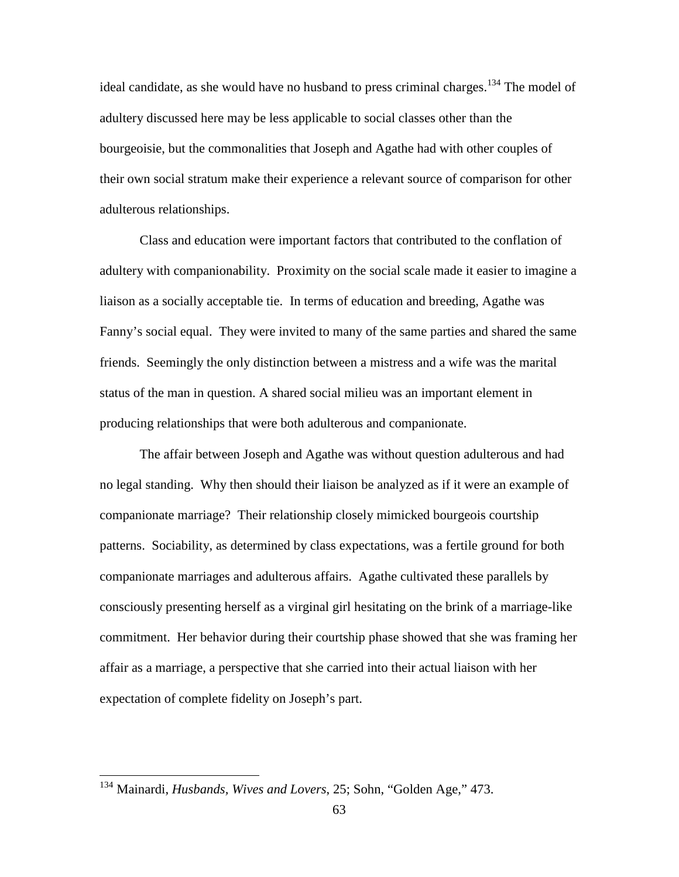ideal candidate, as she would have no husband to press criminal charges.<sup>134</sup> The model of adultery discussed here may be less applicable to social classes other than the bourgeoisie, but the commonalities that Joseph and Agathe had with other couples of their own social stratum make their experience a relevant source of comparison for other adulterous relationships.

Class and education were important factors that contributed to the conflation of adultery with companionability. Proximity on the social scale made it easier to imagine a liaison as a socially acceptable tie. In terms of education and breeding, Agathe was Fanny's social equal. They were invited to many of the same parties and shared the same friends. Seemingly the only distinction between a mistress and a wife was the marital status of the man in question. A shared social milieu was an important element in producing relationships that were both adulterous and companionate.

The affair between Joseph and Agathe was without question adulterous and had no legal standing. Why then should their liaison be analyzed as if it were an example of companionate marriage? Their relationship closely mimicked bourgeois courtship patterns. Sociability, as determined by class expectations, was a fertile ground for both companionate marriages and adulterous affairs. Agathe cultivated these parallels by consciously presenting herself as a virginal girl hesitating on the brink of a marriage-like commitment. Her behavior during their courtship phase showed that she was framing her affair as a marriage, a perspective that she carried into their actual liaison with her expectation of complete fidelity on Joseph's part.

<sup>134</sup> Mainardi, *Husbands, Wives and Lovers*, 25; Sohn, "Golden Age," 473.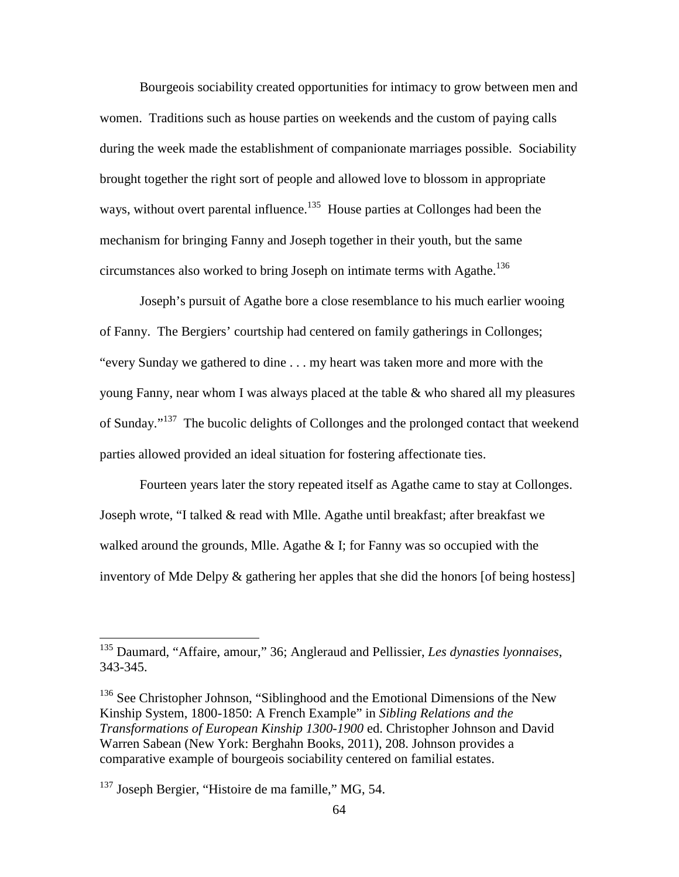Bourgeois sociability created opportunities for intimacy to grow between men and women. Traditions such as house parties on weekends and the custom of paying calls during the week made the establishment of companionate marriages possible. Sociability brought together the right sort of people and allowed love to blossom in appropriate ways, without overt parental influence.<sup>135</sup> House parties at Collonges had been the mechanism for bringing Fanny and Joseph together in their youth, but the same circumstances also worked to bring Joseph on intimate terms with Agathe.<sup>136</sup>

Joseph's pursuit of Agathe bore a close resemblance to his much earlier wooing of Fanny. The Bergiers' courtship had centered on family gatherings in Collonges; "every Sunday we gathered to dine . . . my heart was taken more and more with the young Fanny, near whom I was always placed at the table & who shared all my pleasures of Sunday."<sup>137</sup> The bucolic delights of Collonges and the prolonged contact that weekend parties allowed provided an ideal situation for fostering affectionate ties.

Fourteen years later the story repeated itself as Agathe came to stay at Collonges. Joseph wrote, "I talked & read with Mlle. Agathe until breakfast; after breakfast we walked around the grounds, Mlle. Agathe  $&$  I; for Fanny was so occupied with the inventory of Mde Delpy & gathering her apples that she did the honors [of being hostess]

<sup>135</sup> Daumard, "Affaire, amour," 36; Angleraud and Pellissier, *Les dynasties lyonnaises*, 343-345.

<sup>&</sup>lt;sup>136</sup> See Christopher Johnson, "Siblinghood and the Emotional Dimensions of the New Kinship System, 1800-1850: A French Example" in *Sibling Relations and the Transformations of European Kinship 1300-1900* ed. Christopher Johnson and David Warren Sabean (New York: Berghahn Books, 2011), 208. Johnson provides a comparative example of bourgeois sociability centered on familial estates.

 $137$  Joseph Bergier, "Histoire de ma famille," MG, 54.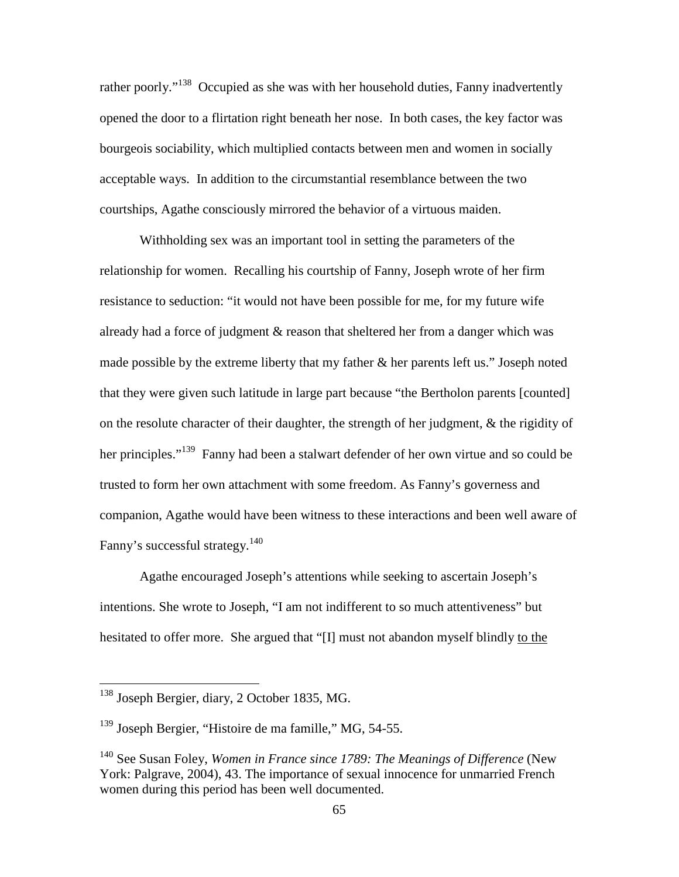rather poorly."<sup>138</sup> Occupied as she was with her household duties. Fanny inadvertently opened the door to a flirtation right beneath her nose. In both cases, the key factor was bourgeois sociability, which multiplied contacts between men and women in socially acceptable ways. In addition to the circumstantial resemblance between the two courtships, Agathe consciously mirrored the behavior of a virtuous maiden.

Withholding sex was an important tool in setting the parameters of the relationship for women. Recalling his courtship of Fanny, Joseph wrote of her firm resistance to seduction: "it would not have been possible for me, for my future wife already had a force of judgment & reason that sheltered her from a danger which was made possible by the extreme liberty that my father & her parents left us." Joseph noted that they were given such latitude in large part because "the Bertholon parents [counted] on the resolute character of their daughter, the strength of her judgment, & the rigidity of her principles."<sup>139</sup> Fanny had been a stalwart defender of her own virtue and so could be trusted to form her own attachment with some freedom. As Fanny's governess and companion, Agathe would have been witness to these interactions and been well aware of Fanny's successful strategy.<sup>140</sup>

Agathe encouraged Joseph's attentions while seeking to ascertain Joseph's intentions. She wrote to Joseph, "I am not indifferent to so much attentiveness" but hesitated to offer more. She argued that "[I] must not abandon myself blindly to the

<sup>&</sup>lt;sup>138</sup> Joseph Bergier, diary, 2 October 1835, MG.

<sup>&</sup>lt;sup>139</sup> Joseph Bergier, "Histoire de ma famille," MG, 54-55.

<sup>140</sup> See Susan Foley, *Women in France since 1789: The Meanings of Difference* (New York: Palgrave, 2004), 43. The importance of sexual innocence for unmarried French women during this period has been well documented.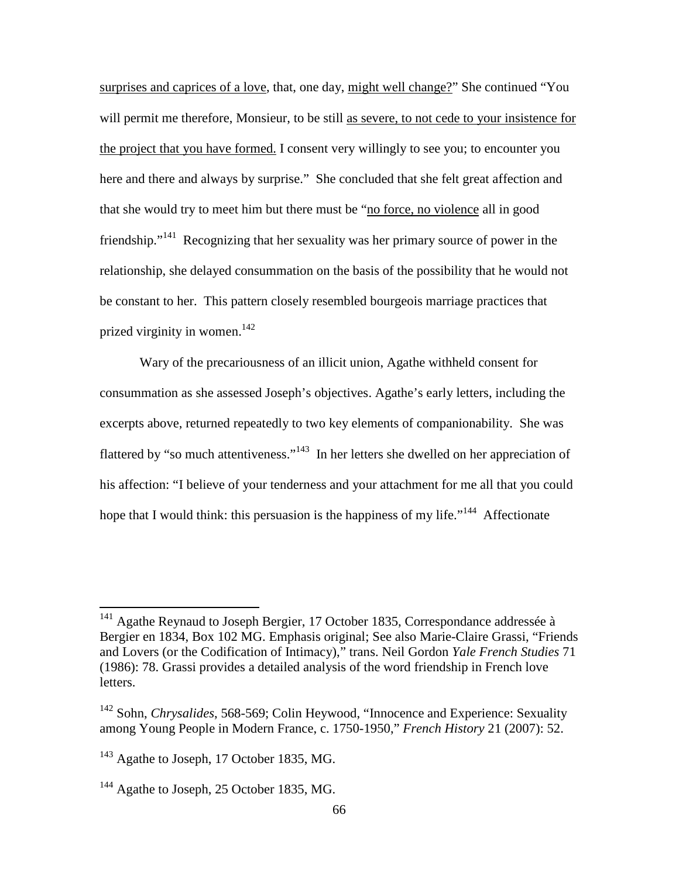surprises and caprices of a love, that, one day, might well change?" She continued "You will permit me therefore, Monsieur, to be still as severe, to not cede to your insistence for the project that you have formed. I consent very willingly to see you; to encounter you here and there and always by surprise." She concluded that she felt great affection and that she would try to meet him but there must be "no force, no violence all in good friendship."<sup>141</sup> Recognizing that her sexuality was her primary source of power in the relationship, she delayed consummation on the basis of the possibility that he would not be constant to her. This pattern closely resembled bourgeois marriage practices that prized virginity in women. $^{142}$ 

Wary of the precariousness of an illicit union, Agathe withheld consent for consummation as she assessed Joseph's objectives. Agathe's early letters, including the excerpts above, returned repeatedly to two key elements of companionability. She was flattered by "so much attentiveness."<sup>143</sup> In her letters she dwelled on her appreciation of his affection: "I believe of your tenderness and your attachment for me all that you could hope that I would think: this persuasion is the happiness of my life."<sup>144</sup> Affectionate

 $141$  Agathe Reynaud to Joseph Bergier, 17 October 1835, Correspondance addressée à Bergier en 1834, Box 102 MG. Emphasis original; See also Marie-Claire Grassi, "Friends and Lovers (or the Codification of Intimacy)," trans. Neil Gordon *Yale French Studies* 71 (1986): 78. Grassi provides a detailed analysis of the word friendship in French love letters.

<sup>142</sup> Sohn, *Chrysalides*, 568-569; Colin Heywood, "Innocence and Experience: Sexuality among Young People in Modern France, c. 1750-1950," *French History* 21 (2007): 52.

<sup>&</sup>lt;sup>143</sup> Agathe to Joseph, 17 October 1835, MG.

<sup>&</sup>lt;sup>144</sup> Agathe to Joseph, 25 October 1835, MG.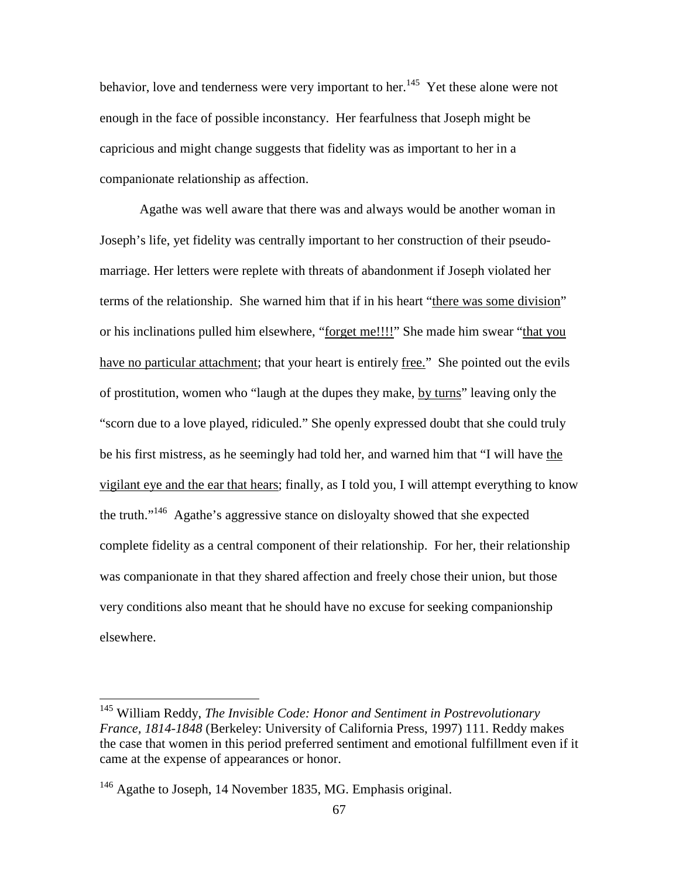behavior, love and tenderness were very important to her.<sup>145</sup> Yet these alone were not enough in the face of possible inconstancy. Her fearfulness that Joseph might be capricious and might change suggests that fidelity was as important to her in a companionate relationship as affection.

Agathe was well aware that there was and always would be another woman in Joseph's life, yet fidelity was centrally important to her construction of their pseudomarriage. Her letters were replete with threats of abandonment if Joseph violated her terms of the relationship. She warned him that if in his heart "there was some division" or his inclinations pulled him elsewhere, "forget me!!!!" She made him swear "that you have no particular attachment; that your heart is entirely free." She pointed out the evils of prostitution, women who "laugh at the dupes they make, by turns" leaving only the "scorn due to a love played, ridiculed." She openly expressed doubt that she could truly be his first mistress, as he seemingly had told her, and warned him that "I will have the vigilant eye and the ear that hears; finally, as I told you, I will attempt everything to know the truth."<sup>146</sup> Agathe's aggressive stance on disloyalty showed that she expected complete fidelity as a central component of their relationship. For her, their relationship was companionate in that they shared affection and freely chose their union, but those very conditions also meant that he should have no excuse for seeking companionship elsewhere.

<sup>145</sup> William Reddy, *The Invisible Code: Honor and Sentiment in Postrevolutionary France, 1814-1848* (Berkeley: University of California Press, 1997) 111. Reddy makes the case that women in this period preferred sentiment and emotional fulfillment even if it came at the expense of appearances or honor.

<sup>&</sup>lt;sup>146</sup> Agathe to Joseph, 14 November 1835, MG. Emphasis original.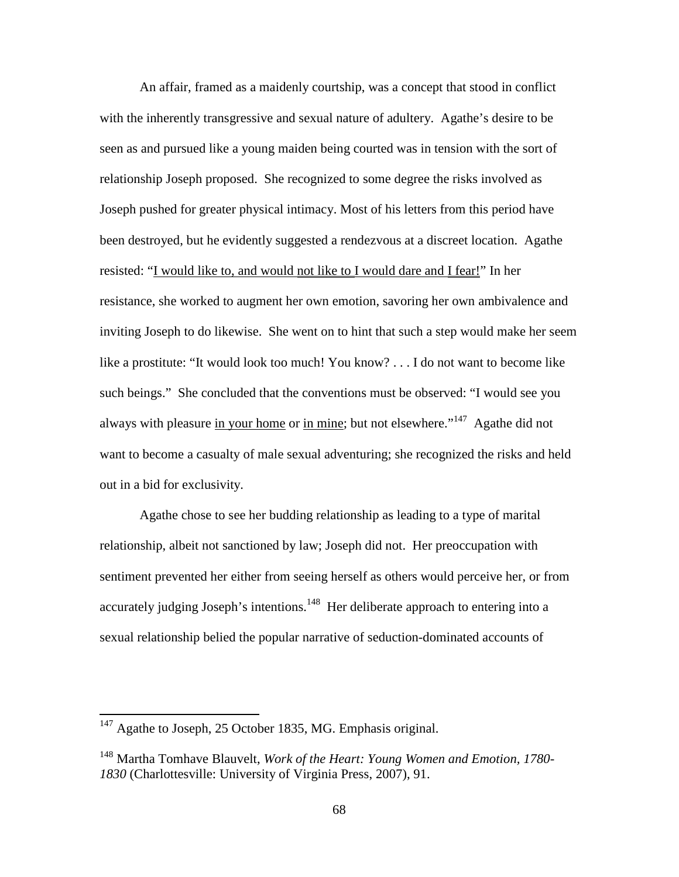An affair, framed as a maidenly courtship, was a concept that stood in conflict with the inherently transgressive and sexual nature of adultery. Agathe's desire to be seen as and pursued like a young maiden being courted was in tension with the sort of relationship Joseph proposed. She recognized to some degree the risks involved as Joseph pushed for greater physical intimacy. Most of his letters from this period have been destroyed, but he evidently suggested a rendezvous at a discreet location. Agathe resisted: "I would like to, and would not like to I would dare and I fear!" In her resistance, she worked to augment her own emotion, savoring her own ambivalence and inviting Joseph to do likewise. She went on to hint that such a step would make her seem like a prostitute: "It would look too much! You know? . . . I do not want to become like such beings." She concluded that the conventions must be observed: "I would see you always with pleasure in your home or in mine; but not elsewhere."<sup>147</sup> Agathe did not want to become a casualty of male sexual adventuring; she recognized the risks and held out in a bid for exclusivity.

Agathe chose to see her budding relationship as leading to a type of marital relationship, albeit not sanctioned by law; Joseph did not. Her preoccupation with sentiment prevented her either from seeing herself as others would perceive her, or from accurately judging Joseph's intentions.<sup>148</sup> Her deliberate approach to entering into a sexual relationship belied the popular narrative of seduction-dominated accounts of

-

 $147$  Agathe to Joseph, 25 October 1835, MG. Emphasis original.

<sup>148</sup> Martha Tomhave Blauvelt, *Work of the Heart: Young Women and Emotion, 1780- 1830* (Charlottesville: University of Virginia Press, 2007), 91.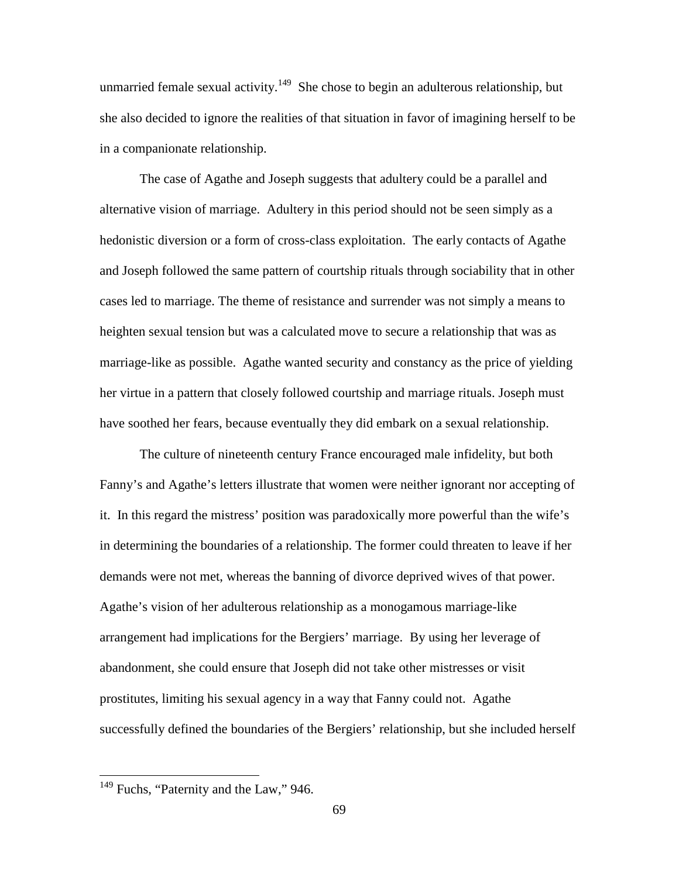unmarried female sexual activity.<sup>149</sup> She chose to begin an adulterous relationship, but she also decided to ignore the realities of that situation in favor of imagining herself to be in a companionate relationship.

The case of Agathe and Joseph suggests that adultery could be a parallel and alternative vision of marriage.Adultery in this period should not be seen simply as a hedonistic diversion or a form of cross-class exploitation. The early contacts of Agathe and Joseph followed the same pattern of courtship rituals through sociability that in other cases led to marriage. The theme of resistance and surrender was not simply a means to heighten sexual tension but was a calculated move to secure a relationship that was as marriage-like as possible. Agathe wanted security and constancy as the price of yielding her virtue in a pattern that closely followed courtship and marriage rituals. Joseph must have soothed her fears, because eventually they did embark on a sexual relationship.

The culture of nineteenth century France encouraged male infidelity, but both Fanny's and Agathe's letters illustrate that women were neither ignorant nor accepting of it. In this regard the mistress' position was paradoxically more powerful than the wife's in determining the boundaries of a relationship. The former could threaten to leave if her demands were not met, whereas the banning of divorce deprived wives of that power. Agathe's vision of her adulterous relationship as a monogamous marriage-like arrangement had implications for the Bergiers' marriage. By using her leverage of abandonment, she could ensure that Joseph did not take other mistresses or visit prostitutes, limiting his sexual agency in a way that Fanny could not. Agathe successfully defined the boundaries of the Bergiers' relationship, but she included herself

<sup>&</sup>lt;sup>149</sup> Fuchs, "Paternity and the Law," 946.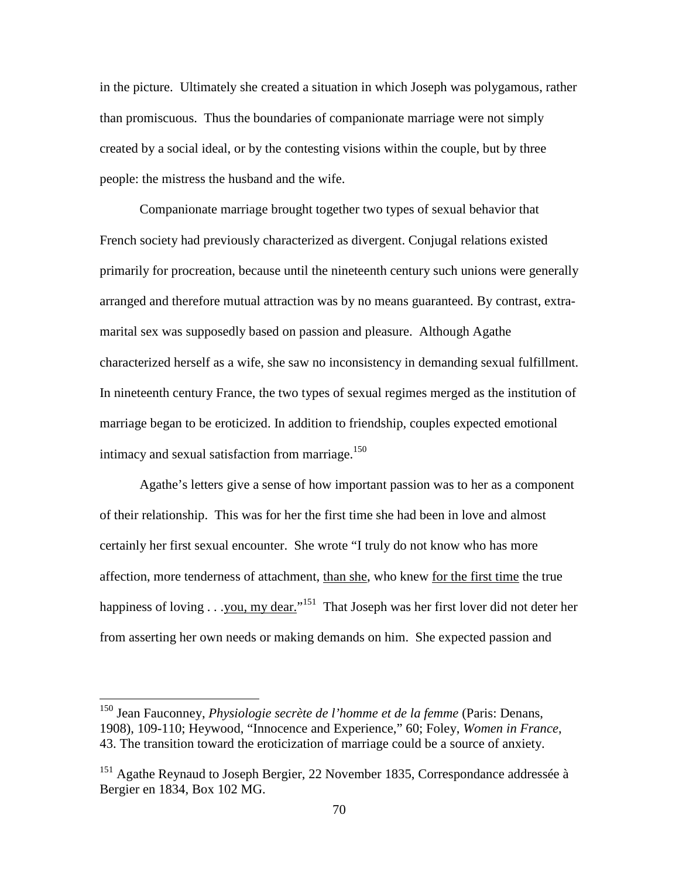in the picture. Ultimately she created a situation in which Joseph was polygamous, rather than promiscuous. Thus the boundaries of companionate marriage were not simply created by a social ideal, or by the contesting visions within the couple, but by three people: the mistress the husband and the wife.

Companionate marriage brought together two types of sexual behavior that French society had previously characterized as divergent. Conjugal relations existed primarily for procreation, because until the nineteenth century such unions were generally arranged and therefore mutual attraction was by no means guaranteed. By contrast, extramarital sex was supposedly based on passion and pleasure. Although Agathe characterized herself as a wife, she saw no inconsistency in demanding sexual fulfillment. In nineteenth century France, the two types of sexual regimes merged as the institution of marriage began to be eroticized. In addition to friendship, couples expected emotional intimacy and sexual satisfaction from marriage. $150$ 

Agathe's letters give a sense of how important passion was to her as a component of their relationship. This was for her the first time she had been in love and almost certainly her first sexual encounter. She wrote "I truly do not know who has more affection, more tenderness of attachment, than she, who knew for the first time the true happiness of loving . . . you, my dear."<sup>151</sup> That Joseph was her first lover did not deter her from asserting her own needs or making demands on him. She expected passion and

<sup>150</sup> Jean Fauconney, *Physiologie secrète de l'homme et de la femme* (Paris: Denans, 1908), 109-110; Heywood, "Innocence and Experience," 60; Foley, *Women in France*, 43. The transition toward the eroticization of marriage could be a source of anxiety.

<sup>&</sup>lt;sup>151</sup> Agathe Reynaud to Joseph Bergier, 22 November 1835, Correspondance addressée à Bergier en 1834, Box 102 MG.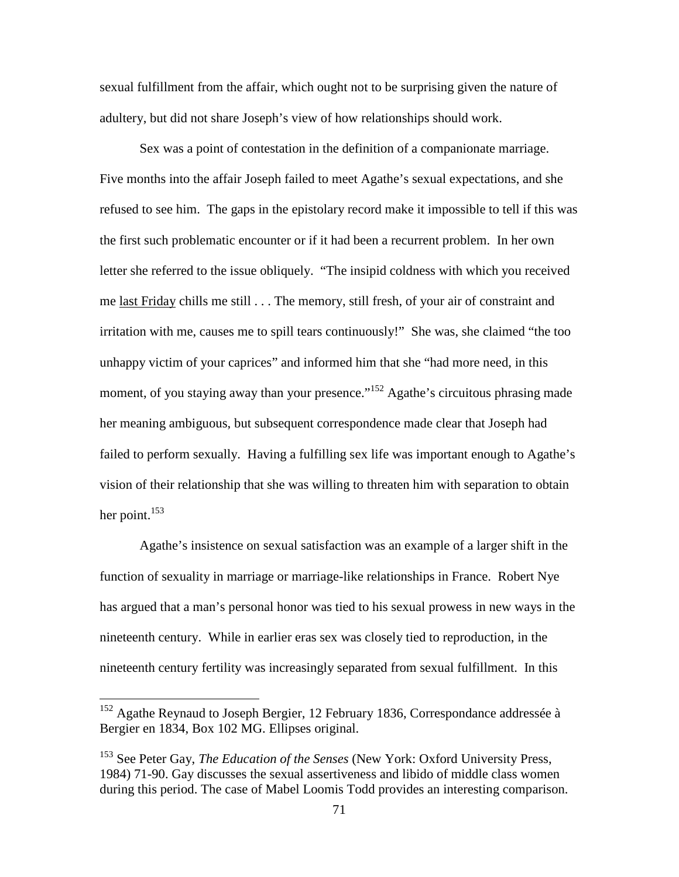sexual fulfillment from the affair, which ought not to be surprising given the nature of adultery, but did not share Joseph's view of how relationships should work.

Sex was a point of contestation in the definition of a companionate marriage. Five months into the affair Joseph failed to meet Agathe's sexual expectations, and she refused to see him. The gaps in the epistolary record make it impossible to tell if this was the first such problematic encounter or if it had been a recurrent problem. In her own letter she referred to the issue obliquely. "The insipid coldness with which you received me <u>last Friday</u> chills me still . . . The memory, still fresh, of your air of constraint and irritation with me, causes me to spill tears continuously!" She was, she claimed "the too unhappy victim of your caprices" and informed him that she "had more need, in this moment, of you staying away than your presence."<sup>152</sup> Agathe's circuitous phrasing made her meaning ambiguous, but subsequent correspondence made clear that Joseph had failed to perform sexually. Having a fulfilling sex life was important enough to Agathe's vision of their relationship that she was willing to threaten him with separation to obtain her point. $153$ 

Agathe's insistence on sexual satisfaction was an example of a larger shift in the function of sexuality in marriage or marriage-like relationships in France. Robert Nye has argued that a man's personal honor was tied to his sexual prowess in new ways in the nineteenth century. While in earlier eras sex was closely tied to reproduction, in the nineteenth century fertility was increasingly separated from sexual fulfillment. In this

 $152$  Agathe Reynaud to Joseph Bergier, 12 February 1836, Correspondance addressée à Bergier en 1834, Box 102 MG. Ellipses original.

<sup>153</sup> See Peter Gay, *The Education of the Senses* (New York: Oxford University Press, 1984) 71-90. Gay discusses the sexual assertiveness and libido of middle class women during this period. The case of Mabel Loomis Todd provides an interesting comparison.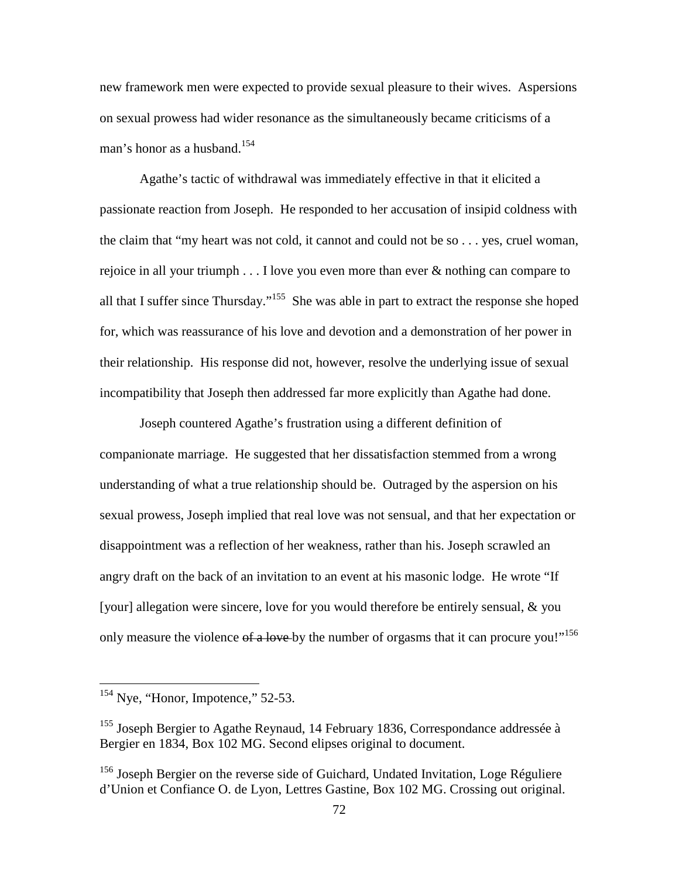new framework men were expected to provide sexual pleasure to their wives. Aspersions on sexual prowess had wider resonance as the simultaneously became criticisms of a man's honor as a husband.<sup>154</sup>

Agathe's tactic of withdrawal was immediately effective in that it elicited a passionate reaction from Joseph. He responded to her accusation of insipid coldness with the claim that "my heart was not cold, it cannot and could not be so . . . yes, cruel woman, rejoice in all your triumph . . . I love you even more than ever & nothing can compare to all that I suffer since Thursday."<sup>155</sup> She was able in part to extract the response she hoped for, which was reassurance of his love and devotion and a demonstration of her power in their relationship. His response did not, however, resolve the underlying issue of sexual incompatibility that Joseph then addressed far more explicitly than Agathe had done.

Joseph countered Agathe's frustration using a different definition of companionate marriage. He suggested that her dissatisfaction stemmed from a wrong understanding of what a true relationship should be. Outraged by the aspersion on his sexual prowess, Joseph implied that real love was not sensual, and that her expectation or disappointment was a reflection of her weakness, rather than his. Joseph scrawled an angry draft on the back of an invitation to an event at his masonic lodge. He wrote "If [your] allegation were sincere, love for you would therefore be entirely sensual, & you only measure the violence of a love by the number of orgasms that it can procure you!"<sup>156</sup>

 $154$  Nye, "Honor, Impotence," 52-53.

<sup>&</sup>lt;sup>155</sup> Joseph Bergier to Agathe Reynaud, 14 February 1836, Correspondance addressée à Bergier en 1834, Box 102 MG. Second elipses original to document.

<sup>&</sup>lt;sup>156</sup> Joseph Bergier on the reverse side of Guichard, Undated Invitation, Loge Réguliere d'Union et Confiance O. de Lyon, Lettres Gastine, Box 102 MG. Crossing out original.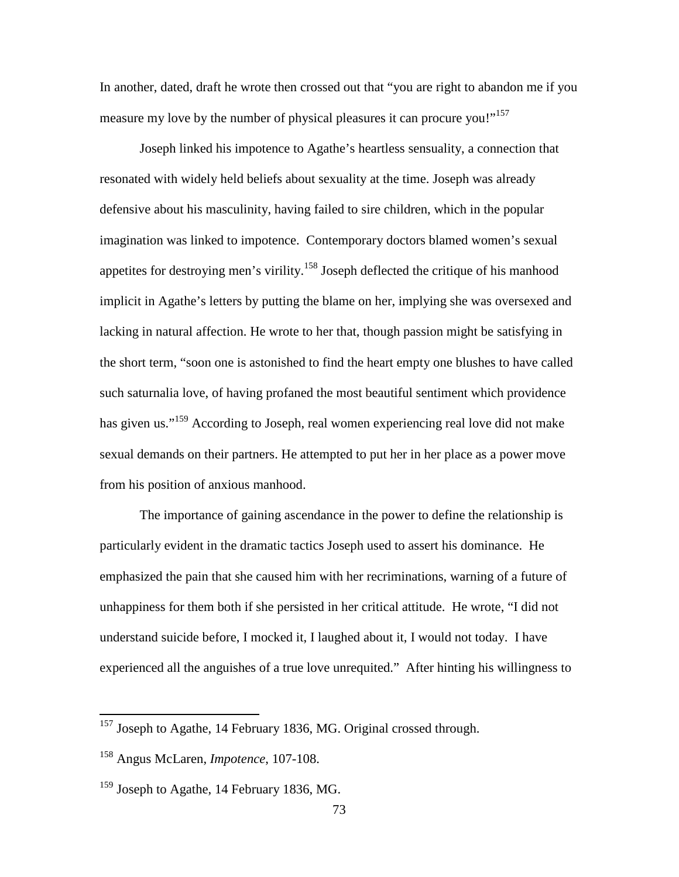In another, dated, draft he wrote then crossed out that "you are right to abandon me if you measure my love by the number of physical pleasures it can procure you!"<sup>157</sup>

Joseph linked his impotence to Agathe's heartless sensuality, a connection that resonated with widely held beliefs about sexuality at the time. Joseph was already defensive about his masculinity, having failed to sire children, which in the popular imagination was linked to impotence. Contemporary doctors blamed women's sexual appetites for destroying men's virility.<sup>158</sup> Joseph deflected the critique of his manhood implicit in Agathe's letters by putting the blame on her, implying she was oversexed and lacking in natural affection. He wrote to her that, though passion might be satisfying in the short term, "soon one is astonished to find the heart empty one blushes to have called such saturnalia love, of having profaned the most beautiful sentiment which providence has given us."<sup>159</sup> According to Joseph, real women experiencing real love did not make sexual demands on their partners. He attempted to put her in her place as a power move from his position of anxious manhood.

The importance of gaining ascendance in the power to define the relationship is particularly evident in the dramatic tactics Joseph used to assert his dominance. He emphasized the pain that she caused him with her recriminations, warning of a future of unhappiness for them both if she persisted in her critical attitude. He wrote, "I did not understand suicide before, I mocked it, I laughed about it, I would not today. I have experienced all the anguishes of a true love unrequited." After hinting his willingness to

-

 $157$  Joseph to Agathe, 14 February 1836, MG. Original crossed through.

<sup>158</sup> Angus McLaren, *Impotence*, 107-108.

 $159$  Joseph to Agathe, 14 February 1836, MG.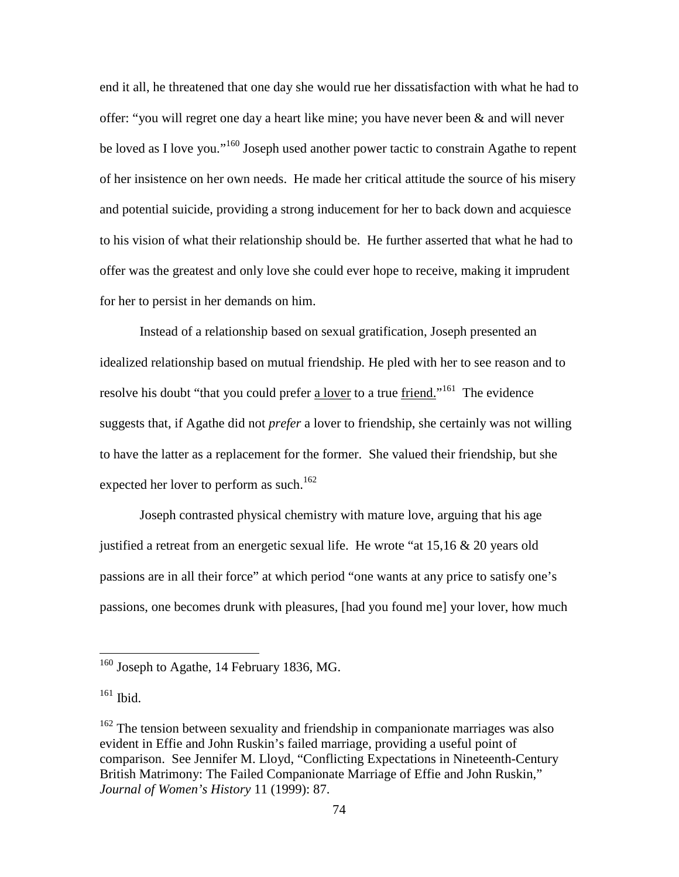end it all, he threatened that one day she would rue her dissatisfaction with what he had to offer: "you will regret one day a heart like mine; you have never been  $\&$  and will never be loved as I love you."<sup>160</sup> Joseph used another power tactic to constrain Agathe to repent of her insistence on her own needs. He made her critical attitude the source of his misery and potential suicide, providing a strong inducement for her to back down and acquiesce to his vision of what their relationship should be. He further asserted that what he had to offer was the greatest and only love she could ever hope to receive, making it imprudent for her to persist in her demands on him.

Instead of a relationship based on sexual gratification, Joseph presented an idealized relationship based on mutual friendship. He pled with her to see reason and to resolve his doubt "that you could prefer a lover to a true friend."<sup>161</sup> The evidence suggests that, if Agathe did not *prefer* a lover to friendship, she certainly was not willing to have the latter as a replacement for the former. She valued their friendship, but she expected her lover to perform as such.<sup>162</sup>

Joseph contrasted physical chemistry with mature love, arguing that his age justified a retreat from an energetic sexual life. He wrote "at 15,16 & 20 years old passions are in all their force" at which period "one wants at any price to satisfy one's passions, one becomes drunk with pleasures, [had you found me] your lover, how much

 $160$  Joseph to Agathe, 14 February 1836, MG.

<sup>161</sup> Ibid.

 $162$  The tension between sexuality and friendship in companionate marriages was also evident in Effie and John Ruskin's failed marriage, providing a useful point of comparison. See Jennifer M. Lloyd, "Conflicting Expectations in Nineteenth-Century British Matrimony: The Failed Companionate Marriage of Effie and John Ruskin," *Journal of Women's History* 11 (1999): 87.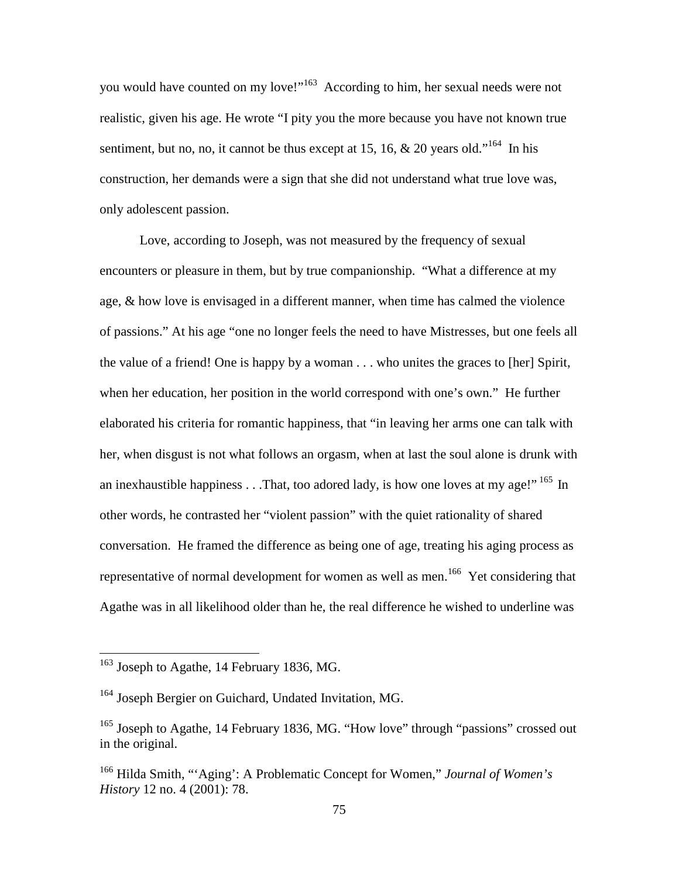you would have counted on my love!"<sup>163</sup> According to him, her sexual needs were not realistic, given his age. He wrote "I pity you the more because you have not known true sentiment, but no, no, it cannot be thus except at 15, 16, & 20 years old."<sup>164</sup> In his construction, her demands were a sign that she did not understand what true love was, only adolescent passion.

Love, according to Joseph, was not measured by the frequency of sexual encounters or pleasure in them, but by true companionship. "What a difference at my age, & how love is envisaged in a different manner, when time has calmed the violence of passions." At his age "one no longer feels the need to have Mistresses, but one feels all the value of a friend! One is happy by a woman . . . who unites the graces to [her] Spirit, when her education, her position in the world correspond with one's own." He further elaborated his criteria for romantic happiness, that "in leaving her arms one can talk with her, when disgust is not what follows an orgasm, when at last the soul alone is drunk with an inexhaustible happiness . . .That, too adored lady, is how one loves at my age!"<sup>165</sup> In other words, he contrasted her "violent passion" with the quiet rationality of shared conversation. He framed the difference as being one of age, treating his aging process as representative of normal development for women as well as men.<sup>166</sup> Yet considering that Agathe was in all likelihood older than he, the real difference he wished to underline was

 $163$  Joseph to Agathe, 14 February 1836, MG.

<sup>&</sup>lt;sup>164</sup> Joseph Bergier on Guichard, Undated Invitation, MG.

<sup>&</sup>lt;sup>165</sup> Joseph to Agathe, 14 February 1836, MG. "How love" through "passions" crossed out in the original.

<sup>166</sup> Hilda Smith, "'Aging': A Problematic Concept for Women," *Journal of Women's History* 12 no. 4 (2001): 78.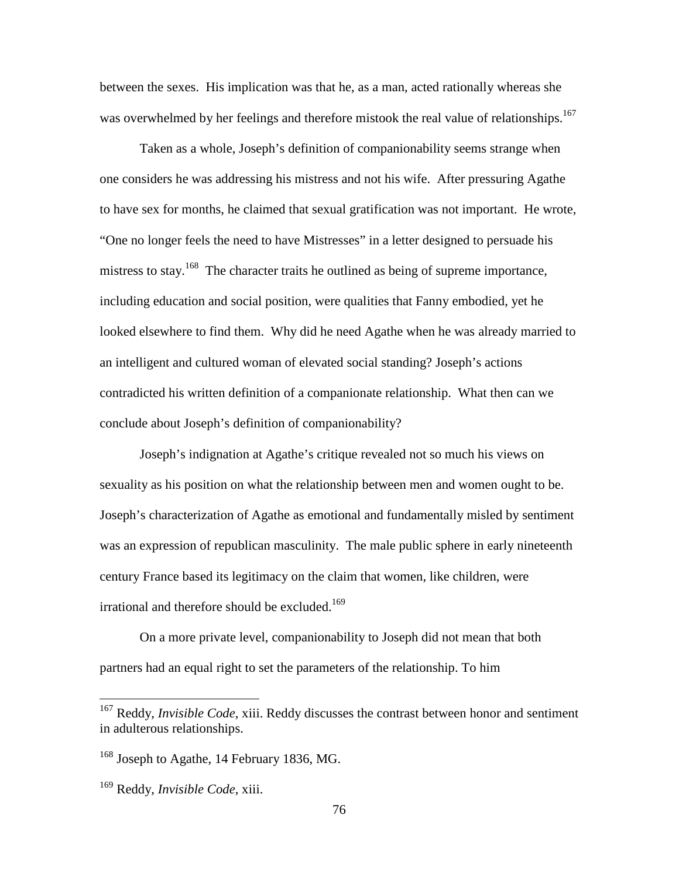between the sexes. His implication was that he, as a man, acted rationally whereas she was overwhelmed by her feelings and therefore mistook the real value of relationships.<sup>167</sup>

Taken as a whole, Joseph's definition of companionability seems strange when one considers he was addressing his mistress and not his wife. After pressuring Agathe to have sex for months, he claimed that sexual gratification was not important. He wrote, "One no longer feels the need to have Mistresses" in a letter designed to persuade his mistress to stay.<sup>168</sup> The character traits he outlined as being of supreme importance, including education and social position, were qualities that Fanny embodied, yet he looked elsewhere to find them. Why did he need Agathe when he was already married to an intelligent and cultured woman of elevated social standing? Joseph's actions contradicted his written definition of a companionate relationship. What then can we conclude about Joseph's definition of companionability?

Joseph's indignation at Agathe's critique revealed not so much his views on sexuality as his position on what the relationship between men and women ought to be. Joseph's characterization of Agathe as emotional and fundamentally misled by sentiment was an expression of republican masculinity. The male public sphere in early nineteenth century France based its legitimacy on the claim that women, like children, were irrational and therefore should be excluded.<sup>169</sup>

On a more private level, companionability to Joseph did not mean that both partners had an equal right to set the parameters of the relationship. To him

<sup>&</sup>lt;sup>167</sup> Reddy, *Invisible Code*, xiii. Reddy discusses the contrast between honor and sentiment in adulterous relationships.

<sup>&</sup>lt;sup>168</sup> Joseph to Agathe, 14 February 1836, MG.

<sup>169</sup> Reddy, *Invisible Code*, xiii.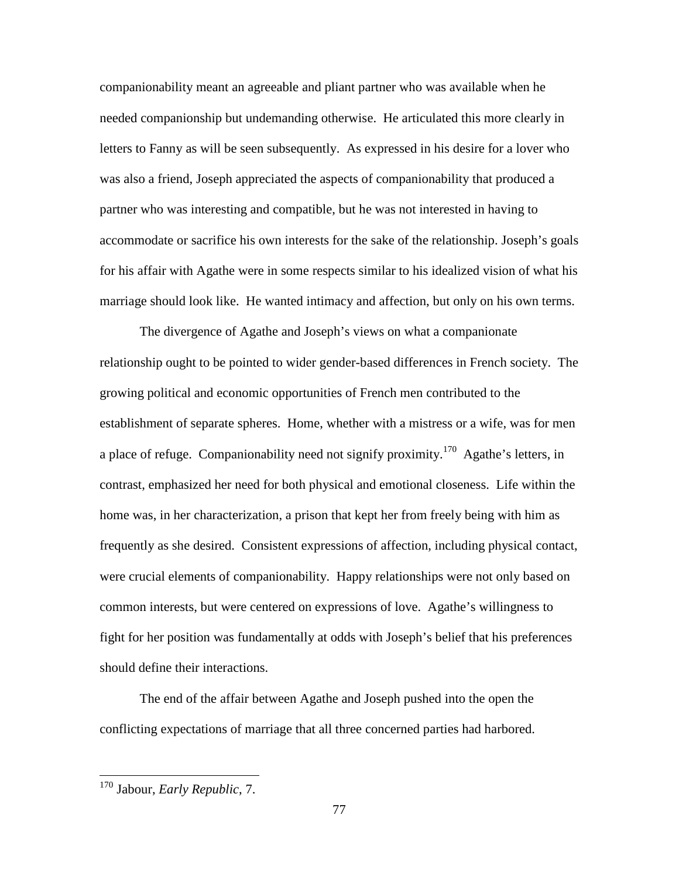companionability meant an agreeable and pliant partner who was available when he needed companionship but undemanding otherwise. He articulated this more clearly in letters to Fanny as will be seen subsequently. As expressed in his desire for a lover who was also a friend, Joseph appreciated the aspects of companionability that produced a partner who was interesting and compatible, but he was not interested in having to accommodate or sacrifice his own interests for the sake of the relationship. Joseph's goals for his affair with Agathe were in some respects similar to his idealized vision of what his marriage should look like. He wanted intimacy and affection, but only on his own terms.

The divergence of Agathe and Joseph's views on what a companionate relationship ought to be pointed to wider gender-based differences in French society. The growing political and economic opportunities of French men contributed to the establishment of separate spheres. Home, whether with a mistress or a wife, was for men a place of refuge. Companionability need not signify proximity.<sup>170</sup> Agathe's letters, in contrast, emphasized her need for both physical and emotional closeness. Life within the home was, in her characterization, a prison that kept her from freely being with him as frequently as she desired. Consistent expressions of affection, including physical contact, were crucial elements of companionability. Happy relationships were not only based on common interests, but were centered on expressions of love. Agathe's willingness to fight for her position was fundamentally at odds with Joseph's belief that his preferences should define their interactions.

The end of the affair between Agathe and Joseph pushed into the open the conflicting expectations of marriage that all three concerned parties had harbored.

<sup>170</sup> Jabour, *Early Republic*, 7.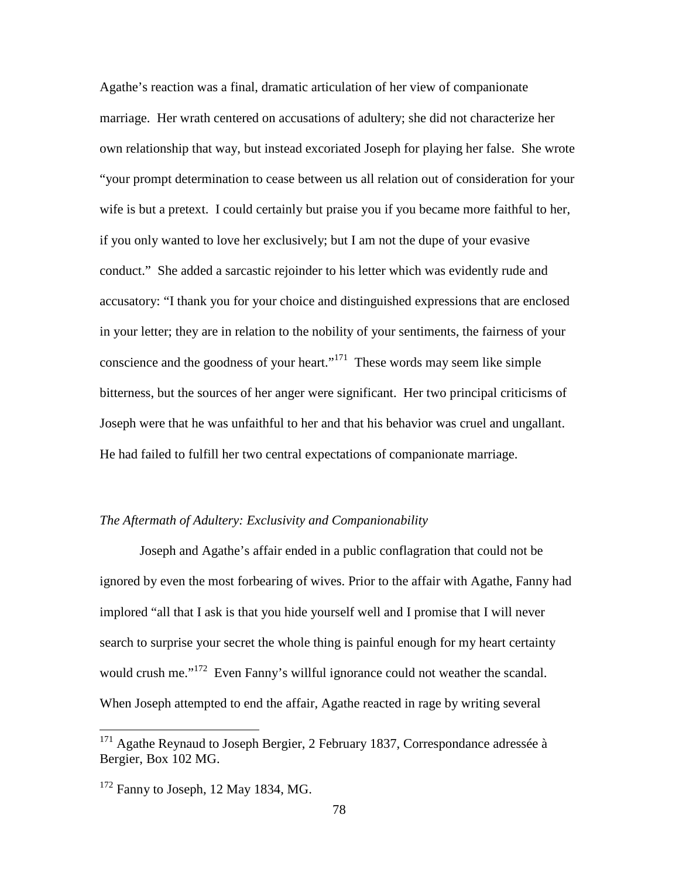Agathe's reaction was a final, dramatic articulation of her view of companionate marriage. Her wrath centered on accusations of adultery; she did not characterize her own relationship that way, but instead excoriated Joseph for playing her false. She wrote "your prompt determination to cease between us all relation out of consideration for your wife is but a pretext. I could certainly but praise you if you became more faithful to her, if you only wanted to love her exclusively; but I am not the dupe of your evasive conduct." She added a sarcastic rejoinder to his letter which was evidently rude and accusatory: "I thank you for your choice and distinguished expressions that are enclosed in your letter; they are in relation to the nobility of your sentiments, the fairness of your conscience and the goodness of your heart."<sup>171</sup> These words may seem like simple bitterness, but the sources of her anger were significant. Her two principal criticisms of Joseph were that he was unfaithful to her and that his behavior was cruel and ungallant. He had failed to fulfill her two central expectations of companionate marriage.

### *The Aftermath of Adultery: Exclusivity and Companionability*

Joseph and Agathe's affair ended in a public conflagration that could not be ignored by even the most forbearing of wives. Prior to the affair with Agathe, Fanny had implored "all that I ask is that you hide yourself well and I promise that I will never search to surprise your secret the whole thing is painful enough for my heart certainty would crush me."<sup>172</sup> Even Fanny's willful ignorance could not weather the scandal. When Joseph attempted to end the affair, Agathe reacted in rage by writing several

 $171$  Agathe Reynaud to Joseph Bergier, 2 February 1837, Correspondance adressée à Bergier, Box 102 MG.

 $172$  Fanny to Joseph, 12 May 1834, MG.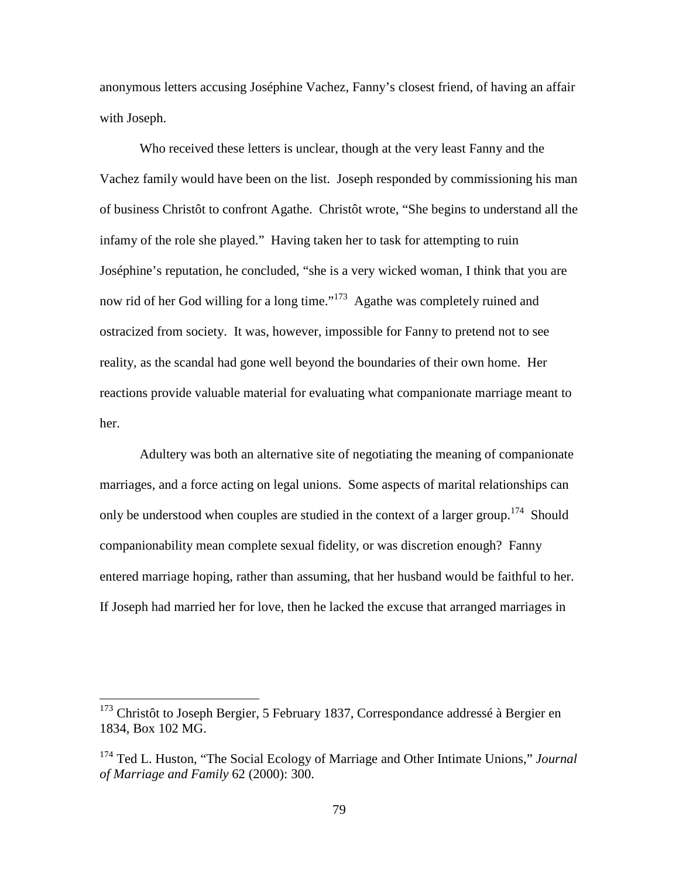anonymous letters accusing Joséphine Vachez, Fanny's closest friend, of having an affair with Joseph.

Who received these letters is unclear, though at the very least Fanny and the Vachez family would have been on the list. Joseph responded by commissioning his man of business Christôt to confront Agathe. Christôt wrote, "She begins to understand all the infamy of the role she played." Having taken her to task for attempting to ruin Joséphine's reputation, he concluded, "she is a very wicked woman, I think that you are now rid of her God willing for a long time."<sup>173</sup> Agathe was completely ruined and ostracized from society. It was, however, impossible for Fanny to pretend not to see reality, as the scandal had gone well beyond the boundaries of their own home. Her reactions provide valuable material for evaluating what companionate marriage meant to her.

Adultery was both an alternative site of negotiating the meaning of companionate marriages, and a force acting on legal unions. Some aspects of marital relationships can only be understood when couples are studied in the context of a larger group.<sup>174</sup> Should companionability mean complete sexual fidelity, or was discretion enough? Fanny entered marriage hoping, rather than assuming, that her husband would be faithful to her. If Joseph had married her for love, then he lacked the excuse that arranged marriages in

<sup>&</sup>lt;sup>173</sup> Christôt to Joseph Bergier, 5 February 1837, Correspondance addressé à Bergier en 1834, Box 102 MG.

<sup>174</sup> Ted L. Huston, "The Social Ecology of Marriage and Other Intimate Unions," *Journal of Marriage and Family* 62 (2000): 300.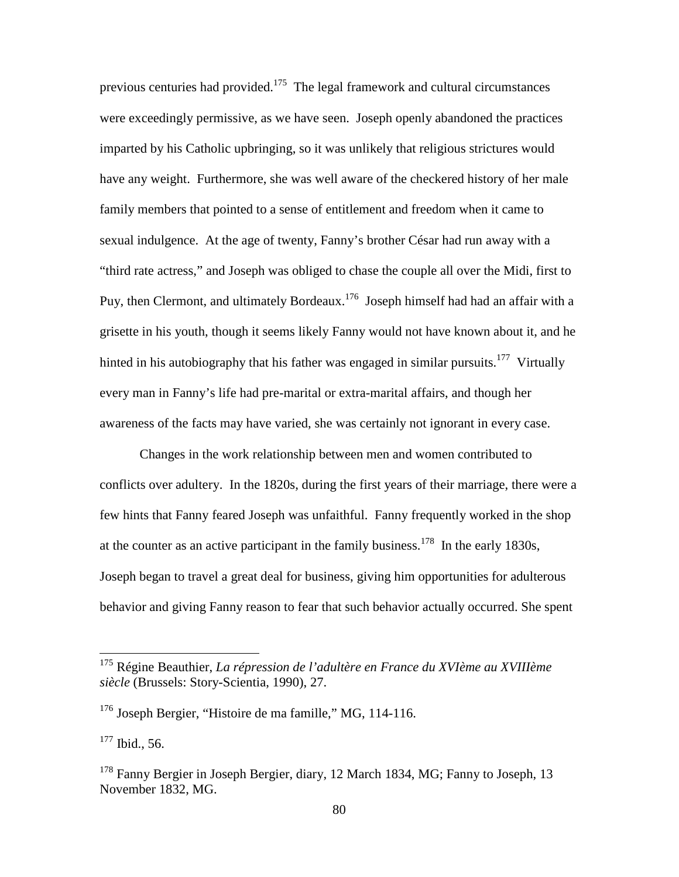previous centuries had provided.<sup>175</sup> The legal framework and cultural circumstances were exceedingly permissive, as we have seen. Joseph openly abandoned the practices imparted by his Catholic upbringing, so it was unlikely that religious strictures would have any weight. Furthermore, she was well aware of the checkered history of her male family members that pointed to a sense of entitlement and freedom when it came to sexual indulgence. At the age of twenty, Fanny's brother César had run away with a "third rate actress," and Joseph was obliged to chase the couple all over the Midi, first to Puy, then Clermont, and ultimately Bordeaux.<sup>176</sup> Joseph himself had had an affair with a grisette in his youth, though it seems likely Fanny would not have known about it, and he hinted in his autobiography that his father was engaged in similar pursuits.<sup>177</sup> Virtually every man in Fanny's life had pre-marital or extra-marital affairs, and though her awareness of the facts may have varied, she was certainly not ignorant in every case.

Changes in the work relationship between men and women contributed to conflicts over adultery. In the 1820s, during the first years of their marriage, there were a few hints that Fanny feared Joseph was unfaithful. Fanny frequently worked in the shop at the counter as an active participant in the family business.<sup>178</sup> In the early 1830s, Joseph began to travel a great deal for business, giving him opportunities for adulterous behavior and giving Fanny reason to fear that such behavior actually occurred. She spent

<sup>177</sup> Ibid., 56.

<sup>175</sup> Régine Beauthier, *La répression de l'adultère en France du XVIème au XVIIIème siècle* (Brussels: Story-Scientia, 1990), 27.

<sup>176</sup> Joseph Bergier, "Histoire de ma famille," MG, 114-116.

<sup>&</sup>lt;sup>178</sup> Fanny Bergier in Joseph Bergier, diary, 12 March 1834, MG; Fanny to Joseph, 13 November 1832, MG.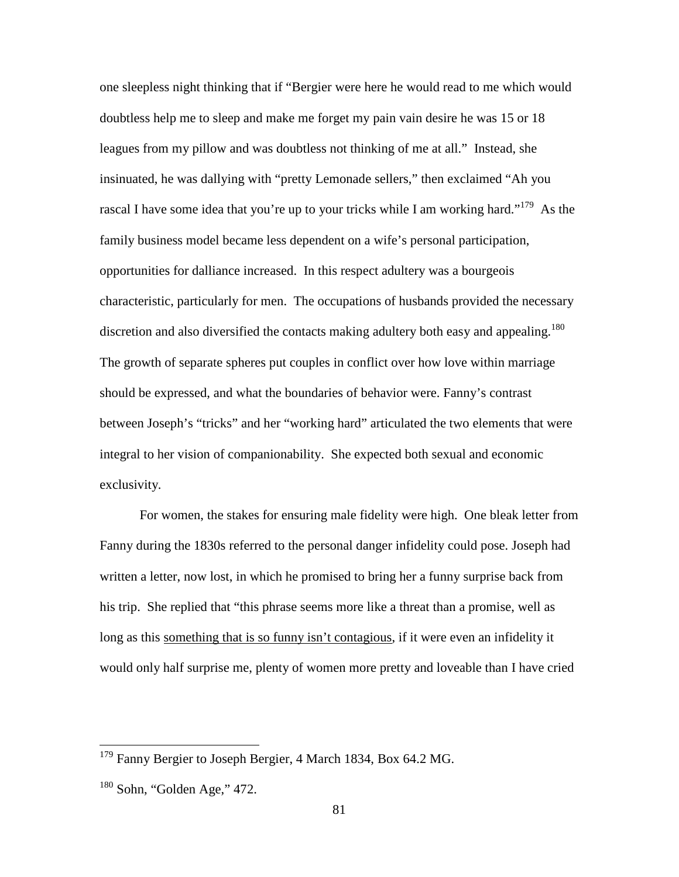one sleepless night thinking that if "Bergier were here he would read to me which would doubtless help me to sleep and make me forget my pain vain desire he was 15 or 18 leagues from my pillow and was doubtless not thinking of me at all." Instead, she insinuated, he was dallying with "pretty Lemonade sellers," then exclaimed "Ah you rascal I have some idea that you're up to your tricks while I am working hard."<sup>179</sup> As the family business model became less dependent on a wife's personal participation, opportunities for dalliance increased. In this respect adultery was a bourgeois characteristic, particularly for men. The occupations of husbands provided the necessary discretion and also diversified the contacts making adultery both easy and appealing.<sup>180</sup> The growth of separate spheres put couples in conflict over how love within marriage should be expressed, and what the boundaries of behavior were. Fanny's contrast between Joseph's "tricks" and her "working hard" articulated the two elements that were integral to her vision of companionability. She expected both sexual and economic exclusivity.

For women, the stakes for ensuring male fidelity were high. One bleak letter from Fanny during the 1830s referred to the personal danger infidelity could pose. Joseph had written a letter, now lost, in which he promised to bring her a funny surprise back from his trip. She replied that "this phrase seems more like a threat than a promise, well as long as this something that is so funny isn't contagious, if it were even an infidelity it would only half surprise me, plenty of women more pretty and loveable than I have cried

<sup>&</sup>lt;sup>179</sup> Fanny Bergier to Joseph Bergier, 4 March 1834, Box 64.2 MG.

 $180$  Sohn, "Golden Age," 472.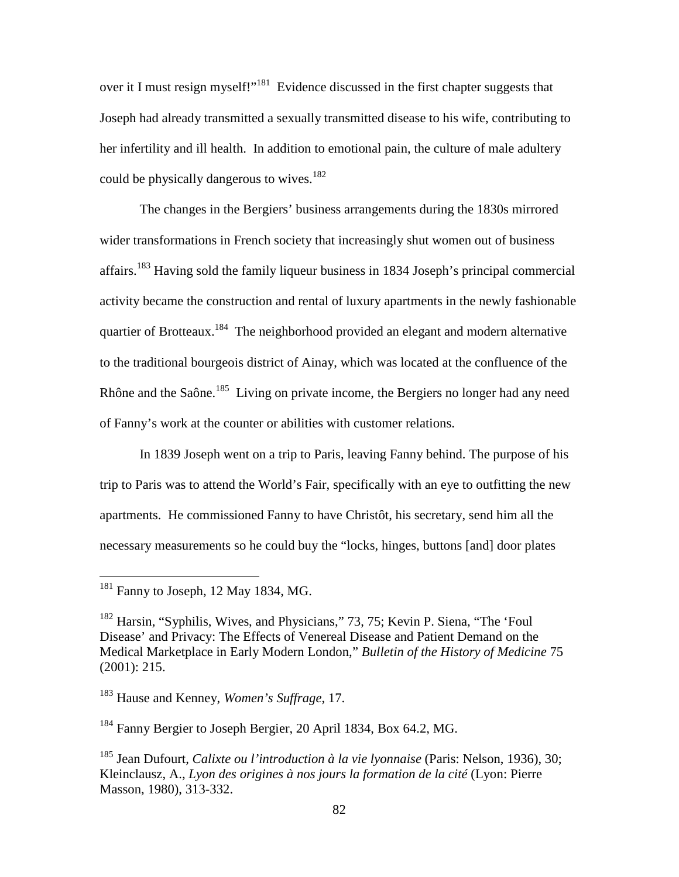over it I must resign myself!"<sup>181</sup> Evidence discussed in the first chapter suggests that Joseph had already transmitted a sexually transmitted disease to his wife, contributing to her infertility and ill health. In addition to emotional pain, the culture of male adultery could be physically dangerous to wives.<sup>182</sup>

The changes in the Bergiers' business arrangements during the 1830s mirrored wider transformations in French society that increasingly shut women out of business affairs.<sup>183</sup> Having sold the family liqueur business in 1834 Joseph's principal commercial activity became the construction and rental of luxury apartments in the newly fashionable quartier of Brotteaux.<sup>184</sup> The neighborhood provided an elegant and modern alternative to the traditional bourgeois district of Ainay, which was located at the confluence of the Rhône and the Saône.<sup>185</sup> Living on private income, the Bergiers no longer had any need of Fanny's work at the counter or abilities with customer relations.

In 1839 Joseph went on a trip to Paris, leaving Fanny behind. The purpose of his trip to Paris was to attend the World's Fair, specifically with an eye to outfitting the new apartments. He commissioned Fanny to have Christôt, his secretary, send him all the necessary measurements so he could buy the "locks, hinges, buttons [and] door plates

 $181$  Fanny to Joseph, 12 May 1834, MG.

<sup>182</sup> Harsin, "Syphilis, Wives, and Physicians," 73, 75; Kevin P. Siena, "The 'Foul Disease' and Privacy: The Effects of Venereal Disease and Patient Demand on the Medical Marketplace in Early Modern London," *Bulletin of the History of Medicine* 75 (2001): 215.

<sup>183</sup> Hause and Kenney, *Women's Suffrage*, 17.

<sup>184</sup> Fanny Bergier to Joseph Bergier, 20 April 1834, Box 64.2, MG.

<sup>185</sup> Jean Dufourt, *Calixte ou l'introduction à la vie lyonnaise* (Paris: Nelson, 1936), 30; Kleinclausz, A., *Lyon des origines à nos jours la formation de la cité* (Lyon: Pierre Masson, 1980), 313-332.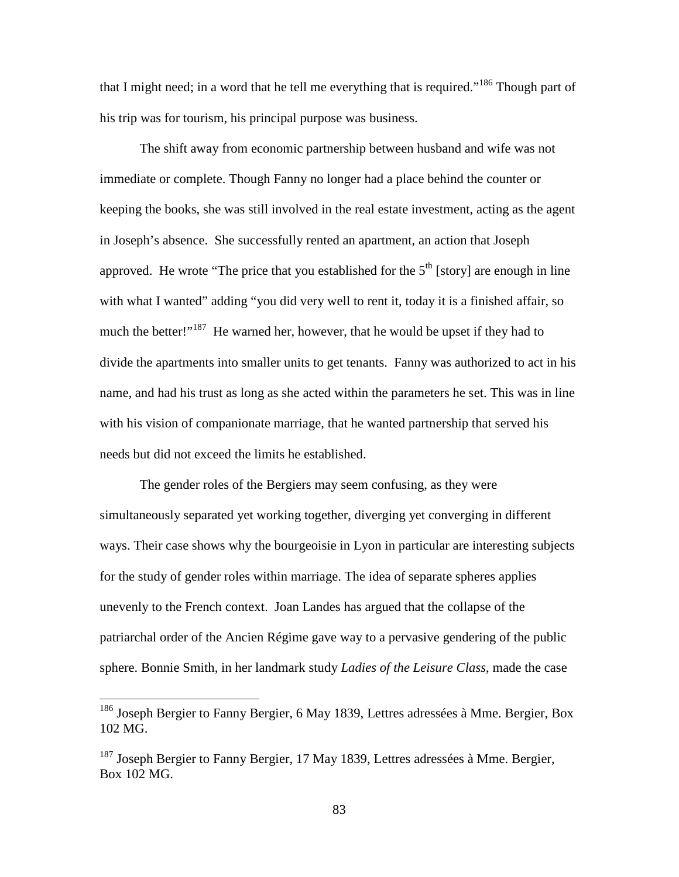that I might need; in a word that he tell me everything that is required."<sup>186</sup> Though part of his trip was for tourism, his principal purpose was business.

The shift away from economic partnership between husband and wife was not immediate or complete. Though Fanny no longer had a place behind the counter or keeping the books, she was still involved in the real estate investment, acting as the agent in Joseph's absence. She successfully rented an apartment, an action that Joseph approved. He wrote "The price that you established for the  $5<sup>th</sup>$  [story] are enough in line with what I wanted" adding "you did very well to rent it, today it is a finished affair, so much the better!"<sup>187</sup> He warned her, however, that he would be upset if they had to divide the apartments into smaller units to get tenants. Fanny was authorized to act in his name, and had his trust as long as she acted within the parameters he set. This was in line with his vision of companionate marriage, that he wanted partnership that served his needs but did not exceed the limits he established.

The gender roles of the Bergiers may seem confusing, as they were simultaneously separated yet working together, diverging yet converging in different ways. Their case shows why the bourgeoisie in Lyon in particular are interesting subjects for the study of gender roles within marriage. The idea of separate spheres applies unevenly to the French context. Joan Landes has argued that the collapse of the patriarchal order of the Ancien Régime gave way to a pervasive gendering of the public sphere. Bonnie Smith, in her landmark study *Ladies of the Leisure Class*, made the case

<sup>&</sup>lt;sup>186</sup> Joseph Bergier to Fanny Bergier, 6 May 1839, Lettres adressées à Mme. Bergier, Box 102 MG.

<sup>&</sup>lt;sup>187</sup> Joseph Bergier to Fanny Bergier, 17 May 1839, Lettres adressées à Mme. Bergier, Box 102 MG.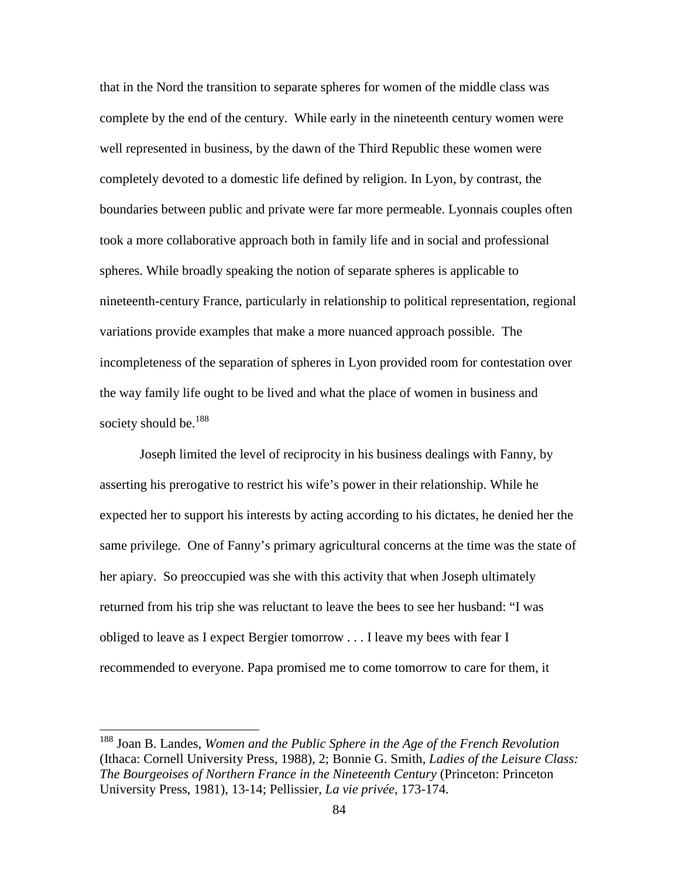that in the Nord the transition to separate spheres for women of the middle class was complete by the end of the century. While early in the nineteenth century women were well represented in business, by the dawn of the Third Republic these women were completely devoted to a domestic life defined by religion. In Lyon, by contrast, the boundaries between public and private were far more permeable. Lyonnais couples often took a more collaborative approach both in family life and in social and professional spheres. While broadly speaking the notion of separate spheres is applicable to nineteenth-century France, particularly in relationship to political representation, regional variations provide examples that make a more nuanced approach possible. The incompleteness of the separation of spheres in Lyon provided room for contestation over the way family life ought to be lived and what the place of women in business and society should be.<sup>188</sup>

Joseph limited the level of reciprocity in his business dealings with Fanny, by asserting his prerogative to restrict his wife's power in their relationship. While he expected her to support his interests by acting according to his dictates, he denied her the same privilege. One of Fanny's primary agricultural concerns at the time was the state of her apiary. So preoccupied was she with this activity that when Joseph ultimately returned from his trip she was reluctant to leave the bees to see her husband: "I was obliged to leave as I expect Bergier tomorrow . . . I leave my bees with fear I recommended to everyone. Papa promised me to come tomorrow to care for them, it

<sup>188</sup> Joan B. Landes, *Women and the Public Sphere in the Age of the French Revolution* (Ithaca: Cornell University Press, 1988), 2; Bonnie G. Smith, *Ladies of the Leisure Class: The Bourgeoises of Northern France in the Nineteenth Century* (Princeton: Princeton University Press, 1981), 13-14; Pellissier, *La vie privée*, 173-174.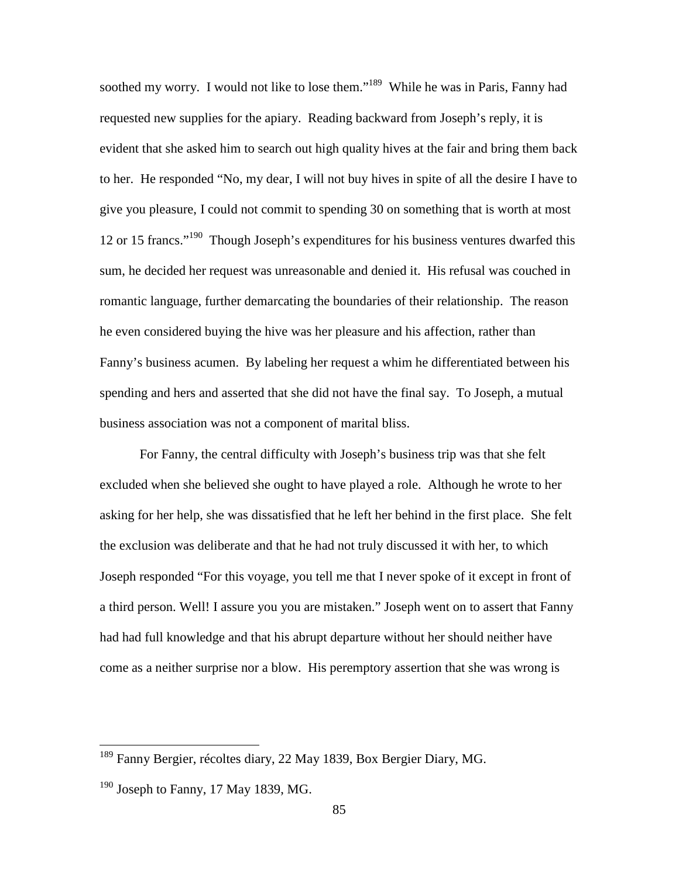soothed my worry. I would not like to lose them."<sup>189</sup> While he was in Paris, Fanny had requested new supplies for the apiary. Reading backward from Joseph's reply, it is evident that she asked him to search out high quality hives at the fair and bring them back to her. He responded "No, my dear, I will not buy hives in spite of all the desire I have to give you pleasure, I could not commit to spending 30 on something that is worth at most 12 or 15 francs."<sup>190</sup> Though Joseph's expenditures for his business ventures dwarfed this sum, he decided her request was unreasonable and denied it. His refusal was couched in romantic language, further demarcating the boundaries of their relationship. The reason he even considered buying the hive was her pleasure and his affection, rather than Fanny's business acumen. By labeling her request a whim he differentiated between his spending and hers and asserted that she did not have the final say. To Joseph, a mutual business association was not a component of marital bliss.

For Fanny, the central difficulty with Joseph's business trip was that she felt excluded when she believed she ought to have played a role. Although he wrote to her asking for her help, she was dissatisfied that he left her behind in the first place. She felt the exclusion was deliberate and that he had not truly discussed it with her, to which Joseph responded "For this voyage, you tell me that I never spoke of it except in front of a third person. Well! I assure you you are mistaken." Joseph went on to assert that Fanny had had full knowledge and that his abrupt departure without her should neither have come as a neither surprise nor a blow. His peremptory assertion that she was wrong is

<sup>&</sup>lt;sup>189</sup> Fanny Bergier, récoltes diary, 22 May 1839, Box Bergier Diary, MG.

 $190$  Joseph to Fanny, 17 May 1839, MG.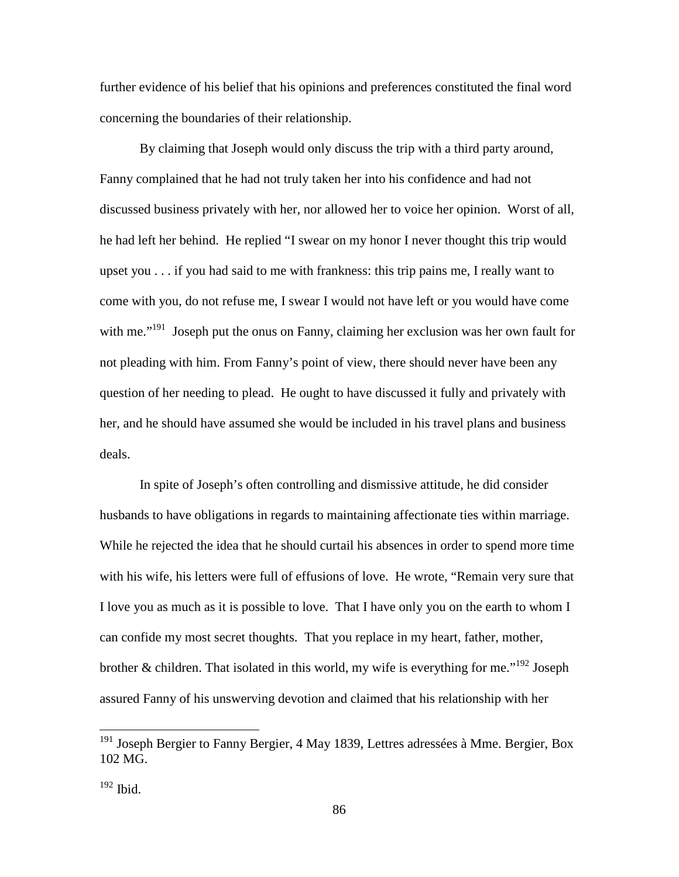further evidence of his belief that his opinions and preferences constituted the final word concerning the boundaries of their relationship.

By claiming that Joseph would only discuss the trip with a third party around, Fanny complained that he had not truly taken her into his confidence and had not discussed business privately with her, nor allowed her to voice her opinion. Worst of all, he had left her behind. He replied "I swear on my honor I never thought this trip would upset you . . . if you had said to me with frankness: this trip pains me, I really want to come with you, do not refuse me, I swear I would not have left or you would have come with me."<sup>191</sup> Joseph put the onus on Fanny, claiming her exclusion was her own fault for not pleading with him. From Fanny's point of view, there should never have been any question of her needing to plead. He ought to have discussed it fully and privately with her, and he should have assumed she would be included in his travel plans and business deals.

In spite of Joseph's often controlling and dismissive attitude, he did consider husbands to have obligations in regards to maintaining affectionate ties within marriage. While he rejected the idea that he should curtail his absences in order to spend more time with his wife, his letters were full of effusions of love. He wrote, "Remain very sure that I love you as much as it is possible to love. That I have only you on the earth to whom I can confide my most secret thoughts. That you replace in my heart, father, mother, brother & children. That isolated in this world, my wife is everything for me."<sup>192</sup> Joseph assured Fanny of his unswerving devotion and claimed that his relationship with her

<sup>&</sup>lt;sup>191</sup> Joseph Bergier to Fanny Bergier, 4 May 1839, Lettres adressées à Mme. Bergier, Box 102 MG.

 $192$  Ibid.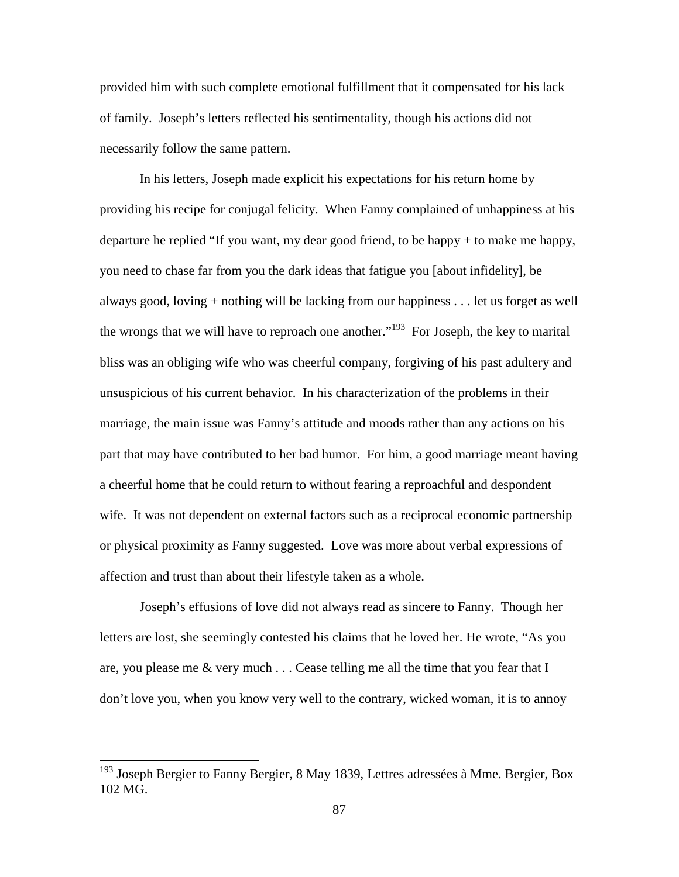provided him with such complete emotional fulfillment that it compensated for his lack of family. Joseph's letters reflected his sentimentality, though his actions did not necessarily follow the same pattern.

In his letters, Joseph made explicit his expectations for his return home by providing his recipe for conjugal felicity. When Fanny complained of unhappiness at his departure he replied "If you want, my dear good friend, to be happy + to make me happy, you need to chase far from you the dark ideas that fatigue you [about infidelity], be always good, loving + nothing will be lacking from our happiness . . . let us forget as well the wrongs that we will have to reproach one another."<sup>193</sup> For Joseph, the key to marital bliss was an obliging wife who was cheerful company, forgiving of his past adultery and unsuspicious of his current behavior. In his characterization of the problems in their marriage, the main issue was Fanny's attitude and moods rather than any actions on his part that may have contributed to her bad humor. For him, a good marriage meant having a cheerful home that he could return to without fearing a reproachful and despondent wife. It was not dependent on external factors such as a reciprocal economic partnership or physical proximity as Fanny suggested. Love was more about verbal expressions of affection and trust than about their lifestyle taken as a whole.

Joseph's effusions of love did not always read as sincere to Fanny. Though her letters are lost, she seemingly contested his claims that he loved her. He wrote, "As you are, you please me  $\&$  very much  $\ldots$  Cease telling me all the time that you fear that I don't love you, when you know very well to the contrary, wicked woman, it is to annoy

<sup>&</sup>lt;sup>193</sup> Joseph Bergier to Fanny Bergier, 8 May 1839, Lettres adressées à Mme. Bergier, Box 102 MG.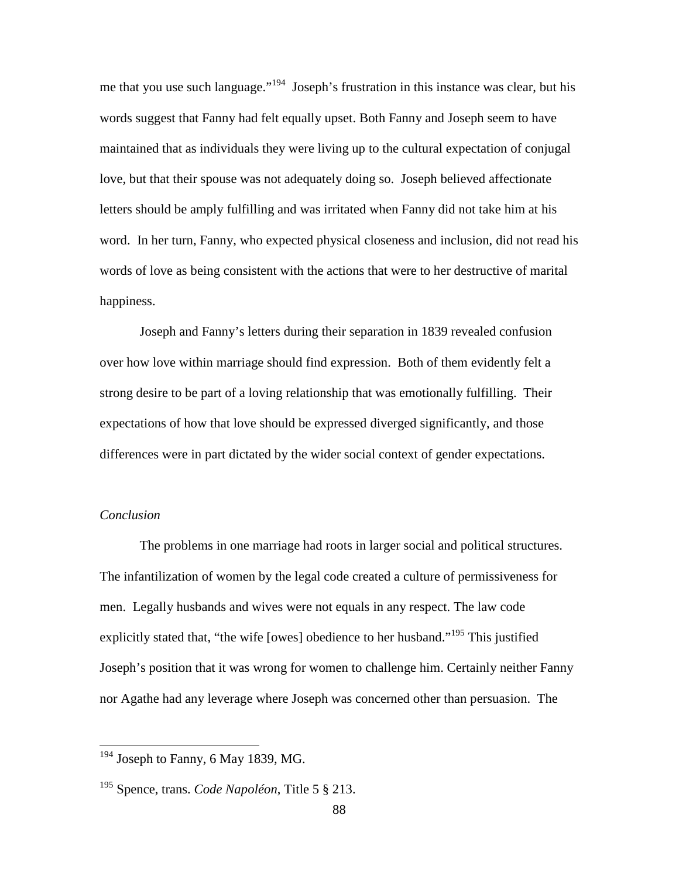me that you use such language."<sup>194</sup> Joseph's frustration in this instance was clear, but his words suggest that Fanny had felt equally upset. Both Fanny and Joseph seem to have maintained that as individuals they were living up to the cultural expectation of conjugal love, but that their spouse was not adequately doing so. Joseph believed affectionate letters should be amply fulfilling and was irritated when Fanny did not take him at his word. In her turn, Fanny, who expected physical closeness and inclusion, did not read his words of love as being consistent with the actions that were to her destructive of marital happiness.

Joseph and Fanny's letters during their separation in 1839 revealed confusion over how love within marriage should find expression. Both of them evidently felt a strong desire to be part of a loving relationship that was emotionally fulfilling. Their expectations of how that love should be expressed diverged significantly, and those differences were in part dictated by the wider social context of gender expectations.

#### *Conclusion*

<u>.</u>

The problems in one marriage had roots in larger social and political structures. The infantilization of women by the legal code created a culture of permissiveness for men. Legally husbands and wives were not equals in any respect. The law code explicitly stated that, "the wife [owes] obedience to her husband."<sup>195</sup> This justified Joseph's position that it was wrong for women to challenge him. Certainly neither Fanny nor Agathe had any leverage where Joseph was concerned other than persuasion. The

<sup>&</sup>lt;sup>194</sup> Joseph to Fanny, 6 May 1839, MG.

<sup>195</sup> Spence, trans. *Code Napoléon*, Title 5 § 213.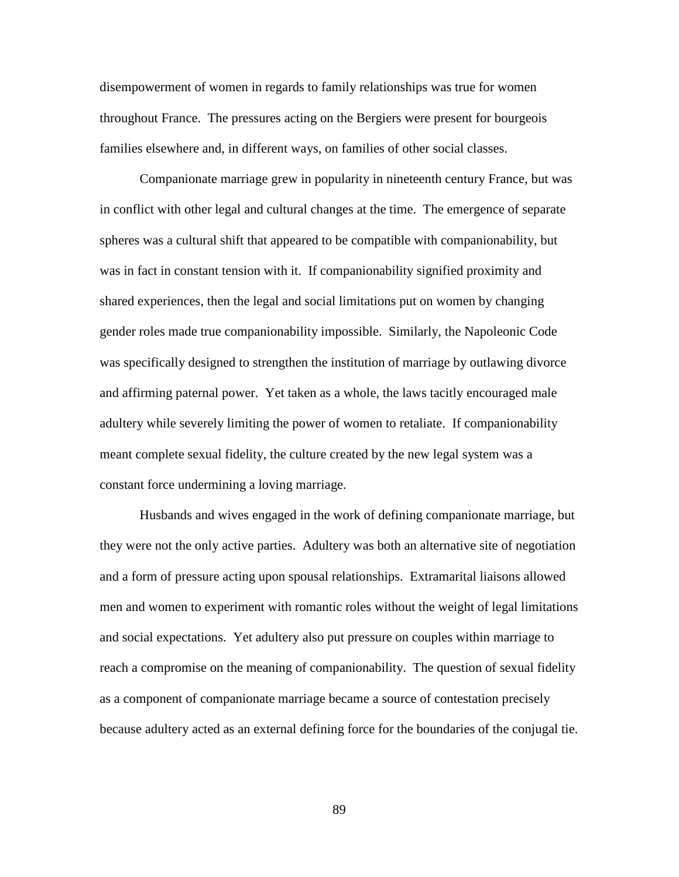disempowerment of women in regards to family relationships was true for women throughout France. The pressures acting on the Bergiers were present for bourgeois families elsewhere and, in different ways, on families of other social classes.

Companionate marriage grew in popularity in nineteenth century France, but was in conflict with other legal and cultural changes at the time. The emergence of separate spheres was a cultural shift that appeared to be compatible with companionability, but was in fact in constant tension with it. If companionability signified proximity and shared experiences, then the legal and social limitations put on women by changing gender roles made true companionability impossible. Similarly, the Napoleonic Code was specifically designed to strengthen the institution of marriage by outlawing divorce and affirming paternal power. Yet taken as a whole, the laws tacitly encouraged male adultery while severely limiting the power of women to retaliate. If companionability meant complete sexual fidelity, the culture created by the new legal system was a constant force undermining a loving marriage.

Husbands and wives engaged in the work of defining companionate marriage, but they were not the only active parties. Adultery was both an alternative site of negotiation and a form of pressure acting upon spousal relationships. Extramarital liaisons allowed men and women to experiment with romantic roles without the weight of legal limitations and social expectations. Yet adultery also put pressure on couples within marriage to reach a compromise on the meaning of companionability. The question of sexual fidelity as a component of companionate marriage became a source of contestation precisely because adultery acted as an external defining force for the boundaries of the conjugal tie.

89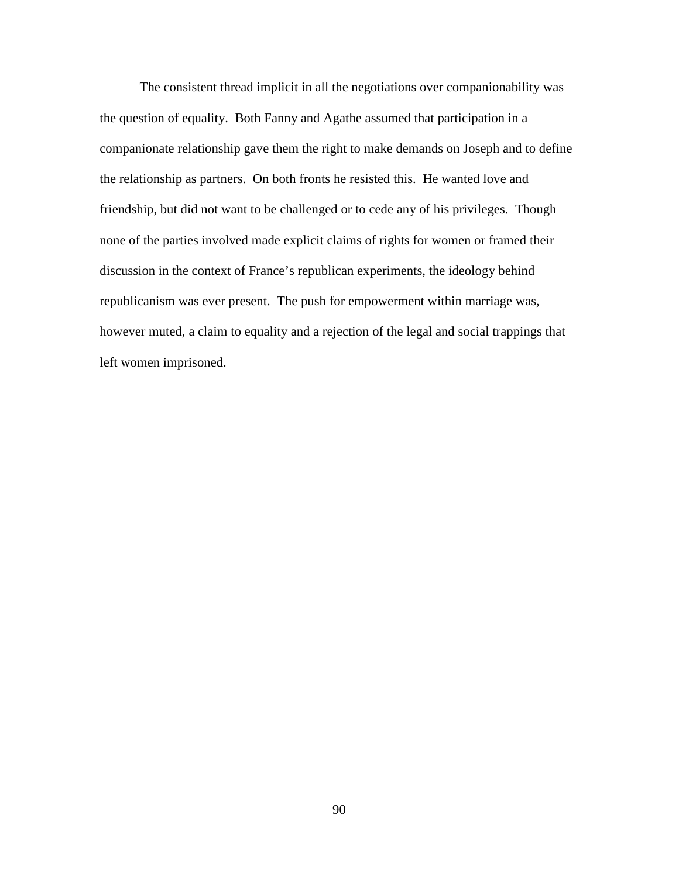The consistent thread implicit in all the negotiations over companionability was the question of equality. Both Fanny and Agathe assumed that participation in a companionate relationship gave them the right to make demands on Joseph and to define the relationship as partners. On both fronts he resisted this. He wanted love and friendship, but did not want to be challenged or to cede any of his privileges. Though none of the parties involved made explicit claims of rights for women or framed their discussion in the context of France's republican experiments, the ideology behind republicanism was ever present. The push for empowerment within marriage was, however muted, a claim to equality and a rejection of the legal and social trappings that left women imprisoned.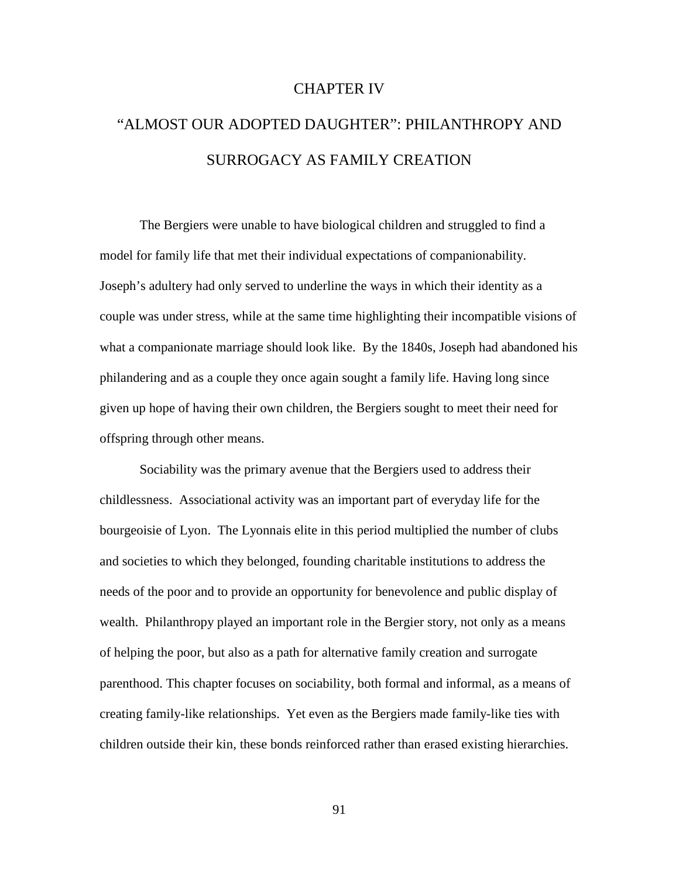## CHAPTER IV

# "ALMOST OUR ADOPTED DAUGHTER": PHILANTHROPY AND SURROGACY AS FAMILY CREATION

The Bergiers were unable to have biological children and struggled to find a model for family life that met their individual expectations of companionability. Joseph's adultery had only served to underline the ways in which their identity as a couple was under stress, while at the same time highlighting their incompatible visions of what a companionate marriage should look like. By the 1840s, Joseph had abandoned his philandering and as a couple they once again sought a family life. Having long since given up hope of having their own children, the Bergiers sought to meet their need for offspring through other means.

Sociability was the primary avenue that the Bergiers used to address their childlessness. Associational activity was an important part of everyday life for the bourgeoisie of Lyon. The Lyonnais elite in this period multiplied the number of clubs and societies to which they belonged, founding charitable institutions to address the needs of the poor and to provide an opportunity for benevolence and public display of wealth. Philanthropy played an important role in the Bergier story, not only as a means of helping the poor, but also as a path for alternative family creation and surrogate parenthood. This chapter focuses on sociability, both formal and informal, as a means of creating family-like relationships. Yet even as the Bergiers made family-like ties with children outside their kin, these bonds reinforced rather than erased existing hierarchies.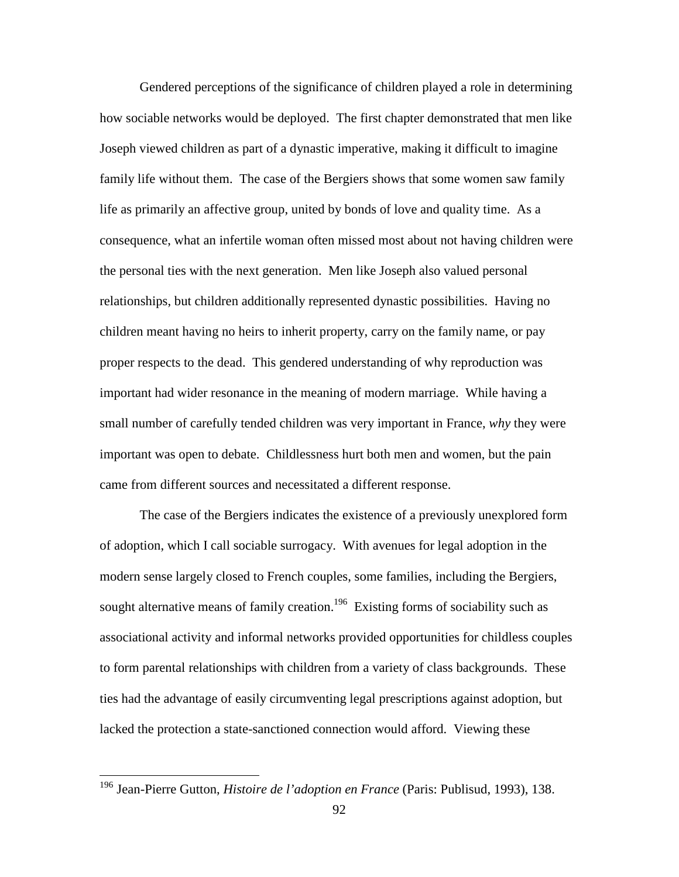Gendered perceptions of the significance of children played a role in determining how sociable networks would be deployed. The first chapter demonstrated that men like Joseph viewed children as part of a dynastic imperative, making it difficult to imagine family life without them. The case of the Bergiers shows that some women saw family life as primarily an affective group, united by bonds of love and quality time. As a consequence, what an infertile woman often missed most about not having children were the personal ties with the next generation. Men like Joseph also valued personal relationships, but children additionally represented dynastic possibilities. Having no children meant having no heirs to inherit property, carry on the family name, or pay proper respects to the dead. This gendered understanding of why reproduction was important had wider resonance in the meaning of modern marriage. While having a small number of carefully tended children was very important in France, *why* they were important was open to debate. Childlessness hurt both men and women, but the pain came from different sources and necessitated a different response.

The case of the Bergiers indicates the existence of a previously unexplored form of adoption, which I call sociable surrogacy. With avenues for legal adoption in the modern sense largely closed to French couples, some families, including the Bergiers, sought alternative means of family creation.<sup>196</sup> Existing forms of sociability such as associational activity and informal networks provided opportunities for childless couples to form parental relationships with children from a variety of class backgrounds. These ties had the advantage of easily circumventing legal prescriptions against adoption, but lacked the protection a state-sanctioned connection would afford. Viewing these

<sup>196</sup> Jean-Pierre Gutton, *Histoire de l'adoption en France* (Paris: Publisud, 1993), 138.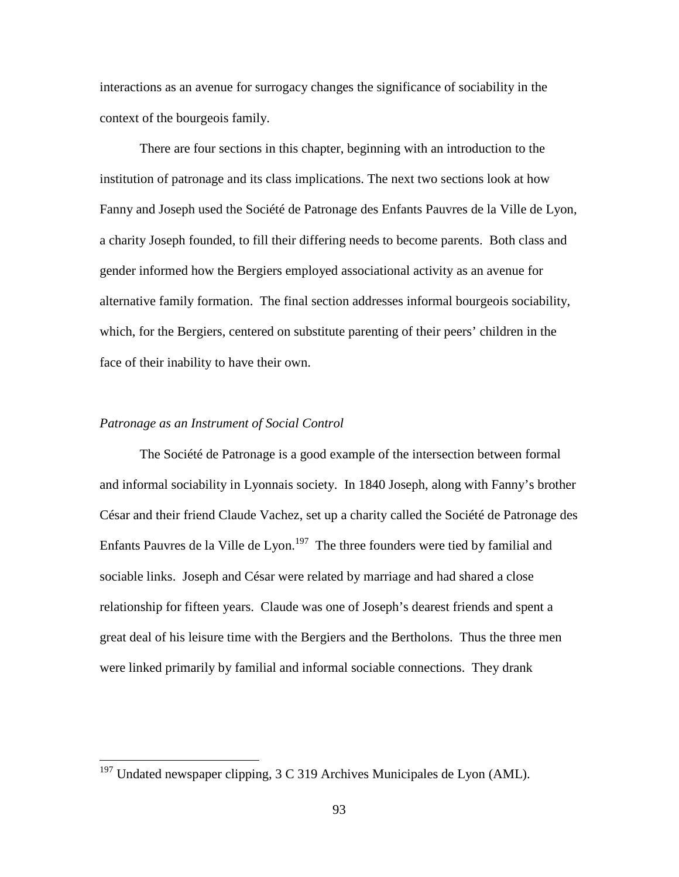interactions as an avenue for surrogacy changes the significance of sociability in the context of the bourgeois family.

There are four sections in this chapter, beginning with an introduction to the institution of patronage and its class implications. The next two sections look at how Fanny and Joseph used the Société de Patronage des Enfants Pauvres de la Ville de Lyon, a charity Joseph founded, to fill their differing needs to become parents. Both class and gender informed how the Bergiers employed associational activity as an avenue for alternative family formation. The final section addresses informal bourgeois sociability, which, for the Bergiers, centered on substitute parenting of their peers' children in the face of their inability to have their own.

## *Patronage as an Instrument of Social Control*

<u>.</u>

The Société de Patronage is a good example of the intersection between formal and informal sociability in Lyonnais society. In 1840 Joseph, along with Fanny's brother César and their friend Claude Vachez, set up a charity called the Société de Patronage des Enfants Pauvres de la Ville de Lyon.<sup>197</sup> The three founders were tied by familial and sociable links. Joseph and César were related by marriage and had shared a close relationship for fifteen years. Claude was one of Joseph's dearest friends and spent a great deal of his leisure time with the Bergiers and the Bertholons. Thus the three men were linked primarily by familial and informal sociable connections. They drank

<sup>&</sup>lt;sup>197</sup> Undated newspaper clipping, 3 C 319 Archives Municipales de Lyon (AML).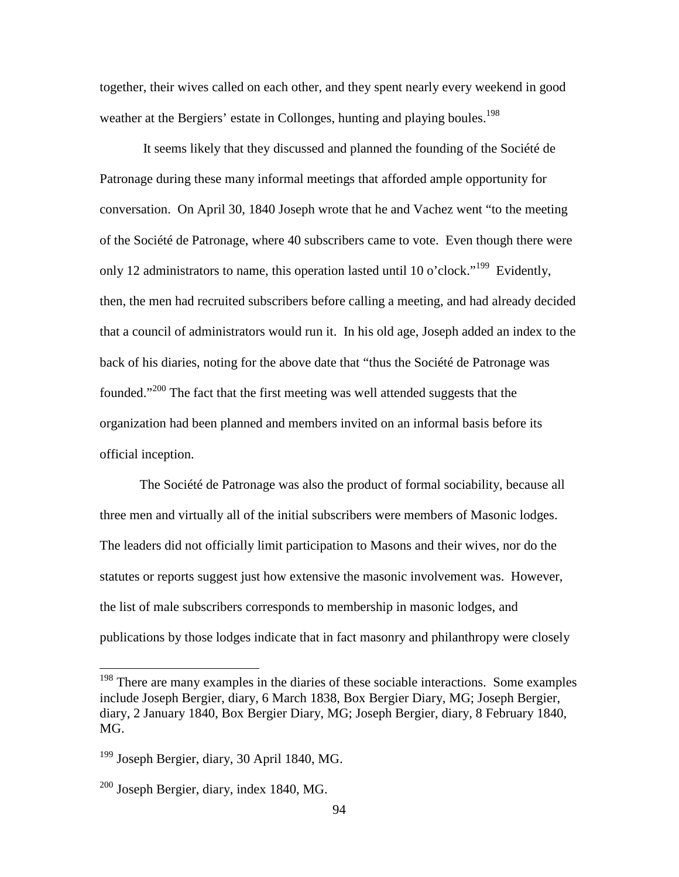together, their wives called on each other, and they spent nearly every weekend in good weather at the Bergiers' estate in Collonges, hunting and playing boules.<sup>198</sup>

 It seems likely that they discussed and planned the founding of the Société de Patronage during these many informal meetings that afforded ample opportunity for conversation. On April 30, 1840 Joseph wrote that he and Vachez went "to the meeting of the Société de Patronage, where 40 subscribers came to vote. Even though there were only 12 administrators to name, this operation lasted until 10 o'clock."<sup>199</sup> Evidently, then, the men had recruited subscribers before calling a meeting, and had already decided that a council of administrators would run it. In his old age, Joseph added an index to the back of his diaries, noting for the above date that "thus the Société de Patronage was founded."<sup>200</sup> The fact that the first meeting was well attended suggests that the organization had been planned and members invited on an informal basis before its official inception.

 The Société de Patronage was also the product of formal sociability, because all three men and virtually all of the initial subscribers were members of Masonic lodges. The leaders did not officially limit participation to Masons and their wives, nor do the statutes or reports suggest just how extensive the masonic involvement was. However, the list of male subscribers corresponds to membership in masonic lodges, and publications by those lodges indicate that in fact masonry and philanthropy were closely

 $198$  There are many examples in the diaries of these sociable interactions. Some examples include Joseph Bergier, diary, 6 March 1838, Box Bergier Diary, MG; Joseph Bergier, diary, 2 January 1840, Box Bergier Diary, MG; Joseph Bergier, diary, 8 February 1840, MG.

<sup>&</sup>lt;sup>199</sup> Joseph Bergier, diary, 30 April 1840, MG.

 $200$  Joseph Bergier, diary, index 1840, MG.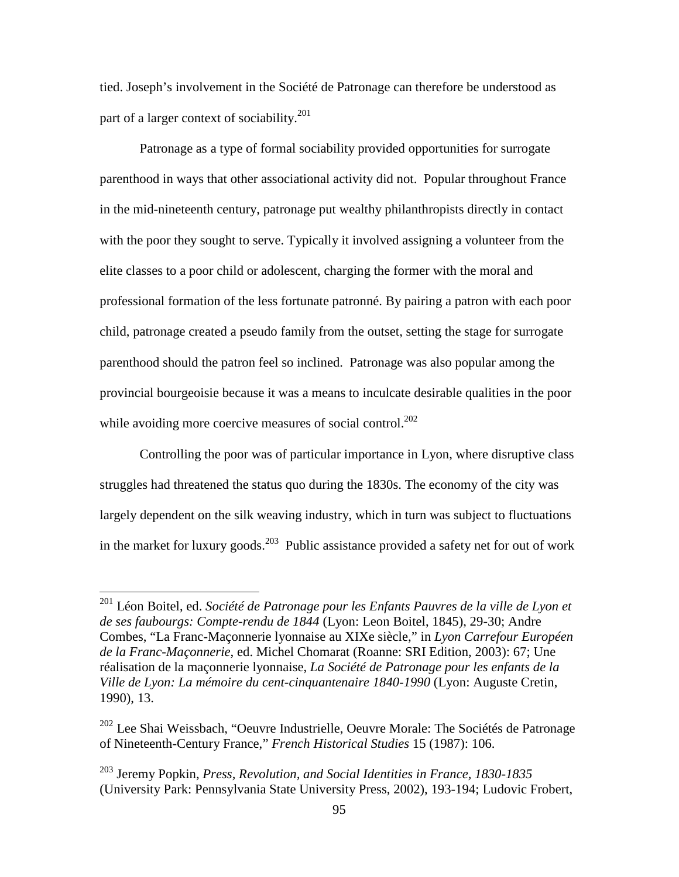tied. Joseph's involvement in the Société de Patronage can therefore be understood as part of a larger context of sociability.<sup>201</sup>

Patronage as a type of formal sociability provided opportunities for surrogate parenthood in ways that other associational activity did not. Popular throughout France in the mid-nineteenth century, patronage put wealthy philanthropists directly in contact with the poor they sought to serve. Typically it involved assigning a volunteer from the elite classes to a poor child or adolescent, charging the former with the moral and professional formation of the less fortunate patronné. By pairing a patron with each poor child, patronage created a pseudo family from the outset, setting the stage for surrogate parenthood should the patron feel so inclined. Patronage was also popular among the provincial bourgeoisie because it was a means to inculcate desirable qualities in the poor while avoiding more coercive measures of social control.<sup>202</sup>

Controlling the poor was of particular importance in Lyon, where disruptive class struggles had threatened the status quo during the 1830s. The economy of the city was largely dependent on the silk weaving industry, which in turn was subject to fluctuations in the market for luxury goods.<sup>203</sup> Public assistance provided a safety net for out of work

<sup>&</sup>lt;sup>201</sup> Léon Boitel, ed. *Société de Patronage pour les Enfants Pauvres de la ville de Lyon et de ses faubourgs: Compte-rendu de 1844* (Lyon: Leon Boitel, 1845), 29-30; Andre Combes, "La Franc-Maçonnerie lyonnaise au XIXe siècle," in *Lyon Carrefour Européen de la Franc-Maçonnerie*, ed. Michel Chomarat (Roanne: SRI Edition, 2003): 67; Une réalisation de la maçonnerie lyonnaise, *La Société de Patronage pour les enfants de la Ville de Lyon: La mémoire du cent-cinquantenaire 1840-1990* (Lyon: Auguste Cretin, 1990), 13.

<sup>202</sup> Lee Shai Weissbach, "Oeuvre Industrielle, Oeuvre Morale: The Sociétés de Patronage of Nineteenth-Century France," *French Historical Studies* 15 (1987): 106.

<sup>203</sup> Jeremy Popkin, *Press, Revolution, and Social Identities in France, 1830-1835* (University Park: Pennsylvania State University Press, 2002), 193-194; Ludovic Frobert,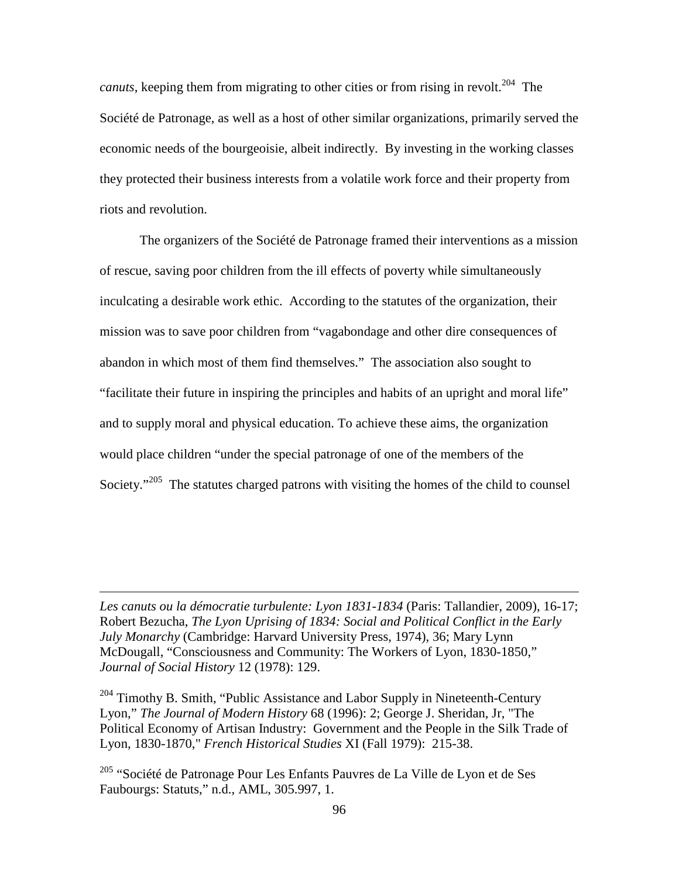*canuts*, keeping them from migrating to other cities or from rising in revolt.<sup>204</sup> The Société de Patronage, as well as a host of other similar organizations, primarily served the economic needs of the bourgeoisie, albeit indirectly. By investing in the working classes they protected their business interests from a volatile work force and their property from riots and revolution.

The organizers of the Société de Patronage framed their interventions as a mission of rescue, saving poor children from the ill effects of poverty while simultaneously inculcating a desirable work ethic. According to the statutes of the organization, their mission was to save poor children from "vagabondage and other dire consequences of abandon in which most of them find themselves." The association also sought to "facilitate their future in inspiring the principles and habits of an upright and moral life" and to supply moral and physical education. To achieve these aims, the organization would place children "under the special patronage of one of the members of the Society."<sup>205</sup> The statutes charged patrons with visiting the homes of the child to counsel

*Les canuts ou la démocratie turbulente: Lyon 1831-1834* (Paris: Tallandier, 2009), 16-17; Robert Bezucha, *The Lyon Uprising of 1834: Social and Political Conflict in the Early July Monarchy* (Cambridge: Harvard University Press, 1974), 36; Mary Lynn McDougall, "Consciousness and Community: The Workers of Lyon, 1830-1850," *Journal of Social History* 12 (1978): 129.

 $\overline{a}$ 

 $204$  Timothy B. Smith, "Public Assistance and Labor Supply in Nineteenth-Century Lyon," *The Journal of Modern History* 68 (1996): 2; George J. Sheridan, Jr, "The Political Economy of Artisan Industry: Government and the People in the Silk Trade of Lyon, 1830-1870," *French Historical Studies* XI (Fall 1979): 215-38.

<sup>205</sup> "Société de Patronage Pour Les Enfants Pauvres de La Ville de Lyon et de Ses Faubourgs: Statuts," n.d., AML, 305.997, 1.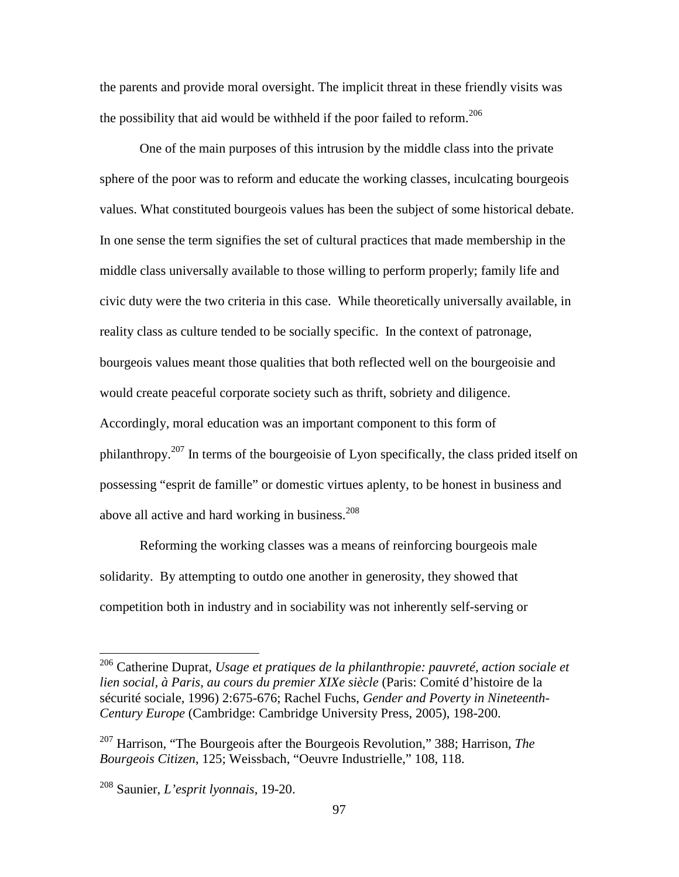the parents and provide moral oversight. The implicit threat in these friendly visits was the possibility that aid would be withheld if the poor failed to reform.<sup>206</sup>

One of the main purposes of this intrusion by the middle class into the private sphere of the poor was to reform and educate the working classes, inculcating bourgeois values. What constituted bourgeois values has been the subject of some historical debate. In one sense the term signifies the set of cultural practices that made membership in the middle class universally available to those willing to perform properly; family life and civic duty were the two criteria in this case. While theoretically universally available, in reality class as culture tended to be socially specific. In the context of patronage, bourgeois values meant those qualities that both reflected well on the bourgeoisie and would create peaceful corporate society such as thrift, sobriety and diligence. Accordingly, moral education was an important component to this form of philanthropy.<sup>207</sup> In terms of the bourgeoisie of Lyon specifically, the class prided itself on possessing "esprit de famille" or domestic virtues aplenty, to be honest in business and above all active and hard working in business.<sup>208</sup>

Reforming the working classes was a means of reinforcing bourgeois male solidarity. By attempting to outdo one another in generosity, they showed that competition both in industry and in sociability was not inherently self-serving or

<sup>206</sup> Catherine Duprat, *Usage et pratiques de la philanthropie: pauvreté, action sociale et lien social, à Paris, au cours du premier XIXe siècle* (Paris: Comité d'histoire de la sécurité sociale, 1996) 2:675-676; Rachel Fuchs, *Gender and Poverty in Nineteenth-Century Europe* (Cambridge: Cambridge University Press, 2005), 198-200.

<sup>207</sup> Harrison, "The Bourgeois after the Bourgeois Revolution," 388; Harrison, *The Bourgeois Citizen*, 125; Weissbach, "Oeuvre Industrielle," 108, 118.

<sup>208</sup> Saunier, *L'esprit lyonnais*, 19-20.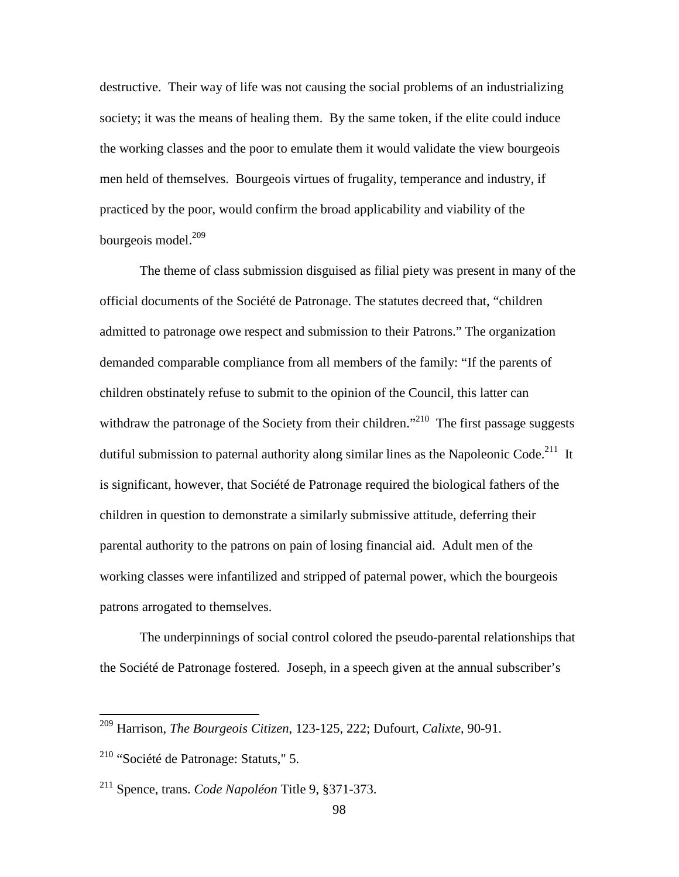destructive. Their way of life was not causing the social problems of an industrializing society; it was the means of healing them. By the same token, if the elite could induce the working classes and the poor to emulate them it would validate the view bourgeois men held of themselves. Bourgeois virtues of frugality, temperance and industry, if practiced by the poor, would confirm the broad applicability and viability of the bourgeois model. $^{209}$ 

The theme of class submission disguised as filial piety was present in many of the official documents of the Société de Patronage. The statutes decreed that, "children admitted to patronage owe respect and submission to their Patrons." The organization demanded comparable compliance from all members of the family: "If the parents of children obstinately refuse to submit to the opinion of the Council, this latter can withdraw the patronage of the Society from their children.<sup> $210$ </sup> The first passage suggests dutiful submission to paternal authority along similar lines as the Napoleonic Code.<sup>211</sup> It is significant, however, that Société de Patronage required the biological fathers of the children in question to demonstrate a similarly submissive attitude, deferring their parental authority to the patrons on pain of losing financial aid. Adult men of the working classes were infantilized and stripped of paternal power, which the bourgeois patrons arrogated to themselves.

The underpinnings of social control colored the pseudo-parental relationships that the Société de Patronage fostered. Joseph, in a speech given at the annual subscriber's

<sup>209</sup> Harrison, *The Bourgeois Citizen*, 123-125, 222; Dufourt, *Calixte*, 90-91.

 $210$  "Société de Patronage: Statuts," 5.

<sup>211</sup> Spence, trans. *Code Napoléon* Title 9, §371-373.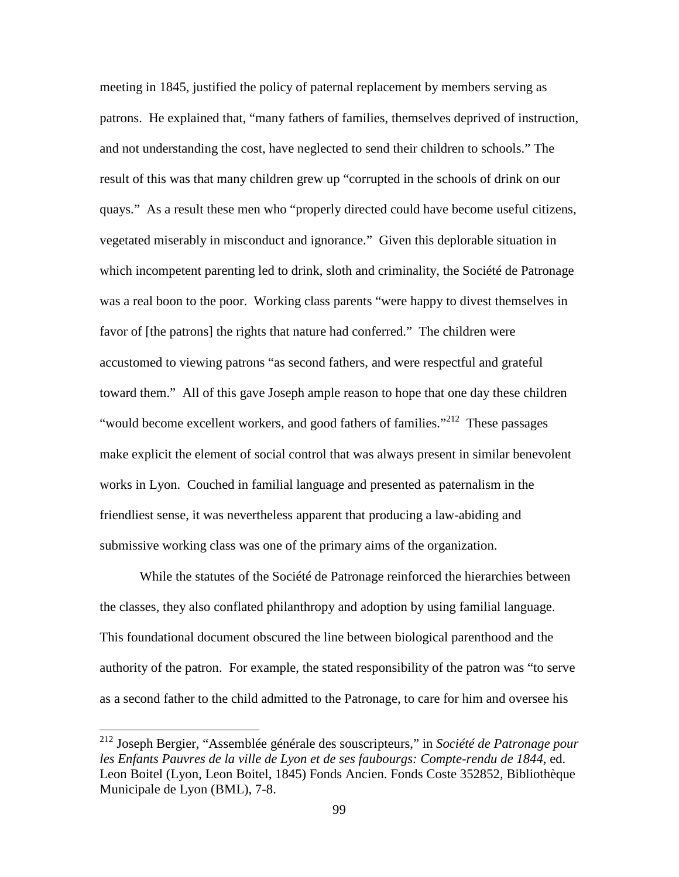meeting in 1845, justified the policy of paternal replacement by members serving as patrons. He explained that, "many fathers of families, themselves deprived of instruction, and not understanding the cost, have neglected to send their children to schools." The result of this was that many children grew up "corrupted in the schools of drink on our quays." As a result these men who "properly directed could have become useful citizens, vegetated miserably in misconduct and ignorance." Given this deplorable situation in which incompetent parenting led to drink, sloth and criminality, the Société de Patronage was a real boon to the poor. Working class parents "were happy to divest themselves in favor of [the patrons] the rights that nature had conferred." The children were accustomed to viewing patrons "as second fathers, and were respectful and grateful toward them." All of this gave Joseph ample reason to hope that one day these children "would become excellent workers, and good fathers of families."<sup>212</sup> These passages make explicit the element of social control that was always present in similar benevolent works in Lyon. Couched in familial language and presented as paternalism in the friendliest sense, it was nevertheless apparent that producing a law-abiding and submissive working class was one of the primary aims of the organization.

While the statutes of the Société de Patronage reinforced the hierarchies between the classes, they also conflated philanthropy and adoption by using familial language. This foundational document obscured the line between biological parenthood and the authority of the patron. For example, the stated responsibility of the patron was "to serve as a second father to the child admitted to the Patronage, to care for him and oversee his

<sup>212</sup> Joseph Bergier, "Assemblée générale des souscripteurs," in *Société de Patronage pour les Enfants Pauvres de la ville de Lyon et de ses faubourgs: Compte-rendu de 1844*, ed. Leon Boitel (Lyon, Leon Boitel, 1845) Fonds Ancien. Fonds Coste 352852, Bibliothèque Municipale de Lyon (BML), 7-8.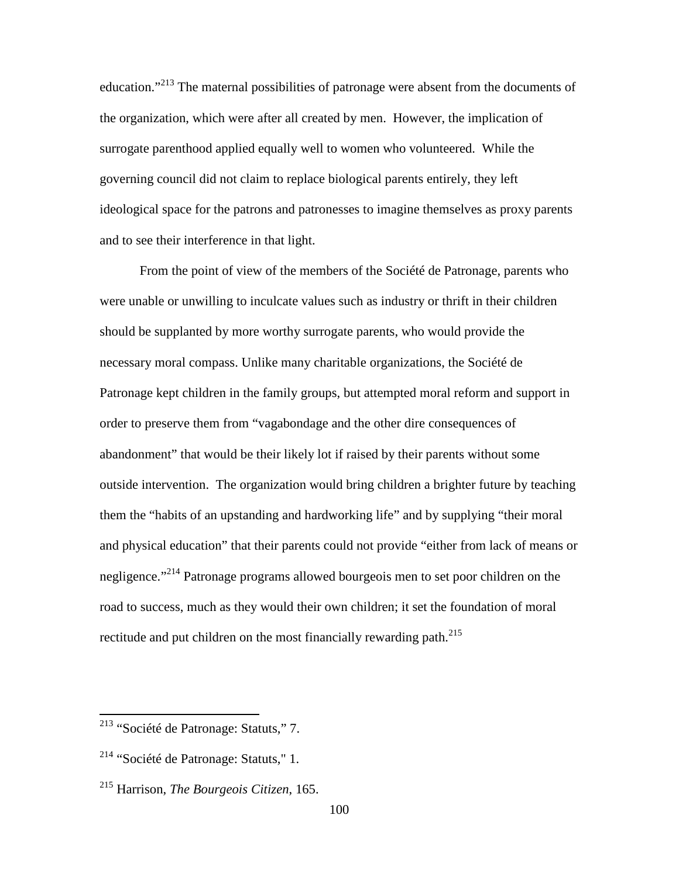education."<sup>213</sup> The maternal possibilities of patronage were absent from the documents of the organization, which were after all created by men. However, the implication of surrogate parenthood applied equally well to women who volunteered. While the governing council did not claim to replace biological parents entirely, they left ideological space for the patrons and patronesses to imagine themselves as proxy parents and to see their interference in that light.

From the point of view of the members of the Société de Patronage, parents who were unable or unwilling to inculcate values such as industry or thrift in their children should be supplanted by more worthy surrogate parents, who would provide the necessary moral compass. Unlike many charitable organizations, the Société de Patronage kept children in the family groups, but attempted moral reform and support in order to preserve them from "vagabondage and the other dire consequences of abandonment" that would be their likely lot if raised by their parents without some outside intervention. The organization would bring children a brighter future by teaching them the "habits of an upstanding and hardworking life" and by supplying "their moral and physical education" that their parents could not provide "either from lack of means or negligence."<sup>214</sup> Patronage programs allowed bourgeois men to set poor children on the road to success, much as they would their own children; it set the foundation of moral rectitude and put children on the most financially rewarding path.<sup>215</sup>

-

<sup>213</sup> "Société de Patronage: Statuts," 7.

<sup>&</sup>lt;sup>214</sup> "Société de Patronage: Statuts," 1.

<sup>215</sup> Harrison, *The Bourgeois Citizen*, 165.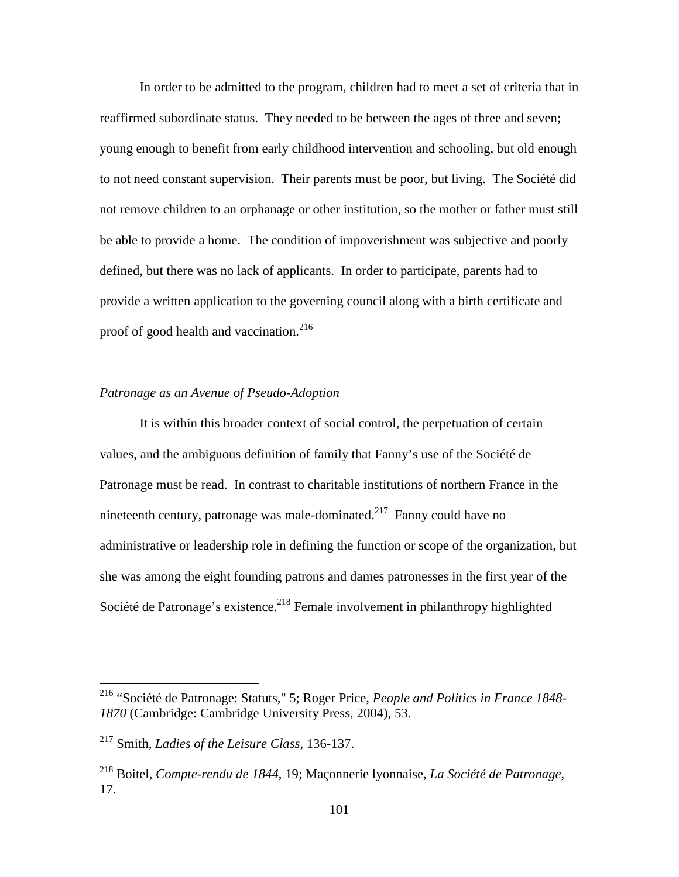In order to be admitted to the program, children had to meet a set of criteria that in reaffirmed subordinate status. They needed to be between the ages of three and seven; young enough to benefit from early childhood intervention and schooling, but old enough to not need constant supervision. Their parents must be poor, but living. The Société did not remove children to an orphanage or other institution, so the mother or father must still be able to provide a home. The condition of impoverishment was subjective and poorly defined, but there was no lack of applicants. In order to participate, parents had to provide a written application to the governing council along with a birth certificate and proof of good health and vaccination.<sup>216</sup>

## *Patronage as an Avenue of Pseudo-Adoption*

It is within this broader context of social control, the perpetuation of certain values, and the ambiguous definition of family that Fanny's use of the Société de Patronage must be read. In contrast to charitable institutions of northern France in the nineteenth century, patronage was male-dominated.<sup>217</sup> Fanny could have no administrative or leadership role in defining the function or scope of the organization, but she was among the eight founding patrons and dames patronesses in the first year of the Société de Patronage's existence.<sup>218</sup> Female involvement in philanthropy highlighted

<sup>216</sup> "Société de Patronage: Statuts," 5; Roger Price, *People and Politics in France 1848- 1870* (Cambridge: Cambridge University Press, 2004), 53.

<sup>217</sup> Smith, *Ladies of the Leisure Class*, 136-137.

<sup>218</sup> Boitel, *Compte-rendu de 1844*, 19; Maçonnerie lyonnaise, *La Société de Patronage*, 17.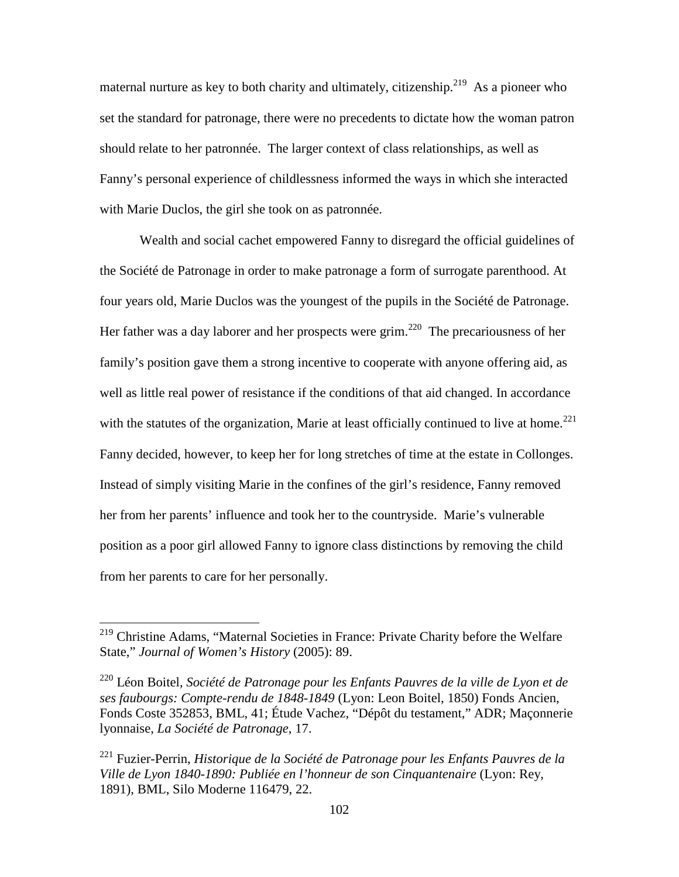maternal nurture as key to both charity and ultimately, citizenship.<sup>219</sup> As a pioneer who set the standard for patronage, there were no precedents to dictate how the woman patron should relate to her patronnée. The larger context of class relationships, as well as Fanny's personal experience of childlessness informed the ways in which she interacted with Marie Duclos, the girl she took on as patronnée.

Wealth and social cachet empowered Fanny to disregard the official guidelines of the Société de Patronage in order to make patronage a form of surrogate parenthood. At four years old, Marie Duclos was the youngest of the pupils in the Société de Patronage. Her father was a day laborer and her prospects were grim.<sup>220</sup> The precariousness of her family's position gave them a strong incentive to cooperate with anyone offering aid, as well as little real power of resistance if the conditions of that aid changed. In accordance with the statutes of the organization, Marie at least officially continued to live at home.<sup>221</sup> Fanny decided, however, to keep her for long stretches of time at the estate in Collonges. Instead of simply visiting Marie in the confines of the girl's residence, Fanny removed her from her parents' influence and took her to the countryside. Marie's vulnerable position as a poor girl allowed Fanny to ignore class distinctions by removing the child from her parents to care for her personally.

<sup>&</sup>lt;sup>219</sup> Christine Adams, "Maternal Societies in France: Private Charity before the Welfare State," *Journal of Women's History* (2005): 89.

<sup>220</sup> Léon Boitel, *Société de Patronage pour les Enfants Pauvres de la ville de Lyon et de ses faubourgs: Compte-rendu de 1848-1849* (Lyon: Leon Boitel, 1850) Fonds Ancien, Fonds Coste 352853, BML, 41; Étude Vachez, "Dépôt du testament," ADR; Maçonnerie lyonnaise, *La Société de Patronage*, 17.

<sup>221</sup> Fuzier-Perrin, *Historique de la Société de Patronage pour les Enfants Pauvres de la Ville de Lyon 1840-1890: Publiée en l'honneur de son Cinquantenaire* (Lyon: Rey, 1891), BML, Silo Moderne 116479, 22.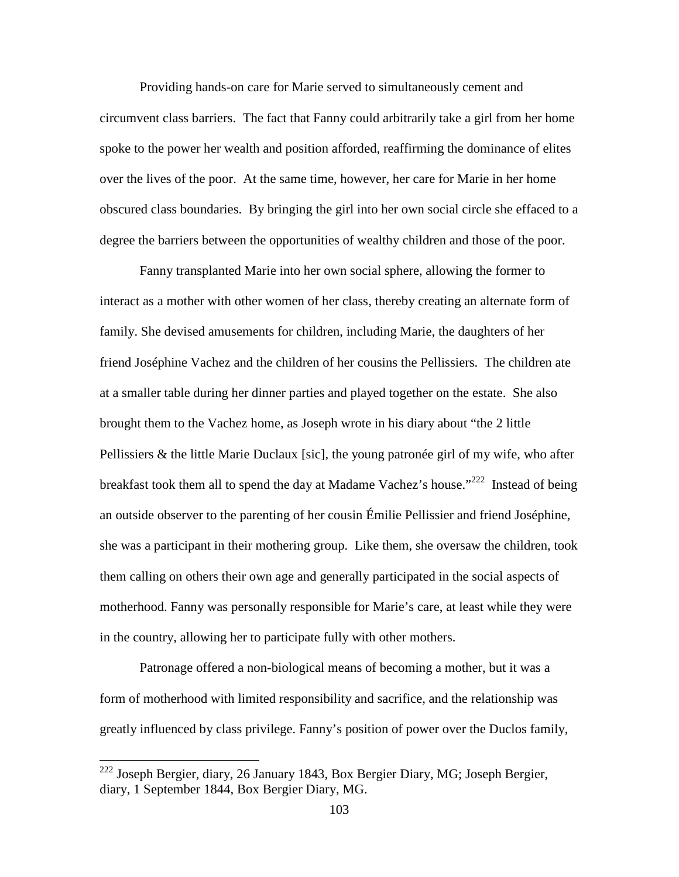Providing hands-on care for Marie served to simultaneously cement and circumvent class barriers. The fact that Fanny could arbitrarily take a girl from her home spoke to the power her wealth and position afforded, reaffirming the dominance of elites over the lives of the poor. At the same time, however, her care for Marie in her home obscured class boundaries. By bringing the girl into her own social circle she effaced to a degree the barriers between the opportunities of wealthy children and those of the poor.

Fanny transplanted Marie into her own social sphere, allowing the former to interact as a mother with other women of her class, thereby creating an alternate form of family. She devised amusements for children, including Marie, the daughters of her friend Joséphine Vachez and the children of her cousins the Pellissiers. The children ate at a smaller table during her dinner parties and played together on the estate. She also brought them to the Vachez home, as Joseph wrote in his diary about "the 2 little Pellissiers & the little Marie Duclaux [sic], the young patronée girl of my wife, who after breakfast took them all to spend the day at Madame Vachez's house."<sup>222</sup> Instead of being an outside observer to the parenting of her cousin Émilie Pellissier and friend Joséphine, she was a participant in their mothering group. Like them, she oversaw the children, took them calling on others their own age and generally participated in the social aspects of motherhood. Fanny was personally responsible for Marie's care, at least while they were in the country, allowing her to participate fully with other mothers.

Patronage offered a non-biological means of becoming a mother, but it was a form of motherhood with limited responsibility and sacrifice, and the relationship was greatly influenced by class privilege. Fanny's position of power over the Duclos family,

 $222$  Joseph Bergier, diary, 26 January 1843, Box Bergier Diary, MG; Joseph Bergier, diary, 1 September 1844, Box Bergier Diary, MG.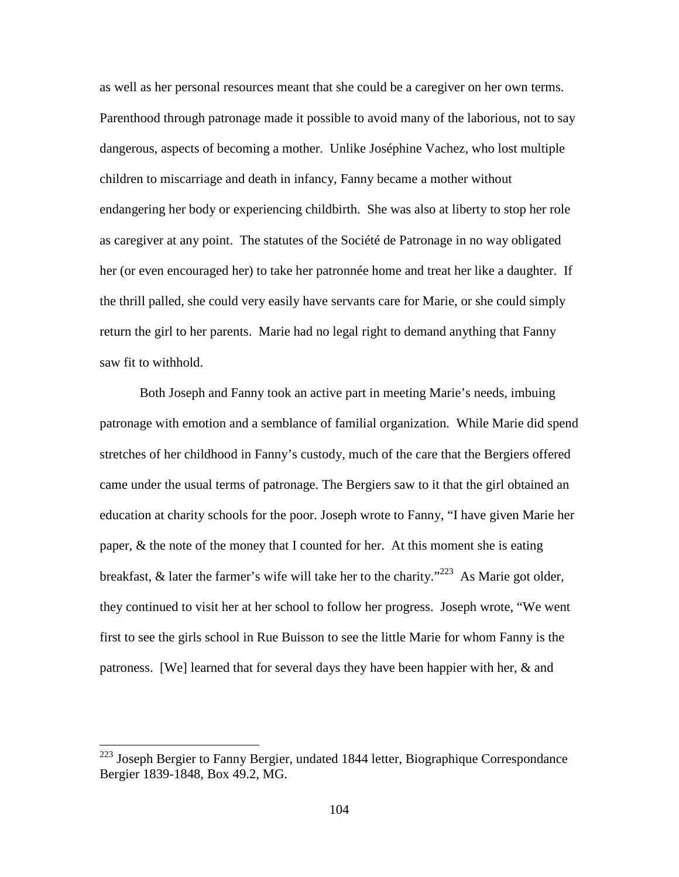as well as her personal resources meant that she could be a caregiver on her own terms. Parenthood through patronage made it possible to avoid many of the laborious, not to say dangerous, aspects of becoming a mother. Unlike Joséphine Vachez, who lost multiple children to miscarriage and death in infancy, Fanny became a mother without endangering her body or experiencing childbirth. She was also at liberty to stop her role as caregiver at any point. The statutes of the Société de Patronage in no way obligated her (or even encouraged her) to take her patronnée home and treat her like a daughter. If the thrill palled, she could very easily have servants care for Marie, or she could simply return the girl to her parents. Marie had no legal right to demand anything that Fanny saw fit to withhold.

Both Joseph and Fanny took an active part in meeting Marie's needs, imbuing patronage with emotion and a semblance of familial organization. While Marie did spend stretches of her childhood in Fanny's custody, much of the care that the Bergiers offered came under the usual terms of patronage. The Bergiers saw to it that the girl obtained an education at charity schools for the poor. Joseph wrote to Fanny, "I have given Marie her paper, & the note of the money that I counted for her. At this moment she is eating breakfast,  $\&$  later the farmer's wife will take her to the charity."<sup>223</sup> As Marie got older, they continued to visit her at her school to follow her progress. Joseph wrote, "We went first to see the girls school in Rue Buisson to see the little Marie for whom Fanny is the patroness. [We] learned that for several days they have been happier with her, & and

<sup>&</sup>lt;sup>223</sup> Joseph Bergier to Fanny Bergier, undated 1844 letter, Biographique Correspondance Bergier 1839-1848, Box 49.2, MG.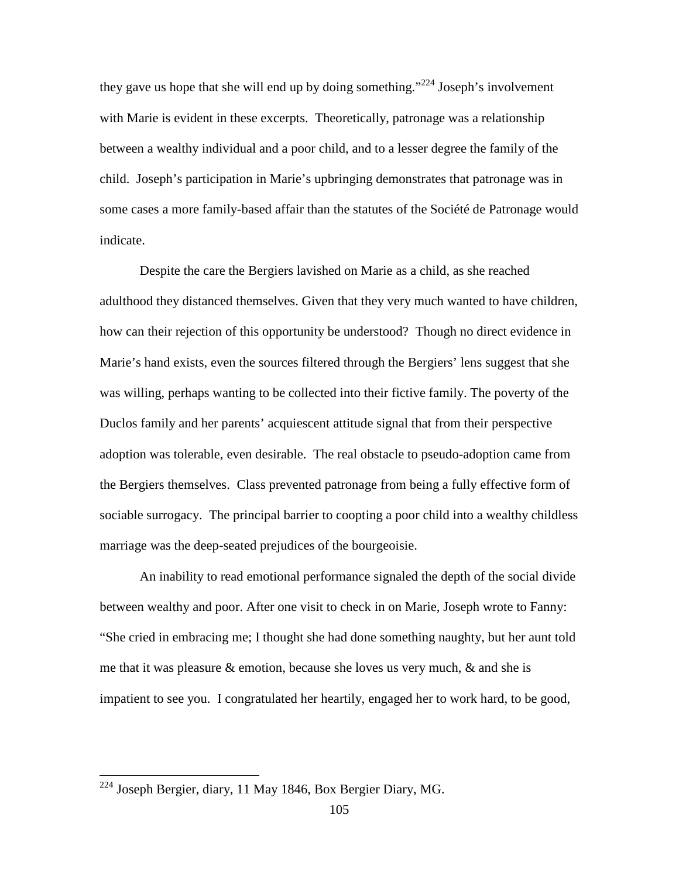they gave us hope that she will end up by doing something."<sup>224</sup> Joseph's involvement with Marie is evident in these excerpts. Theoretically, patronage was a relationship between a wealthy individual and a poor child, and to a lesser degree the family of the child. Joseph's participation in Marie's upbringing demonstrates that patronage was in some cases a more family-based affair than the statutes of the Société de Patronage would indicate.

Despite the care the Bergiers lavished on Marie as a child, as she reached adulthood they distanced themselves. Given that they very much wanted to have children, how can their rejection of this opportunity be understood? Though no direct evidence in Marie's hand exists, even the sources filtered through the Bergiers' lens suggest that she was willing, perhaps wanting to be collected into their fictive family. The poverty of the Duclos family and her parents' acquiescent attitude signal that from their perspective adoption was tolerable, even desirable. The real obstacle to pseudo-adoption came from the Bergiers themselves. Class prevented patronage from being a fully effective form of sociable surrogacy. The principal barrier to coopting a poor child into a wealthy childless marriage was the deep-seated prejudices of the bourgeoisie.

An inability to read emotional performance signaled the depth of the social divide between wealthy and poor. After one visit to check in on Marie, Joseph wrote to Fanny: "She cried in embracing me; I thought she had done something naughty, but her aunt told me that it was pleasure  $\&$  emotion, because she loves us very much,  $\&$  and she is impatient to see you. I congratulated her heartily, engaged her to work hard, to be good,

 $224$  Joseph Bergier, diary, 11 May 1846, Box Bergier Diary, MG.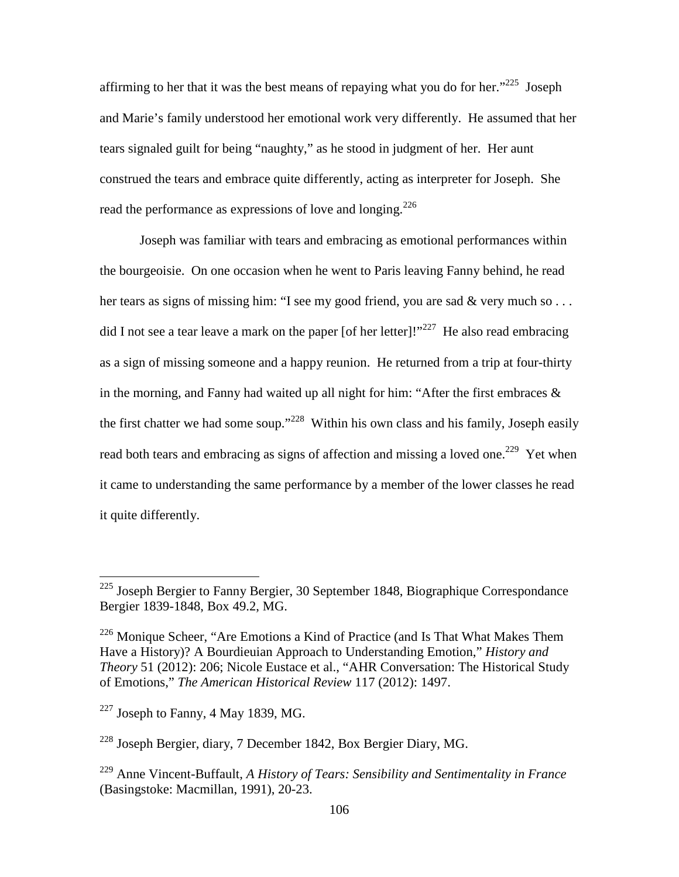affirming to her that it was the best means of repaying what you do for her.<sup> $225$ </sup> Joseph and Marie's family understood her emotional work very differently. He assumed that her tears signaled guilt for being "naughty," as he stood in judgment of her. Her aunt construed the tears and embrace quite differently, acting as interpreter for Joseph. She read the performance as expressions of love and longing.<sup>226</sup>

Joseph was familiar with tears and embracing as emotional performances within the bourgeoisie. On one occasion when he went to Paris leaving Fanny behind, he read her tears as signs of missing him: "I see my good friend, you are sad & very much so ... did I not see a tear leave a mark on the paper [of her letter]!"<sup>227</sup> He also read embracing as a sign of missing someone and a happy reunion. He returned from a trip at four-thirty in the morning, and Fanny had waited up all night for him: "After the first embraces  $\&$ the first chatter we had some soup."<sup>228</sup> Within his own class and his family, Joseph easily read both tears and embracing as signs of affection and missing a loved one.<sup>229</sup> Yet when it came to understanding the same performance by a member of the lower classes he read it quite differently.

 $225$  Joseph Bergier to Fanny Bergier, 30 September 1848, Biographique Correspondance Bergier 1839-1848, Box 49.2, MG.

 $226$  Monique Scheer, "Are Emotions a Kind of Practice (and Is That What Makes Them Have a History)? A Bourdieuian Approach to Understanding Emotion," *History and Theory* 51 (2012): 206; Nicole Eustace et al., "AHR Conversation: The Historical Study of Emotions," *The American Historical Review* 117 (2012): 1497.

 $^{227}$  Joseph to Fanny, 4 May 1839, MG.

<sup>228</sup> Joseph Bergier, diary, 7 December 1842, Box Bergier Diary, MG.

<sup>229</sup> Anne Vincent-Buffault, *A History of Tears: Sensibility and Sentimentality in France* (Basingstoke: Macmillan, 1991), 20-23.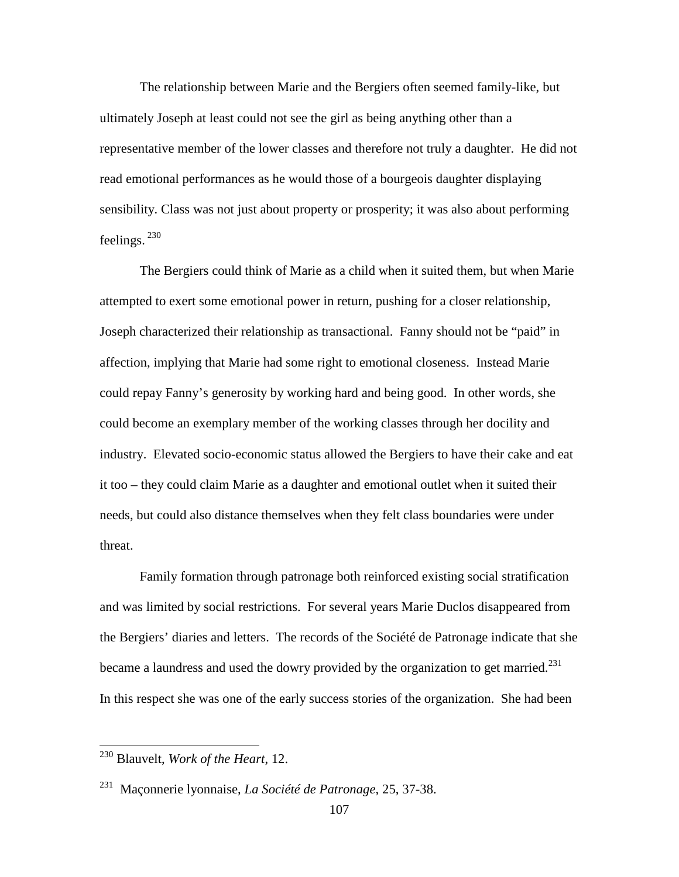The relationship between Marie and the Bergiers often seemed family-like, but ultimately Joseph at least could not see the girl as being anything other than a representative member of the lower classes and therefore not truly a daughter. He did not read emotional performances as he would those of a bourgeois daughter displaying sensibility. Class was not just about property or prosperity; it was also about performing feelings.  $^{230}$ 

The Bergiers could think of Marie as a child when it suited them, but when Marie attempted to exert some emotional power in return, pushing for a closer relationship, Joseph characterized their relationship as transactional. Fanny should not be "paid" in affection, implying that Marie had some right to emotional closeness. Instead Marie could repay Fanny's generosity by working hard and being good. In other words, she could become an exemplary member of the working classes through her docility and industry. Elevated socio-economic status allowed the Bergiers to have their cake and eat it too – they could claim Marie as a daughter and emotional outlet when it suited their needs, but could also distance themselves when they felt class boundaries were under threat.

Family formation through patronage both reinforced existing social stratification and was limited by social restrictions. For several years Marie Duclos disappeared from the Bergiers' diaries and letters. The records of the Société de Patronage indicate that she became a laundress and used the dowry provided by the organization to get married. $^{231}$ In this respect she was one of the early success stories of the organization. She had been

<sup>230</sup> Blauvelt, *Work of the Heart*, 12.

<sup>231</sup> Maçonnerie lyonnaise, *La Société de Patronage*, 25, 37-38.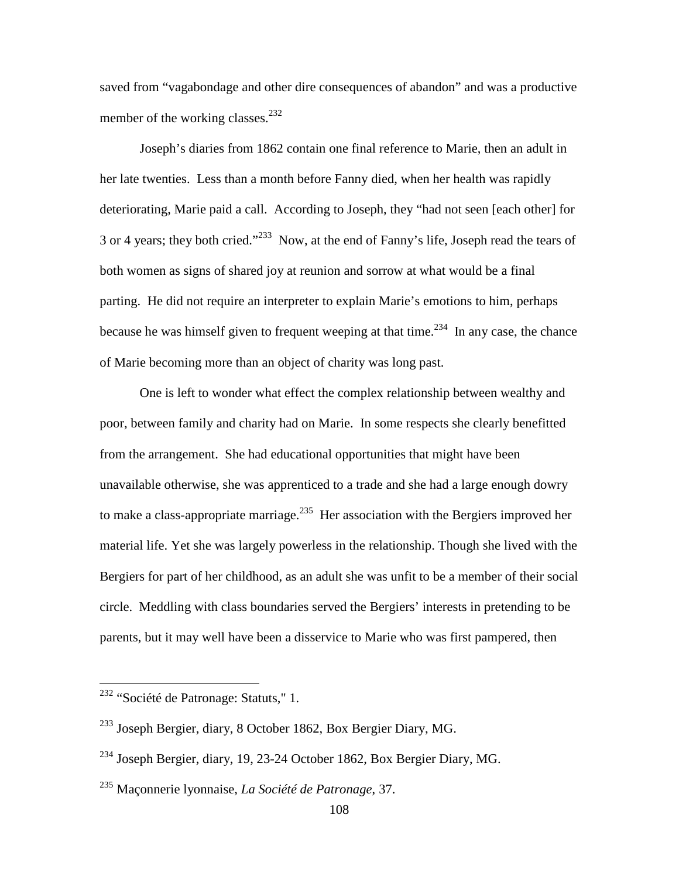saved from "vagabondage and other dire consequences of abandon" and was a productive member of the working classes. $^{232}$ 

Joseph's diaries from 1862 contain one final reference to Marie, then an adult in her late twenties. Less than a month before Fanny died, when her health was rapidly deteriorating, Marie paid a call. According to Joseph, they "had not seen [each other] for 3 or 4 years; they both cried."<sup>233</sup> Now, at the end of Fanny's life, Joseph read the tears of both women as signs of shared joy at reunion and sorrow at what would be a final parting. He did not require an interpreter to explain Marie's emotions to him, perhaps because he was himself given to frequent weeping at that time.<sup>234</sup> In any case, the chance of Marie becoming more than an object of charity was long past.

One is left to wonder what effect the complex relationship between wealthy and poor, between family and charity had on Marie. In some respects she clearly benefitted from the arrangement. She had educational opportunities that might have been unavailable otherwise, she was apprenticed to a trade and she had a large enough dowry to make a class-appropriate marriage.<sup>235</sup> Her association with the Bergiers improved her material life. Yet she was largely powerless in the relationship. Though she lived with the Bergiers for part of her childhood, as an adult she was unfit to be a member of their social circle. Meddling with class boundaries served the Bergiers' interests in pretending to be parents, but it may well have been a disservice to Marie who was first pampered, then

<sup>&</sup>lt;sup>232</sup> "Société de Patronage: Statuts," 1.

<sup>233</sup> Joseph Bergier, diary, 8 October 1862, Box Bergier Diary, MG.

<sup>234</sup> Joseph Bergier, diary, 19, 23-24 October 1862, Box Bergier Diary, MG.

<sup>235</sup> Maçonnerie lyonnaise, *La Société de Patronage*, 37.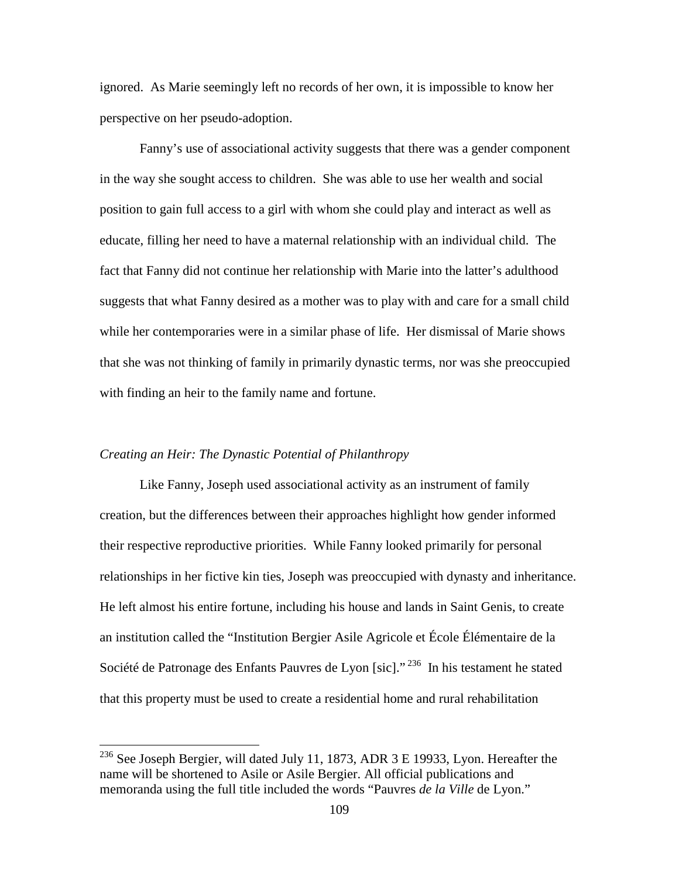ignored. As Marie seemingly left no records of her own, it is impossible to know her perspective on her pseudo-adoption.

 Fanny's use of associational activity suggests that there was a gender component in the way she sought access to children. She was able to use her wealth and social position to gain full access to a girl with whom she could play and interact as well as educate, filling her need to have a maternal relationship with an individual child. The fact that Fanny did not continue her relationship with Marie into the latter's adulthood suggests that what Fanny desired as a mother was to play with and care for a small child while her contemporaries were in a similar phase of life. Her dismissal of Marie shows that she was not thinking of family in primarily dynastic terms, nor was she preoccupied with finding an heir to the family name and fortune.

### *Creating an Heir: The Dynastic Potential of Philanthropy*

<u>.</u>

Like Fanny, Joseph used associational activity as an instrument of family creation, but the differences between their approaches highlight how gender informed their respective reproductive priorities. While Fanny looked primarily for personal relationships in her fictive kin ties, Joseph was preoccupied with dynasty and inheritance. He left almost his entire fortune, including his house and lands in Saint Genis, to create an institution called the "Institution Bergier Asile Agricole et École Élémentaire de la Société de Patronage des Enfants Pauvres de Lyon [sic]."<sup>236</sup> In his testament he stated that this property must be used to create a residential home and rural rehabilitation

<sup>&</sup>lt;sup>236</sup> See Joseph Bergier, will dated July 11, 1873, ADR 3 E 19933, Lyon. Hereafter the name will be shortened to Asile or Asile Bergier. All official publications and memoranda using the full title included the words "Pauvres *de la Ville* de Lyon."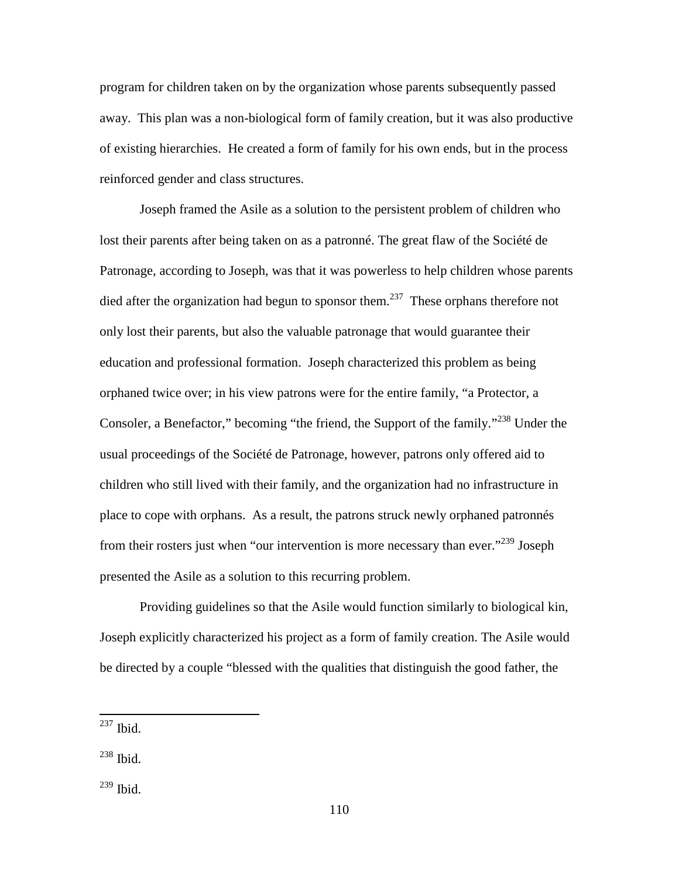program for children taken on by the organization whose parents subsequently passed away. This plan was a non-biological form of family creation, but it was also productive of existing hierarchies.He created a form of family for his own ends, but in the process reinforced gender and class structures.

Joseph framed the Asile as a solution to the persistent problem of children who lost their parents after being taken on as a patronné. The great flaw of the Société de Patronage, according to Joseph, was that it was powerless to help children whose parents died after the organization had begun to sponsor them.<sup>237</sup> These orphans therefore not only lost their parents, but also the valuable patronage that would guarantee their education and professional formation. Joseph characterized this problem as being orphaned twice over; in his view patrons were for the entire family, "a Protector, a Consoler, a Benefactor," becoming "the friend, the Support of the family."<sup>238</sup> Under the usual proceedings of the Société de Patronage, however, patrons only offered aid to children who still lived with their family, and the organization had no infrastructure in place to cope with orphans. As a result, the patrons struck newly orphaned patronnés from their rosters just when "our intervention is more necessary than ever."<sup>239</sup> Joseph presented the Asile as a solution to this recurring problem.

Providing guidelines so that the Asile would function similarly to biological kin, Joseph explicitly characterized his project as a form of family creation. The Asile would be directed by a couple "blessed with the qualities that distinguish the good father, the

 $^{237}$  Ibid.

 $238$  Ibid.

<sup>239</sup> Ibid.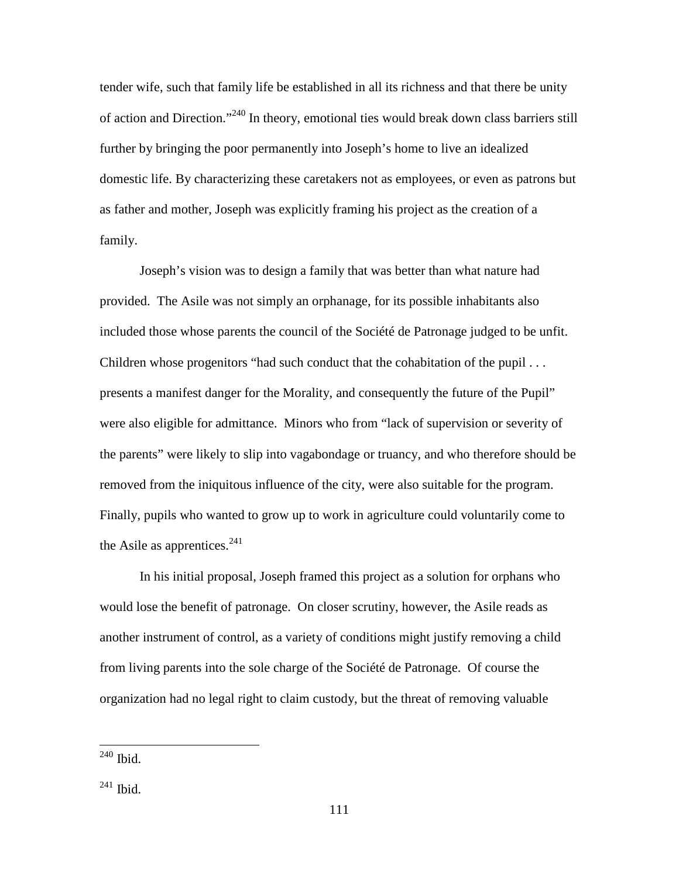tender wife, such that family life be established in all its richness and that there be unity of action and Direction."<sup>240</sup> In theory, emotional ties would break down class barriers still further by bringing the poor permanently into Joseph's home to live an idealized domestic life. By characterizing these caretakers not as employees, or even as patrons but as father and mother, Joseph was explicitly framing his project as the creation of a family.

Joseph's vision was to design a family that was better than what nature had provided. The Asile was not simply an orphanage, for its possible inhabitants also included those whose parents the council of the Société de Patronage judged to be unfit. Children whose progenitors "had such conduct that the cohabitation of the pupil . . . presents a manifest danger for the Morality, and consequently the future of the Pupil" were also eligible for admittance. Minors who from "lack of supervision or severity of the parents" were likely to slip into vagabondage or truancy, and who therefore should be removed from the iniquitous influence of the city, were also suitable for the program. Finally, pupils who wanted to grow up to work in agriculture could voluntarily come to the Asile as apprentices. $241$ 

In his initial proposal, Joseph framed this project as a solution for orphans who would lose the benefit of patronage. On closer scrutiny, however, the Asile reads as another instrument of control, as a variety of conditions might justify removing a child from living parents into the sole charge of the Société de Patronage. Of course the organization had no legal right to claim custody, but the threat of removing valuable

 $240$  Ibid.

 $241$  Ibid.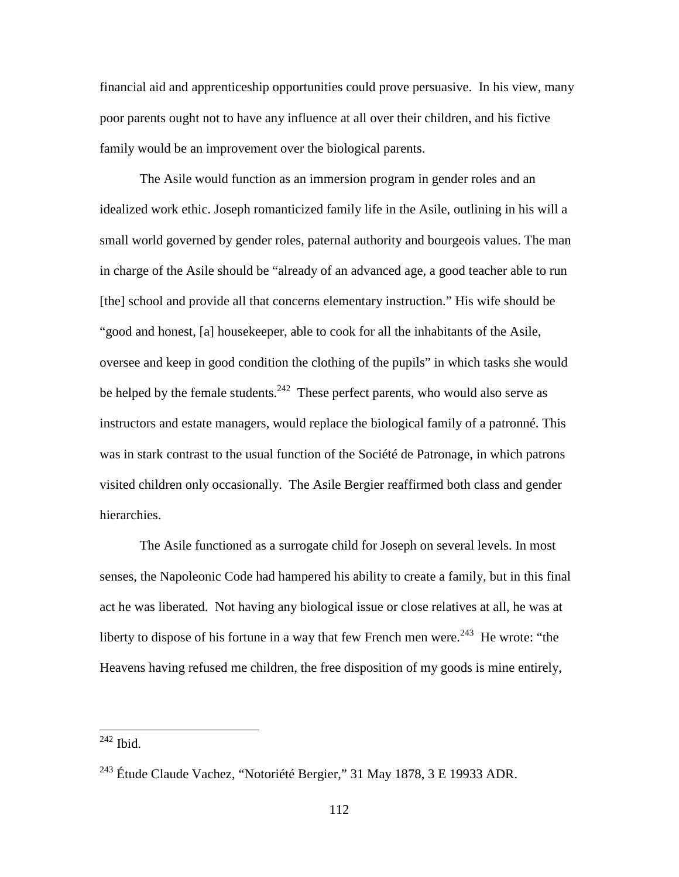financial aid and apprenticeship opportunities could prove persuasive. In his view, many poor parents ought not to have any influence at all over their children, and his fictive family would be an improvement over the biological parents.

The Asile would function as an immersion program in gender roles and an idealized work ethic. Joseph romanticized family life in the Asile, outlining in his will a small world governed by gender roles, paternal authority and bourgeois values. The man in charge of the Asile should be "already of an advanced age, a good teacher able to run [the] school and provide all that concerns elementary instruction." His wife should be "good and honest, [a] housekeeper, able to cook for all the inhabitants of the Asile, oversee and keep in good condition the clothing of the pupils" in which tasks she would be helped by the female students.<sup>242</sup> These perfect parents, who would also serve as instructors and estate managers, would replace the biological family of a patronné. This was in stark contrast to the usual function of the Société de Patronage, in which patrons visited children only occasionally. The Asile Bergier reaffirmed both class and gender hierarchies.

 The Asile functioned as a surrogate child for Joseph on several levels. In most senses, the Napoleonic Code had hampered his ability to create a family, but in this final act he was liberated. Not having any biological issue or close relatives at all, he was at liberty to dispose of his fortune in a way that few French men were.<sup>243</sup> He wrote: "the Heavens having refused me children, the free disposition of my goods is mine entirely,

 $^{242}$  Ibid.

<sup>&</sup>lt;sup>243</sup> Étude Claude Vachez, "Notoriété Bergier," 31 May 1878, 3 E 19933 ADR.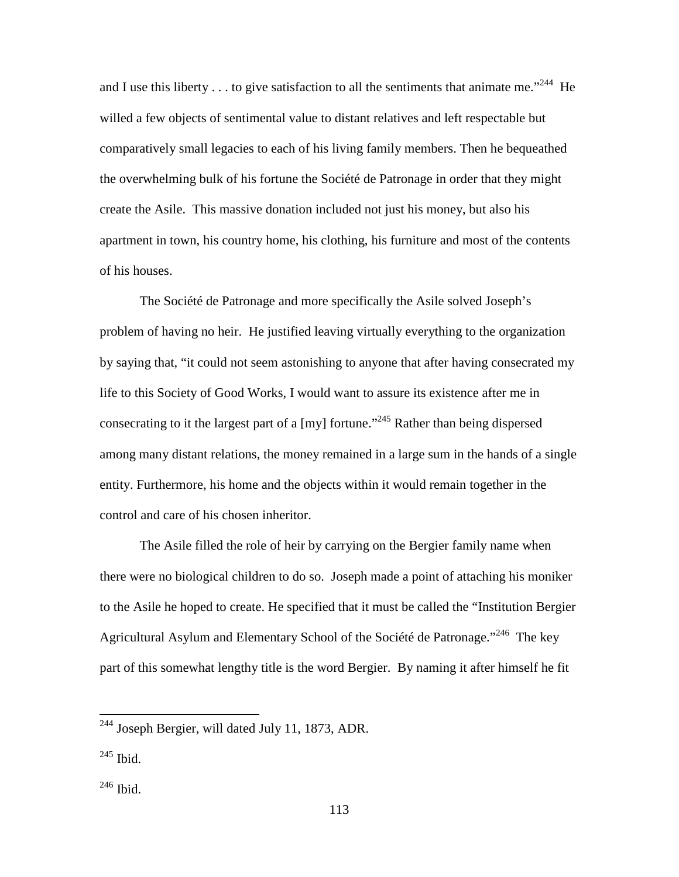and I use this liberty  $\dots$  to give satisfaction to all the sentiments that animate me."<sup>244</sup> He willed a few objects of sentimental value to distant relatives and left respectable but comparatively small legacies to each of his living family members. Then he bequeathed the overwhelming bulk of his fortune the Société de Patronage in order that they might create the Asile. This massive donation included not just his money, but also his apartment in town, his country home, his clothing, his furniture and most of the contents of his houses.

 The Société de Patronage and more specifically the Asile solved Joseph's problem of having no heir. He justified leaving virtually everything to the organization by saying that, "it could not seem astonishing to anyone that after having consecrated my life to this Society of Good Works, I would want to assure its existence after me in consecrating to it the largest part of a [my] fortune."<sup>245</sup> Rather than being dispersed among many distant relations, the money remained in a large sum in the hands of a single entity. Furthermore, his home and the objects within it would remain together in the control and care of his chosen inheritor.

The Asile filled the role of heir by carrying on the Bergier family name when there were no biological children to do so.Joseph made a point of attaching his moniker to the Asile he hoped to create. He specified that it must be called the "Institution Bergier Agricultural Asylum and Elementary School of the Société de Patronage."<sup>246</sup> The key part of this somewhat lengthy title is the word Bergier. By naming it after himself he fit

<sup>245</sup> Ibid.

 $244$  Joseph Bergier, will dated July 11, 1873, ADR.

<sup>246</sup> Ibid.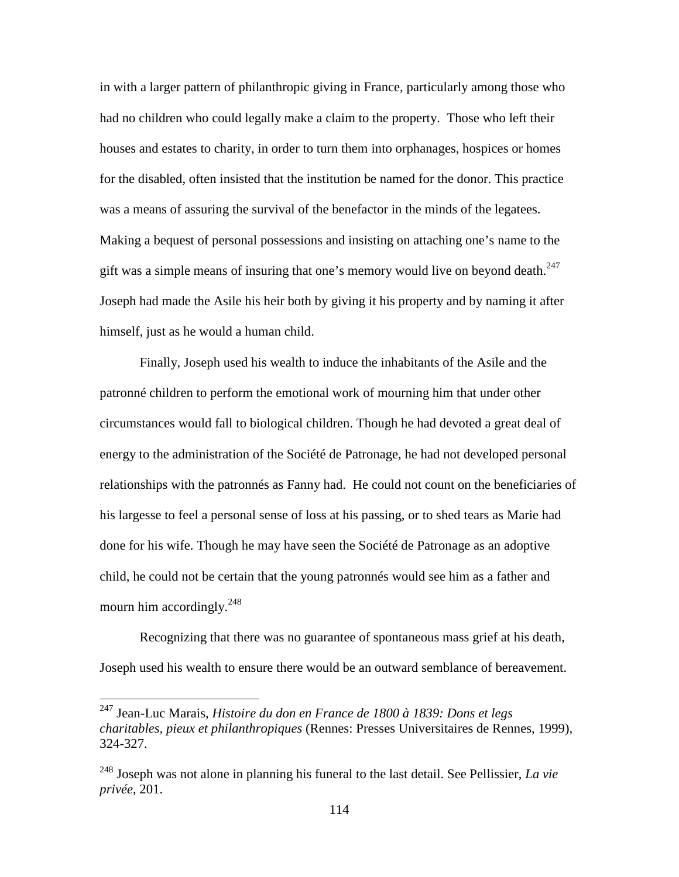in with a larger pattern of philanthropic giving in France, particularly among those who had no children who could legally make a claim to the property. Those who left their houses and estates to charity, in order to turn them into orphanages, hospices or homes for the disabled, often insisted that the institution be named for the donor. This practice was a means of assuring the survival of the benefactor in the minds of the legatees. Making a bequest of personal possessions and insisting on attaching one's name to the gift was a simple means of insuring that one's memory would live on beyond death. $247$ Joseph had made the Asile his heir both by giving it his property and by naming it after himself, just as he would a human child.

Finally, Joseph used his wealth to induce the inhabitants of the Asile and the patronné children to perform the emotional work of mourning him that under other circumstances would fall to biological children. Though he had devoted a great deal of energy to the administration of the Société de Patronage, he had not developed personal relationships with the patronnés as Fanny had. He could not count on the beneficiaries of his largesse to feel a personal sense of loss at his passing, or to shed tears as Marie had done for his wife. Though he may have seen the Société de Patronage as an adoptive child, he could not be certain that the young patronnés would see him as a father and mourn him accordingly.<sup>248</sup>

Recognizing that there was no guarantee of spontaneous mass grief at his death, Joseph used his wealth to ensure there would be an outward semblance of bereavement.

<sup>247</sup> Jean-Luc Marais, *Histoire du don en France de 1800 à 1839: Dons et legs charitables, pieux et philanthropiques* (Rennes: Presses Universitaires de Rennes, 1999), 324-327.

<sup>248</sup> Joseph was not alone in planning his funeral to the last detail. See Pellissier, *La vie privée*, 201.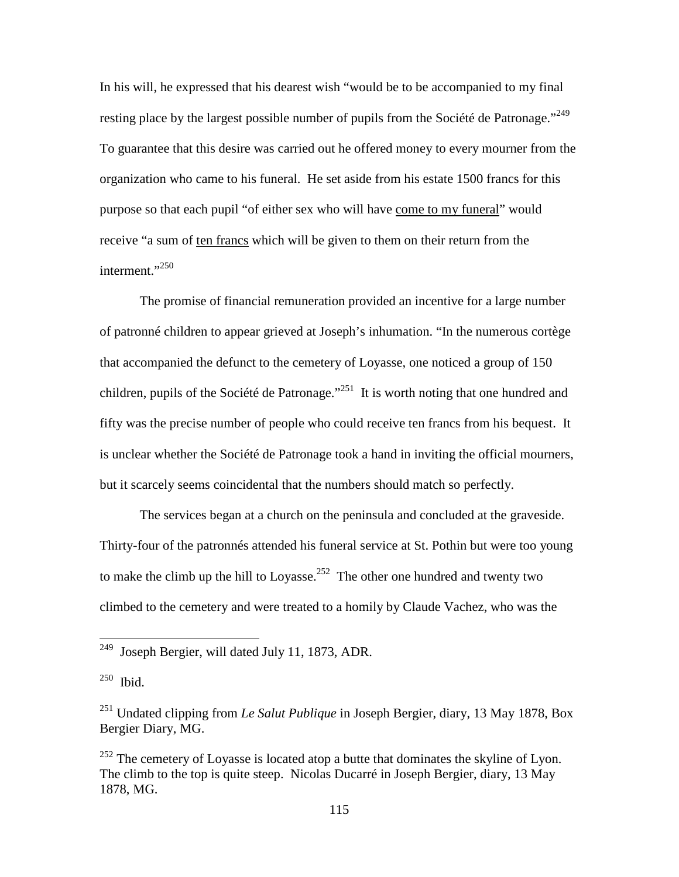In his will, he expressed that his dearest wish "would be to be accompanied to my final resting place by the largest possible number of pupils from the Société de Patronage."<sup>249</sup> To guarantee that this desire was carried out he offered money to every mourner from the organization who came to his funeral. He set aside from his estate 1500 francs for this purpose so that each pupil "of either sex who will have come to my funeral" would receive "a sum of ten francs which will be given to them on their return from the interment."<sup>250</sup>

The promise of financial remuneration provided an incentive for a large number of patronné children to appear grieved at Joseph's inhumation. "In the numerous cortège that accompanied the defunct to the cemetery of Loyasse, one noticed a group of 150 children, pupils of the Société de Patronage."<sup>251</sup> It is worth noting that one hundred and fifty was the precise number of people who could receive ten francs from his bequest. It is unclear whether the Société de Patronage took a hand in inviting the official mourners, but it scarcely seems coincidental that the numbers should match so perfectly.

The services began at a church on the peninsula and concluded at the graveside. Thirty-four of the patronnés attended his funeral service at St. Pothin but were too young to make the climb up the hill to Loyasse.<sup>252</sup> The other one hundred and twenty two climbed to the cemetery and were treated to a homily by Claude Vachez, who was the

-

 $249$  Joseph Bergier, will dated July 11, 1873, ADR.

<sup>250</sup> Ibid.

<sup>251</sup> Undated clipping from *Le Salut Publique* in Joseph Bergier, diary, 13 May 1878, Box Bergier Diary, MG.

 $^{252}$  The cemetery of Loyasse is located atop a butte that dominates the skyline of Lyon. The climb to the top is quite steep. Nicolas Ducarré in Joseph Bergier, diary, 13 May 1878, MG.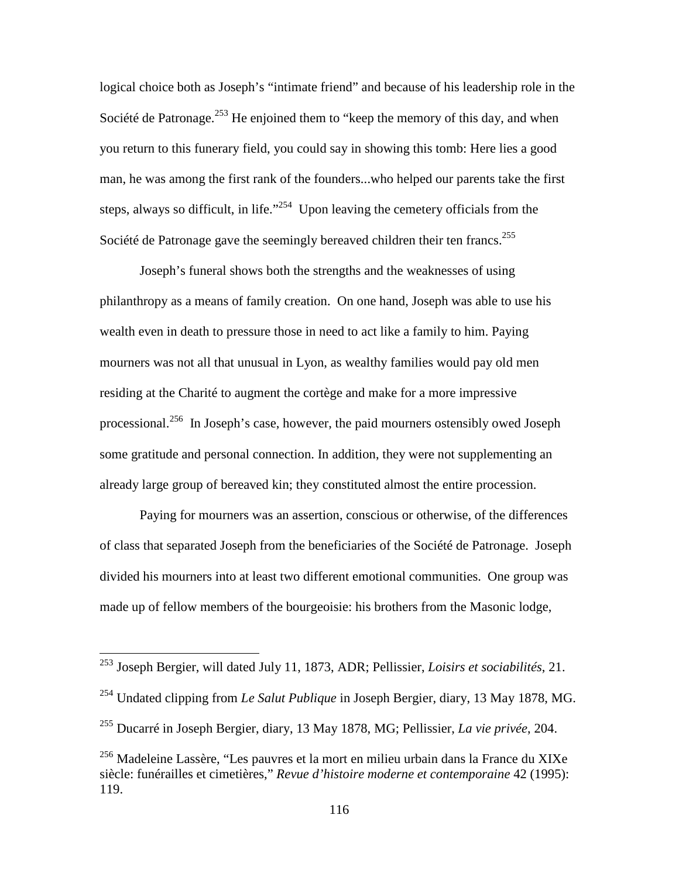logical choice both as Joseph's "intimate friend" and because of his leadership role in the Société de Patronage.<sup>253</sup> He enjoined them to "keep the memory of this day, and when you return to this funerary field, you could say in showing this tomb: Here lies a good man, he was among the first rank of the founders...who helped our parents take the first steps, always so difficult, in life. $1254$  Upon leaving the cemetery officials from the Société de Patronage gave the seemingly bereaved children their ten francs.<sup>255</sup>

Joseph's funeral shows both the strengths and the weaknesses of using philanthropy as a means of family creation. On one hand, Joseph was able to use his wealth even in death to pressure those in need to act like a family to him. Paying mourners was not all that unusual in Lyon, as wealthy families would pay old men residing at the Charité to augment the cortège and make for a more impressive processional.<sup>256</sup> In Joseph's case, however, the paid mourners ostensibly owed Joseph some gratitude and personal connection. In addition, they were not supplementing an already large group of bereaved kin; they constituted almost the entire procession.

Paying for mourners was an assertion, conscious or otherwise, of the differences of class that separated Joseph from the beneficiaries of the Société de Patronage. Joseph divided his mourners into at least two different emotional communities. One group was made up of fellow members of the bourgeoisie: his brothers from the Masonic lodge,

<sup>253</sup> Joseph Bergier, will dated July 11, 1873, ADR; Pellissier, *Loisirs et sociabilités*, 21.

<sup>254</sup> Undated clipping from *Le Salut Publique* in Joseph Bergier, diary, 13 May 1878, MG.

<sup>255</sup> Ducarré in Joseph Bergier, diary, 13 May 1878, MG; Pellissier, *La vie privée*, 204.

<sup>256</sup> Madeleine Lassère, "Les pauvres et la mort en milieu urbain dans la France du XIXe siècle: funérailles et cimetières," *Revue d'histoire moderne et contemporaine* 42 (1995): 119.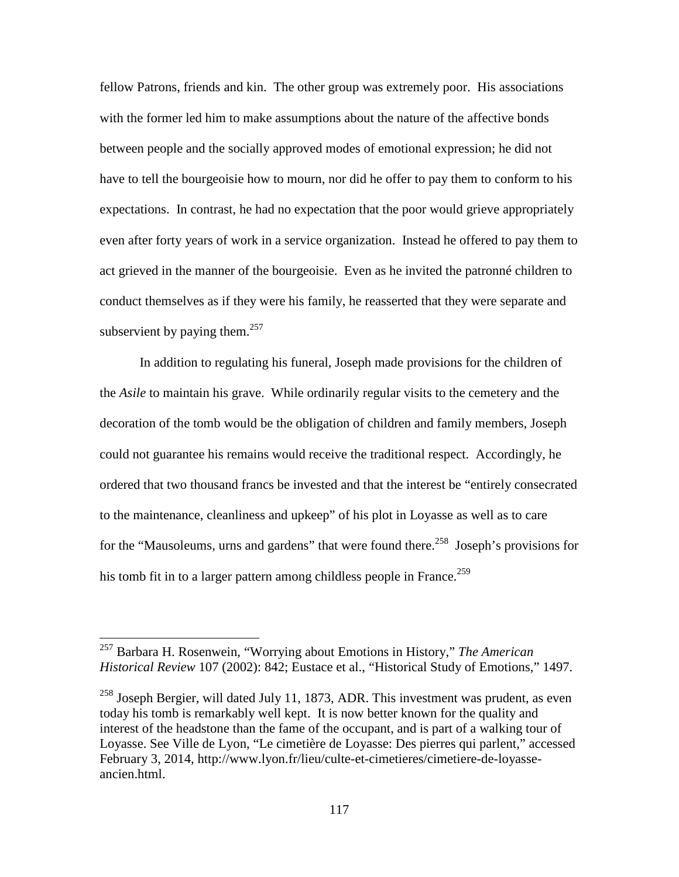fellow Patrons, friends and kin. The other group was extremely poor. His associations with the former led him to make assumptions about the nature of the affective bonds between people and the socially approved modes of emotional expression; he did not have to tell the bourgeoisie how to mourn, nor did he offer to pay them to conform to his expectations. In contrast, he had no expectation that the poor would grieve appropriately even after forty years of work in a service organization. Instead he offered to pay them to act grieved in the manner of the bourgeoisie. Even as he invited the patronné children to conduct themselves as if they were his family, he reasserted that they were separate and subservient by paying them.<sup>257</sup>

In addition to regulating his funeral, Joseph made provisions for the children of the *Asile* to maintain his grave. While ordinarily regular visits to the cemetery and the decoration of the tomb would be the obligation of children and family members, Joseph could not guarantee his remains would receive the traditional respect. Accordingly, he ordered that two thousand francs be invested and that the interest be "entirely consecrated to the maintenance, cleanliness and upkeep" of his plot in Loyasse as well as to care for the "Mausoleums, urns and gardens" that were found there.<sup>258</sup> Joseph's provisions for his tomb fit in to a larger pattern among childless people in France.<sup>259</sup>

<sup>257</sup> Barbara H. Rosenwein, "Worrying about Emotions in History," *The American Historical Review* 107 (2002): 842; Eustace et al., "Historical Study of Emotions," 1497.

 $258$  Joseph Bergier, will dated July 11, 1873, ADR. This investment was prudent, as even today his tomb is remarkably well kept. It is now better known for the quality and interest of the headstone than the fame of the occupant, and is part of a walking tour of Loyasse. See Ville de Lyon, "Le cimetière de Loyasse: Des pierres qui parlent," accessed February 3, 2014, http://www.lyon.fr/lieu/culte-et-cimetieres/cimetiere-de-loyasseancien.html.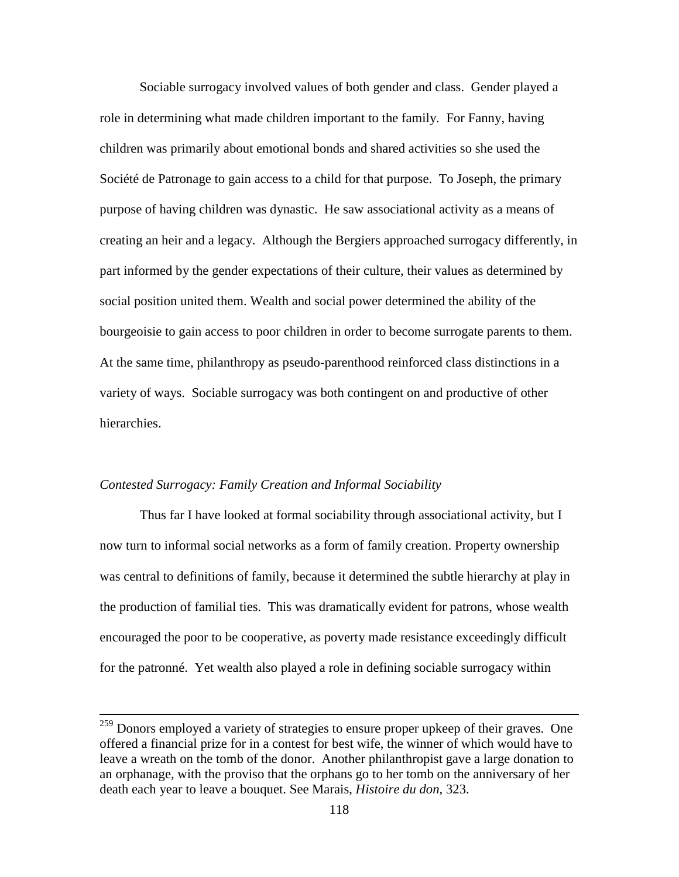Sociable surrogacy involved values of both gender and class. Gender played a role in determining what made children important to the family. For Fanny, having children was primarily about emotional bonds and shared activities so she used the Société de Patronage to gain access to a child for that purpose. To Joseph, the primary purpose of having children was dynastic. He saw associational activity as a means of creating an heir and a legacy. Although the Bergiers approached surrogacy differently, in part informed by the gender expectations of their culture, their values as determined by social position united them. Wealth and social power determined the ability of the bourgeoisie to gain access to poor children in order to become surrogate parents to them. At the same time, philanthropy as pseudo-parenthood reinforced class distinctions in a variety of ways. Sociable surrogacy was both contingent on and productive of other hierarchies.

## *Contested Surrogacy: Family Creation and Informal Sociability*

 $\overline{a}$ 

Thus far I have looked at formal sociability through associational activity, but I now turn to informal social networks as a form of family creation. Property ownership was central to definitions of family, because it determined the subtle hierarchy at play in the production of familial ties. This was dramatically evident for patrons, whose wealth encouraged the poor to be cooperative, as poverty made resistance exceedingly difficult for the patronné. Yet wealth also played a role in defining sociable surrogacy within

<sup>&</sup>lt;sup>259</sup> Donors employed a variety of strategies to ensure proper upkeep of their graves. One offered a financial prize for in a contest for best wife, the winner of which would have to leave a wreath on the tomb of the donor. Another philanthropist gave a large donation to an orphanage, with the proviso that the orphans go to her tomb on the anniversary of her death each year to leave a bouquet. See Marais, *Histoire du don*, 323.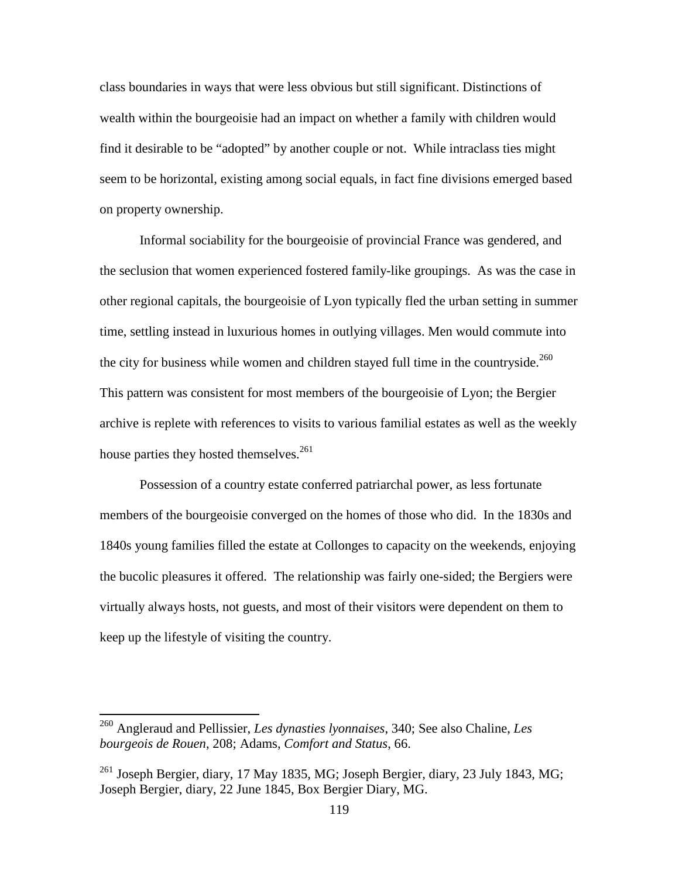class boundaries in ways that were less obvious but still significant. Distinctions of wealth within the bourgeoisie had an impact on whether a family with children would find it desirable to be "adopted" by another couple or not. While intraclass ties might seem to be horizontal, existing among social equals, in fact fine divisions emerged based on property ownership.

Informal sociability for the bourgeoisie of provincial France was gendered, and the seclusion that women experienced fostered family-like groupings. As was the case in other regional capitals, the bourgeoisie of Lyon typically fled the urban setting in summer time, settling instead in luxurious homes in outlying villages. Men would commute into the city for business while women and children stayed full time in the countryside. $^{260}$ This pattern was consistent for most members of the bourgeoisie of Lyon; the Bergier archive is replete with references to visits to various familial estates as well as the weekly house parties they hosted themselves.<sup>261</sup>

Possession of a country estate conferred patriarchal power, as less fortunate members of the bourgeoisie converged on the homes of those who did. In the 1830s and 1840s young families filled the estate at Collonges to capacity on the weekends, enjoying the bucolic pleasures it offered. The relationship was fairly one-sided; the Bergiers were virtually always hosts, not guests, and most of their visitors were dependent on them to keep up the lifestyle of visiting the country.

<sup>260</sup> Angleraud and Pellissier, *Les dynasties lyonnaises*, 340; See also Chaline, *Les bourgeois de Rouen*, 208; Adams, *Comfort and Status*, 66.

<sup>&</sup>lt;sup>261</sup> Joseph Bergier, diary, 17 May 1835, MG; Joseph Bergier, diary, 23 July 1843, MG; Joseph Bergier, diary, 22 June 1845, Box Bergier Diary, MG.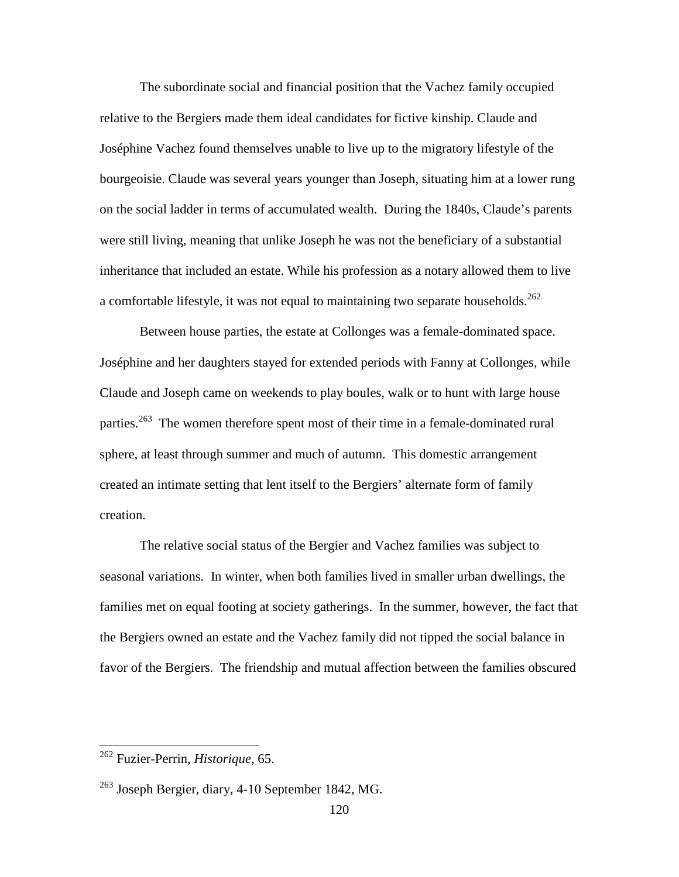The subordinate social and financial position that the Vachez family occupied relative to the Bergiers made them ideal candidates for fictive kinship. Claude and Joséphine Vachez found themselves unable to live up to the migratory lifestyle of the bourgeoisie. Claude was several years younger than Joseph, situating him at a lower rung on the social ladder in terms of accumulated wealth. During the 1840s, Claude's parents were still living, meaning that unlike Joseph he was not the beneficiary of a substantial inheritance that included an estate. While his profession as a notary allowed them to live a comfortable lifestyle, it was not equal to maintaining two separate households.<sup>262</sup>

Between house parties, the estate at Collonges was a female-dominated space. Joséphine and her daughters stayed for extended periods with Fanny at Collonges, while Claude and Joseph came on weekends to play boules, walk or to hunt with large house parties.<sup>263</sup> The women therefore spent most of their time in a female-dominated rural sphere, at least through summer and much of autumn. This domestic arrangement created an intimate setting that lent itself to the Bergiers' alternate form of family creation.

The relative social status of the Bergier and Vachez families was subject to seasonal variations. In winter, when both families lived in smaller urban dwellings, the families met on equal footing at society gatherings. In the summer, however, the fact that the Bergiers owned an estate and the Vachez family did not tipped the social balance in favor of the Bergiers. The friendship and mutual affection between the families obscured

<sup>262</sup> Fuzier-Perrin, *Historique*, 65.

 $^{263}$  Joseph Bergier, diary, 4-10 September 1842, MG.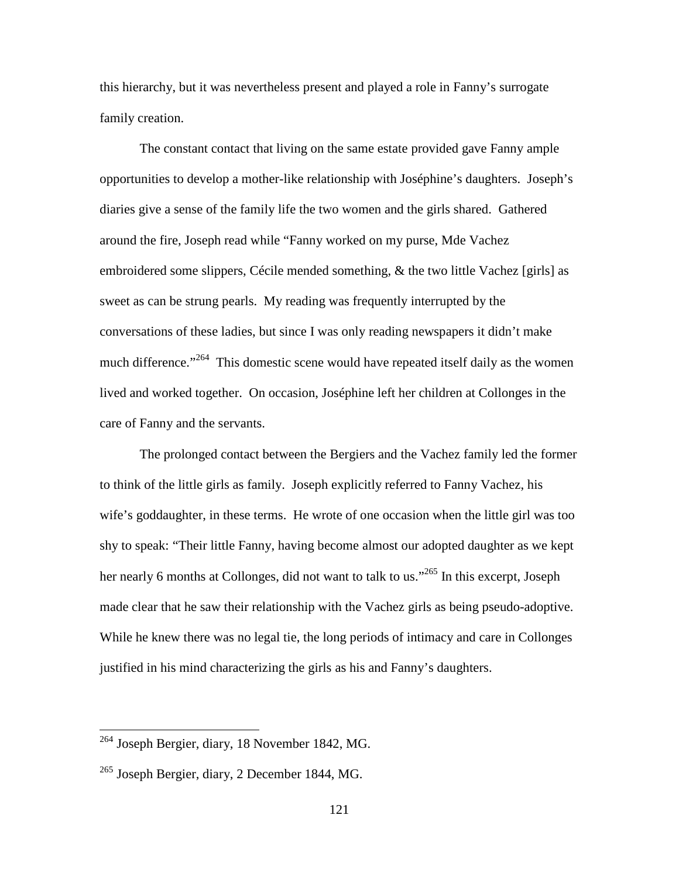this hierarchy, but it was nevertheless present and played a role in Fanny's surrogate family creation.

The constant contact that living on the same estate provided gave Fanny ample opportunities to develop a mother-like relationship with Joséphine's daughters. Joseph's diaries give a sense of the family life the two women and the girls shared. Gathered around the fire, Joseph read while "Fanny worked on my purse, Mde Vachez embroidered some slippers, Cécile mended something, & the two little Vachez [girls] as sweet as can be strung pearls. My reading was frequently interrupted by the conversations of these ladies, but since I was only reading newspapers it didn't make much difference."<sup>264</sup> This domestic scene would have repeated itself daily as the women lived and worked together. On occasion, Joséphine left her children at Collonges in the care of Fanny and the servants.

The prolonged contact between the Bergiers and the Vachez family led the former to think of the little girls as family. Joseph explicitly referred to Fanny Vachez, his wife's goddaughter, in these terms. He wrote of one occasion when the little girl was too shy to speak: "Their little Fanny, having become almost our adopted daughter as we kept her nearly 6 months at Collonges, did not want to talk to us."<sup>265</sup> In this excerpt, Joseph made clear that he saw their relationship with the Vachez girls as being pseudo-adoptive. While he knew there was no legal tie, the long periods of intimacy and care in Collonges justified in his mind characterizing the girls as his and Fanny's daughters.

<sup>&</sup>lt;sup>264</sup> Joseph Bergier, diary, 18 November 1842, MG.

<sup>265</sup> Joseph Bergier, diary, 2 December 1844, MG.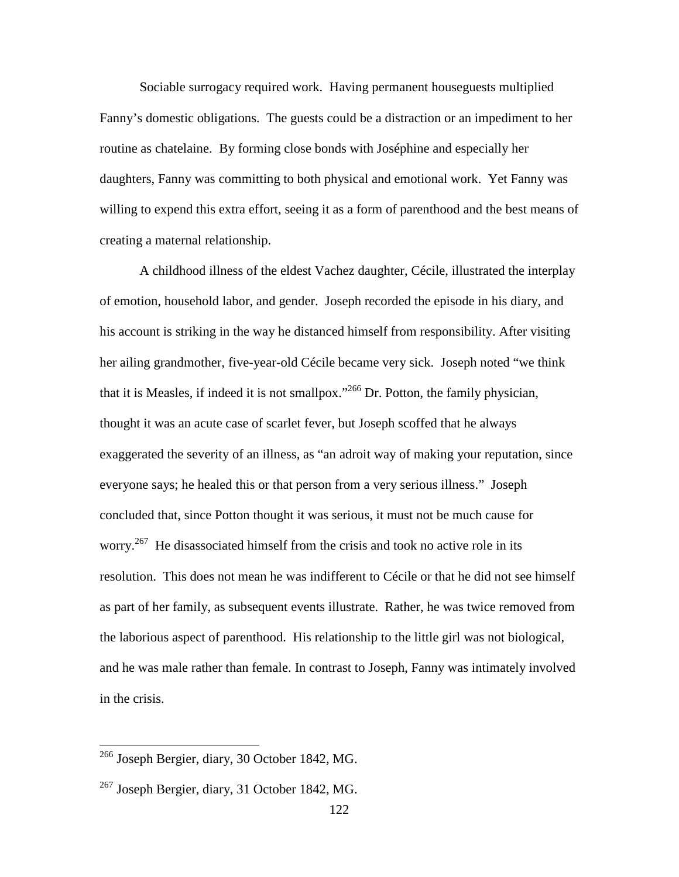Sociable surrogacy required work. Having permanent houseguests multiplied Fanny's domestic obligations. The guests could be a distraction or an impediment to her routine as chatelaine. By forming close bonds with Joséphine and especially her daughters, Fanny was committing to both physical and emotional work. Yet Fanny was willing to expend this extra effort, seeing it as a form of parenthood and the best means of creating a maternal relationship.

A childhood illness of the eldest Vachez daughter, Cécile, illustrated the interplay of emotion, household labor, and gender. Joseph recorded the episode in his diary, and his account is striking in the way he distanced himself from responsibility. After visiting her ailing grandmother, five-year-old Cécile became very sick. Joseph noted "we think that it is Measles, if indeed it is not smallpox."<sup>266</sup> Dr. Potton, the family physician, thought it was an acute case of scarlet fever, but Joseph scoffed that he always exaggerated the severity of an illness, as "an adroit way of making your reputation, since everyone says; he healed this or that person from a very serious illness." Joseph concluded that, since Potton thought it was serious, it must not be much cause for worry.<sup>267</sup> He disassociated himself from the crisis and took no active role in its resolution. This does not mean he was indifferent to Cécile or that he did not see himself as part of her family, as subsequent events illustrate. Rather, he was twice removed from the laborious aspect of parenthood. His relationship to the little girl was not biological, and he was male rather than female. In contrast to Joseph, Fanny was intimately involved in the crisis.

<sup>&</sup>lt;sup>266</sup> Joseph Bergier, diary, 30 October 1842, MG.

 $^{267}$  Joseph Bergier, diary, 31 October 1842, MG.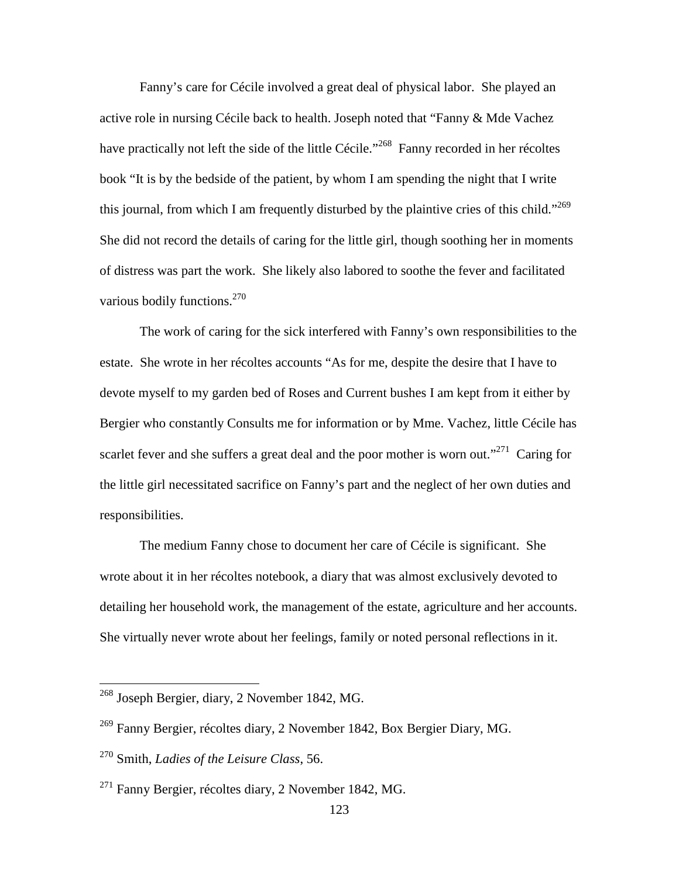Fanny's care for Cécile involved a great deal of physical labor. She played an active role in nursing Cécile back to health. Joseph noted that "Fanny & Mde Vachez have practically not left the side of the little Cécile."<sup>268</sup> Fanny recorded in her récoltes book "It is by the bedside of the patient, by whom I am spending the night that I write this journal, from which I am frequently disturbed by the plaintive cries of this child."<sup>269</sup> She did not record the details of caring for the little girl, though soothing her in moments of distress was part the work. She likely also labored to soothe the fever and facilitated various bodily functions. $270$ 

The work of caring for the sick interfered with Fanny's own responsibilities to the estate. She wrote in her récoltes accounts "As for me, despite the desire that I have to devote myself to my garden bed of Roses and Current bushes I am kept from it either by Bergier who constantly Consults me for information or by Mme. Vachez, little Cécile has scarlet fever and she suffers a great deal and the poor mother is worn out."<sup>271</sup> Caring for the little girl necessitated sacrifice on Fanny's part and the neglect of her own duties and responsibilities.

The medium Fanny chose to document her care of Cécile is significant. She wrote about it in her récoltes notebook, a diary that was almost exclusively devoted to detailing her household work, the management of the estate, agriculture and her accounts. She virtually never wrote about her feelings, family or noted personal reflections in it.

<sup>&</sup>lt;sup>268</sup> Joseph Bergier, diary, 2 November 1842, MG.

<sup>269</sup> Fanny Bergier, récoltes diary, 2 November 1842, Box Bergier Diary, MG.

<sup>270</sup> Smith, *Ladies of the Leisure Class*, 56.

 $^{271}$  Fanny Bergier, récoltes diary, 2 November 1842, MG.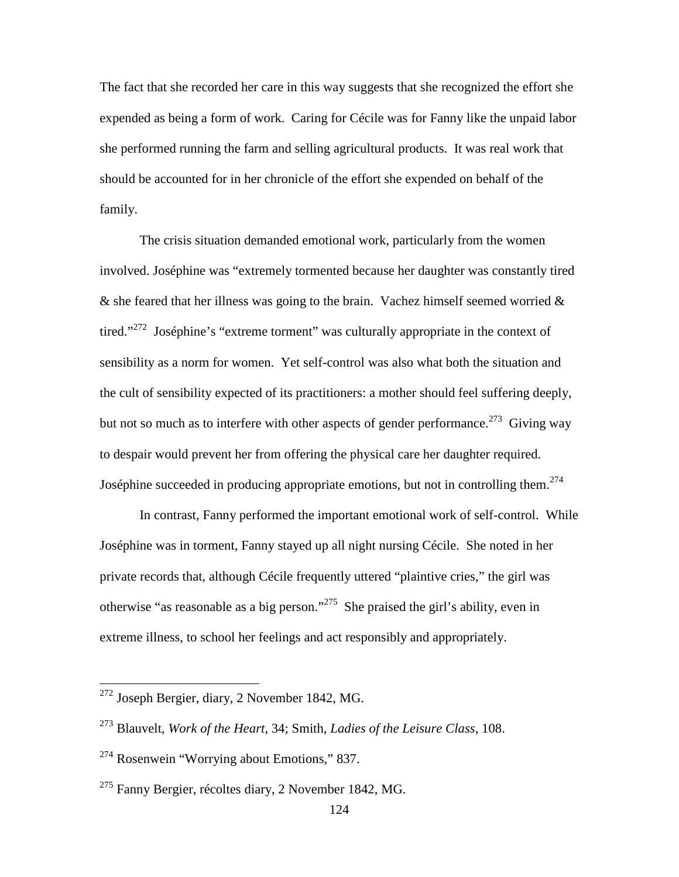The fact that she recorded her care in this way suggests that she recognized the effort she expended as being a form of work. Caring for Cécile was for Fanny like the unpaid labor she performed running the farm and selling agricultural products. It was real work that should be accounted for in her chronicle of the effort she expended on behalf of the family.

 The crisis situation demanded emotional work, particularly from the women involved. Joséphine was "extremely tormented because her daughter was constantly tired  $\&$  she feared that her illness was going to the brain. Vachez himself seemed worried  $\&$ tired."<sup>272</sup> Joséphine's "extreme torment" was culturally appropriate in the context of sensibility as a norm for women. Yet self-control was also what both the situation and the cult of sensibility expected of its practitioners: a mother should feel suffering deeply, but not so much as to interfere with other aspects of gender performance.<sup>273</sup> Giving way to despair would prevent her from offering the physical care her daughter required. Joséphine succeeded in producing appropriate emotions, but not in controlling them.<sup>274</sup>

 In contrast, Fanny performed the important emotional work of self-control. While Joséphine was in torment, Fanny stayed up all night nursing Cécile. She noted in her private records that, although Cécile frequently uttered "plaintive cries," the girl was otherwise "as reasonable as a big person."<sup>275</sup> She praised the girl's ability, even in extreme illness, to school her feelings and act responsibly and appropriately.

<sup>272</sup> Joseph Bergier, diary, 2 November 1842, MG.

<sup>273</sup> Blauvelt, *Work of the Heart*, 34; Smith, *Ladies of the Leisure Class*, 108.

<sup>274</sup> Rosenwein "Worrying about Emotions," 837.

 $^{275}$  Fanny Bergier, récoltes diary, 2 November 1842, MG.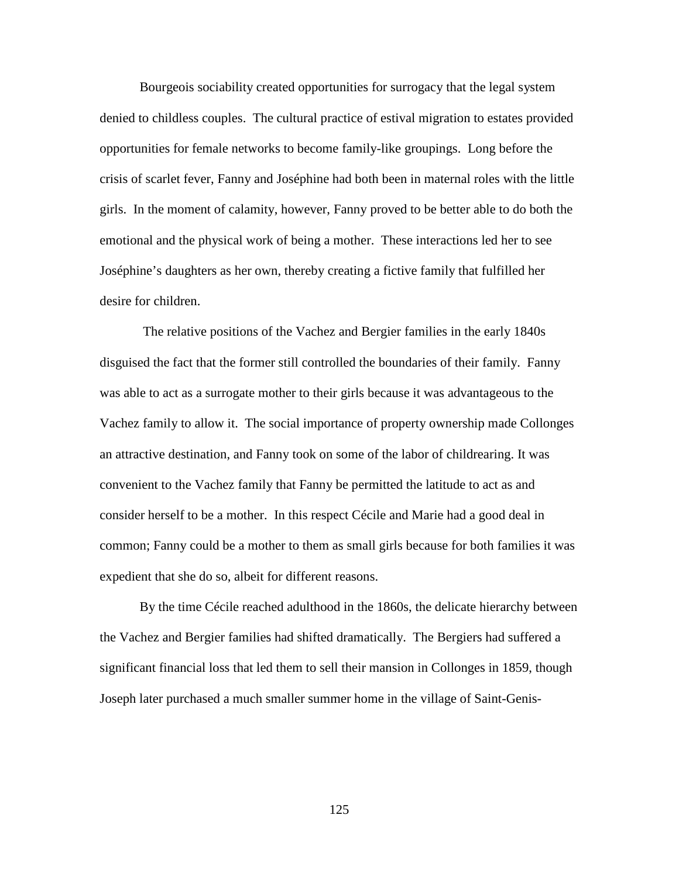Bourgeois sociability created opportunities for surrogacy that the legal system denied to childless couples. The cultural practice of estival migration to estates provided opportunities for female networks to become family-like groupings. Long before the crisis of scarlet fever, Fanny and Joséphine had both been in maternal roles with the little girls. In the moment of calamity, however, Fanny proved to be better able to do both the emotional and the physical work of being a mother. These interactions led her to see Joséphine's daughters as her own, thereby creating a fictive family that fulfilled her desire for children.

 The relative positions of the Vachez and Bergier families in the early 1840s disguised the fact that the former still controlled the boundaries of their family. Fanny was able to act as a surrogate mother to their girls because it was advantageous to the Vachez family to allow it. The social importance of property ownership made Collonges an attractive destination, and Fanny took on some of the labor of childrearing. It was convenient to the Vachez family that Fanny be permitted the latitude to act as and consider herself to be a mother. In this respect Cécile and Marie had a good deal in common; Fanny could be a mother to them as small girls because for both families it was expedient that she do so, albeit for different reasons.

 By the time Cécile reached adulthood in the 1860s, the delicate hierarchy between the Vachez and Bergier families had shifted dramatically. The Bergiers had suffered a significant financial loss that led them to sell their mansion in Collonges in 1859, though Joseph later purchased a much smaller summer home in the village of Saint-Genis-

125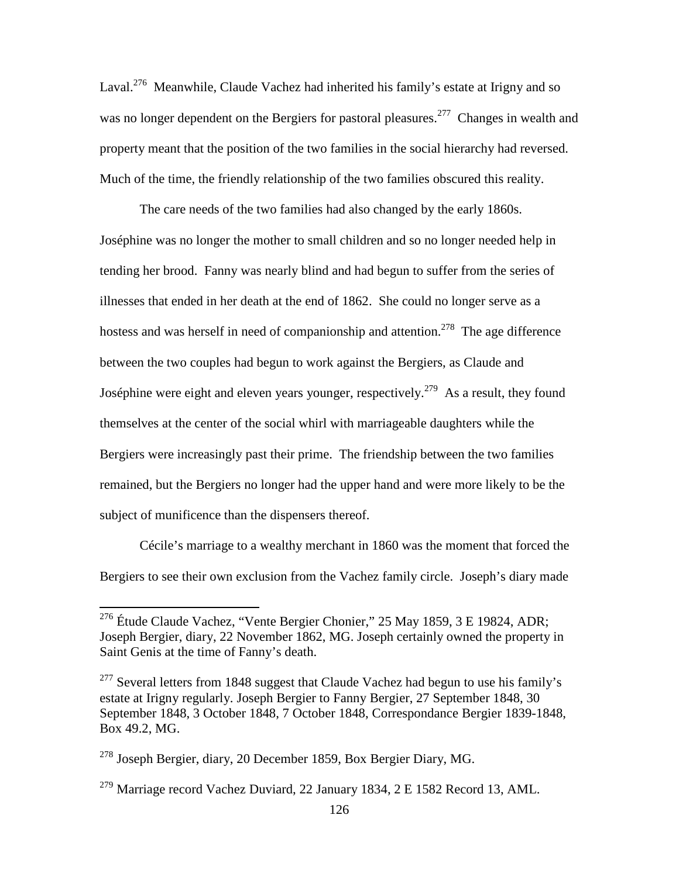Laval.<sup>276</sup> Meanwhile, Claude Vachez had inherited his family's estate at Irigny and so was no longer dependent on the Bergiers for pastoral pleasures.<sup>277</sup> Changes in wealth and property meant that the position of the two families in the social hierarchy had reversed. Much of the time, the friendly relationship of the two families obscured this reality.

 The care needs of the two families had also changed by the early 1860s. Joséphine was no longer the mother to small children and so no longer needed help in tending her brood. Fanny was nearly blind and had begun to suffer from the series of illnesses that ended in her death at the end of 1862. She could no longer serve as a hostess and was herself in need of companionship and attention.<sup>278</sup> The age difference between the two couples had begun to work against the Bergiers, as Claude and Joséphine were eight and eleven years younger, respectively.<sup>279</sup> As a result, they found themselves at the center of the social whirl with marriageable daughters while the Bergiers were increasingly past their prime. The friendship between the two families remained, but the Bergiers no longer had the upper hand and were more likely to be the subject of munificence than the dispensers thereof.

Cécile's marriage to a wealthy merchant in 1860 was the moment that forced the Bergiers to see their own exclusion from the Vachez family circle.Joseph's diary made

<sup>&</sup>lt;sup>276</sup> Étude Claude Vachez, "Vente Bergier Chonier," 25 May 1859, 3 E 19824, ADR; Joseph Bergier, diary, 22 November 1862, MG. Joseph certainly owned the property in Saint Genis at the time of Fanny's death.

 $277$  Several letters from 1848 suggest that Claude Vachez had begun to use his family's estate at Irigny regularly. Joseph Bergier to Fanny Bergier, 27 September 1848, 30 September 1848, 3 October 1848, 7 October 1848, Correspondance Bergier 1839-1848, Box 49.2, MG.

<sup>278</sup> Joseph Bergier, diary, 20 December 1859, Box Bergier Diary, MG.

<sup>&</sup>lt;sup>279</sup> Marriage record Vachez Duviard, 22 January 1834, 2 E 1582 Record 13, AML.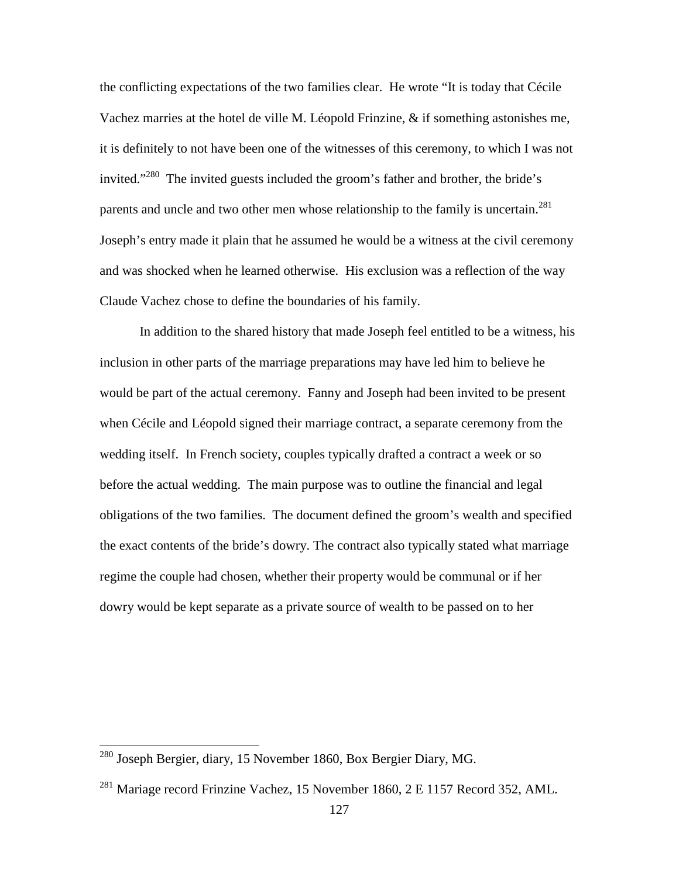the conflicting expectations of the two families clear. He wrote "It is today that Cécile Vachez marries at the hotel de ville M. Léopold Frinzine, & if something astonishes me, it is definitely to not have been one of the witnesses of this ceremony, to which I was not invited."<sup>280</sup> The invited guests included the groom's father and brother, the bride's parents and uncle and two other men whose relationship to the family is uncertain.<sup>281</sup> Joseph's entry made it plain that he assumed he would be a witness at the civil ceremony and was shocked when he learned otherwise. His exclusion was a reflection of the way Claude Vachez chose to define the boundaries of his family.

In addition to the shared history that made Joseph feel entitled to be a witness, his inclusion in other parts of the marriage preparations may have led him to believe he would be part of the actual ceremony. Fanny and Joseph had been invited to be present when Cécile and Léopold signed their marriage contract, a separate ceremony from the wedding itself. In French society, couples typically drafted a contract a week or so before the actual wedding. The main purpose was to outline the financial and legal obligations of the two families. The document defined the groom's wealth and specified the exact contents of the bride's dowry. The contract also typically stated what marriage regime the couple had chosen, whether their property would be communal or if her dowry would be kept separate as a private source of wealth to be passed on to her

 $^{280}$  Joseph Bergier, diary, 15 November 1860, Box Bergier Diary, MG.

<sup>281</sup> Mariage record Frinzine Vachez, 15 November 1860, 2 E 1157 Record 352, AML.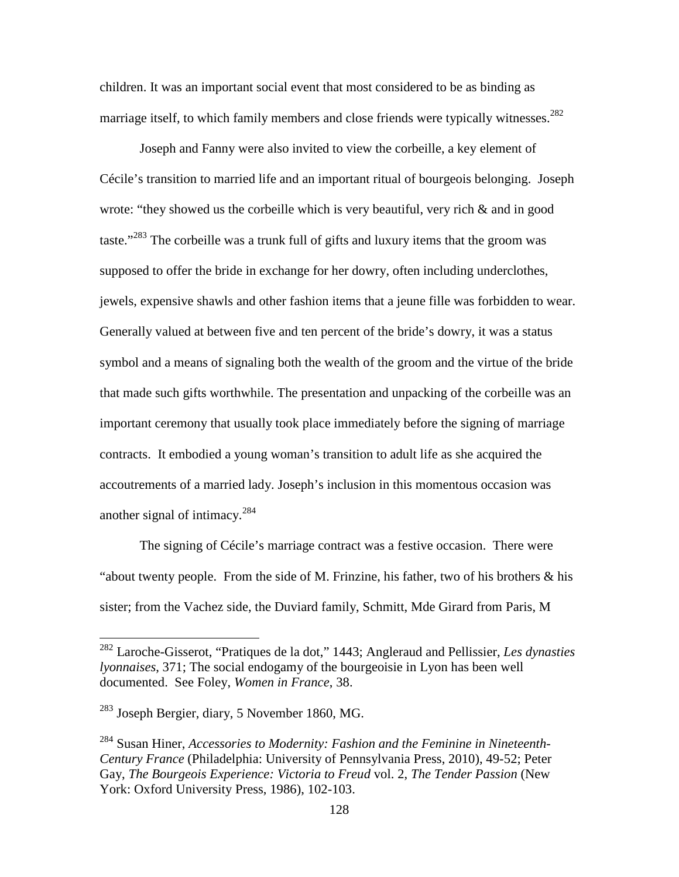children. It was an important social event that most considered to be as binding as marriage itself, to which family members and close friends were typically witnesses.<sup>282</sup>

Joseph and Fanny were also invited to view the corbeille, a key element of Cécile's transition to married life and an important ritual of bourgeois belonging. Joseph wrote: "they showed us the corbeille which is very beautiful, very rich  $\&$  and in good taste."<sup>283</sup> The corbeille was a trunk full of gifts and luxury items that the groom was supposed to offer the bride in exchange for her dowry, often including underclothes, jewels, expensive shawls and other fashion items that a jeune fille was forbidden to wear. Generally valued at between five and ten percent of the bride's dowry, it was a status symbol and a means of signaling both the wealth of the groom and the virtue of the bride that made such gifts worthwhile. The presentation and unpacking of the corbeille was an important ceremony that usually took place immediately before the signing of marriage contracts. It embodied a young woman's transition to adult life as she acquired the accoutrements of a married lady. Joseph's inclusion in this momentous occasion was another signal of intimacy. $^{284}$ 

The signing of Cécile's marriage contract was a festive occasion. There were "about twenty people. From the side of M. Frinzine, his father, two of his brothers  $\&$  his sister; from the Vachez side, the Duviard family, Schmitt, Mde Girard from Paris, M

-

<sup>282</sup> Laroche-Gisserot, "Pratiques de la dot," 1443; Angleraud and Pellissier, *Les dynasties lyonnaises*, 371; The social endogamy of the bourgeoisie in Lyon has been well documented. See Foley, *Women in France*, 38.

 $^{283}$  Joseph Bergier, diary, 5 November 1860, MG.

<sup>284</sup> Susan Hiner, *Accessories to Modernity: Fashion and the Feminine in Nineteenth-Century France* (Philadelphia: University of Pennsylvania Press, 2010), 49-52; Peter Gay, *The Bourgeois Experience: Victoria to Freud* vol. 2, *The Tender Passion* (New York: Oxford University Press, 1986), 102-103.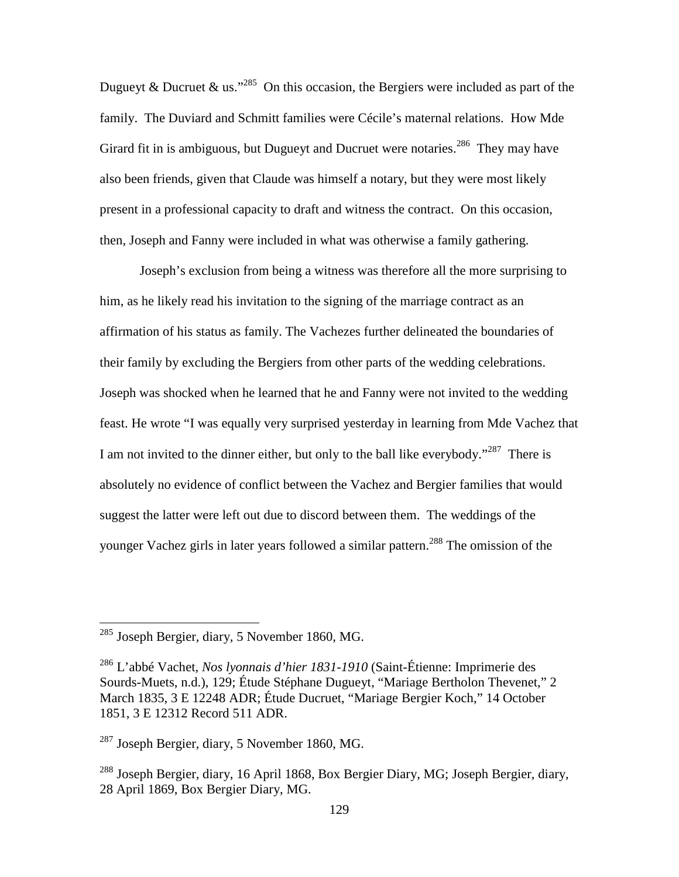Dugueyt & Ducruet & us."<sup>285</sup> On this occasion, the Bergiers were included as part of the family. The Duviard and Schmitt families were Cécile's maternal relations. How Mde Girard fit in is ambiguous, but Dugueyt and Ducruet were notaries.<sup>286</sup> They may have also been friends, given that Claude was himself a notary, but they were most likely present in a professional capacity to draft and witness the contract. On this occasion, then, Joseph and Fanny were included in what was otherwise a family gathering.

Joseph's exclusion from being a witness was therefore all the more surprising to him, as he likely read his invitation to the signing of the marriage contract as an affirmation of his status as family. The Vachezes further delineated the boundaries of their family by excluding the Bergiers from other parts of the wedding celebrations. Joseph was shocked when he learned that he and Fanny were not invited to the wedding feast. He wrote "I was equally very surprised yesterday in learning from Mde Vachez that I am not invited to the dinner either, but only to the ball like everybody."<sup>287</sup> There is absolutely no evidence of conflict between the Vachez and Bergier families that would suggest the latter were left out due to discord between them. The weddings of the younger Vachez girls in later years followed a similar pattern.<sup>288</sup> The omission of the

 $^{285}$  Joseph Bergier, diary, 5 November 1860, MG.

<sup>286</sup> L'abbé Vachet, *Nos lyonnais d'hier 1831-1910* (Saint-Étienne: Imprimerie des Sourds-Muets, n.d.), 129; Étude Stéphane Dugueyt, "Mariage Bertholon Thevenet," 2 March 1835, 3 E 12248 ADR; Étude Ducruet, "Mariage Bergier Koch," 14 October 1851, 3 E 12312 Record 511 ADR.

<sup>287</sup> Joseph Bergier, diary, 5 November 1860, MG.

<sup>288</sup> Joseph Bergier, diary, 16 April 1868, Box Bergier Diary, MG; Joseph Bergier, diary, 28 April 1869, Box Bergier Diary, MG.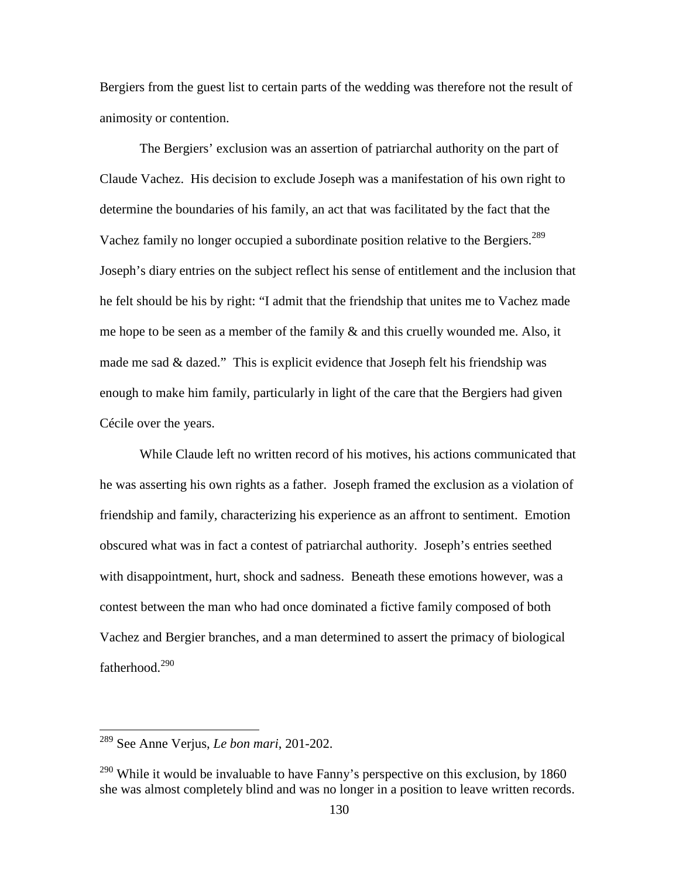Bergiers from the guest list to certain parts of the wedding was therefore not the result of animosity or contention.

The Bergiers' exclusion was an assertion of patriarchal authority on the part of Claude Vachez. His decision to exclude Joseph was a manifestation of his own right to determine the boundaries of his family, an act that was facilitated by the fact that the Vachez family no longer occupied a subordinate position relative to the Bergiers.<sup>289</sup> Joseph's diary entries on the subject reflect his sense of entitlement and the inclusion that he felt should be his by right: "I admit that the friendship that unites me to Vachez made me hope to be seen as a member of the family  $\&$  and this cruelly wounded me. Also, it made me sad & dazed." This is explicit evidence that Joseph felt his friendship was enough to make him family, particularly in light of the care that the Bergiers had given Cécile over the years.

While Claude left no written record of his motives, his actions communicated that he was asserting his own rights as a father. Joseph framed the exclusion as a violation of friendship and family, characterizing his experience as an affront to sentiment. Emotion obscured what was in fact a contest of patriarchal authority. Joseph's entries seethed with disappointment, hurt, shock and sadness. Beneath these emotions however, was a contest between the man who had once dominated a fictive family composed of both Vachez and Bergier branches, and a man determined to assert the primacy of biological fatherhood. $^{290}$ 

<sup>289</sup> See Anne Verjus, *Le bon mari*, 201-202.

 $290$  While it would be invaluable to have Fanny's perspective on this exclusion, by 1860 she was almost completely blind and was no longer in a position to leave written records.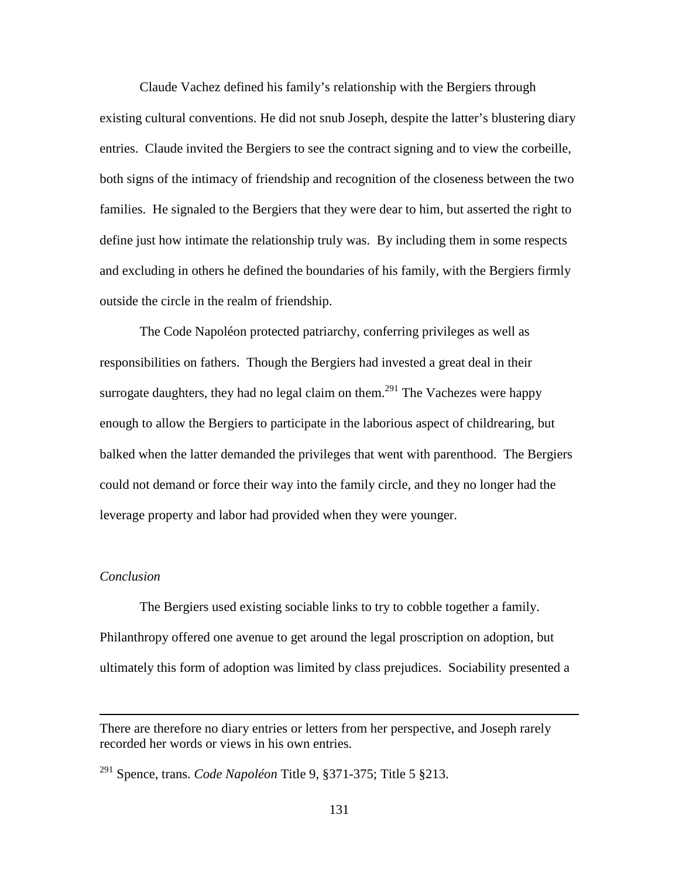Claude Vachez defined his family's relationship with the Bergiers through existing cultural conventions. He did not snub Joseph, despite the latter's blustering diary entries. Claude invited the Bergiers to see the contract signing and to view the corbeille, both signs of the intimacy of friendship and recognition of the closeness between the two families. He signaled to the Bergiers that they were dear to him, but asserted the right to define just how intimate the relationship truly was. By including them in some respects and excluding in others he defined the boundaries of his family, with the Bergiers firmly outside the circle in the realm of friendship.

The Code Napoléon protected patriarchy, conferring privileges as well as responsibilities on fathers. Though the Bergiers had invested a great deal in their surrogate daughters, they had no legal claim on them.<sup>291</sup> The Vachezes were happy enough to allow the Bergiers to participate in the laborious aspect of childrearing, but balked when the latter demanded the privileges that went with parenthood. The Bergiers could not demand or force their way into the family circle, and they no longer had the leverage property and labor had provided when they were younger.

# *Conclusion*

 $\overline{a}$ 

 The Bergiers used existing sociable links to try to cobble together a family. Philanthropy offered one avenue to get around the legal proscription on adoption, but ultimately this form of adoption was limited by class prejudices. Sociability presented a

131

There are therefore no diary entries or letters from her perspective, and Joseph rarely recorded her words or views in his own entries.

<sup>291</sup> Spence, trans. *Code Napoléon* Title 9, §371-375; Title 5 §213.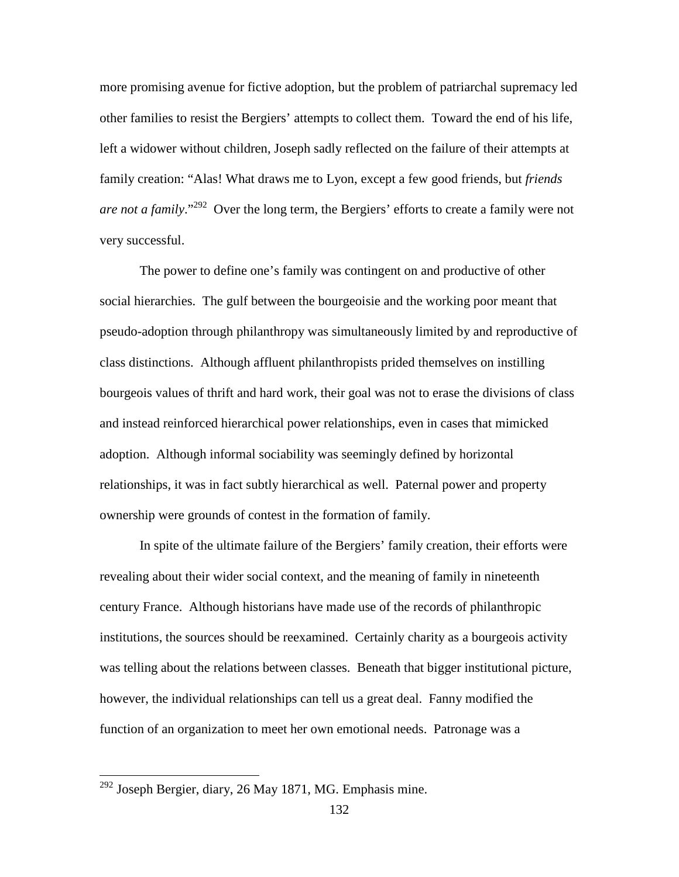more promising avenue for fictive adoption, but the problem of patriarchal supremacy led other families to resist the Bergiers' attempts to collect them. Toward the end of his life, left a widower without children, Joseph sadly reflected on the failure of their attempts at family creation: "Alas! What draws me to Lyon, except a few good friends, but *friends are not a family.*"<sup>292</sup> Over the long term, the Bergiers' efforts to create a family were not very successful.

The power to define one's family was contingent on and productive of other social hierarchies. The gulf between the bourgeoisie and the working poor meant that pseudo-adoption through philanthropy was simultaneously limited by and reproductive of class distinctions. Although affluent philanthropists prided themselves on instilling bourgeois values of thrift and hard work, their goal was not to erase the divisions of class and instead reinforced hierarchical power relationships, even in cases that mimicked adoption. Although informal sociability was seemingly defined by horizontal relationships, it was in fact subtly hierarchical as well. Paternal power and property ownership were grounds of contest in the formation of family.

In spite of the ultimate failure of the Bergiers' family creation, their efforts were revealing about their wider social context, and the meaning of family in nineteenth century France. Although historians have made use of the records of philanthropic institutions, the sources should be reexamined. Certainly charity as a bourgeois activity was telling about the relations between classes. Beneath that bigger institutional picture, however, the individual relationships can tell us a great deal. Fanny modified the function of an organization to meet her own emotional needs. Patronage was a

<sup>&</sup>lt;sup>292</sup> Joseph Bergier, diary, 26 May 1871, MG. Emphasis mine.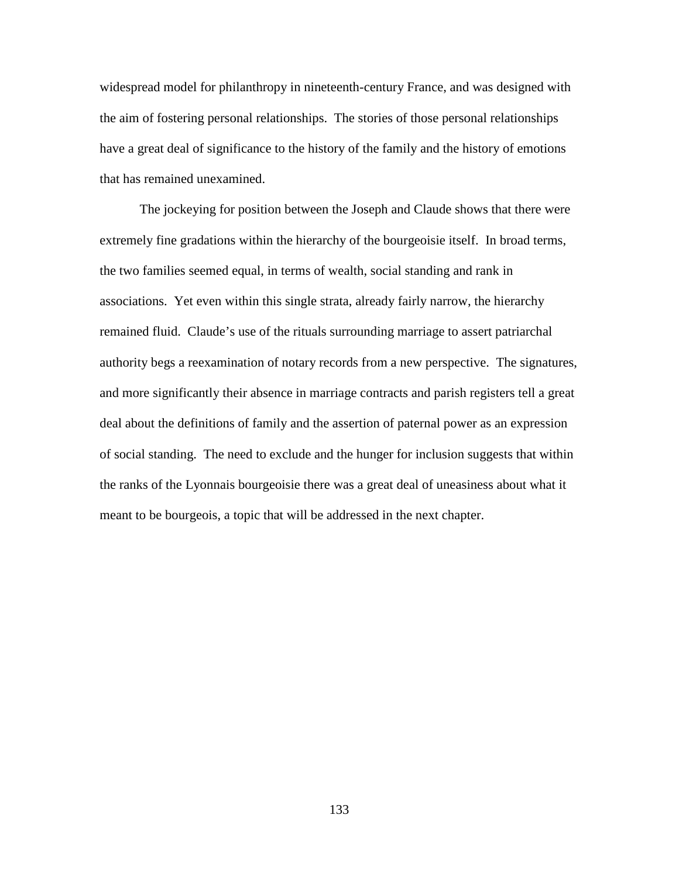widespread model for philanthropy in nineteenth-century France, and was designed with the aim of fostering personal relationships. The stories of those personal relationships have a great deal of significance to the history of the family and the history of emotions that has remained unexamined.

 The jockeying for position between the Joseph and Claude shows that there were extremely fine gradations within the hierarchy of the bourgeoisie itself. In broad terms, the two families seemed equal, in terms of wealth, social standing and rank in associations. Yet even within this single strata, already fairly narrow, the hierarchy remained fluid. Claude's use of the rituals surrounding marriage to assert patriarchal authority begs a reexamination of notary records from a new perspective. The signatures, and more significantly their absence in marriage contracts and parish registers tell a great deal about the definitions of family and the assertion of paternal power as an expression of social standing. The need to exclude and the hunger for inclusion suggests that within the ranks of the Lyonnais bourgeoisie there was a great deal of uneasiness about what it meant to be bourgeois, a topic that will be addressed in the next chapter.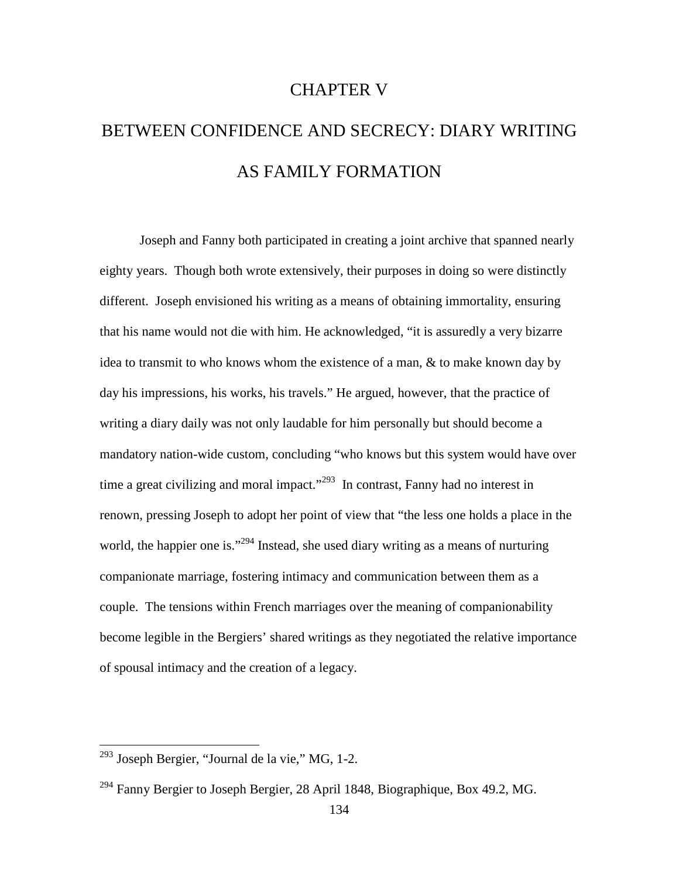# CHAPTER V

# BETWEEN CONFIDENCE AND SECRECY: DIARY WRITING AS FAMILY FORMATION

Joseph and Fanny both participated in creating a joint archive that spanned nearly eighty years. Though both wrote extensively, their purposes in doing so were distinctly different. Joseph envisioned his writing as a means of obtaining immortality, ensuring that his name would not die with him. He acknowledged, "it is assuredly a very bizarre idea to transmit to who knows whom the existence of a man, & to make known day by day his impressions, his works, his travels." He argued, however, that the practice of writing a diary daily was not only laudable for him personally but should become a mandatory nation-wide custom, concluding "who knows but this system would have over time a great civilizing and moral impact."<sup>293</sup> In contrast, Fanny had no interest in renown, pressing Joseph to adopt her point of view that "the less one holds a place in the world, the happier one is."<sup>294</sup> Instead, she used diary writing as a means of nurturing companionate marriage, fostering intimacy and communication between them as a couple. The tensions within French marriages over the meaning of companionability become legible in the Bergiers' shared writings as they negotiated the relative importance of spousal intimacy and the creation of a legacy.

<sup>&</sup>lt;sup>293</sup> Joseph Bergier, "Journal de la vie," MG, 1-2.

<sup>294</sup> Fanny Bergier to Joseph Bergier, 28 April 1848, Biographique, Box 49.2, MG.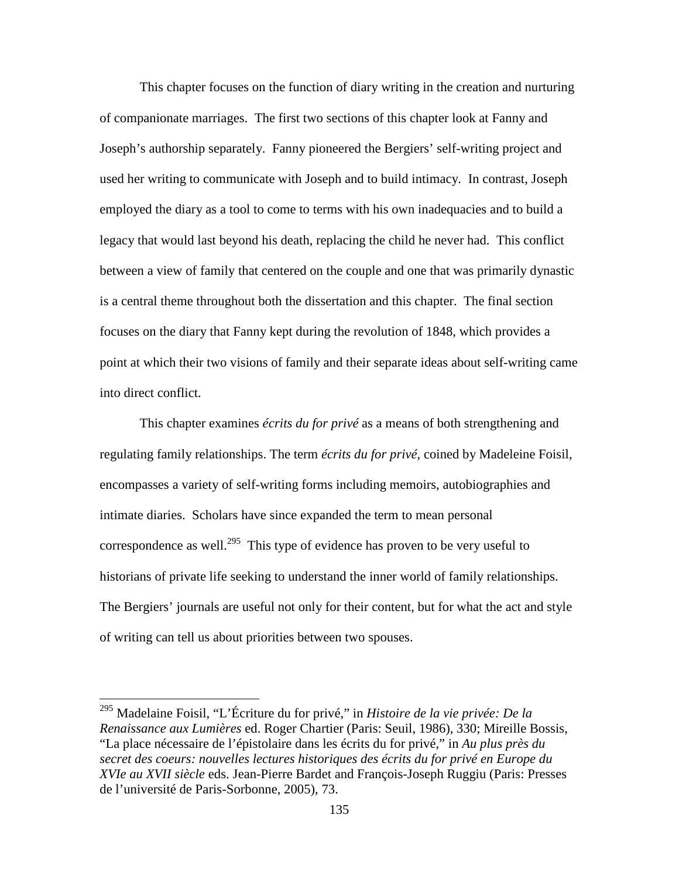This chapter focuses on the function of diary writing in the creation and nurturing of companionate marriages. The first two sections of this chapter look at Fanny and Joseph's authorship separately. Fanny pioneered the Bergiers' self-writing project and used her writing to communicate with Joseph and to build intimacy. In contrast, Joseph employed the diary as a tool to come to terms with his own inadequacies and to build a legacy that would last beyond his death, replacing the child he never had. This conflict between a view of family that centered on the couple and one that was primarily dynastic is a central theme throughout both the dissertation and this chapter. The final section focuses on the diary that Fanny kept during the revolution of 1848, which provides a point at which their two visions of family and their separate ideas about self-writing came into direct conflict.

This chapter examines *écrits du for privé* as a means of both strengthening and regulating family relationships. The term *écrits du for privé*, coined by Madeleine Foisil, encompasses a variety of self-writing forms including memoirs, autobiographies and intimate diaries. Scholars have since expanded the term to mean personal correspondence as well.<sup>295</sup> This type of evidence has proven to be very useful to historians of private life seeking to understand the inner world of family relationships. The Bergiers' journals are useful not only for their content, but for what the act and style of writing can tell us about priorities between two spouses.

<sup>295</sup> Madelaine Foisil, "L'Écriture du for privé," in *Histoire de la vie privée: De la Renaissance aux Lumières* ed. Roger Chartier (Paris: Seuil, 1986), 330; Mireille Bossis, "La place nécessaire de l'épistolaire dans les écrits du for privé," in *Au plus près du secret des coeurs: nouvelles lectures historiques des écrits du for privé en Europe du XVIe au XVII siècle* eds. Jean-Pierre Bardet and François-Joseph Ruggiu (Paris: Presses de l'université de Paris-Sorbonne, 2005), 73.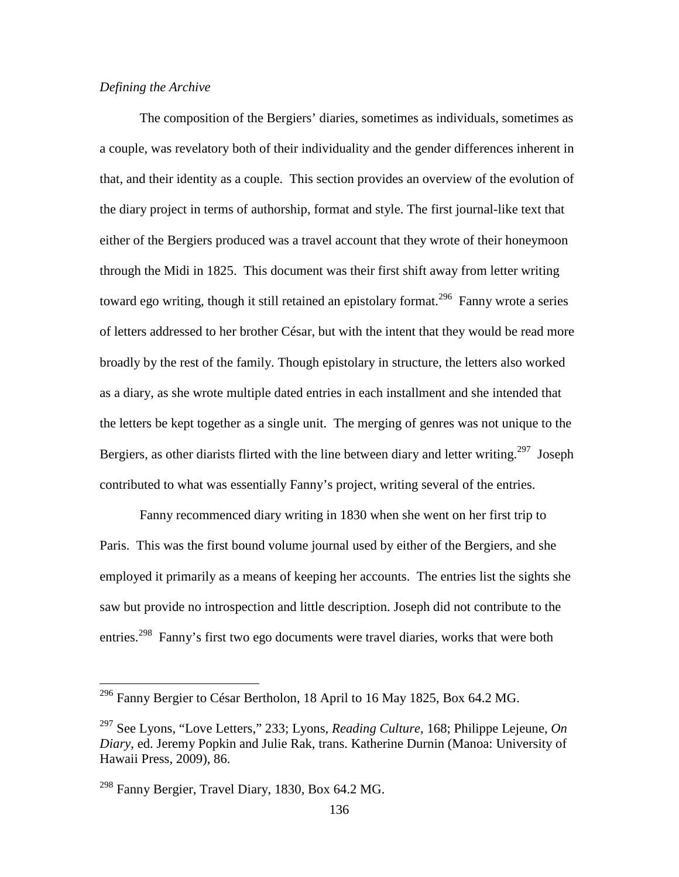## *Defining the Archive*

The composition of the Bergiers' diaries, sometimes as individuals, sometimes as a couple, was revelatory both of their individuality and the gender differences inherent in that, and their identity as a couple. This section provides an overview of the evolution of the diary project in terms of authorship, format and style. The first journal-like text that either of the Bergiers produced was a travel account that they wrote of their honeymoon through the Midi in 1825. This document was their first shift away from letter writing toward ego writing, though it still retained an epistolary format.<sup>296</sup> Fanny wrote a series of letters addressed to her brother César, but with the intent that they would be read more broadly by the rest of the family. Though epistolary in structure, the letters also worked as a diary, as she wrote multiple dated entries in each installment and she intended that the letters be kept together as a single unit. The merging of genres was not unique to the Bergiers, as other diarists flirted with the line between diary and letter writing.<sup>297</sup> Joseph contributed to what was essentially Fanny's project, writing several of the entries.

Fanny recommenced diary writing in 1830 when she went on her first trip to Paris. This was the first bound volume journal used by either of the Bergiers, and she employed it primarily as a means of keeping her accounts. The entries list the sights she saw but provide no introspection and little description. Joseph did not contribute to the entries.<sup>298</sup> Fanny's first two ego documents were travel diaries, works that were both

 $^{296}$  Fanny Bergier to César Bertholon, 18 April to 16 May 1825, Box 64.2 MG.

<sup>297</sup> See Lyons, "Love Letters," 233; Lyons, *Reading Culture*, 168; Philippe Lejeune, *On Diary*, ed. Jeremy Popkin and Julie Rak, trans. Katherine Durnin (Manoa: University of Hawaii Press, 2009), 86.

 $^{298}$  Fanny Bergier, Travel Diary, 1830, Box 64.2 MG.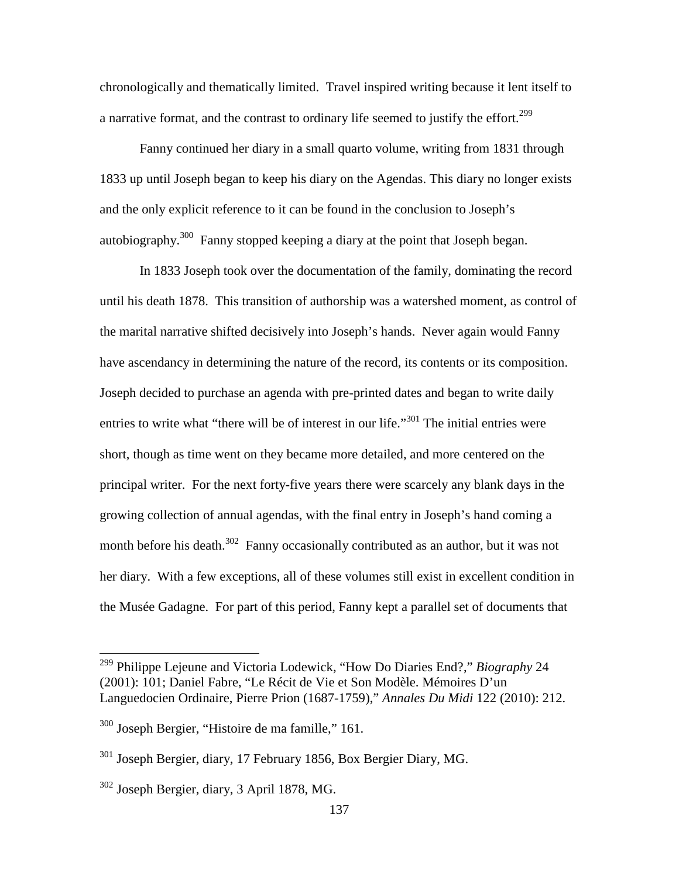chronologically and thematically limited. Travel inspired writing because it lent itself to a narrative format, and the contrast to ordinary life seemed to justify the effort.<sup>299</sup>

Fanny continued her diary in a small quarto volume, writing from 1831 through 1833 up until Joseph began to keep his diary on the Agendas. This diary no longer exists and the only explicit reference to it can be found in the conclusion to Joseph's autobiography.<sup>300</sup> Fanny stopped keeping a diary at the point that Joseph began.

In 1833 Joseph took over the documentation of the family, dominating the record until his death 1878. This transition of authorship was a watershed moment, as control of the marital narrative shifted decisively into Joseph's hands. Never again would Fanny have ascendancy in determining the nature of the record, its contents or its composition. Joseph decided to purchase an agenda with pre-printed dates and began to write daily entries to write what "there will be of interest in our life."<sup>301</sup> The initial entries were short, though as time went on they became more detailed, and more centered on the principal writer. For the next forty-five years there were scarcely any blank days in the growing collection of annual agendas, with the final entry in Joseph's hand coming a month before his death.<sup>302</sup> Fanny occasionally contributed as an author, but it was not her diary. With a few exceptions, all of these volumes still exist in excellent condition in the Musée Gadagne. For part of this period, Fanny kept a parallel set of documents that

<sup>299</sup> Philippe Lejeune and Victoria Lodewick, "How Do Diaries End?," *Biography* 24 (2001): 101; Daniel Fabre, "Le Récit de Vie et Son Modèle. Mémoires D'un Languedocien Ordinaire, Pierre Prion (1687-1759)," *Annales Du Midi* 122 (2010): 212.

<sup>300</sup> Joseph Bergier, "Histoire de ma famille," 161.

<sup>301</sup> Joseph Bergier, diary, 17 February 1856, Box Bergier Diary, MG.

 $302$  Joseph Bergier, diary, 3 April 1878, MG.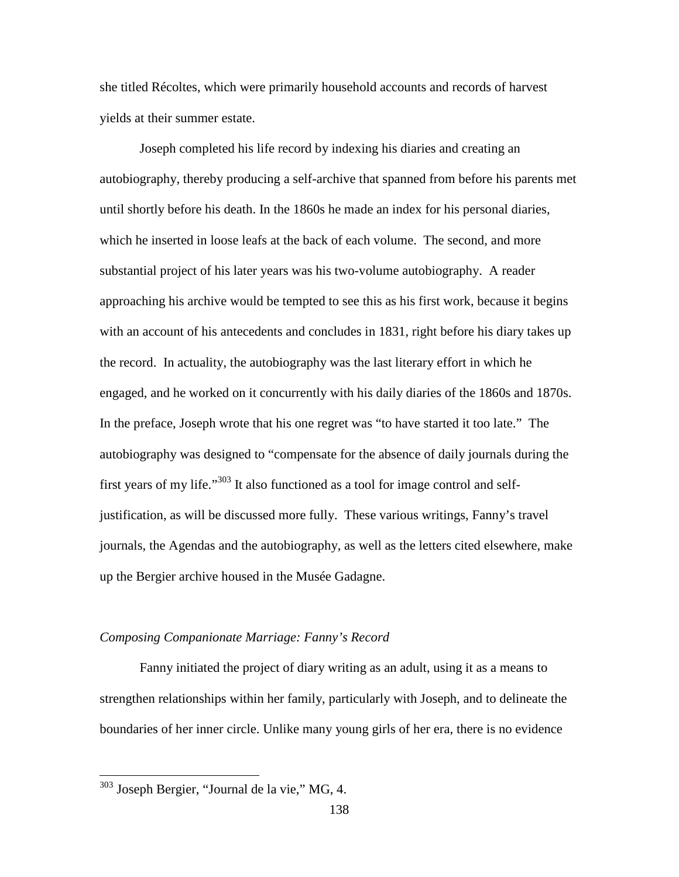she titled Récoltes, which were primarily household accounts and records of harvest yields at their summer estate.

Joseph completed his life record by indexing his diaries and creating an autobiography, thereby producing a self-archive that spanned from before his parents met until shortly before his death. In the 1860s he made an index for his personal diaries, which he inserted in loose leafs at the back of each volume. The second, and more substantial project of his later years was his two-volume autobiography. A reader approaching his archive would be tempted to see this as his first work, because it begins with an account of his antecedents and concludes in 1831, right before his diary takes up the record. In actuality, the autobiography was the last literary effort in which he engaged, and he worked on it concurrently with his daily diaries of the 1860s and 1870s. In the preface, Joseph wrote that his one regret was "to have started it too late." The autobiography was designed to "compensate for the absence of daily journals during the first years of my life."<sup>303</sup> It also functioned as a tool for image control and selfjustification, as will be discussed more fully. These various writings, Fanny's travel journals, the Agendas and the autobiography, as well as the letters cited elsewhere, make up the Bergier archive housed in the Musée Gadagne.

## *Composing Companionate Marriage: Fanny's Record*

 Fanny initiated the project of diary writing as an adult, using it as a means to strengthen relationships within her family, particularly with Joseph, and to delineate the boundaries of her inner circle. Unlike many young girls of her era, there is no evidence

 $303$  Joseph Bergier, "Journal de la vie," MG, 4.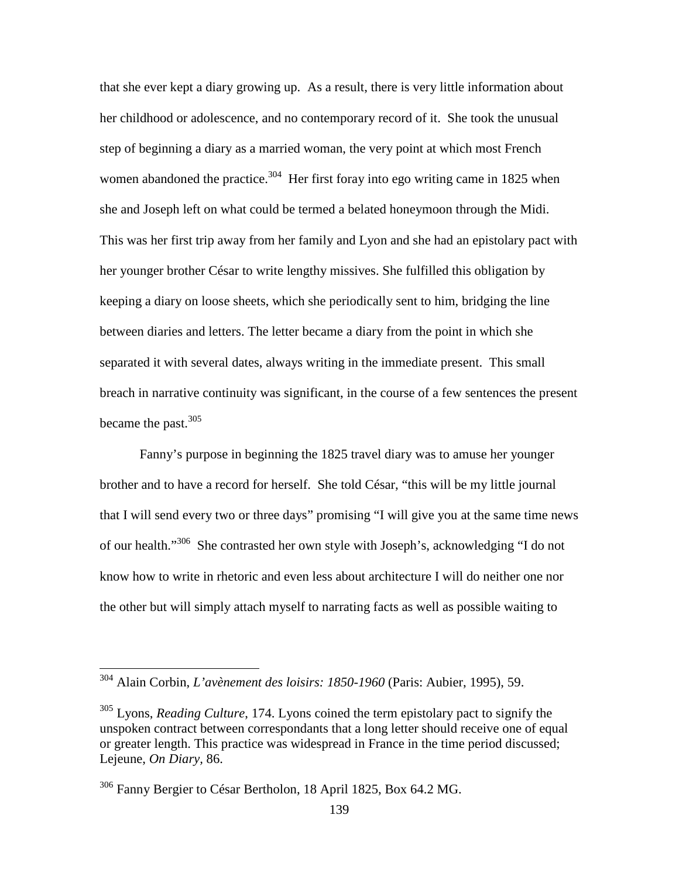that she ever kept a diary growing up. As a result, there is very little information about her childhood or adolescence, and no contemporary record of it. She took the unusual step of beginning a diary as a married woman, the very point at which most French women abandoned the practice.<sup>304</sup> Her first foray into ego writing came in 1825 when she and Joseph left on what could be termed a belated honeymoon through the Midi. This was her first trip away from her family and Lyon and she had an epistolary pact with her younger brother César to write lengthy missives. She fulfilled this obligation by keeping a diary on loose sheets, which she periodically sent to him, bridging the line between diaries and letters. The letter became a diary from the point in which she separated it with several dates, always writing in the immediate present. This small breach in narrative continuity was significant, in the course of a few sentences the present became the past.  $305$ 

Fanny's purpose in beginning the 1825 travel diary was to amuse her younger brother and to have a record for herself. She told César, "this will be my little journal that I will send every two or three days" promising "I will give you at the same time news of our health."<sup>306</sup> She contrasted her own style with Joseph's, acknowledging "I do not know how to write in rhetoric and even less about architecture I will do neither one nor the other but will simply attach myself to narrating facts as well as possible waiting to

<sup>304</sup> Alain Corbin, *L'avènement des loisirs: 1850-1960* (Paris: Aubier, 1995), 59.

<sup>&</sup>lt;sup>305</sup> Lyons, *Reading Culture*, 174. Lyons coined the term epistolary pact to signify the unspoken contract between correspondants that a long letter should receive one of equal or greater length. This practice was widespread in France in the time period discussed; Lejeune, *On Diary,* 86.

<sup>306</sup> Fanny Bergier to César Bertholon, 18 April 1825, Box 64.2 MG.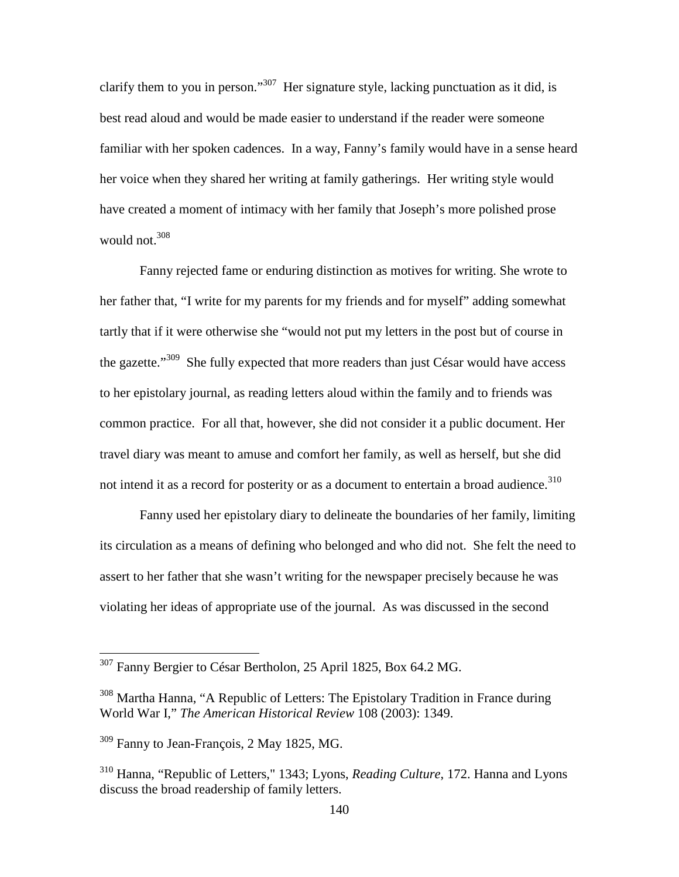clarify them to you in person."<sup>307</sup> Her signature style, lacking punctuation as it did, is best read aloud and would be made easier to understand if the reader were someone familiar with her spoken cadences. In a way, Fanny's family would have in a sense heard her voice when they shared her writing at family gatherings. Her writing style would have created a moment of intimacy with her family that Joseph's more polished prose would not.<sup>308</sup>

Fanny rejected fame or enduring distinction as motives for writing. She wrote to her father that, "I write for my parents for my friends and for myself" adding somewhat tartly that if it were otherwise she "would not put my letters in the post but of course in the gazette."<sup>309</sup> She fully expected that more readers than just César would have access to her epistolary journal, as reading letters aloud within the family and to friends was common practice. For all that, however, she did not consider it a public document. Her travel diary was meant to amuse and comfort her family, as well as herself, but she did not intend it as a record for posterity or as a document to entertain a broad audience.<sup>310</sup>

Fanny used her epistolary diary to delineate the boundaries of her family, limiting its circulation as a means of defining who belonged and who did not. She felt the need to assert to her father that she wasn't writing for the newspaper precisely because he was violating her ideas of appropriate use of the journal. As was discussed in the second

<sup>&</sup>lt;sup>307</sup> Fanny Bergier to César Bertholon, 25 April 1825, Box 64.2 MG.

<sup>&</sup>lt;sup>308</sup> Martha Hanna, "A Republic of Letters: The Epistolary Tradition in France during World War I," *The American Historical Review* 108 (2003): 1349.

<sup>&</sup>lt;sup>309</sup> Fanny to Jean-François, 2 May 1825, MG.

<sup>310</sup> Hanna, "Republic of Letters," 1343; Lyons, *Reading Culture*, 172. Hanna and Lyons discuss the broad readership of family letters.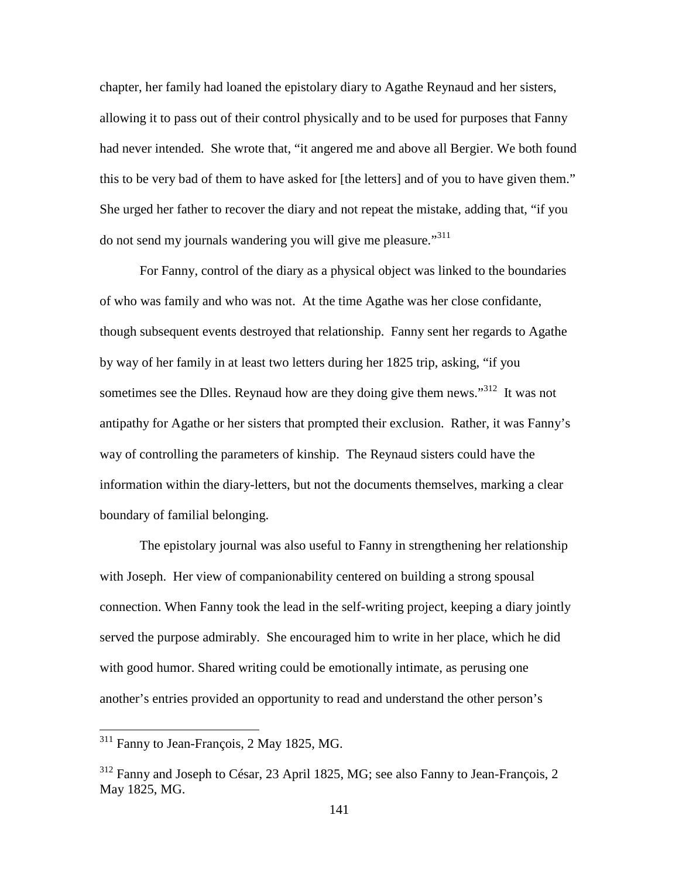chapter, her family had loaned the epistolary diary to Agathe Reynaud and her sisters, allowing it to pass out of their control physically and to be used for purposes that Fanny had never intended. She wrote that, "it angered me and above all Bergier. We both found this to be very bad of them to have asked for [the letters] and of you to have given them." She urged her father to recover the diary and not repeat the mistake, adding that, "if you do not send my journals wandering you will give me pleasure."<sup>311</sup>

For Fanny, control of the diary as a physical object was linked to the boundaries of who was family and who was not. At the time Agathe was her close confidante, though subsequent events destroyed that relationship. Fanny sent her regards to Agathe by way of her family in at least two letters during her 1825 trip, asking, "if you sometimes see the Dlles. Reynaud how are they doing give them news."<sup>312</sup> It was not antipathy for Agathe or her sisters that prompted their exclusion. Rather, it was Fanny's way of controlling the parameters of kinship. The Reynaud sisters could have the information within the diary-letters, but not the documents themselves, marking a clear boundary of familial belonging.

The epistolary journal was also useful to Fanny in strengthening her relationship with Joseph. Her view of companionability centered on building a strong spousal connection. When Fanny took the lead in the self-writing project, keeping a diary jointly served the purpose admirably. She encouraged him to write in her place, which he did with good humor. Shared writing could be emotionally intimate, as perusing one another's entries provided an opportunity to read and understand the other person's

<sup>311</sup> Fanny to Jean-François, 2 May 1825, MG.

<sup>312</sup> Fanny and Joseph to César, 23 April 1825, MG; see also Fanny to Jean-François, 2 May 1825, MG.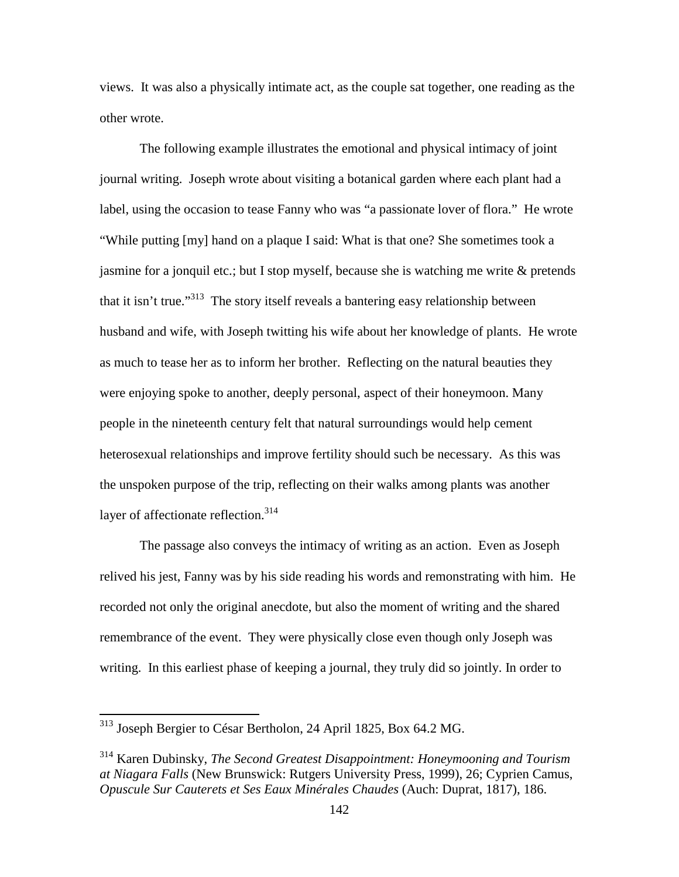views. It was also a physically intimate act, as the couple sat together, one reading as the other wrote.

The following example illustrates the emotional and physical intimacy of joint journal writing. Joseph wrote about visiting a botanical garden where each plant had a label, using the occasion to tease Fanny who was "a passionate lover of flora." He wrote "While putting [my] hand on a plaque I said: What is that one? She sometimes took a jasmine for a jonquil etc.; but I stop myself, because she is watching me write & pretends that it isn't true."<sup>313</sup> The story itself reveals a bantering easy relationship between husband and wife, with Joseph twitting his wife about her knowledge of plants. He wrote as much to tease her as to inform her brother. Reflecting on the natural beauties they were enjoying spoke to another, deeply personal, aspect of their honeymoon. Many people in the nineteenth century felt that natural surroundings would help cement heterosexual relationships and improve fertility should such be necessary. As this was the unspoken purpose of the trip, reflecting on their walks among plants was another layer of affectionate reflection.<sup>314</sup>

The passage also conveys the intimacy of writing as an action. Even as Joseph relived his jest, Fanny was by his side reading his words and remonstrating with him. He recorded not only the original anecdote, but also the moment of writing and the shared remembrance of the event. They were physically close even though only Joseph was writing. In this earliest phase of keeping a journal, they truly did so jointly. In order to

-

<sup>&</sup>lt;sup>313</sup> Joseph Bergier to César Bertholon, 24 April 1825, Box 64.2 MG.

<sup>314</sup> Karen Dubinsky, *The Second Greatest Disappointment: Honeymooning and Tourism at Niagara Falls* (New Brunswick: Rutgers University Press, 1999), 26; Cyprien Camus, *Opuscule Sur Cauterets et Ses Eaux Minérales Chaudes* (Auch: Duprat, 1817), 186.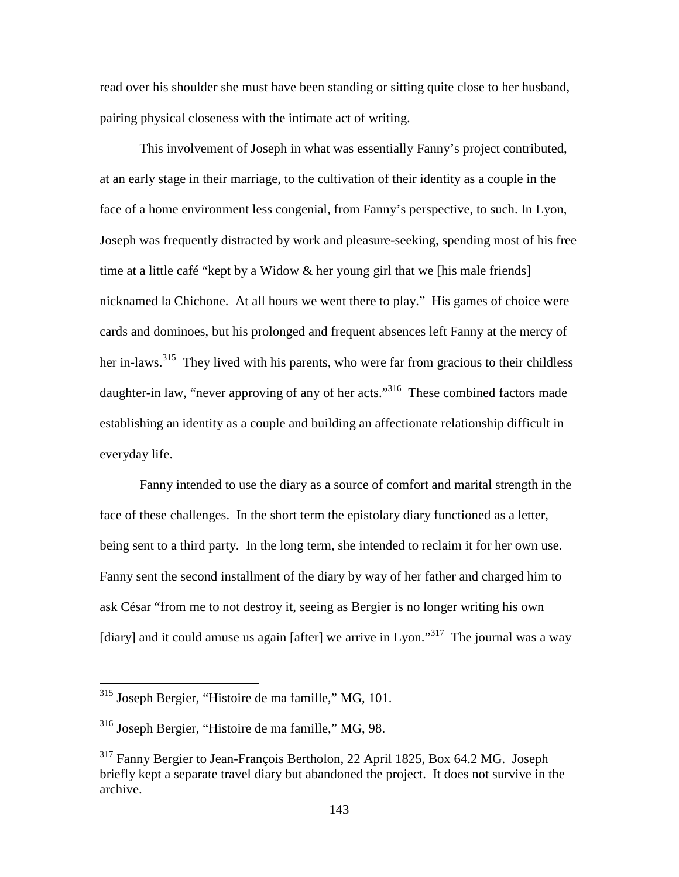read over his shoulder she must have been standing or sitting quite close to her husband, pairing physical closeness with the intimate act of writing.

 This involvement of Joseph in what was essentially Fanny's project contributed, at an early stage in their marriage, to the cultivation of their identity as a couple in the face of a home environment less congenial, from Fanny's perspective, to such. In Lyon, Joseph was frequently distracted by work and pleasure-seeking, spending most of his free time at a little café "kept by a Widow & her young girl that we [his male friends] nicknamed la Chichone. At all hours we went there to play." His games of choice were cards and dominoes, but his prolonged and frequent absences left Fanny at the mercy of her in-laws.<sup>315</sup> They lived with his parents, who were far from gracious to their childless daughter-in law, "never approving of any of her acts."<sup>316</sup> These combined factors made establishing an identity as a couple and building an affectionate relationship difficult in everyday life.

Fanny intended to use the diary as a source of comfort and marital strength in the face of these challenges. In the short term the epistolary diary functioned as a letter, being sent to a third party. In the long term, she intended to reclaim it for her own use. Fanny sent the second installment of the diary by way of her father and charged him to ask César "from me to not destroy it, seeing as Bergier is no longer writing his own [diary] and it could amuse us again [after] we arrive in Lyon."<sup>317</sup> The journal was a way

<sup>315</sup> Joseph Bergier, "Histoire de ma famille," MG, 101.

<sup>316</sup> Joseph Bergier, "Histoire de ma famille," MG, 98.

<sup>317</sup> Fanny Bergier to Jean-François Bertholon, 22 April 1825, Box 64.2 MG. Joseph briefly kept a separate travel diary but abandoned the project. It does not survive in the archive.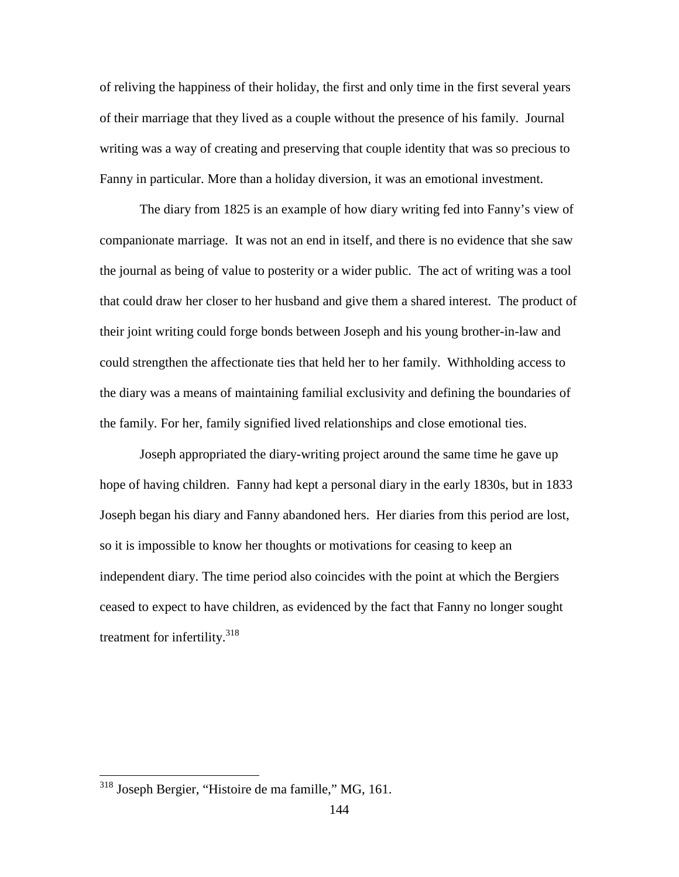of reliving the happiness of their holiday, the first and only time in the first several years of their marriage that they lived as a couple without the presence of his family. Journal writing was a way of creating and preserving that couple identity that was so precious to Fanny in particular. More than a holiday diversion, it was an emotional investment.

The diary from 1825 is an example of how diary writing fed into Fanny's view of companionate marriage. It was not an end in itself, and there is no evidence that she saw the journal as being of value to posterity or a wider public. The act of writing was a tool that could draw her closer to her husband and give them a shared interest. The product of their joint writing could forge bonds between Joseph and his young brother-in-law and could strengthen the affectionate ties that held her to her family. Withholding access to the diary was a means of maintaining familial exclusivity and defining the boundaries of the family. For her, family signified lived relationships and close emotional ties.

Joseph appropriated the diary-writing project around the same time he gave up hope of having children. Fanny had kept a personal diary in the early 1830s, but in 1833 Joseph began his diary and Fanny abandoned hers. Her diaries from this period are lost, so it is impossible to know her thoughts or motivations for ceasing to keep an independent diary. The time period also coincides with the point at which the Bergiers ceased to expect to have children, as evidenced by the fact that Fanny no longer sought treatment for infertility.<sup>318</sup>

<sup>&</sup>lt;sup>318</sup> Joseph Bergier, "Histoire de ma famille," MG, 161.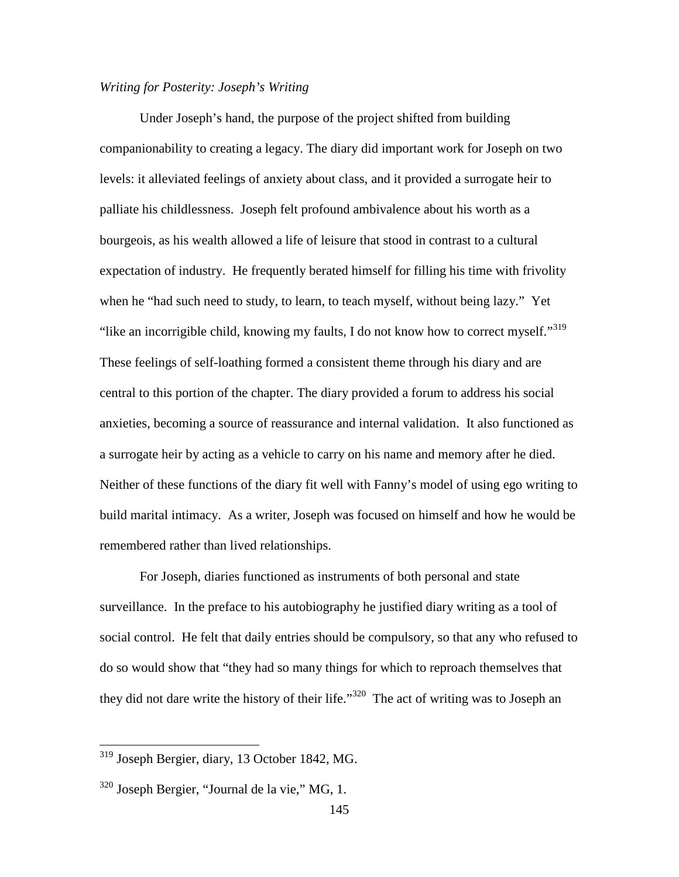## *Writing for Posterity: Joseph's Writing*

Under Joseph's hand, the purpose of the project shifted from building companionability to creating a legacy. The diary did important work for Joseph on two levels: it alleviated feelings of anxiety about class, and it provided a surrogate heir to palliate his childlessness. Joseph felt profound ambivalence about his worth as a bourgeois, as his wealth allowed a life of leisure that stood in contrast to a cultural expectation of industry. He frequently berated himself for filling his time with frivolity when he "had such need to study, to learn, to teach myself, without being lazy." Yet "like an incorrigible child, knowing my faults, I do not know how to correct myself."<sup>319</sup> These feelings of self-loathing formed a consistent theme through his diary and are central to this portion of the chapter. The diary provided a forum to address his social anxieties, becoming a source of reassurance and internal validation. It also functioned as a surrogate heir by acting as a vehicle to carry on his name and memory after he died. Neither of these functions of the diary fit well with Fanny's model of using ego writing to build marital intimacy. As a writer, Joseph was focused on himself and how he would be remembered rather than lived relationships.

For Joseph, diaries functioned as instruments of both personal and state surveillance. In the preface to his autobiography he justified diary writing as a tool of social control. He felt that daily entries should be compulsory, so that any who refused to do so would show that "they had so many things for which to reproach themselves that they did not dare write the history of their life."<sup>320</sup> The act of writing was to Joseph an

<sup>319</sup> Joseph Bergier, diary, 13 October 1842, MG.

 $320$  Joseph Bergier, "Journal de la vie," MG, 1.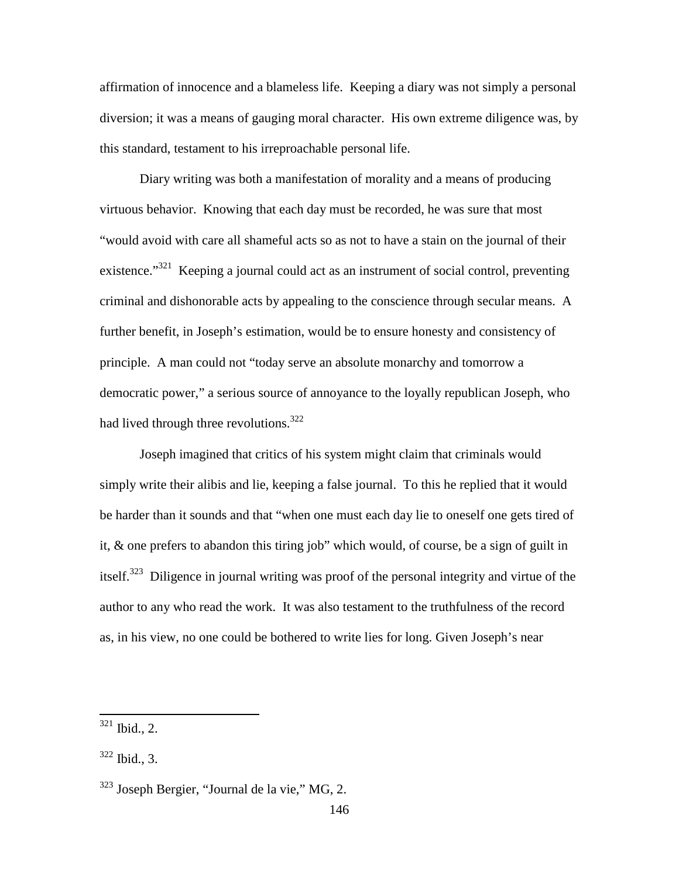affirmation of innocence and a blameless life. Keeping a diary was not simply a personal diversion; it was a means of gauging moral character. His own extreme diligence was, by this standard, testament to his irreproachable personal life.

Diary writing was both a manifestation of morality and a means of producing virtuous behavior. Knowing that each day must be recorded, he was sure that most "would avoid with care all shameful acts so as not to have a stain on the journal of their existence."<sup>321</sup> Keeping a journal could act as an instrument of social control, preventing criminal and dishonorable acts by appealing to the conscience through secular means. A further benefit, in Joseph's estimation, would be to ensure honesty and consistency of principle. A man could not "today serve an absolute monarchy and tomorrow a democratic power," a serious source of annoyance to the loyally republican Joseph, who had lived through three revolutions.<sup>322</sup>

Joseph imagined that critics of his system might claim that criminals would simply write their alibis and lie, keeping a false journal. To this he replied that it would be harder than it sounds and that "when one must each day lie to oneself one gets tired of it, & one prefers to abandon this tiring job" which would, of course, be a sign of guilt in itself.<sup>323</sup> Diligence in journal writing was proof of the personal integrity and virtue of the author to any who read the work. It was also testament to the truthfulness of the record as, in his view, no one could be bothered to write lies for long. Given Joseph's near

 $321$  Ibid., 2.

 $322$  Ibid., 3.

 $323$  Joseph Bergier, "Journal de la vie," MG, 2.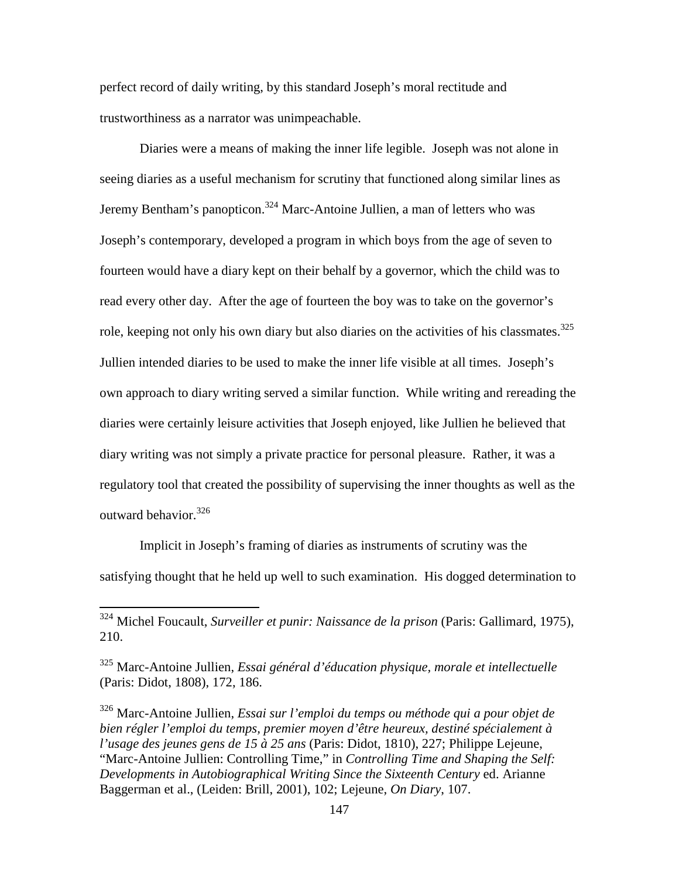perfect record of daily writing, by this standard Joseph's moral rectitude and trustworthiness as a narrator was unimpeachable.

Diaries were a means of making the inner life legible. Joseph was not alone in seeing diaries as a useful mechanism for scrutiny that functioned along similar lines as Jeremy Bentham's panopticon.<sup>324</sup> Marc-Antoine Jullien, a man of letters who was Joseph's contemporary, developed a program in which boys from the age of seven to fourteen would have a diary kept on their behalf by a governor, which the child was to read every other day. After the age of fourteen the boy was to take on the governor's role, keeping not only his own diary but also diaries on the activities of his classmates.<sup>325</sup> Jullien intended diaries to be used to make the inner life visible at all times. Joseph's own approach to diary writing served a similar function. While writing and rereading the diaries were certainly leisure activities that Joseph enjoyed, like Jullien he believed that diary writing was not simply a private practice for personal pleasure. Rather, it was a regulatory tool that created the possibility of supervising the inner thoughts as well as the outward behavior.<sup>326</sup>

Implicit in Joseph's framing of diaries as instruments of scrutiny was the satisfying thought that he held up well to such examination. His dogged determination to

<sup>324</sup> Michel Foucault, *Surveiller et punir: Naissance de la prison* (Paris: Gallimard, 1975), 210.

<sup>325</sup> Marc-Antoine Jullien, *Essai général d'éducation physique, morale et intellectuelle* (Paris: Didot, 1808), 172, 186.

<sup>326</sup> Marc-Antoine Jullien, *Essai sur l'emploi du temps ou méthode qui a pour objet de bien régler l'emploi du temps, premier moyen d'être heureux, destiné spécialement à l'usage des jeunes gens de 15 à 25 ans* (Paris: Didot, 1810), 227; Philippe Lejeune, "Marc-Antoine Jullien: Controlling Time," in *Controlling Time and Shaping the Self: Developments in Autobiographical Writing Since the Sixteenth Century* ed. Arianne Baggerman et al., (Leiden: Brill, 2001), 102; Lejeune, *On Diary*, 107.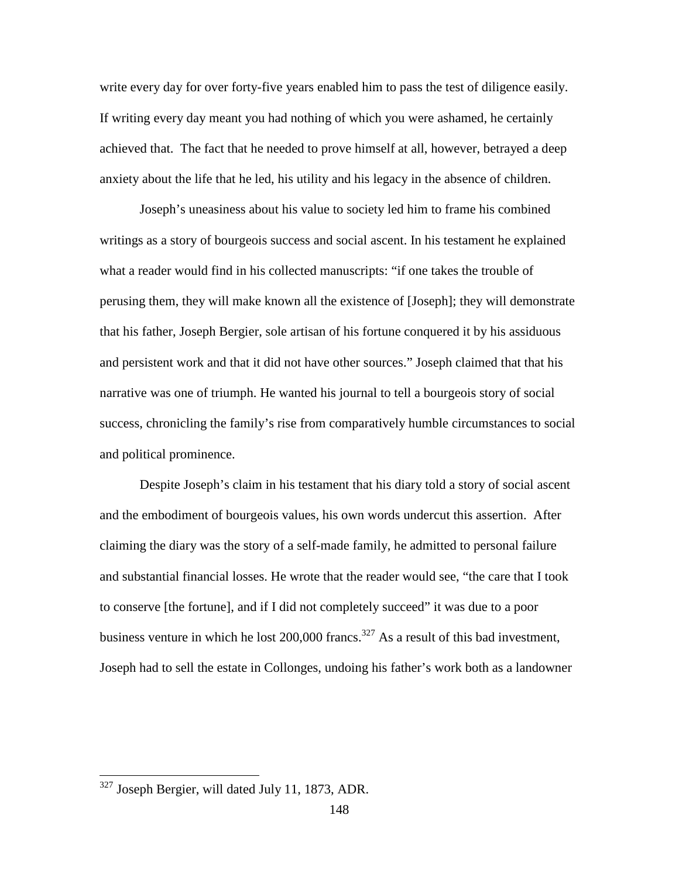write every day for over forty-five years enabled him to pass the test of diligence easily. If writing every day meant you had nothing of which you were ashamed, he certainly achieved that. The fact that he needed to prove himself at all, however, betrayed a deep anxiety about the life that he led, his utility and his legacy in the absence of children.

Joseph's uneasiness about his value to society led him to frame his combined writings as a story of bourgeois success and social ascent. In his testament he explained what a reader would find in his collected manuscripts: "if one takes the trouble of perusing them, they will make known all the existence of [Joseph]; they will demonstrate that his father, Joseph Bergier, sole artisan of his fortune conquered it by his assiduous and persistent work and that it did not have other sources." Joseph claimed that that his narrative was one of triumph. He wanted his journal to tell a bourgeois story of social success, chronicling the family's rise from comparatively humble circumstances to social and political prominence.

Despite Joseph's claim in his testament that his diary told a story of social ascent and the embodiment of bourgeois values, his own words undercut this assertion. After claiming the diary was the story of a self-made family, he admitted to personal failure and substantial financial losses. He wrote that the reader would see, "the care that I took to conserve [the fortune], and if I did not completely succeed" it was due to a poor business venture in which he lost  $200,000$  francs.<sup>327</sup> As a result of this bad investment, Joseph had to sell the estate in Collonges, undoing his father's work both as a landowner

<sup>&</sup>lt;sup>327</sup> Joseph Bergier, will dated July 11, 1873, ADR.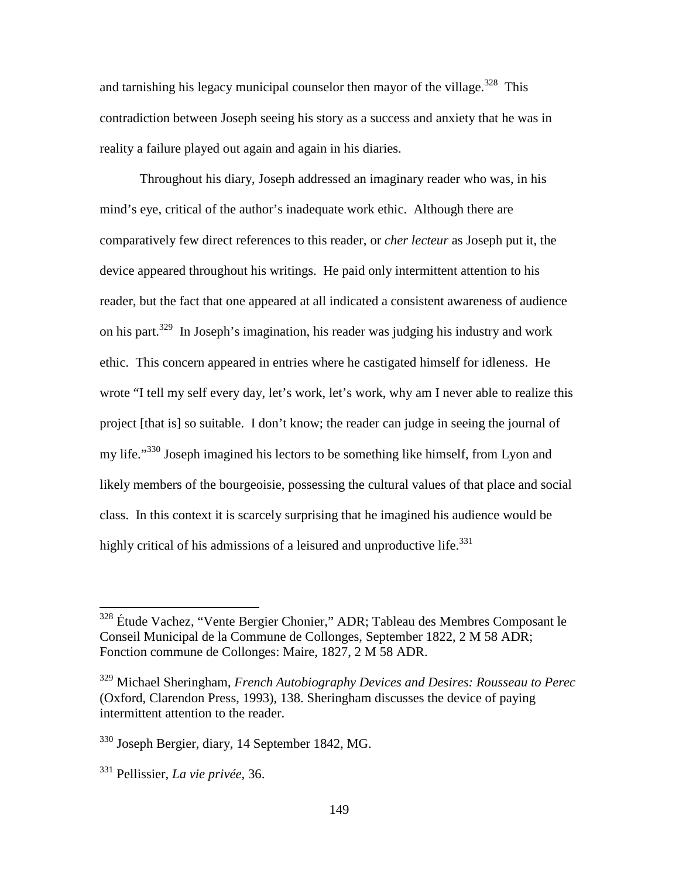and tarnishing his legacy municipal counselor then mayor of the village.<sup>328</sup> This contradiction between Joseph seeing his story as a success and anxiety that he was in reality a failure played out again and again in his diaries.

Throughout his diary, Joseph addressed an imaginary reader who was, in his mind's eye, critical of the author's inadequate work ethic. Although there are comparatively few direct references to this reader, or *cher lecteur* as Joseph put it, the device appeared throughout his writings. He paid only intermittent attention to his reader, but the fact that one appeared at all indicated a consistent awareness of audience on his part.<sup>329</sup> In Joseph's imagination, his reader was judging his industry and work ethic. This concern appeared in entries where he castigated himself for idleness. He wrote "I tell my self every day, let's work, let's work, why am I never able to realize this project [that is] so suitable. I don't know; the reader can judge in seeing the journal of my life."<sup>330</sup> Joseph imagined his lectors to be something like himself, from Lyon and likely members of the bourgeoisie, possessing the cultural values of that place and social class. In this context it is scarcely surprising that he imagined his audience would be highly critical of his admissions of a leisured and unproductive life. $^{331}$ 

<sup>&</sup>lt;sup>328</sup> Étude Vachez, "Vente Bergier Chonier," ADR; Tableau des Membres Composant le Conseil Municipal de la Commune de Collonges, September 1822, 2 M 58 ADR; Fonction commune de Collonges: Maire, 1827, 2 M 58 ADR.

<sup>329</sup> Michael Sheringham, *French Autobiography Devices and Desires: Rousseau to Perec* (Oxford, Clarendon Press, 1993), 138. Sheringham discusses the device of paying intermittent attention to the reader.

<sup>330</sup> Joseph Bergier, diary, 14 September 1842, MG.

<sup>331</sup> Pellissier, *La vie privée*, 36.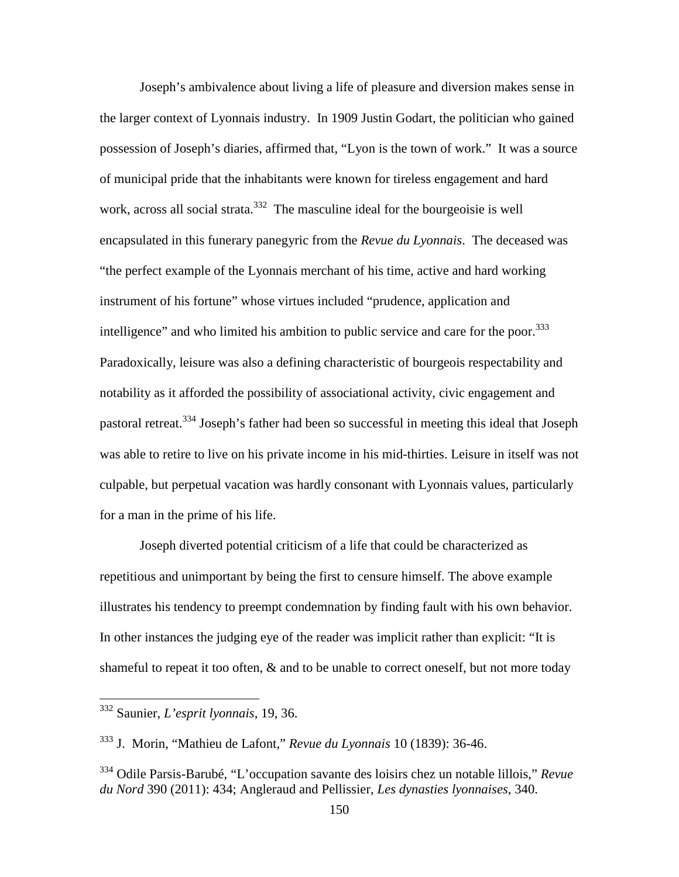Joseph's ambivalence about living a life of pleasure and diversion makes sense in the larger context of Lyonnais industry.In 1909 Justin Godart, the politician who gained possession of Joseph's diaries, affirmed that, "Lyon is the town of work." It was a source of municipal pride that the inhabitants were known for tireless engagement and hard work, across all social strata.<sup>332</sup> The masculine ideal for the bourgeoisie is well encapsulated in this funerary panegyric from the *Revue du Lyonnais*. The deceased was "the perfect example of the Lyonnais merchant of his time, active and hard working instrument of his fortune" whose virtues included "prudence, application and intelligence" and who limited his ambition to public service and care for the poor.<sup>333</sup> Paradoxically, leisure was also a defining characteristic of bourgeois respectability and notability as it afforded the possibility of associational activity, civic engagement and pastoral retreat.<sup>334</sup> Joseph's father had been so successful in meeting this ideal that Joseph was able to retire to live on his private income in his mid-thirties. Leisure in itself was not culpable, but perpetual vacation was hardly consonant with Lyonnais values, particularly for a man in the prime of his life.

Joseph diverted potential criticism of a life that could be characterized as repetitious and unimportant by being the first to censure himself. The above example illustrates his tendency to preempt condemnation by finding fault with his own behavior. In other instances the judging eye of the reader was implicit rather than explicit: "It is shameful to repeat it too often, & and to be unable to correct oneself, but not more today

<sup>332</sup> Saunier, *L'esprit lyonnais*, 19, 36.

<sup>333</sup> J. Morin, "Mathieu de Lafont," *Revue du Lyonnais* 10 (1839): 36-46.

<sup>334</sup> Odile Parsis-Barubé, "L'occupation savante des loisirs chez un notable lillois," *Revue du Nord* 390 (2011): 434; Angleraud and Pellissier, *Les dynasties lyonnaises*, 340.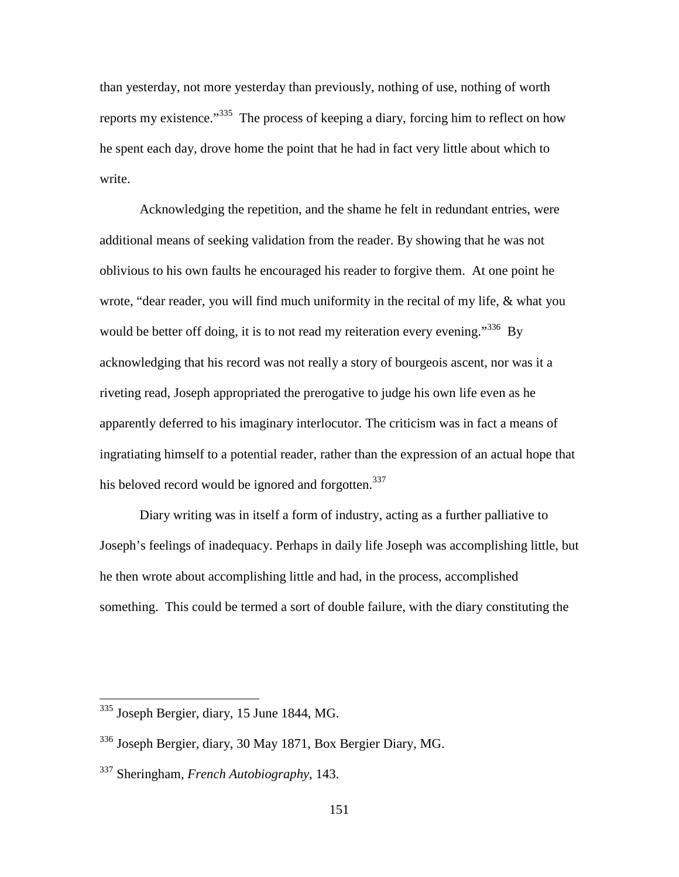than yesterday, not more yesterday than previously, nothing of use, nothing of worth reports my existence."<sup>335</sup> The process of keeping a diary, forcing him to reflect on how he spent each day, drove home the point that he had in fact very little about which to write.

Acknowledging the repetition, and the shame he felt in redundant entries, were additional means of seeking validation from the reader. By showing that he was not oblivious to his own faults he encouraged his reader to forgive them. At one point he wrote, "dear reader, you will find much uniformity in the recital of my life, & what you would be better off doing, it is to not read my reiteration every evening.<sup>336</sup> By acknowledging that his record was not really a story of bourgeois ascent, nor was it a riveting read, Joseph appropriated the prerogative to judge his own life even as he apparently deferred to his imaginary interlocutor. The criticism was in fact a means of ingratiating himself to a potential reader, rather than the expression of an actual hope that his beloved record would be ignored and forgotten.<sup>337</sup>

Diary writing was in itself a form of industry, acting as a further palliative to Joseph's feelings of inadequacy. Perhaps in daily life Joseph was accomplishing little, but he then wrote about accomplishing little and had, in the process, accomplished something.This could be termed a sort of double failure, with the diary constituting the

<sup>&</sup>lt;sup>335</sup> Joseph Bergier, diary, 15 June 1844, MG.

<sup>336</sup> Joseph Bergier, diary, 30 May 1871, Box Bergier Diary, MG.

<sup>337</sup> Sheringham, *French Autobiography*, 143.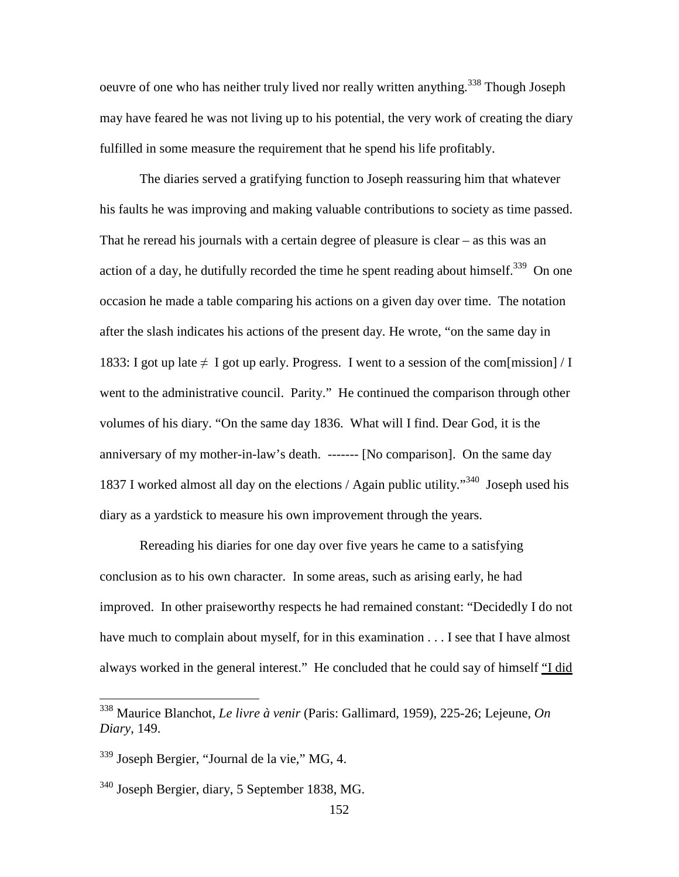oeuvre of one who has neither truly lived nor really written anything.<sup>338</sup> Though Joseph may have feared he was not living up to his potential, the very work of creating the diary fulfilled in some measure the requirement that he spend his life profitably.

The diaries served a gratifying function to Joseph reassuring him that whatever his faults he was improving and making valuable contributions to society as time passed. That he reread his journals with a certain degree of pleasure is clear – as this was an action of a day, he dutifully recorded the time he spent reading about himself.<sup>339</sup> On one occasion he made a table comparing his actions on a given day over time. The notation after the slash indicates his actions of the present day. He wrote, "on the same day in 1833: I got up late  $\neq I$  got up early. Progress. I went to a session of the com[mission] / I went to the administrative council. Parity." He continued the comparison through other volumes of his diary. "On the same day 1836. What will I find. Dear God, it is the anniversary of my mother-in-law's death. ------- [No comparison]. On the same day 1837 I worked almost all day on the elections / Again public utility.<sup> $340$ </sup> Joseph used his diary as a yardstick to measure his own improvement through the years.

Rereading his diaries for one day over five years he came to a satisfying conclusion as to his own character. In some areas, such as arising early, he had improved. In other praiseworthy respects he had remained constant: "Decidedly I do not have much to complain about myself, for in this examination . . . I see that I have almost always worked in the general interest." He concluded that he could say of himself "I did

<sup>338</sup> Maurice Blanchot, *Le livre à venir* (Paris: Gallimard, 1959), 225-26; Lejeune, *On Diary*, 149.

<sup>339</sup> Joseph Bergier, "Journal de la vie," MG, 4.

<sup>340</sup> Joseph Bergier, diary, 5 September 1838, MG.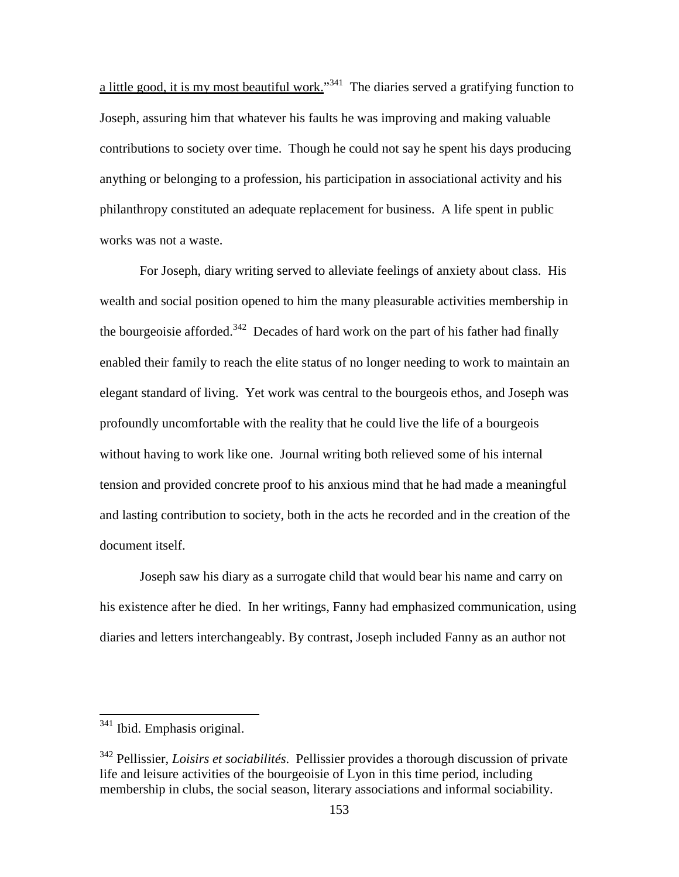a little good, it is my most beautiful work."<sup>341</sup> The diaries served a gratifying function to Joseph, assuring him that whatever his faults he was improving and making valuable contributions to society over time.Though he could not say he spent his days producing anything or belonging to a profession, his participation in associational activity and his philanthropy constituted an adequate replacement for business. A life spent in public works was not a waste.

For Joseph, diary writing served to alleviate feelings of anxiety about class. His wealth and social position opened to him the many pleasurable activities membership in the bourgeoisie afforded.<sup>342</sup> Decades of hard work on the part of his father had finally enabled their family to reach the elite status of no longer needing to work to maintain an elegant standard of living. Yet work was central to the bourgeois ethos, and Joseph was profoundly uncomfortable with the reality that he could live the life of a bourgeois without having to work like one. Journal writing both relieved some of his internal tension and provided concrete proof to his anxious mind that he had made a meaningful and lasting contribution to society, both in the acts he recorded and in the creation of the document itself.

Joseph saw his diary as a surrogate child that would bear his name and carry on his existence after he died. In her writings, Fanny had emphasized communication, using diaries and letters interchangeably. By contrast, Joseph included Fanny as an author not

<sup>&</sup>lt;sup>341</sup> Ibid. Emphasis original.

<sup>342</sup> Pellissier, *Loisirs et sociabilités*. Pellissier provides a thorough discussion of private life and leisure activities of the bourgeoisie of Lyon in this time period, including membership in clubs, the social season, literary associations and informal sociability.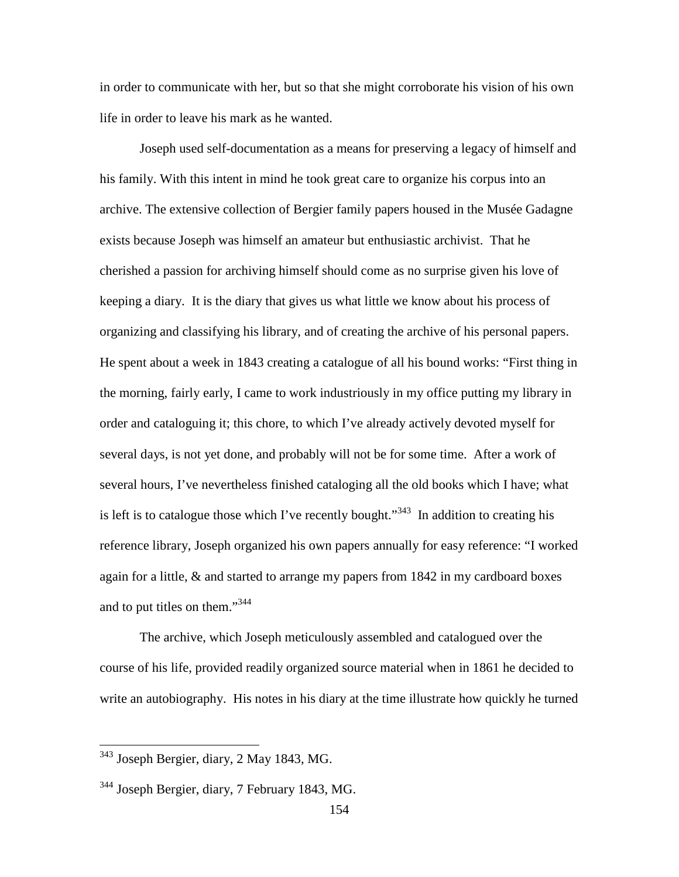in order to communicate with her, but so that she might corroborate his vision of his own life in order to leave his mark as he wanted.

Joseph used self-documentation as a means for preserving a legacy of himself and his family. With this intent in mind he took great care to organize his corpus into an archive. The extensive collection of Bergier family papers housed in the Musée Gadagne exists because Joseph was himself an amateur but enthusiastic archivist. That he cherished a passion for archiving himself should come as no surprise given his love of keeping a diary. It is the diary that gives us what little we know about his process of organizing and classifying his library, and of creating the archive of his personal papers. He spent about a week in 1843 creating a catalogue of all his bound works: "First thing in the morning, fairly early, I came to work industriously in my office putting my library in order and cataloguing it; this chore, to which I've already actively devoted myself for several days, is not yet done, and probably will not be for some time. After a work of several hours, I've nevertheless finished cataloging all the old books which I have; what is left is to catalogue those which I've recently bought."<sup>343</sup> In addition to creating his reference library, Joseph organized his own papers annually for easy reference: "I worked again for a little, & and started to arrange my papers from 1842 in my cardboard boxes and to put titles on them."<sup>344</sup>

The archive, which Joseph meticulously assembled and catalogued over the course of his life, provided readily organized source material when in 1861 he decided to write an autobiography. His notes in his diary at the time illustrate how quickly he turned

<sup>&</sup>lt;sup>343</sup> Joseph Bergier, diary, 2 May 1843, MG.

<sup>&</sup>lt;sup>344</sup> Joseph Bergier, diary, 7 February 1843, MG.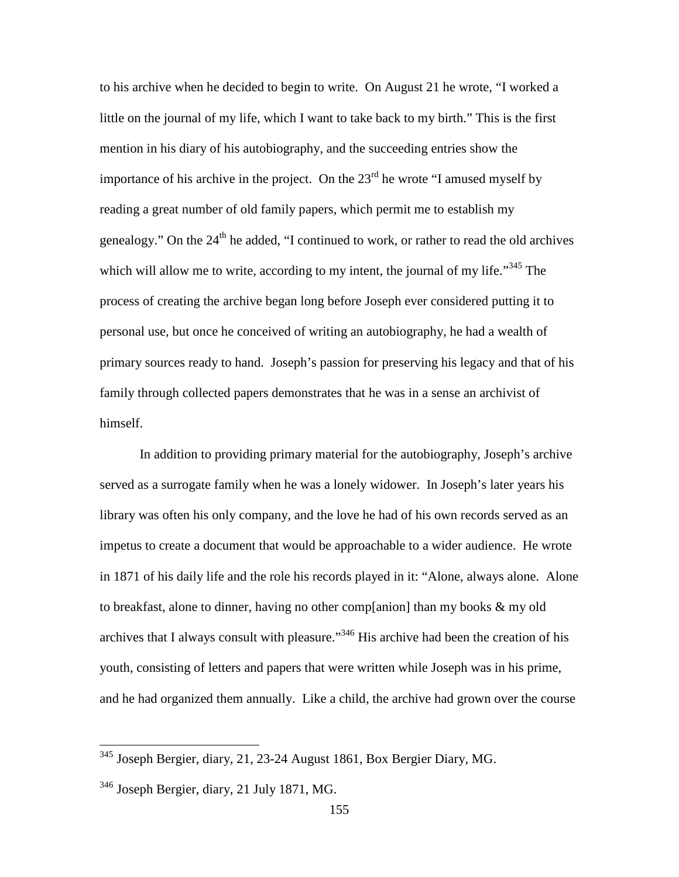to his archive when he decided to begin to write. On August 21 he wrote, "I worked a little on the journal of my life, which I want to take back to my birth." This is the first mention in his diary of his autobiography, and the succeeding entries show the importance of his archive in the project. On the  $23<sup>rd</sup>$  he wrote "I amused myself by reading a great number of old family papers, which permit me to establish my genealogy." On the  $24<sup>th</sup>$  he added, "I continued to work, or rather to read the old archives which will allow me to write, according to my intent, the journal of my life."<sup>345</sup> The process of creating the archive began long before Joseph ever considered putting it to personal use, but once he conceived of writing an autobiography, he had a wealth of primary sources ready to hand. Joseph's passion for preserving his legacy and that of his family through collected papers demonstrates that he was in a sense an archivist of himself.

In addition to providing primary material for the autobiography, Joseph's archive served as a surrogate family when he was a lonely widower. In Joseph's later years his library was often his only company, and the love he had of his own records served as an impetus to create a document that would be approachable to a wider audience. He wrote in 1871 of his daily life and the role his records played in it: "Alone, always alone. Alone to breakfast, alone to dinner, having no other comp[anion] than my books & my old archives that I always consult with pleasure."<sup>346</sup> His archive had been the creation of his youth, consisting of letters and papers that were written while Joseph was in his prime, and he had organized them annually. Like a child, the archive had grown over the course

<sup>&</sup>lt;sup>345</sup> Joseph Bergier, diary, 21, 23-24 August 1861, Box Bergier Diary, MG.

 $346$  Joseph Bergier, diary, 21 July 1871, MG.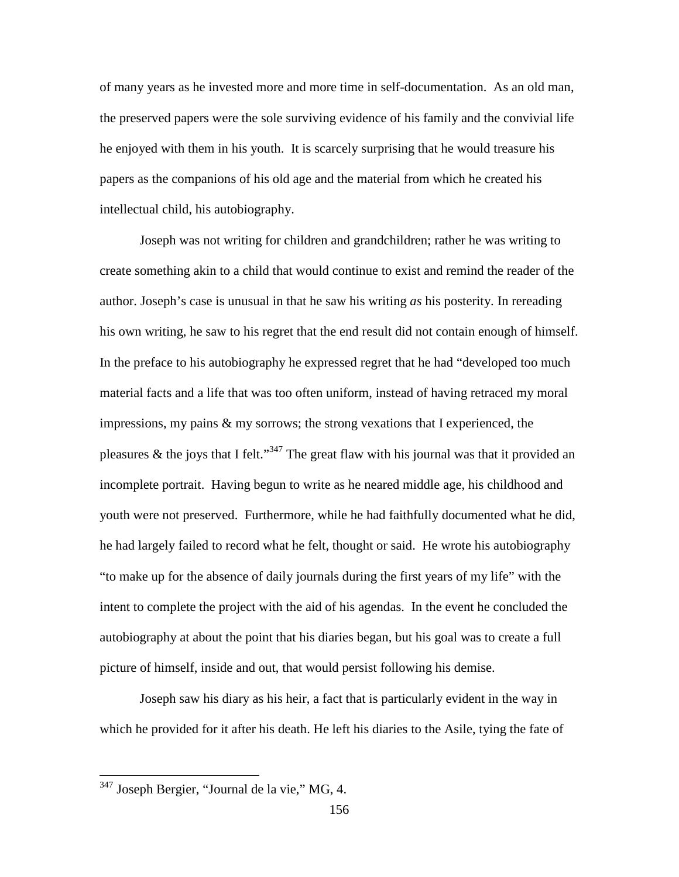of many years as he invested more and more time in self-documentation. As an old man, the preserved papers were the sole surviving evidence of his family and the convivial life he enjoyed with them in his youth. It is scarcely surprising that he would treasure his papers as the companions of his old age and the material from which he created his intellectual child, his autobiography.

Joseph was not writing for children and grandchildren; rather he was writing to create something akin to a child that would continue to exist and remind the reader of the author. Joseph's case is unusual in that he saw his writing *as* his posterity. In rereading his own writing, he saw to his regret that the end result did not contain enough of himself. In the preface to his autobiography he expressed regret that he had "developed too much material facts and a life that was too often uniform, instead of having retraced my moral impressions, my pains & my sorrows; the strong vexations that I experienced, the pleasures & the joys that I felt."<sup>347</sup> The great flaw with his journal was that it provided an incomplete portrait. Having begun to write as he neared middle age, his childhood and youth were not preserved. Furthermore, while he had faithfully documented what he did, he had largely failed to record what he felt, thought or said. He wrote his autobiography "to make up for the absence of daily journals during the first years of my life" with the intent to complete the project with the aid of his agendas. In the event he concluded the autobiography at about the point that his diaries began, but his goal was to create a full picture of himself, inside and out, that would persist following his demise.

Joseph saw his diary as his heir, a fact that is particularly evident in the way in which he provided for it after his death. He left his diaries to the Asile, tying the fate of

<sup>&</sup>lt;sup>347</sup> Joseph Bergier, "Journal de la vie," MG, 4.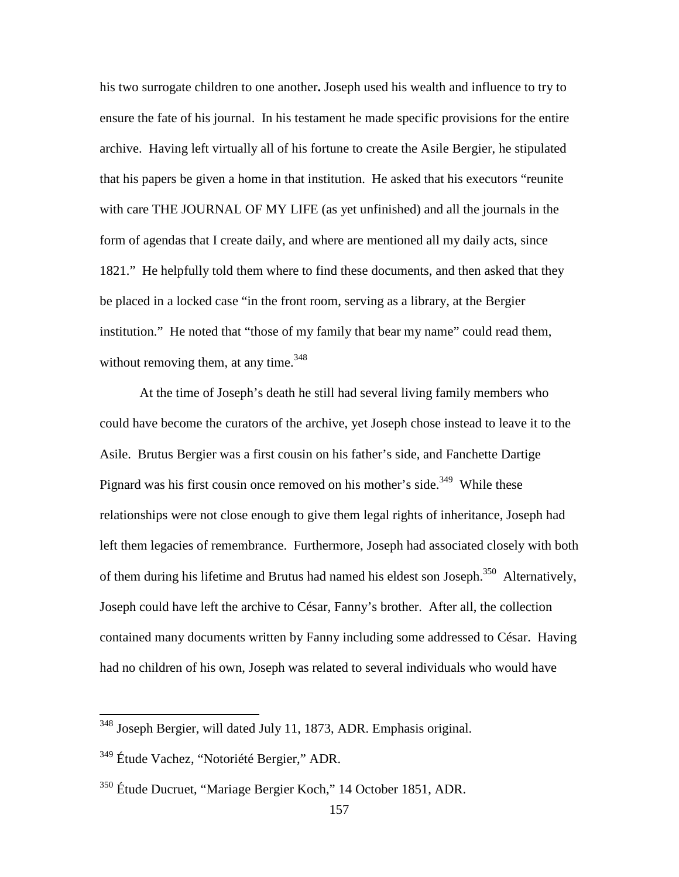his two surrogate children to one another**.** Joseph used his wealth and influence to try to ensure the fate of his journal. In his testament he made specific provisions for the entire archive. Having left virtually all of his fortune to create the Asile Bergier, he stipulated that his papers be given a home in that institution. He asked that his executors "reunite with care THE JOURNAL OF MY LIFE (as yet unfinished) and all the journals in the form of agendas that I create daily, and where are mentioned all my daily acts, since 1821." He helpfully told them where to find these documents, and then asked that they be placed in a locked case "in the front room, serving as a library, at the Bergier institution." He noted that "those of my family that bear my name" could read them, without removing them, at any time.  $348$ 

At the time of Joseph's death he still had several living family members who could have become the curators of the archive, yet Joseph chose instead to leave it to the Asile. Brutus Bergier was a first cousin on his father's side, and Fanchette Dartige Pignard was his first cousin once removed on his mother's side.<sup>349</sup> While these relationships were not close enough to give them legal rights of inheritance, Joseph had left them legacies of remembrance. Furthermore, Joseph had associated closely with both of them during his lifetime and Brutus had named his eldest son Joseph.<sup>350</sup> Alternatively, Joseph could have left the archive to César, Fanny's brother. After all, the collection contained many documents written by Fanny including some addressed to César. Having had no children of his own, Joseph was related to several individuals who would have

-

<sup>&</sup>lt;sup>348</sup> Joseph Bergier, will dated July 11, 1873, ADR. Emphasis original.

<sup>349</sup> Étude Vachez, "Notoriété Bergier," ADR.

<sup>350</sup> Étude Ducruet, "Mariage Bergier Koch," 14 October 1851, ADR.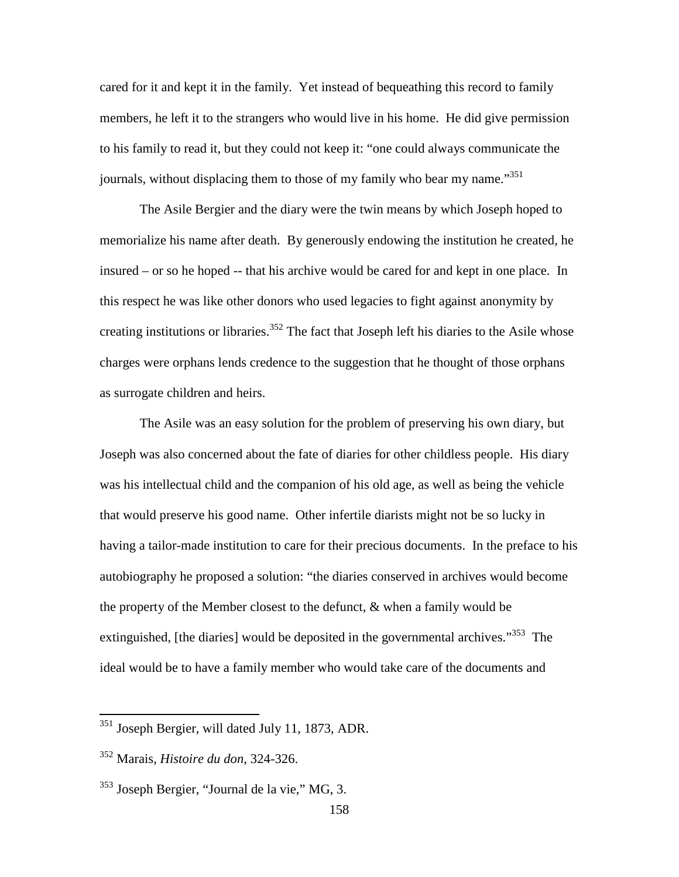cared for it and kept it in the family. Yet instead of bequeathing this record to family members, he left it to the strangers who would live in his home. He did give permission to his family to read it, but they could not keep it: "one could always communicate the journals, without displacing them to those of my family who bear my name."<sup>351</sup>

 The Asile Bergier and the diary were the twin means by which Joseph hoped to memorialize his name after death. By generously endowing the institution he created, he insured – or so he hoped -- that his archive would be cared for and kept in one place. In this respect he was like other donors who used legacies to fight against anonymity by creating institutions or libraries.<sup>352</sup> The fact that Joseph left his diaries to the Asile whose charges were orphans lends credence to the suggestion that he thought of those orphans as surrogate children and heirs.

The Asile was an easy solution for the problem of preserving his own diary, but Joseph was also concerned about the fate of diaries for other childless people. His diary was his intellectual child and the companion of his old age, as well as being the vehicle that would preserve his good name. Other infertile diarists might not be so lucky in having a tailor-made institution to care for their precious documents. In the preface to his autobiography he proposed a solution: "the diaries conserved in archives would become the property of the Member closest to the defunct, & when a family would be extinguished, [the diaries] would be deposited in the governmental archives."<sup>353</sup> The ideal would be to have a family member who would take care of the documents and

-

<sup>&</sup>lt;sup>351</sup> Joseph Bergier, will dated July 11, 1873, ADR.

<sup>352</sup> Marais, *Histoire du don*, 324-326.

<sup>353</sup> Joseph Bergier, "Journal de la vie," MG, 3.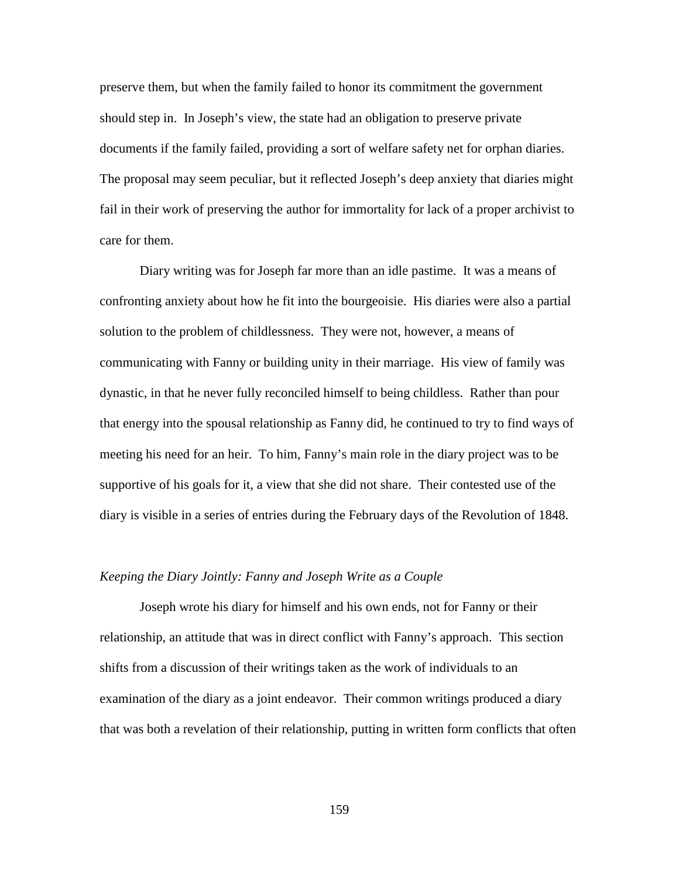preserve them, but when the family failed to honor its commitment the government should step in. In Joseph's view, the state had an obligation to preserve private documents if the family failed, providing a sort of welfare safety net for orphan diaries. The proposal may seem peculiar, but it reflected Joseph's deep anxiety that diaries might fail in their work of preserving the author for immortality for lack of a proper archivist to care for them.

Diary writing was for Joseph far more than an idle pastime. It was a means of confronting anxiety about how he fit into the bourgeoisie. His diaries were also a partial solution to the problem of childlessness. They were not, however, a means of communicating with Fanny or building unity in their marriage. His view of family was dynastic, in that he never fully reconciled himself to being childless. Rather than pour that energy into the spousal relationship as Fanny did, he continued to try to find ways of meeting his need for an heir. To him, Fanny's main role in the diary project was to be supportive of his goals for it, a view that she did not share. Their contested use of the diary is visible in a series of entries during the February days of the Revolution of 1848.

## *Keeping the Diary Jointly: Fanny and Joseph Write as a Couple*

Joseph wrote his diary for himself and his own ends, not for Fanny or their relationship, an attitude that was in direct conflict with Fanny's approach. This section shifts from a discussion of their writings taken as the work of individuals to an examination of the diary as a joint endeavor. Their common writings produced a diary that was both a revelation of their relationship, putting in written form conflicts that often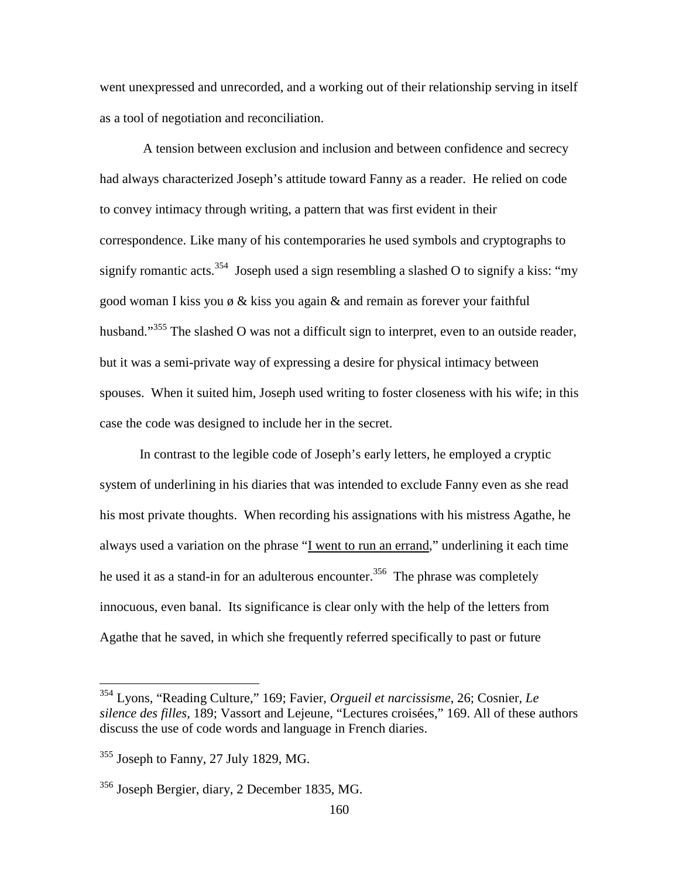went unexpressed and unrecorded, and a working out of their relationship serving in itself as a tool of negotiation and reconciliation.

 A tension between exclusion and inclusion and between confidence and secrecy had always characterized Joseph's attitude toward Fanny as a reader. He relied on code to convey intimacy through writing, a pattern that was first evident in their correspondence. Like many of his contemporaries he used symbols and cryptographs to signify romantic acts.<sup>354</sup> Joseph used a sign resembling a slashed O to signify a kiss: "my good woman I kiss you  $\phi \&$  kiss you again  $\&$  and remain as forever your faithful husband."<sup>355</sup> The slashed O was not a difficult sign to interpret, even to an outside reader, but it was a semi-private way of expressing a desire for physical intimacy between spouses. When it suited him, Joseph used writing to foster closeness with his wife; in this case the code was designed to include her in the secret.

 In contrast to the legible code of Joseph's early letters, he employed a cryptic system of underlining in his diaries that was intended to exclude Fanny even as she read his most private thoughts.When recording his assignations with his mistress Agathe, he always used a variation on the phrase "I went to run an errand," underlining it each time he used it as a stand-in for an adulterous encounter.<sup>356</sup> The phrase was completely innocuous, even banal. Its significance is clear only with the help of the letters from Agathe that he saved, in which she frequently referred specifically to past or future

<sup>354</sup> Lyons, "Reading Culture," 169; Favier, *Orgueil et narcissisme*, 26; Cosnier, *Le silence des filles*, 189; Vassort and Lejeune, "Lectures croisées," 169. All of these authors discuss the use of code words and language in French diaries.

<sup>355</sup> Joseph to Fanny, 27 July 1829, MG.

<sup>356</sup> Joseph Bergier, diary, 2 December 1835, MG.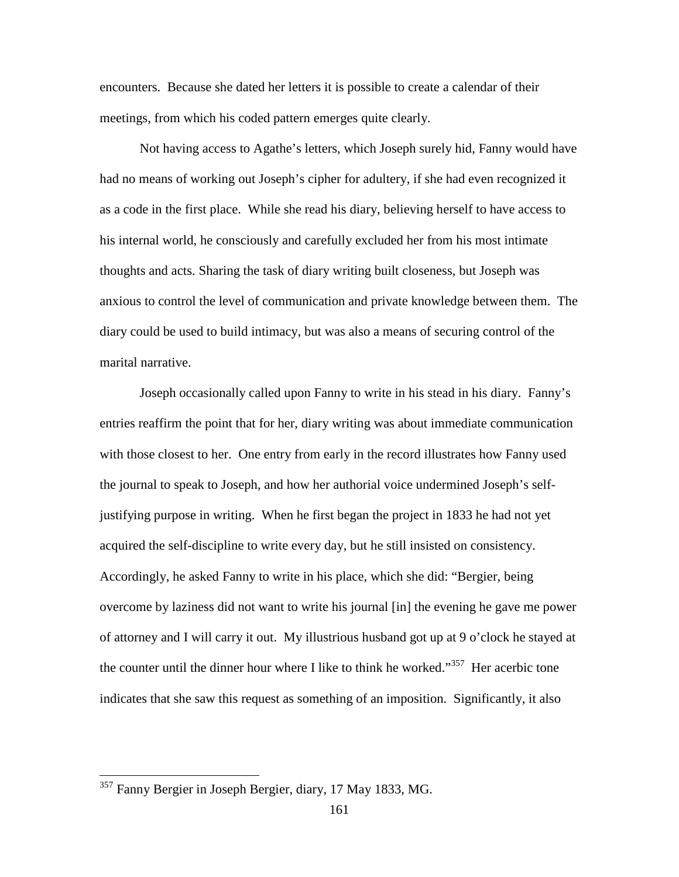encounters. Because she dated her letters it is possible to create a calendar of their meetings, from which his coded pattern emerges quite clearly.

 Not having access to Agathe's letters, which Joseph surely hid, Fanny would have had no means of working out Joseph's cipher for adultery, if she had even recognized it as a code in the first place. While she read his diary, believing herself to have access to his internal world, he consciously and carefully excluded her from his most intimate thoughts and acts. Sharing the task of diary writing built closeness, but Joseph was anxious to control the level of communication and private knowledge between them. The diary could be used to build intimacy, but was also a means of securing control of the marital narrative.

 Joseph occasionally called upon Fanny to write in his stead in his diary. Fanny's entries reaffirm the point that for her, diary writing was about immediate communication with those closest to her. One entry from early in the record illustrates how Fanny used the journal to speak to Joseph, and how her authorial voice undermined Joseph's selfjustifying purpose in writing. When he first began the project in 1833 he had not yet acquired the self-discipline to write every day, but he still insisted on consistency. Accordingly, he asked Fanny to write in his place, which she did: "Bergier, being overcome by laziness did not want to write his journal [in] the evening he gave me power of attorney and I will carry it out. My illustrious husband got up at 9 o'clock he stayed at the counter until the dinner hour where I like to think he worked."<sup>357</sup> Her acerbic tone indicates that she saw this request as something of an imposition. Significantly, it also

<sup>&</sup>lt;sup>357</sup> Fanny Bergier in Joseph Bergier, diary, 17 May 1833, MG.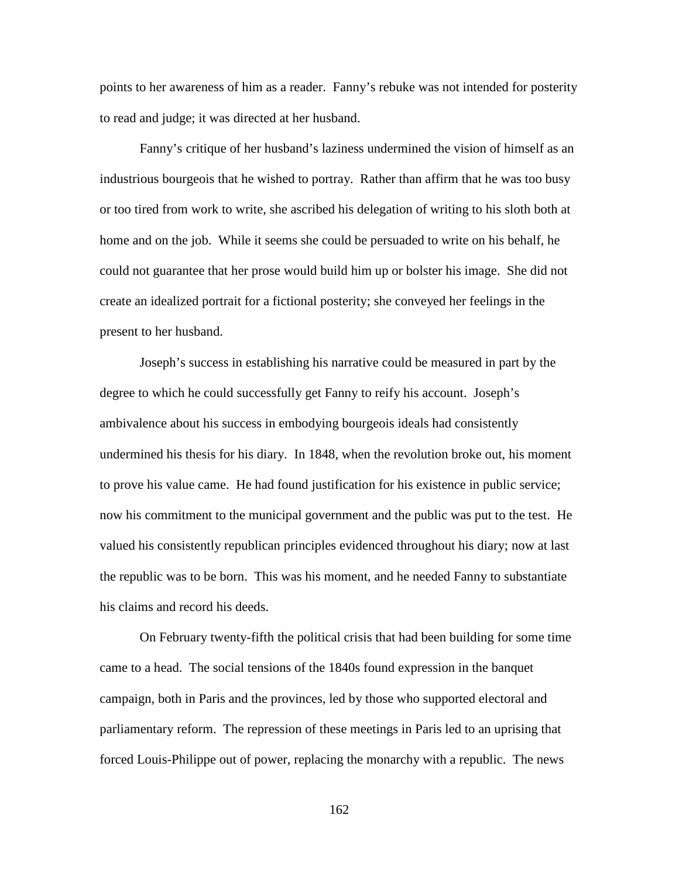points to her awareness of him as a reader. Fanny's rebuke was not intended for posterity to read and judge; it was directed at her husband.

 Fanny's critique of her husband's laziness undermined the vision of himself as an industrious bourgeois that he wished to portray. Rather than affirm that he was too busy or too tired from work to write, she ascribed his delegation of writing to his sloth both at home and on the job. While it seems she could be persuaded to write on his behalf, he could not guarantee that her prose would build him up or bolster his image. She did not create an idealized portrait for a fictional posterity; she conveyed her feelings in the present to her husband.

Joseph's success in establishing his narrative could be measured in part by the degree to which he could successfully get Fanny to reify his account. Joseph's ambivalence about his success in embodying bourgeois ideals had consistently undermined his thesis for his diary. In 1848, when the revolution broke out, his moment to prove his value came. He had found justification for his existence in public service; now his commitment to the municipal government and the public was put to the test. He valued his consistently republican principles evidenced throughout his diary; now at last the republic was to be born. This was his moment, and he needed Fanny to substantiate his claims and record his deeds.

On February twenty-fifth the political crisis that had been building for some time came to a head. The social tensions of the 1840s found expression in the banquet campaign, both in Paris and the provinces, led by those who supported electoral and parliamentary reform. The repression of these meetings in Paris led to an uprising that forced Louis-Philippe out of power, replacing the monarchy with a republic. The news

162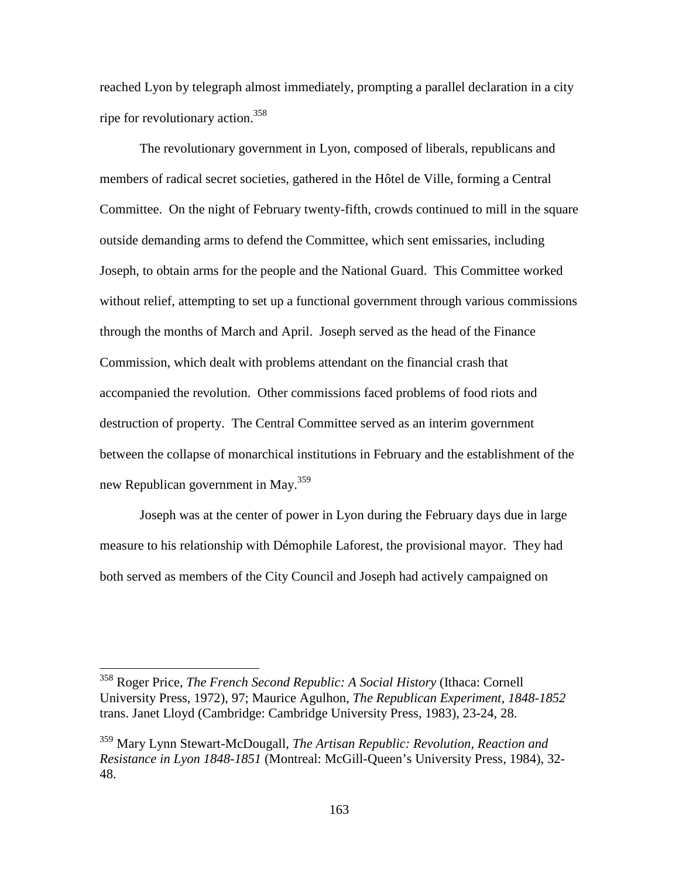reached Lyon by telegraph almost immediately, prompting a parallel declaration in a city ripe for revolutionary action.<sup>358</sup>

The revolutionary government in Lyon, composed of liberals, republicans and members of radical secret societies, gathered in the Hôtel de Ville, forming a Central Committee. On the night of February twenty-fifth, crowds continued to mill in the square outside demanding arms to defend the Committee, which sent emissaries, including Joseph, to obtain arms for the people and the National Guard. This Committee worked without relief, attempting to set up a functional government through various commissions through the months of March and April. Joseph served as the head of the Finance Commission, which dealt with problems attendant on the financial crash that accompanied the revolution. Other commissions faced problems of food riots and destruction of property. The Central Committee served as an interim government between the collapse of monarchical institutions in February and the establishment of the new Republican government in May.<sup>359</sup>

Joseph was at the center of power in Lyon during the February days due in large measure to his relationship with Démophile Laforest, the provisional mayor. They had both served as members of the City Council and Joseph had actively campaigned on

<sup>358</sup> Roger Price, *The French Second Republic: A Social History* (Ithaca: Cornell University Press, 1972), 97; Maurice Agulhon, *The Republican Experiment, 1848-1852* trans. Janet Lloyd (Cambridge: Cambridge University Press, 1983), 23-24, 28.

<sup>359</sup> Mary Lynn Stewart-McDougall, *The Artisan Republic: Revolution, Reaction and Resistance in Lyon 1848-1851* (Montreal: McGill-Queen's University Press, 1984), 32- 48.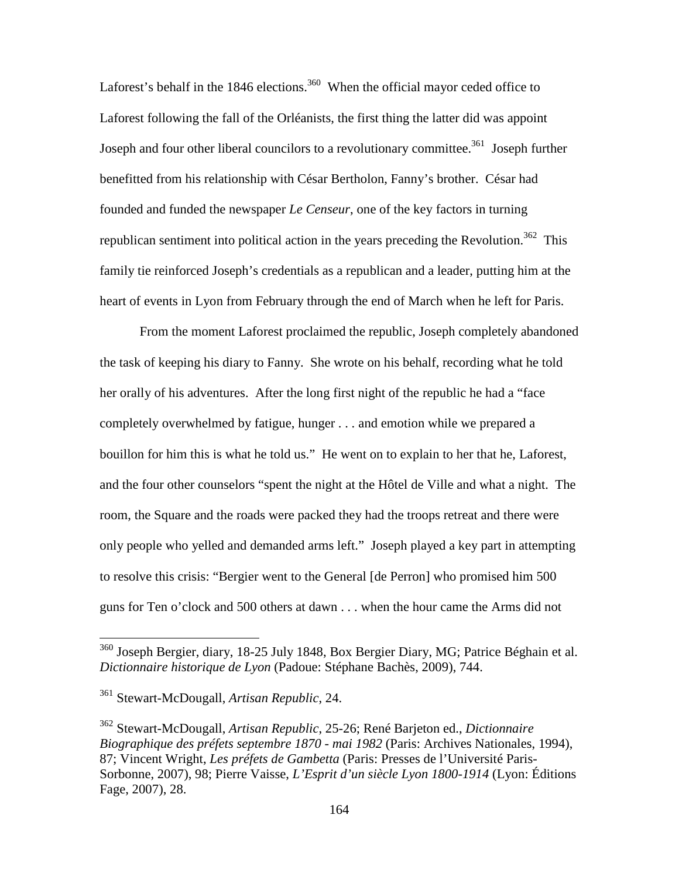Laforest's behalf in the 1846 elections.<sup>360</sup> When the official mayor ceded office to Laforest following the fall of the Orléanists, the first thing the latter did was appoint Joseph and four other liberal councilors to a revolutionary committee.<sup>361</sup> Joseph further benefitted from his relationship with César Bertholon, Fanny's brother. César had founded and funded the newspaper *Le Censeur*, one of the key factors in turning republican sentiment into political action in the years preceding the Revolution.<sup>362</sup> This family tie reinforced Joseph's credentials as a republican and a leader, putting him at the heart of events in Lyon from February through the end of March when he left for Paris.

From the moment Laforest proclaimed the republic, Joseph completely abandoned the task of keeping his diary to Fanny. She wrote on his behalf, recording what he told her orally of his adventures. After the long first night of the republic he had a "face completely overwhelmed by fatigue, hunger . . . and emotion while we prepared a bouillon for him this is what he told us." He went on to explain to her that he, Laforest, and the four other counselors "spent the night at the Hôtel de Ville and what a night. The room, the Square and the roads were packed they had the troops retreat and there were only people who yelled and demanded arms left." Joseph played a key part in attempting to resolve this crisis: "Bergier went to the General [de Perron] who promised him 500 guns for Ten o'clock and 500 others at dawn . . . when the hour came the Arms did not

-

<sup>&</sup>lt;sup>360</sup> Joseph Bergier, diary, 18-25 July 1848, Box Bergier Diary, MG; Patrice Béghain et al. *Dictionnaire historique de Lyon* (Padoue: Stéphane Bachès, 2009), 744.

<sup>361</sup> Stewart-McDougall, *Artisan Republic*, 24.

<sup>362</sup> Stewart-McDougall, *Artisan Republic*, 25-26; René Barjeton ed., *Dictionnaire Biographique des préfets septembre 1870 - mai 1982* (Paris: Archives Nationales, 1994), 87; Vincent Wright, *Les préfets de Gambetta* (Paris: Presses de l'Université Paris-Sorbonne, 2007), 98; Pierre Vaisse, *L'Esprit d'un siècle Lyon 1800-1914* (Lyon: Éditions Fage, 2007), 28.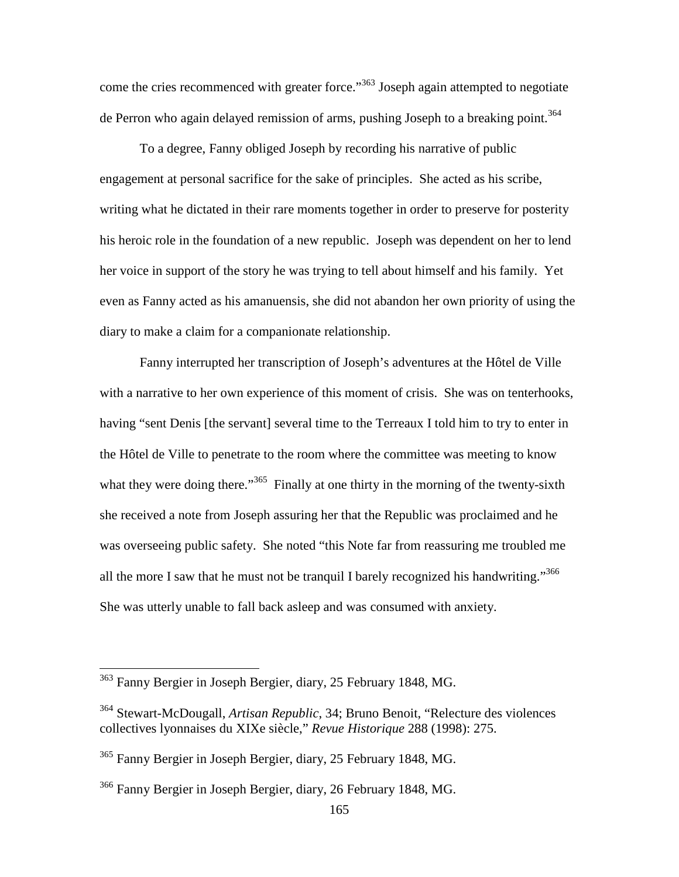come the cries recommenced with greater force."<sup>363</sup> Joseph again attempted to negotiate de Perron who again delayed remission of arms, pushing Joseph to a breaking point.<sup>364</sup>

To a degree, Fanny obliged Joseph by recording his narrative of public engagement at personal sacrifice for the sake of principles. She acted as his scribe, writing what he dictated in their rare moments together in order to preserve for posterity his heroic role in the foundation of a new republic. Joseph was dependent on her to lend her voice in support of the story he was trying to tell about himself and his family. Yet even as Fanny acted as his amanuensis, she did not abandon her own priority of using the diary to make a claim for a companionate relationship.

Fanny interrupted her transcription of Joseph's adventures at the Hôtel de Ville with a narrative to her own experience of this moment of crisis. She was on tenterhooks, having "sent Denis [the servant] several time to the Terreaux I told him to try to enter in the Hôtel de Ville to penetrate to the room where the committee was meeting to know what they were doing there."<sup>365</sup> Finally at one thirty in the morning of the twenty-sixth she received a note from Joseph assuring her that the Republic was proclaimed and he was overseeing public safety. She noted "this Note far from reassuring me troubled me all the more I saw that he must not be tranquil I barely recognized his handwriting."<sup>366</sup> She was utterly unable to fall back asleep and was consumed with anxiety.

<sup>&</sup>lt;sup>363</sup> Fanny Bergier in Joseph Bergier, diary, 25 February 1848, MG.

<sup>364</sup> Stewart-McDougall, *Artisan Republic*, 34; Bruno Benoit, "Relecture des violences collectives lyonnaises du XIXe siècle," *Revue Historique* 288 (1998): 275.

<sup>365</sup> Fanny Bergier in Joseph Bergier, diary, 25 February 1848, MG.

<sup>366</sup> Fanny Bergier in Joseph Bergier, diary, 26 February 1848, MG.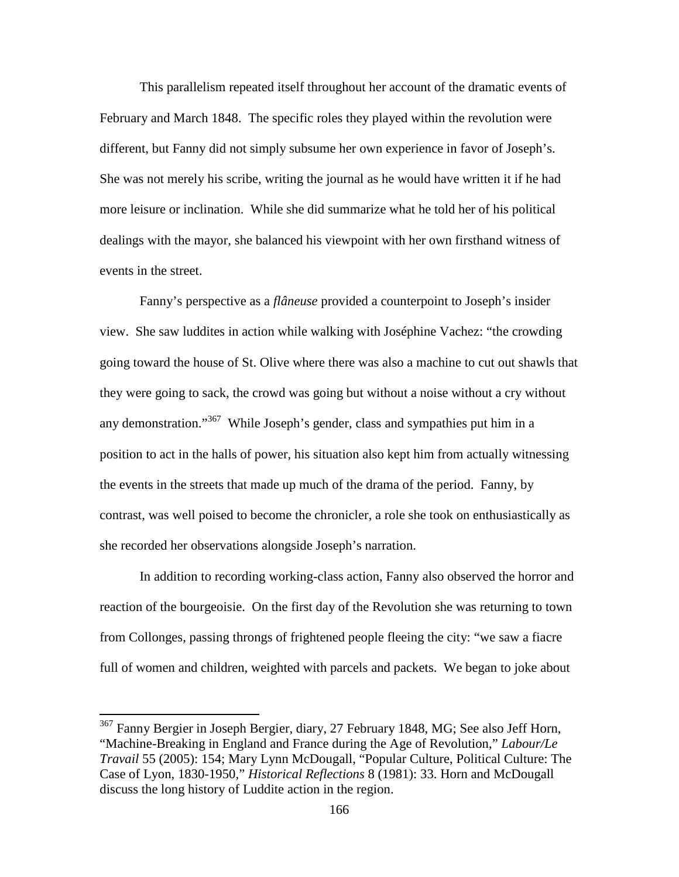This parallelism repeated itself throughout her account of the dramatic events of February and March 1848. The specific roles they played within the revolution were different, but Fanny did not simply subsume her own experience in favor of Joseph's. She was not merely his scribe, writing the journal as he would have written it if he had more leisure or inclination. While she did summarize what he told her of his political dealings with the mayor, she balanced his viewpoint with her own firsthand witness of events in the street.

 Fanny's perspective as a *flâneuse* provided a counterpoint to Joseph's insider view. She saw luddites in action while walking with Joséphine Vachez: "the crowding going toward the house of St. Olive where there was also a machine to cut out shawls that they were going to sack, the crowd was going but without a noise without a cry without any demonstration."<sup>367</sup> While Joseph's gender, class and sympathies put him in a position to act in the halls of power, his situation also kept him from actually witnessing the events in the streets that made up much of the drama of the period. Fanny, by contrast, was well poised to become the chronicler, a role she took on enthusiastically as she recorded her observations alongside Joseph's narration.

In addition to recording working-class action, Fanny also observed the horror and reaction of the bourgeoisie. On the first day of the Revolution she was returning to town from Collonges, passing throngs of frightened people fleeing the city: "we saw a fiacre full of women and children, weighted with parcels and packets. We began to joke about

-

<sup>&</sup>lt;sup>367</sup> Fanny Bergier in Joseph Bergier, diary, 27 February 1848, MG; See also Jeff Horn, "Machine-Breaking in England and France during the Age of Revolution," *Labour/Le Travail* 55 (2005): 154; Mary Lynn McDougall, "Popular Culture, Political Culture: The Case of Lyon, 1830-1950," *Historical Reflections* 8 (1981): 33. Horn and McDougall discuss the long history of Luddite action in the region.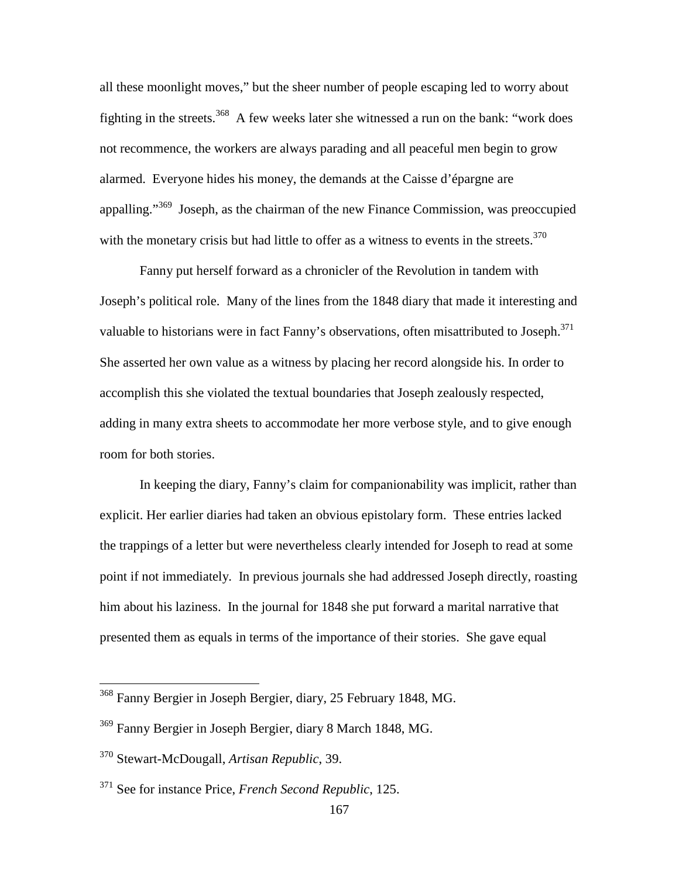all these moonlight moves," but the sheer number of people escaping led to worry about fighting in the streets.<sup>368</sup> A few weeks later she witnessed a run on the bank: "work does not recommence, the workers are always parading and all peaceful men begin to grow alarmed. Everyone hides his money, the demands at the Caisse d'épargne are appalling."<sup>369</sup> Joseph, as the chairman of the new Finance Commission, was preoccupied with the monetary crisis but had little to offer as a witness to events in the streets. $370$ 

Fanny put herself forward as a chronicler of the Revolution in tandem with Joseph's political role.Many of the lines from the 1848 diary that made it interesting and valuable to historians were in fact Fanny's observations, often misattributed to Joseph.<sup>371</sup> She asserted her own value as a witness by placing her record alongside his. In order to accomplish this she violated the textual boundaries that Joseph zealously respected, adding in many extra sheets to accommodate her more verbose style, and to give enough room for both stories.

In keeping the diary, Fanny's claim for companionability was implicit, rather than explicit. Her earlier diaries had taken an obvious epistolary form. These entries lacked the trappings of a letter but were nevertheless clearly intended for Joseph to read at some point if not immediately. In previous journals she had addressed Joseph directly, roasting him about his laziness. In the journal for 1848 she put forward a marital narrative that presented them as equals in terms of the importance of their stories. She gave equal

<sup>&</sup>lt;sup>368</sup> Fanny Bergier in Joseph Bergier, diary, 25 February 1848, MG.

<sup>369</sup> Fanny Bergier in Joseph Bergier, diary 8 March 1848, MG.

<sup>370</sup> Stewart-McDougall, *Artisan Republic*, 39.

<sup>371</sup> See for instance Price, *French Second Republic*, 125.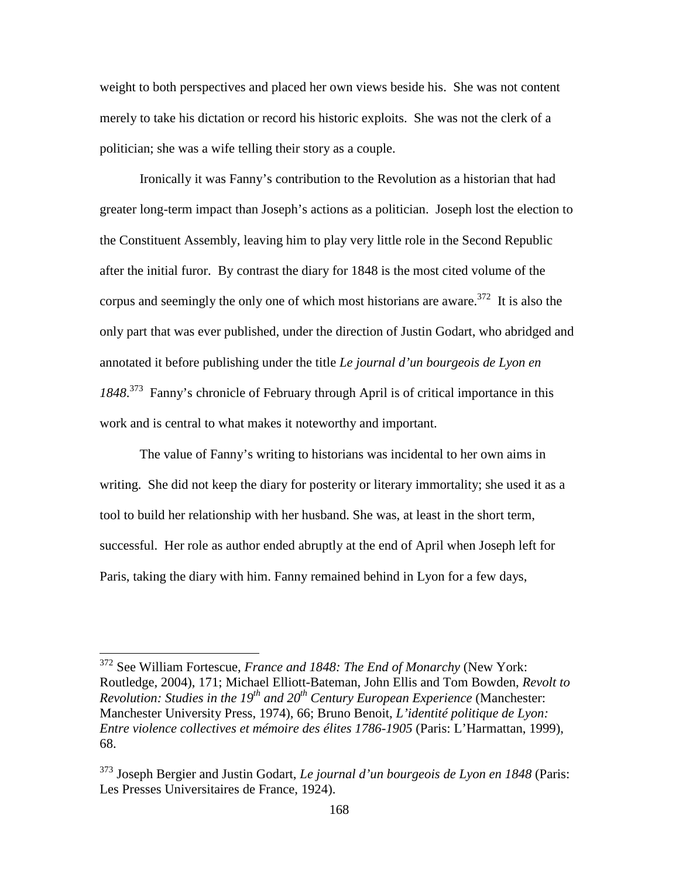weight to both perspectives and placed her own views beside his. She was not content merely to take his dictation or record his historic exploits. She was not the clerk of a politician; she was a wife telling their story as a couple.

Ironically it was Fanny's contribution to the Revolution as a historian that had greater long-term impact than Joseph's actions as a politician. Joseph lost the election to the Constituent Assembly, leaving him to play very little role in the Second Republic after the initial furor. By contrast the diary for 1848 is the most cited volume of the corpus and seemingly the only one of which most historians are aware.<sup>372</sup> It is also the only part that was ever published, under the direction of Justin Godart, who abridged and annotated it before publishing under the title *Le journal d'un bourgeois de Lyon en 1848*. <sup>373</sup> Fanny's chronicle of February through April is of critical importance in this work and is central to what makes it noteworthy and important.

The value of Fanny's writing to historians was incidental to her own aims in writing. She did not keep the diary for posterity or literary immortality; she used it as a tool to build her relationship with her husband. She was, at least in the short term, successful. Her role as author ended abruptly at the end of April when Joseph left for Paris, taking the diary with him. Fanny remained behind in Lyon for a few days,

<sup>372</sup> See William Fortescue, *France and 1848: The End of Monarchy* (New York: Routledge, 2004), 171; Michael Elliott-Bateman, John Ellis and Tom Bowden, *Revolt to Revolution: Studies in the 19th and 20th Century European Experience* (Manchester: Manchester University Press, 1974), 66; Bruno Benoit, *L'identité politique de Lyon: Entre violence collectives et mémoire des élites 1786-1905* (Paris: L'Harmattan, 1999), 68.

<sup>373</sup> Joseph Bergier and Justin Godart, *Le journal d'un bourgeois de Lyon en 1848* (Paris: Les Presses Universitaires de France, 1924).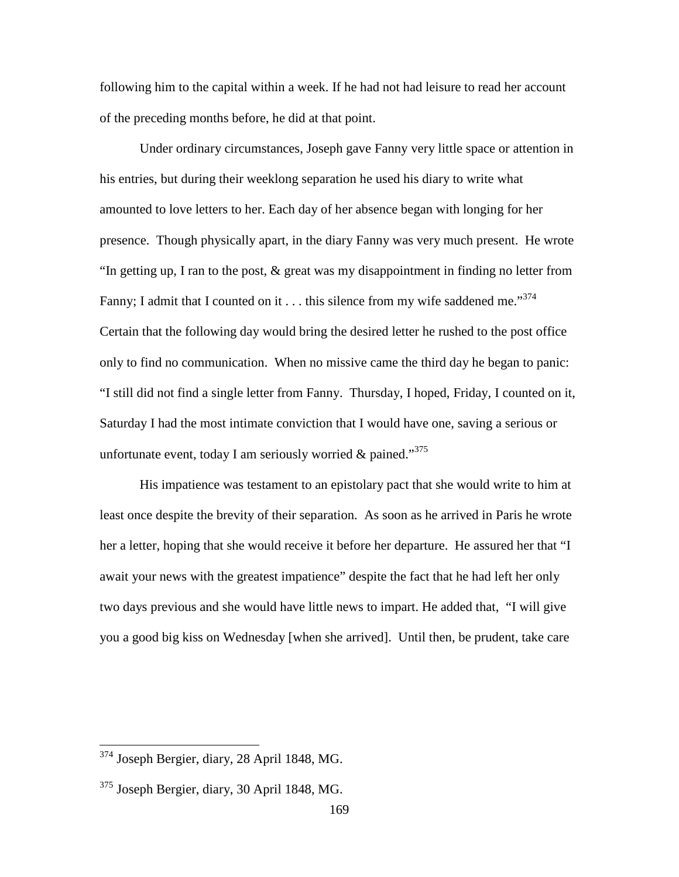following him to the capital within a week. If he had not had leisure to read her account of the preceding months before, he did at that point.

Under ordinary circumstances, Joseph gave Fanny very little space or attention in his entries, but during their weeklong separation he used his diary to write what amounted to love letters to her. Each day of her absence began with longing for her presence. Though physically apart, in the diary Fanny was very much present. He wrote "In getting up, I ran to the post, & great was my disappointment in finding no letter from Fanny; I admit that I counted on it  $\dots$  this silence from my wife saddened me."<sup>374</sup> Certain that the following day would bring the desired letter he rushed to the post office only to find no communication. When no missive came the third day he began to panic: "I still did not find a single letter from Fanny. Thursday, I hoped, Friday, I counted on it, Saturday I had the most intimate conviction that I would have one, saving a serious or unfortunate event, today I am seriously worried & pained."<sup>375</sup>

His impatience was testament to an epistolary pact that she would write to him at least once despite the brevity of their separation. As soon as he arrived in Paris he wrote her a letter, hoping that she would receive it before her departure. He assured her that "I await your news with the greatest impatience" despite the fact that he had left her only two days previous and she would have little news to impart. He added that, "I will give you a good big kiss on Wednesday [when she arrived]. Until then, be prudent, take care

<sup>374</sup> Joseph Bergier, diary, 28 April 1848, MG.

 $375$  Joseph Bergier, diary, 30 April 1848, MG.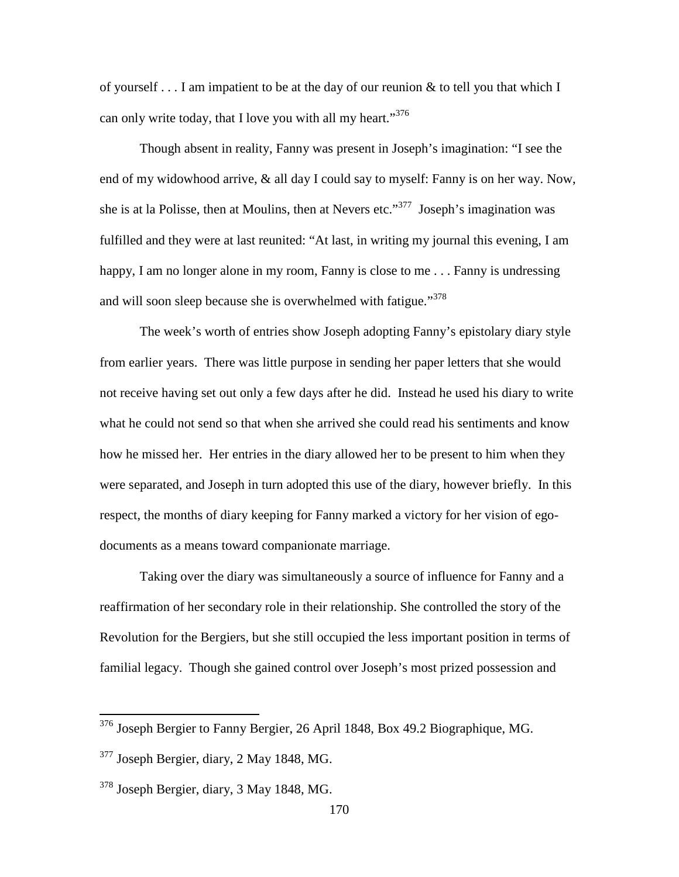of yourself  $\dots$  I am impatient to be at the day of our reunion & to tell you that which I can only write today, that I love you with all my heart."<sup>376</sup>

Though absent in reality, Fanny was present in Joseph's imagination: "I see the end of my widowhood arrive, & all day I could say to myself: Fanny is on her way. Now, she is at la Polisse, then at Moulins, then at Nevers etc."<sup>377</sup> Joseph's imagination was fulfilled and they were at last reunited: "At last, in writing my journal this evening, I am happy, I am no longer alone in my room, Fanny is close to me . . . Fanny is undressing and will soon sleep because she is overwhelmed with fatigue."<sup>378</sup>

The week's worth of entries show Joseph adopting Fanny's epistolary diary style from earlier years. There was little purpose in sending her paper letters that she would not receive having set out only a few days after he did. Instead he used his diary to write what he could not send so that when she arrived she could read his sentiments and know how he missed her. Her entries in the diary allowed her to be present to him when they were separated, and Joseph in turn adopted this use of the diary, however briefly. In this respect, the months of diary keeping for Fanny marked a victory for her vision of egodocuments as a means toward companionate marriage.

Taking over the diary was simultaneously a source of influence for Fanny and a reaffirmation of her secondary role in their relationship. She controlled the story of the Revolution for the Bergiers, but she still occupied the less important position in terms of familial legacy. Though she gained control over Joseph's most prized possession and

-

 $376$  Joseph Bergier to Fanny Bergier, 26 April 1848, Box 49.2 Biographique, MG.

 $377$  Joseph Bergier, diary, 2 May 1848, MG.

<sup>378</sup> Joseph Bergier, diary, 3 May 1848, MG.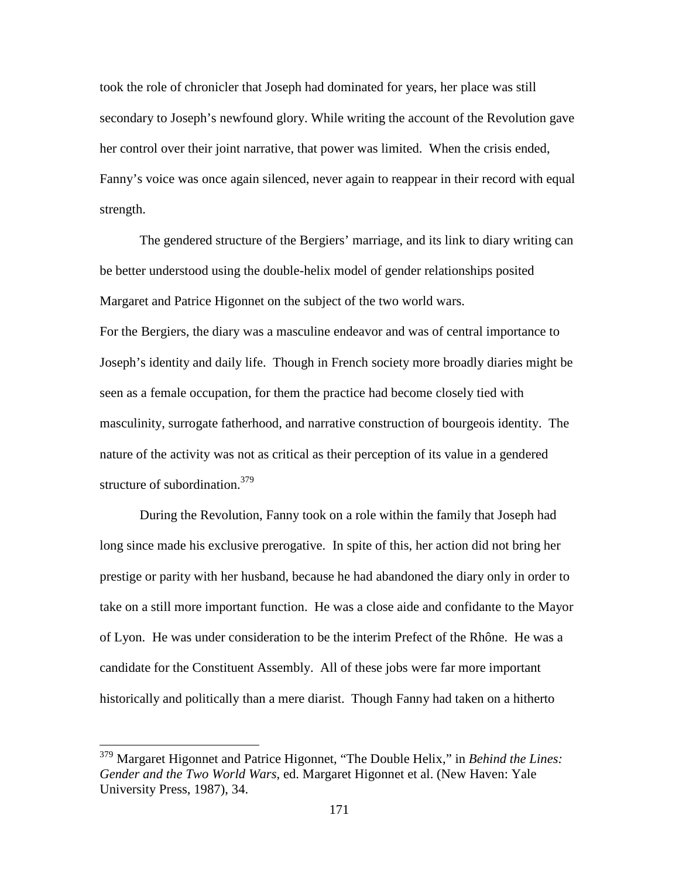took the role of chronicler that Joseph had dominated for years, her place was still secondary to Joseph's newfound glory. While writing the account of the Revolution gave her control over their joint narrative, that power was limited. When the crisis ended, Fanny's voice was once again silenced, never again to reappear in their record with equal strength.

The gendered structure of the Bergiers' marriage, and its link to diary writing can be better understood using the double-helix model of gender relationships posited Margaret and Patrice Higonnet on the subject of the two world wars.

For the Bergiers, the diary was a masculine endeavor and was of central importance to Joseph's identity and daily life. Though in French society more broadly diaries might be seen as a female occupation, for them the practice had become closely tied with masculinity, surrogate fatherhood, and narrative construction of bourgeois identity. The nature of the activity was not as critical as their perception of its value in a gendered structure of subordination.<sup>379</sup>

 During the Revolution, Fanny took on a role within the family that Joseph had long since made his exclusive prerogative. In spite of this, her action did not bring her prestige or parity with her husband, because he had abandoned the diary only in order to take on a still more important function. He was a close aide and confidante to the Mayor of Lyon. He was under consideration to be the interim Prefect of the Rhône. He was a candidate for the Constituent Assembly. All of these jobs were far more important historically and politically than a mere diarist. Though Fanny had taken on a hitherto

<sup>379</sup> Margaret Higonnet and Patrice Higonnet, "The Double Helix," in *Behind the Lines: Gender and the Two World Wars*, ed. Margaret Higonnet et al. (New Haven: Yale University Press, 1987), 34.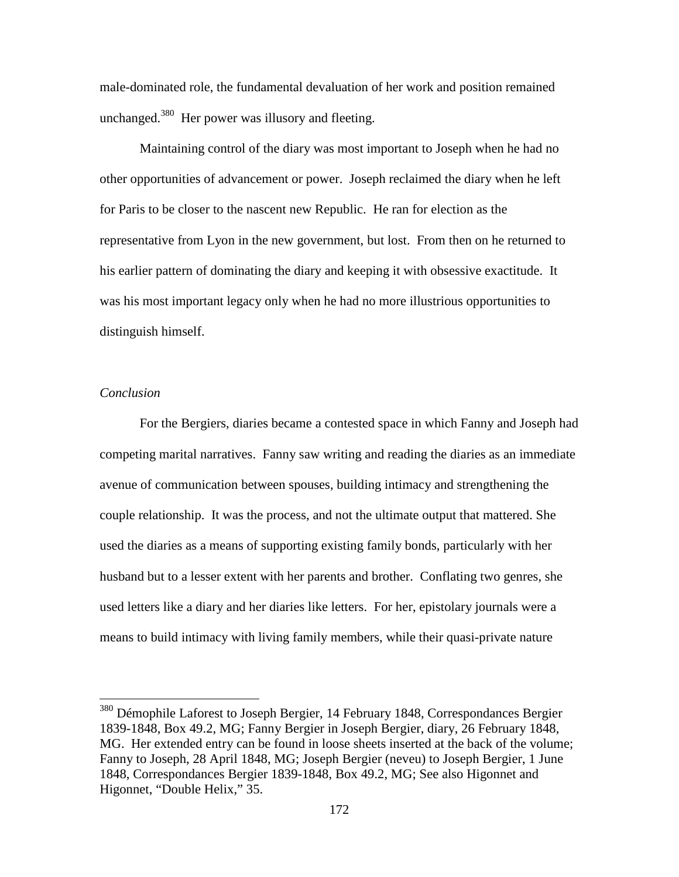male-dominated role, the fundamental devaluation of her work and position remained unchanged.<sup>380</sup> Her power was illusory and fleeting.

Maintaining control of the diary was most important to Joseph when he had no other opportunities of advancement or power. Joseph reclaimed the diary when he left for Paris to be closer to the nascent new Republic. He ran for election as the representative from Lyon in the new government, but lost. From then on he returned to his earlier pattern of dominating the diary and keeping it with obsessive exactitude. It was his most important legacy only when he had no more illustrious opportunities to distinguish himself.

### *Conclusion*

 $\overline{a}$ 

For the Bergiers, diaries became a contested space in which Fanny and Joseph had competing marital narratives. Fanny saw writing and reading the diaries as an immediate avenue of communication between spouses, building intimacy and strengthening the couple relationship. It was the process, and not the ultimate output that mattered. She used the diaries as a means of supporting existing family bonds, particularly with her husband but to a lesser extent with her parents and brother. Conflating two genres, she used letters like a diary and her diaries like letters. For her, epistolary journals were a means to build intimacy with living family members, while their quasi-private nature

<sup>380</sup> Démophile Laforest to Joseph Bergier, 14 February 1848, Correspondances Bergier 1839-1848, Box 49.2, MG; Fanny Bergier in Joseph Bergier, diary, 26 February 1848, MG. Her extended entry can be found in loose sheets inserted at the back of the volume; Fanny to Joseph, 28 April 1848, MG; Joseph Bergier (neveu) to Joseph Bergier, 1 June 1848, Correspondances Bergier 1839-1848, Box 49.2, MG; See also Higonnet and Higonnet, "Double Helix," 35.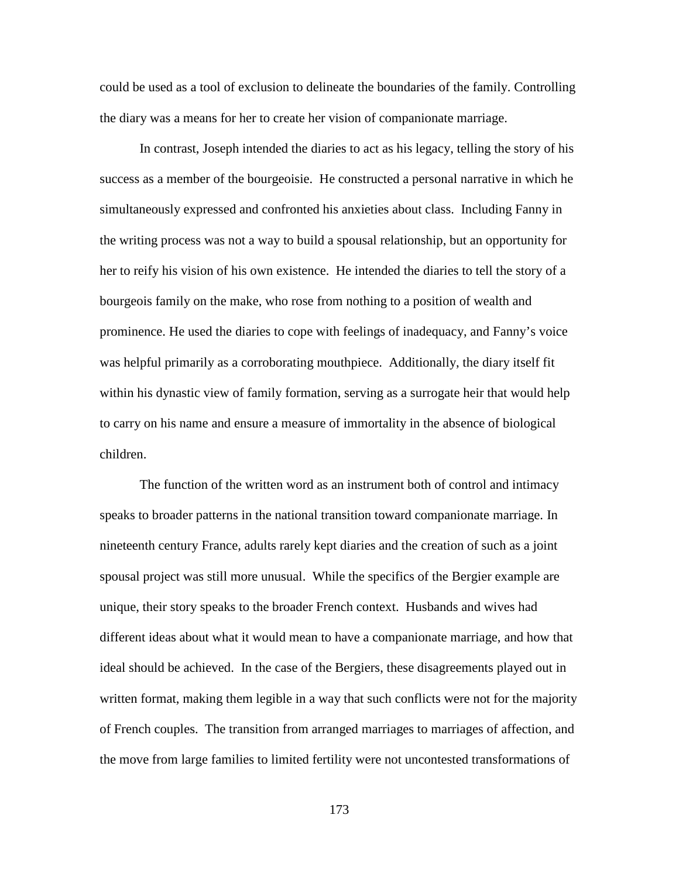could be used as a tool of exclusion to delineate the boundaries of the family. Controlling the diary was a means for her to create her vision of companionate marriage.

In contrast, Joseph intended the diaries to act as his legacy, telling the story of his success as a member of the bourgeoisie. He constructed a personal narrative in which he simultaneously expressed and confronted his anxieties about class. Including Fanny in the writing process was not a way to build a spousal relationship, but an opportunity for her to reify his vision of his own existence. He intended the diaries to tell the story of a bourgeois family on the make, who rose from nothing to a position of wealth and prominence. He used the diaries to cope with feelings of inadequacy, and Fanny's voice was helpful primarily as a corroborating mouthpiece. Additionally, the diary itself fit within his dynastic view of family formation, serving as a surrogate heir that would help to carry on his name and ensure a measure of immortality in the absence of biological children.

The function of the written word as an instrument both of control and intimacy speaks to broader patterns in the national transition toward companionate marriage. In nineteenth century France, adults rarely kept diaries and the creation of such as a joint spousal project was still more unusual. While the specifics of the Bergier example are unique, their story speaks to the broader French context. Husbands and wives had different ideas about what it would mean to have a companionate marriage, and how that ideal should be achieved. In the case of the Bergiers, these disagreements played out in written format, making them legible in a way that such conflicts were not for the majority of French couples. The transition from arranged marriages to marriages of affection, and the move from large families to limited fertility were not uncontested transformations of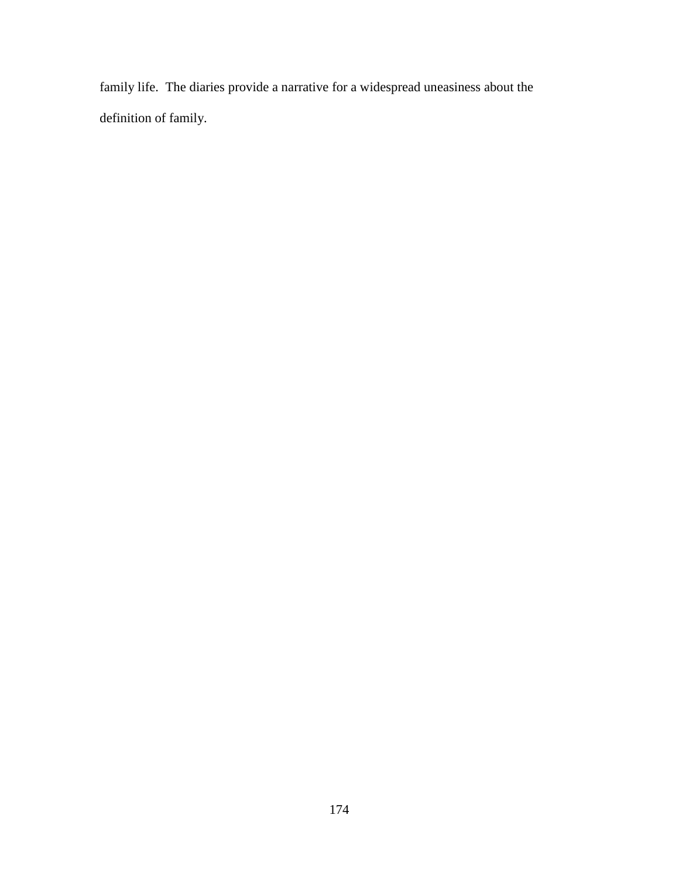family life. The diaries provide a narrative for a widespread uneasiness about the definition of family.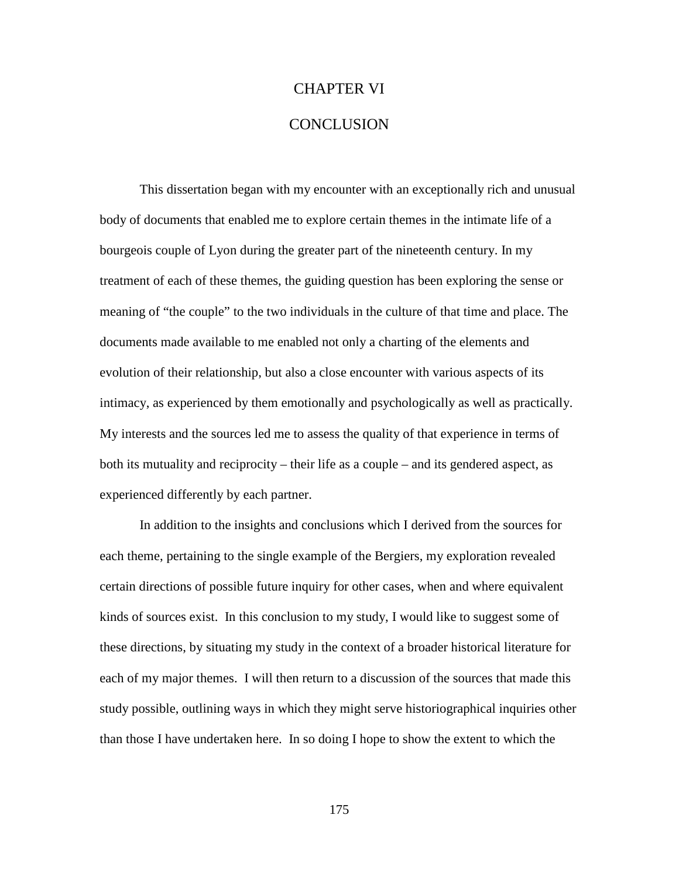# CHAPTER VI

## **CONCLUSION**

This dissertation began with my encounter with an exceptionally rich and unusual body of documents that enabled me to explore certain themes in the intimate life of a bourgeois couple of Lyon during the greater part of the nineteenth century. In my treatment of each of these themes, the guiding question has been exploring the sense or meaning of "the couple" to the two individuals in the culture of that time and place. The documents made available to me enabled not only a charting of the elements and evolution of their relationship, but also a close encounter with various aspects of its intimacy, as experienced by them emotionally and psychologically as well as practically. My interests and the sources led me to assess the quality of that experience in terms of both its mutuality and reciprocity – their life as a couple – and its gendered aspect, as experienced differently by each partner.

In addition to the insights and conclusions which I derived from the sources for each theme, pertaining to the single example of the Bergiers, my exploration revealed certain directions of possible future inquiry for other cases, when and where equivalent kinds of sources exist. In this conclusion to my study, I would like to suggest some of these directions, by situating my study in the context of a broader historical literature for each of my major themes. I will then return to a discussion of the sources that made this study possible, outlining ways in which they might serve historiographical inquiries other than those I have undertaken here. In so doing I hope to show the extent to which the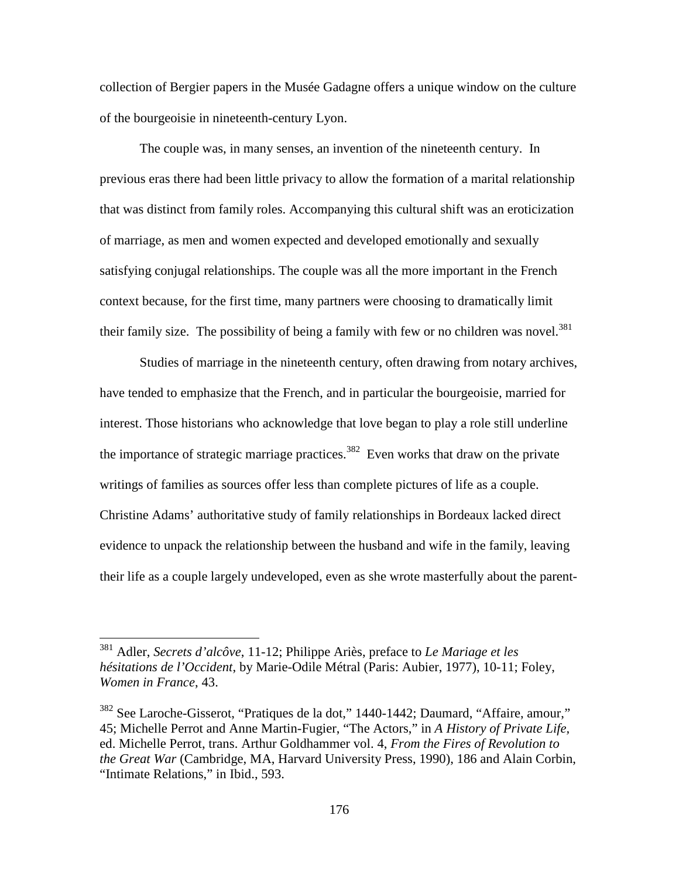collection of Bergier papers in the Musée Gadagne offers a unique window on the culture of the bourgeoisie in nineteenth-century Lyon.

The couple was, in many senses, an invention of the nineteenth century. In previous eras there had been little privacy to allow the formation of a marital relationship that was distinct from family roles. Accompanying this cultural shift was an eroticization of marriage, as men and women expected and developed emotionally and sexually satisfying conjugal relationships. The couple was all the more important in the French context because, for the first time, many partners were choosing to dramatically limit their family size. The possibility of being a family with few or no children was novel.<sup>381</sup>

Studies of marriage in the nineteenth century, often drawing from notary archives, have tended to emphasize that the French, and in particular the bourgeoisie, married for interest. Those historians who acknowledge that love began to play a role still underline the importance of strategic marriage practices.<sup>382</sup> Even works that draw on the private writings of families as sources offer less than complete pictures of life as a couple. Christine Adams' authoritative study of family relationships in Bordeaux lacked direct evidence to unpack the relationship between the husband and wife in the family, leaving their life as a couple largely undeveloped, even as she wrote masterfully about the parent-

<sup>381</sup> Adler, *Secrets d'alcôve*, 11-12; Philippe Ariès, preface to *Le Mariage et les hésitations de l'Occident*, by Marie-Odile Métral (Paris: Aubier, 1977), 10-11; Foley, *Women in France*, 43.

<sup>382</sup> See Laroche-Gisserot, "Pratiques de la dot," 1440-1442; Daumard, "Affaire, amour," 45; Michelle Perrot and Anne Martin-Fugier, "The Actors," in *A History of Private Life,*  ed. Michelle Perrot, trans. Arthur Goldhammer vol. 4, *From the Fires of Revolution to the Great War* (Cambridge, MA, Harvard University Press, 1990), 186 and Alain Corbin, "Intimate Relations," in Ibid., 593.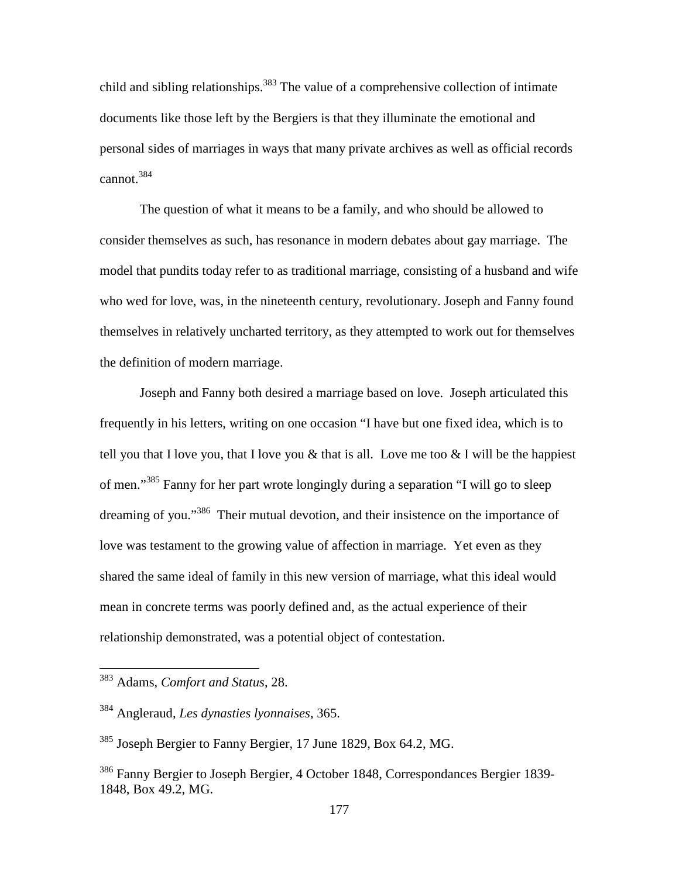child and sibling relationships.<sup>383</sup> The value of a comprehensive collection of intimate documents like those left by the Bergiers is that they illuminate the emotional and personal sides of marriages in ways that many private archives as well as official records cannot.<sup>384</sup>

The question of what it means to be a family, and who should be allowed to consider themselves as such, has resonance in modern debates about gay marriage. The model that pundits today refer to as traditional marriage, consisting of a husband and wife who wed for love, was, in the nineteenth century, revolutionary. Joseph and Fanny found themselves in relatively uncharted territory, as they attempted to work out for themselves the definition of modern marriage.

Joseph and Fanny both desired a marriage based on love. Joseph articulated this frequently in his letters, writing on one occasion "I have but one fixed idea, which is to tell you that I love you, that I love you  $\&$  that is all. Love me too  $\&$  I will be the happiest of men."<sup>385</sup> Fanny for her part wrote longingly during a separation "I will go to sleep dreaming of you."<sup>386</sup> Their mutual devotion, and their insistence on the importance of love was testament to the growing value of affection in marriage. Yet even as they shared the same ideal of family in this new version of marriage, what this ideal would mean in concrete terms was poorly defined and, as the actual experience of their relationship demonstrated, was a potential object of contestation.

<sup>383</sup> Adams, *Comfort and Status*, 28.

<sup>384</sup> Angleraud, *Les dynasties lyonnaises*, 365.

<sup>385</sup> Joseph Bergier to Fanny Bergier, 17 June 1829, Box 64.2, MG.

<sup>386</sup> Fanny Bergier to Joseph Bergier, 4 October 1848, Correspondances Bergier 1839- 1848, Box 49.2, MG.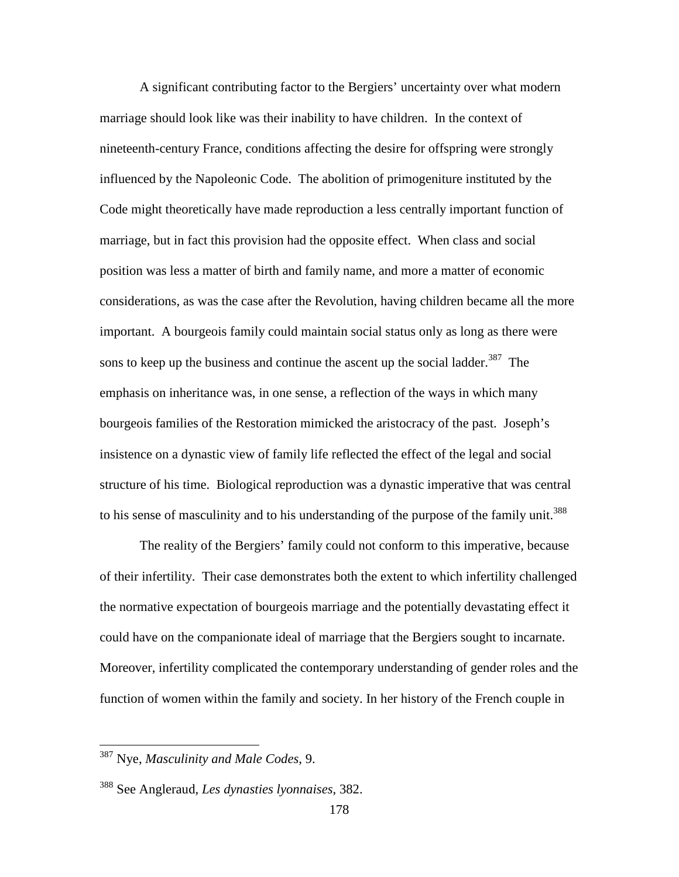A significant contributing factor to the Bergiers' uncertainty over what modern marriage should look like was their inability to have children. In the context of nineteenth-century France, conditions affecting the desire for offspring were strongly influenced by the Napoleonic Code. The abolition of primogeniture instituted by the Code might theoretically have made reproduction a less centrally important function of marriage, but in fact this provision had the opposite effect. When class and social position was less a matter of birth and family name, and more a matter of economic considerations, as was the case after the Revolution, having children became all the more important. A bourgeois family could maintain social status only as long as there were sons to keep up the business and continue the ascent up the social ladder.<sup>387</sup> The emphasis on inheritance was, in one sense, a reflection of the ways in which many bourgeois families of the Restoration mimicked the aristocracy of the past. Joseph's insistence on a dynastic view of family life reflected the effect of the legal and social structure of his time. Biological reproduction was a dynastic imperative that was central to his sense of masculinity and to his understanding of the purpose of the family unit.<sup>388</sup>

 The reality of the Bergiers' family could not conform to this imperative, because of their infertility. Their case demonstrates both the extent to which infertility challenged the normative expectation of bourgeois marriage and the potentially devastating effect it could have on the companionate ideal of marriage that the Bergiers sought to incarnate. Moreover, infertility complicated the contemporary understanding of gender roles and the function of women within the family and society. In her history of the French couple in

<sup>387</sup> Nye, *Masculinity and Male Codes*, 9.

<sup>388</sup> See Angleraud, *Les dynasties lyonnaises*, 382.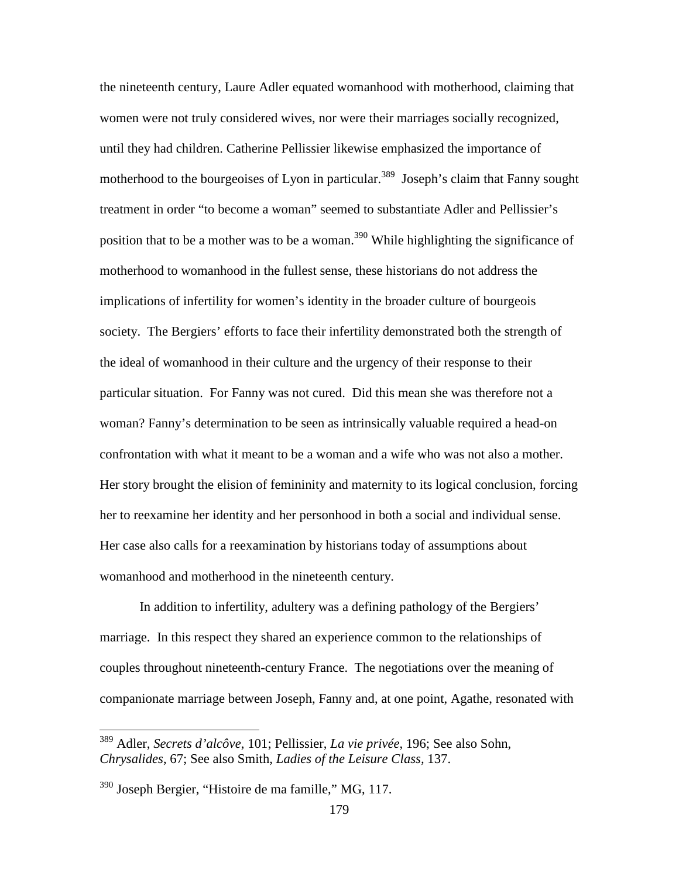the nineteenth century, Laure Adler equated womanhood with motherhood, claiming that women were not truly considered wives, nor were their marriages socially recognized, until they had children. Catherine Pellissier likewise emphasized the importance of motherhood to the bourgeoises of Lyon in particular.<sup>389</sup> Joseph's claim that Fanny sought treatment in order "to become a woman" seemed to substantiate Adler and Pellissier's position that to be a mother was to be a woman.<sup>390</sup> While highlighting the significance of motherhood to womanhood in the fullest sense, these historians do not address the implications of infertility for women's identity in the broader culture of bourgeois society. The Bergiers' efforts to face their infertility demonstrated both the strength of the ideal of womanhood in their culture and the urgency of their response to their particular situation. For Fanny was not cured. Did this mean she was therefore not a woman? Fanny's determination to be seen as intrinsically valuable required a head-on confrontation with what it meant to be a woman and a wife who was not also a mother. Her story brought the elision of femininity and maternity to its logical conclusion, forcing her to reexamine her identity and her personhood in both a social and individual sense. Her case also calls for a reexamination by historians today of assumptions about womanhood and motherhood in the nineteenth century.

In addition to infertility, adultery was a defining pathology of the Bergiers' marriage. In this respect they shared an experience common to the relationships of couples throughout nineteenth-century France. The negotiations over the meaning of companionate marriage between Joseph, Fanny and, at one point, Agathe, resonated with

<sup>389</sup> Adler, *Secrets d'alcôve*, 101; Pellissier, *La vie privée*, 196; See also Sohn, *Chrysalides*, 67; See also Smith, *Ladies of the Leisure Class,* 137.

 $390$  Joseph Bergier, "Histoire de ma famille," MG, 117.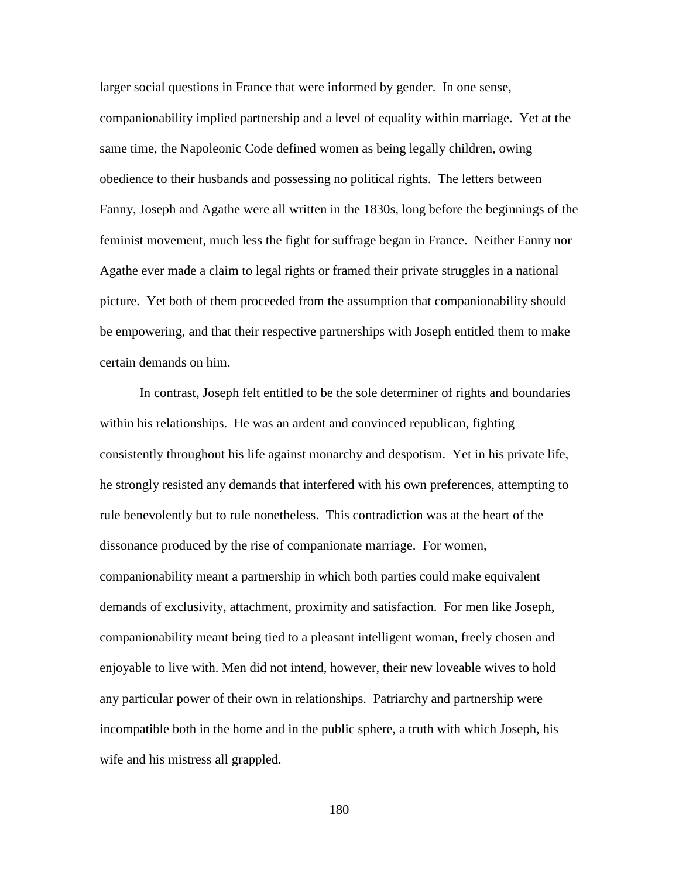larger social questions in France that were informed by gender. In one sense, companionability implied partnership and a level of equality within marriage. Yet at the same time, the Napoleonic Code defined women as being legally children, owing obedience to their husbands and possessing no political rights. The letters between Fanny, Joseph and Agathe were all written in the 1830s, long before the beginnings of the feminist movement, much less the fight for suffrage began in France. Neither Fanny nor Agathe ever made a claim to legal rights or framed their private struggles in a national picture. Yet both of them proceeded from the assumption that companionability should be empowering, and that their respective partnerships with Joseph entitled them to make certain demands on him.

 In contrast, Joseph felt entitled to be the sole determiner of rights and boundaries within his relationships. He was an ardent and convinced republican, fighting consistently throughout his life against monarchy and despotism. Yet in his private life, he strongly resisted any demands that interfered with his own preferences, attempting to rule benevolently but to rule nonetheless. This contradiction was at the heart of the dissonance produced by the rise of companionate marriage. For women, companionability meant a partnership in which both parties could make equivalent demands of exclusivity, attachment, proximity and satisfaction. For men like Joseph, companionability meant being tied to a pleasant intelligent woman, freely chosen and enjoyable to live with. Men did not intend, however, their new loveable wives to hold any particular power of their own in relationships. Patriarchy and partnership were incompatible both in the home and in the public sphere, a truth with which Joseph, his wife and his mistress all grappled.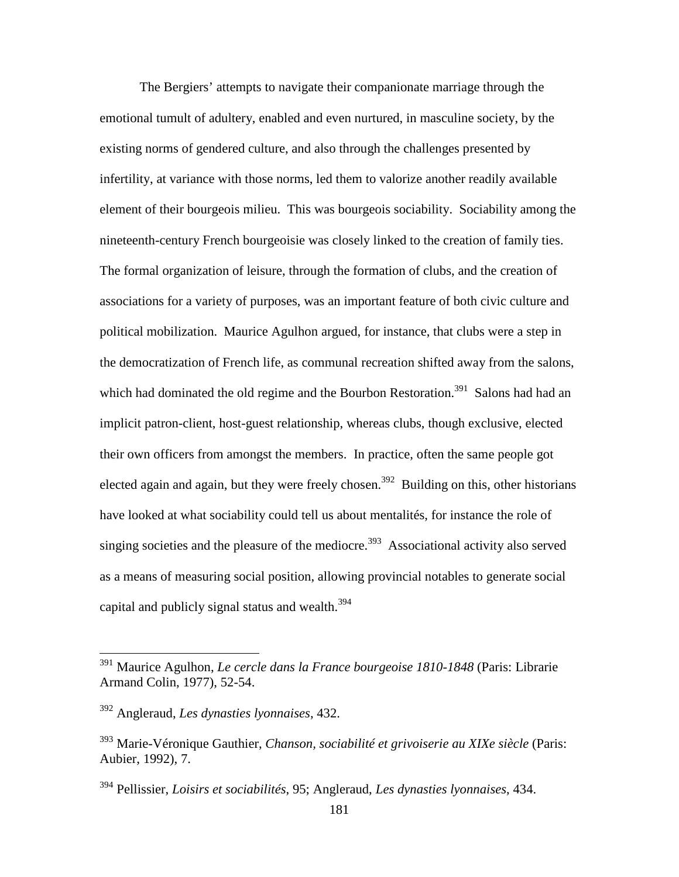The Bergiers' attempts to navigate their companionate marriage through the emotional tumult of adultery, enabled and even nurtured, in masculine society, by the existing norms of gendered culture, and also through the challenges presented by infertility, at variance with those norms, led them to valorize another readily available element of their bourgeois milieu. This was bourgeois sociability. Sociability among the nineteenth-century French bourgeoisie was closely linked to the creation of family ties. The formal organization of leisure, through the formation of clubs, and the creation of associations for a variety of purposes, was an important feature of both civic culture and political mobilization. Maurice Agulhon argued, for instance, that clubs were a step in the democratization of French life, as communal recreation shifted away from the salons, which had dominated the old regime and the Bourbon Restoration.<sup>391</sup> Salons had had an implicit patron-client, host-guest relationship, whereas clubs, though exclusive, elected their own officers from amongst the members. In practice, often the same people got elected again and again, but they were freely chosen.<sup>392</sup> Building on this, other historians have looked at what sociability could tell us about mentalités, for instance the role of singing societies and the pleasure of the mediocre.<sup>393</sup> Associational activity also served as a means of measuring social position, allowing provincial notables to generate social capital and publicly signal status and wealth. $^{394}$ 

<u>.</u>

<sup>391</sup> Maurice Agulhon, *Le cercle dans la France bourgeoise 1810-1848* (Paris: Librarie Armand Colin, 1977), 52-54.

<sup>392</sup> Angleraud, *Les dynasties lyonnaises*, 432.

<sup>393</sup> Marie-Véronique Gauthier, *Chanson, sociabilité et grivoiserie au XIXe siècle* (Paris: Aubier, 1992), 7.

<sup>394</sup> Pellissier, *Loisirs et sociabilités*, 95; Angleraud, *Les dynasties lyonnaises*, 434.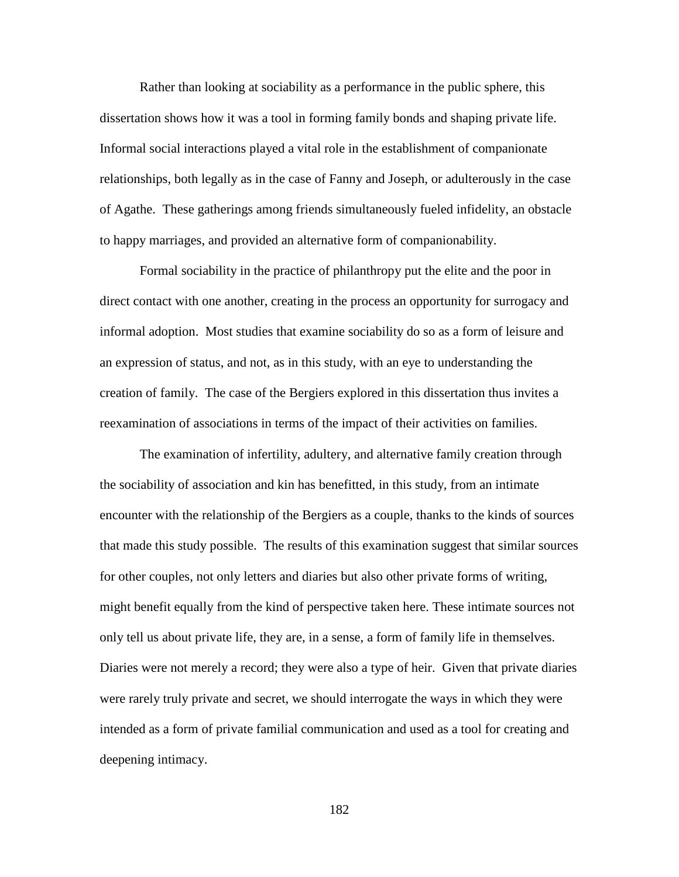Rather than looking at sociability as a performance in the public sphere, this dissertation shows how it was a tool in forming family bonds and shaping private life. Informal social interactions played a vital role in the establishment of companionate relationships, both legally as in the case of Fanny and Joseph, or adulterously in the case of Agathe. These gatherings among friends simultaneously fueled infidelity, an obstacle to happy marriages, and provided an alternative form of companionability.

Formal sociability in the practice of philanthropy put the elite and the poor in direct contact with one another, creating in the process an opportunity for surrogacy and informal adoption. Most studies that examine sociability do so as a form of leisure and an expression of status, and not, as in this study, with an eye to understanding the creation of family. The case of the Bergiers explored in this dissertation thus invites a reexamination of associations in terms of the impact of their activities on families.

The examination of infertility, adultery, and alternative family creation through the sociability of association and kin has benefitted, in this study, from an intimate encounter with the relationship of the Bergiers as a couple, thanks to the kinds of sources that made this study possible. The results of this examination suggest that similar sources for other couples, not only letters and diaries but also other private forms of writing, might benefit equally from the kind of perspective taken here. These intimate sources not only tell us about private life, they are, in a sense, a form of family life in themselves. Diaries were not merely a record; they were also a type of heir. Given that private diaries were rarely truly private and secret, we should interrogate the ways in which they were intended as a form of private familial communication and used as a tool for creating and deepening intimacy.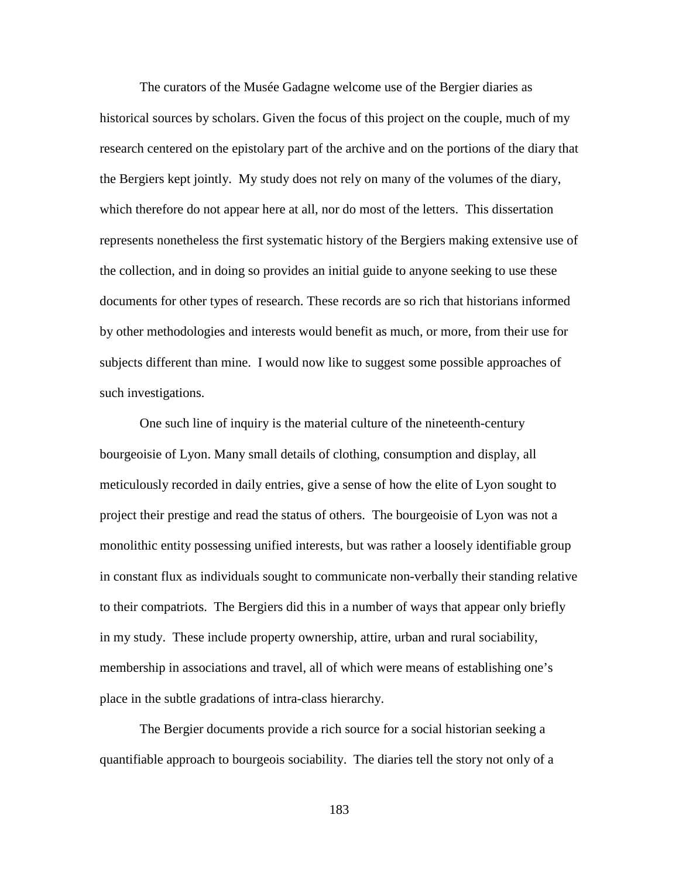The curators of the Musée Gadagne welcome use of the Bergier diaries as historical sources by scholars. Given the focus of this project on the couple, much of my research centered on the epistolary part of the archive and on the portions of the diary that the Bergiers kept jointly. My study does not rely on many of the volumes of the diary, which therefore do not appear here at all, nor do most of the letters. This dissertation represents nonetheless the first systematic history of the Bergiers making extensive use of the collection, and in doing so provides an initial guide to anyone seeking to use these documents for other types of research. These records are so rich that historians informed by other methodologies and interests would benefit as much, or more, from their use for subjects different than mine. I would now like to suggest some possible approaches of such investigations.

 One such line of inquiry is the material culture of the nineteenth-century bourgeoisie of Lyon. Many small details of clothing, consumption and display, all meticulously recorded in daily entries, give a sense of how the elite of Lyon sought to project their prestige and read the status of others. The bourgeoisie of Lyon was not a monolithic entity possessing unified interests, but was rather a loosely identifiable group in constant flux as individuals sought to communicate non-verbally their standing relative to their compatriots. The Bergiers did this in a number of ways that appear only briefly in my study. These include property ownership, attire, urban and rural sociability, membership in associations and travel, all of which were means of establishing one's place in the subtle gradations of intra-class hierarchy.

The Bergier documents provide a rich source for a social historian seeking a quantifiable approach to bourgeois sociability. The diaries tell the story not only of a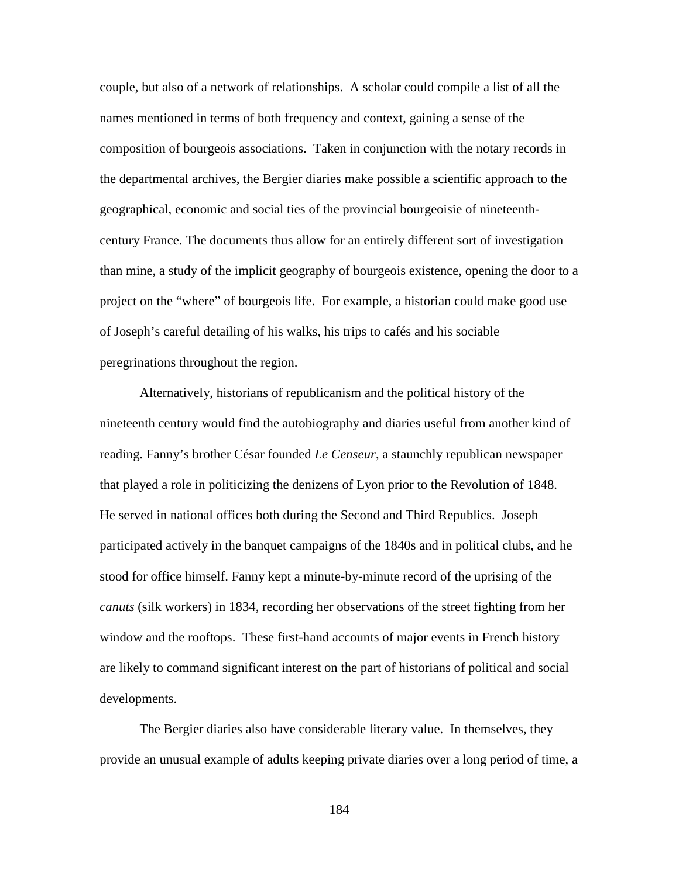couple, but also of a network of relationships. A scholar could compile a list of all the names mentioned in terms of both frequency and context, gaining a sense of the composition of bourgeois associations. Taken in conjunction with the notary records in the departmental archives, the Bergier diaries make possible a scientific approach to the geographical, economic and social ties of the provincial bourgeoisie of nineteenthcentury France. The documents thus allow for an entirely different sort of investigation than mine, a study of the implicit geography of bourgeois existence, opening the door to a project on the "where" of bourgeois life. For example, a historian could make good use of Joseph's careful detailing of his walks, his trips to cafés and his sociable peregrinations throughout the region.

 Alternatively, historians of republicanism and the political history of the nineteenth century would find the autobiography and diaries useful from another kind of reading. Fanny's brother César founded *Le Censeur*, a staunchly republican newspaper that played a role in politicizing the denizens of Lyon prior to the Revolution of 1848. He served in national offices both during the Second and Third Republics. Joseph participated actively in the banquet campaigns of the 1840s and in political clubs, and he stood for office himself. Fanny kept a minute-by-minute record of the uprising of the *canuts* (silk workers) in 1834, recording her observations of the street fighting from her window and the rooftops. These first-hand accounts of major events in French history are likely to command significant interest on the part of historians of political and social developments.

 The Bergier diaries also have considerable literary value. In themselves, they provide an unusual example of adults keeping private diaries over a long period of time, a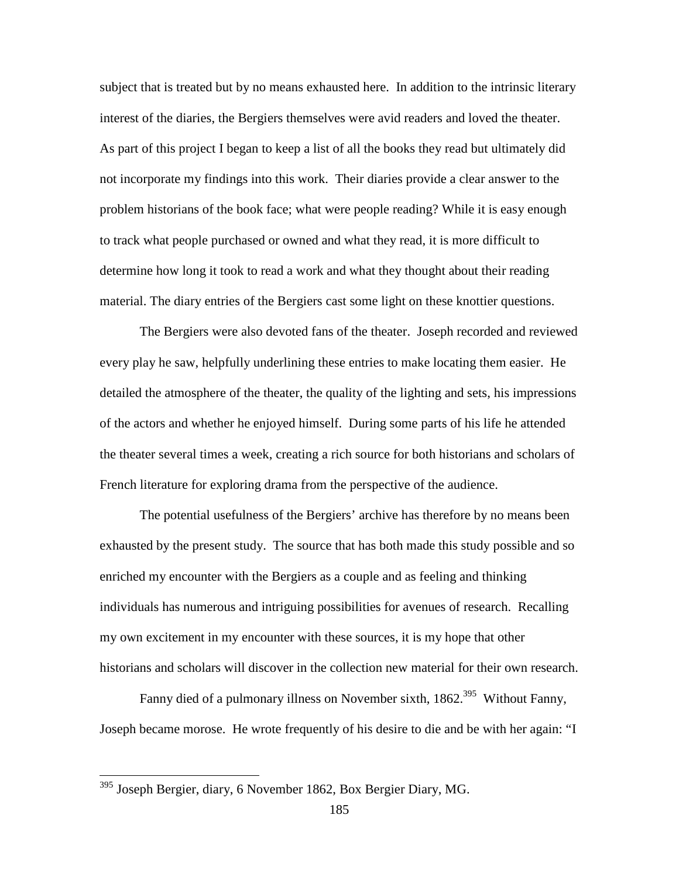subject that is treated but by no means exhausted here. In addition to the intrinsic literary interest of the diaries, the Bergiers themselves were avid readers and loved the theater. As part of this project I began to keep a list of all the books they read but ultimately did not incorporate my findings into this work. Their diaries provide a clear answer to the problem historians of the book face; what were people reading? While it is easy enough to track what people purchased or owned and what they read, it is more difficult to determine how long it took to read a work and what they thought about their reading material. The diary entries of the Bergiers cast some light on these knottier questions.

The Bergiers were also devoted fans of the theater. Joseph recorded and reviewed every play he saw, helpfully underlining these entries to make locating them easier. He detailed the atmosphere of the theater, the quality of the lighting and sets, his impressions of the actors and whether he enjoyed himself. During some parts of his life he attended the theater several times a week, creating a rich source for both historians and scholars of French literature for exploring drama from the perspective of the audience.

The potential usefulness of the Bergiers' archive has therefore by no means been exhausted by the present study. The source that has both made this study possible and so enriched my encounter with the Bergiers as a couple and as feeling and thinking individuals has numerous and intriguing possibilities for avenues of research. Recalling my own excitement in my encounter with these sources, it is my hope that other historians and scholars will discover in the collection new material for their own research.

Fanny died of a pulmonary illness on November sixth, 1862.<sup>395</sup> Without Fanny, Joseph became morose. He wrote frequently of his desire to die and be with her again: "I

<u>.</u>

<sup>&</sup>lt;sup>395</sup> Joseph Bergier, diary, 6 November 1862, Box Bergier Diary, MG.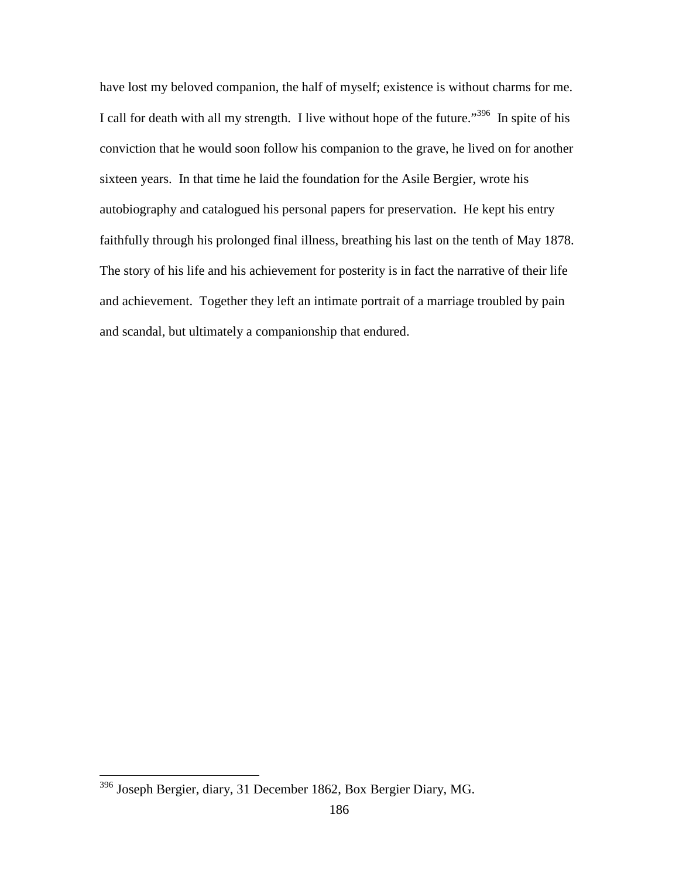have lost my beloved companion, the half of myself; existence is without charms for me. I call for death with all my strength. I live without hope of the future."<sup>396</sup> In spite of his conviction that he would soon follow his companion to the grave, he lived on for another sixteen years. In that time he laid the foundation for the Asile Bergier, wrote his autobiography and catalogued his personal papers for preservation. He kept his entry faithfully through his prolonged final illness, breathing his last on the tenth of May 1878. The story of his life and his achievement for posterity is in fact the narrative of their life and achievement. Together they left an intimate portrait of a marriage troubled by pain and scandal, but ultimately a companionship that endured.

<sup>&</sup>lt;sup>396</sup> Joseph Bergier, diary, 31 December 1862, Box Bergier Diary, MG.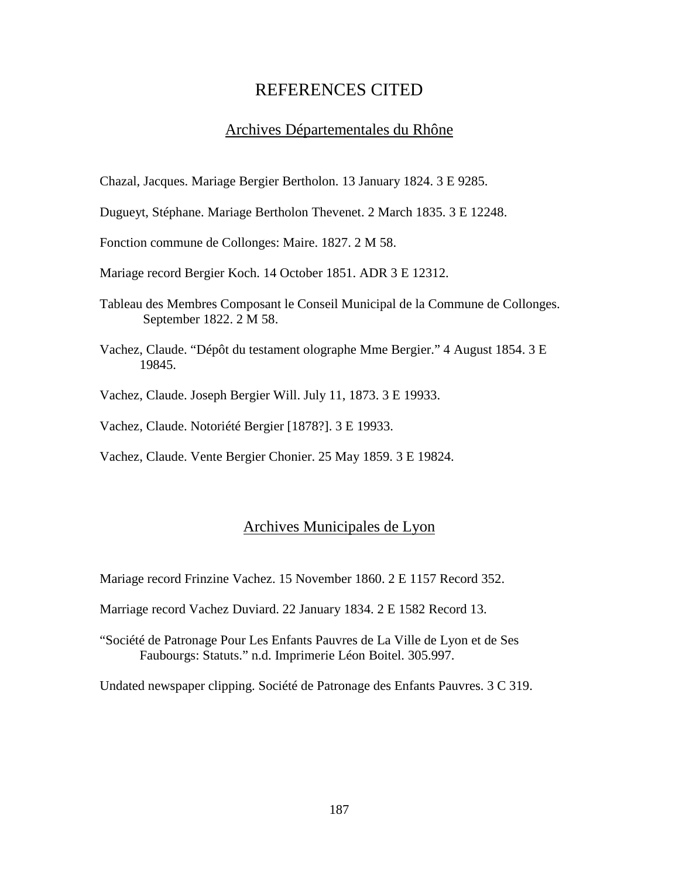# REFERENCES CITED

### Archives Départementales du Rhône

Chazal, Jacques. Mariage Bergier Bertholon. 13 January 1824. 3 E 9285.

Dugueyt, Stéphane. Mariage Bertholon Thevenet. 2 March 1835. 3 E 12248.

Fonction commune de Collonges: Maire. 1827. 2 M 58.

Mariage record Bergier Koch. 14 October 1851. ADR 3 E 12312.

- Tableau des Membres Composant le Conseil Municipal de la Commune de Collonges. September 1822. 2 M 58.
- Vachez, Claude. "Dépôt du testament olographe Mme Bergier." 4 August 1854. 3 E 19845.
- Vachez, Claude. Joseph Bergier Will. July 11, 1873. 3 E 19933.

Vachez, Claude. Notoriété Bergier [1878?]. 3 E 19933.

Vachez, Claude. Vente Bergier Chonier. 25 May 1859. 3 E 19824.

## Archives Municipales de Lyon

Mariage record Frinzine Vachez. 15 November 1860. 2 E 1157 Record 352.

Marriage record Vachez Duviard. 22 January 1834. 2 E 1582 Record 13.

"Société de Patronage Pour Les Enfants Pauvres de La Ville de Lyon et de Ses Faubourgs: Statuts." n.d. Imprimerie Léon Boitel. 305.997.

Undated newspaper clipping. Société de Patronage des Enfants Pauvres. 3 C 319.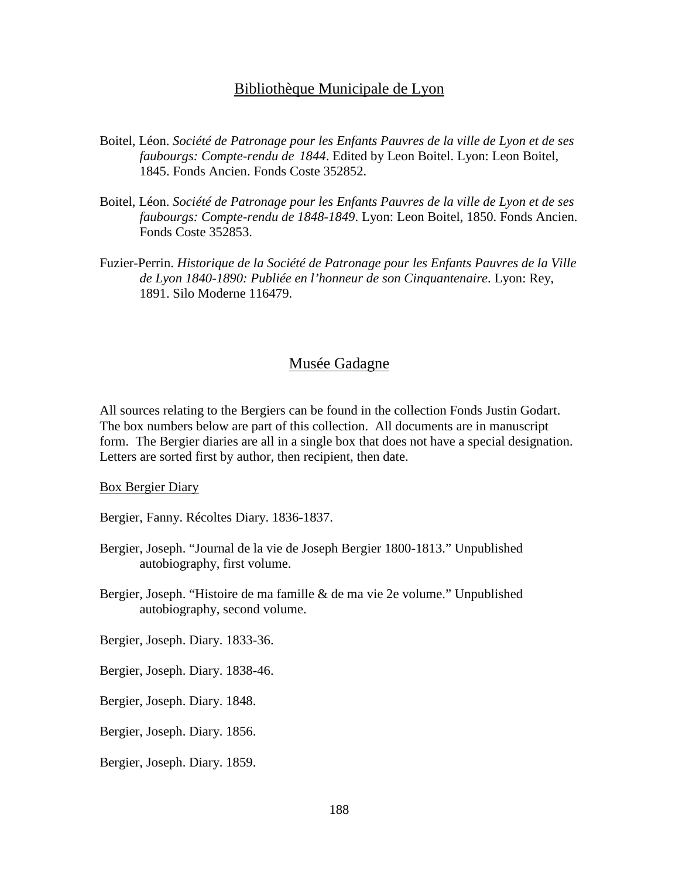### Bibliothèque Municipale de Lyon

- Boitel, Léon. *Société de Patronage pour les Enfants Pauvres de la ville de Lyon et de ses faubourgs: Compte-rendu de 1844*. Edited by Leon Boitel. Lyon: Leon Boitel, 1845. Fonds Ancien. Fonds Coste 352852.
- Boitel, Léon. *Société de Patronage pour les Enfants Pauvres de la ville de Lyon et de ses faubourgs: Compte-rendu de 1848-1849*. Lyon: Leon Boitel, 1850. Fonds Ancien. Fonds Coste 352853.
- Fuzier-Perrin. *Historique de la Société de Patronage pour les Enfants Pauvres de la Ville de Lyon 1840-1890: Publiée en l'honneur de son Cinquantenaire*. Lyon: Rey, 1891. Silo Moderne 116479.

## Musée Gadagne

All sources relating to the Bergiers can be found in the collection Fonds Justin Godart. The box numbers below are part of this collection. All documents are in manuscript form. The Bergier diaries are all in a single box that does not have a special designation. Letters are sorted first by author, then recipient, then date.

Box Bergier Diary

Bergier, Fanny. Récoltes Diary. 1836-1837.

- Bergier, Joseph. "Journal de la vie de Joseph Bergier 1800-1813." Unpublished autobiography, first volume.
- Bergier, Joseph. "Histoire de ma famille & de ma vie 2e volume." Unpublished autobiography, second volume.

Bergier, Joseph. Diary. 1833-36.

Bergier, Joseph. Diary. 1838-46.

Bergier, Joseph. Diary. 1848.

Bergier, Joseph. Diary. 1856.

Bergier, Joseph. Diary. 1859.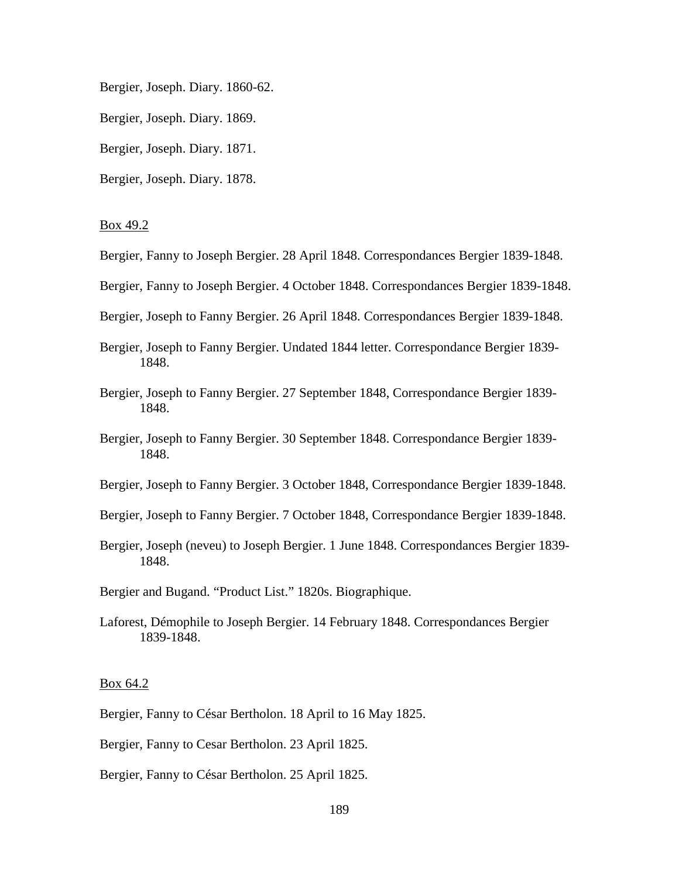Bergier, Joseph. Diary. 1860-62.

Bergier, Joseph. Diary. 1869.

Bergier, Joseph. Diary. 1871.

Bergier, Joseph. Diary. 1878.

#### Box 49.2

- Bergier, Fanny to Joseph Bergier. 28 April 1848. Correspondances Bergier 1839-1848.
- Bergier, Fanny to Joseph Bergier. 4 October 1848. Correspondances Bergier 1839-1848.
- Bergier, Joseph to Fanny Bergier. 26 April 1848. Correspondances Bergier 1839-1848.
- Bergier, Joseph to Fanny Bergier. Undated 1844 letter. Correspondance Bergier 1839- 1848.
- Bergier, Joseph to Fanny Bergier. 27 September 1848, Correspondance Bergier 1839- 1848.
- Bergier, Joseph to Fanny Bergier. 30 September 1848. Correspondance Bergier 1839- 1848.
- Bergier, Joseph to Fanny Bergier. 3 October 1848, Correspondance Bergier 1839-1848.
- Bergier, Joseph to Fanny Bergier. 7 October 1848, Correspondance Bergier 1839-1848.
- Bergier, Joseph (neveu) to Joseph Bergier. 1 June 1848. Correspondances Bergier 1839- 1848.
- Bergier and Bugand. "Product List." 1820s. Biographique.
- Laforest, Démophile to Joseph Bergier. 14 February 1848. Correspondances Bergier 1839-1848.

### Box 64.2

- Bergier, Fanny to César Bertholon. 18 April to 16 May 1825.
- Bergier, Fanny to Cesar Bertholon. 23 April 1825.
- Bergier, Fanny to César Bertholon. 25 April 1825.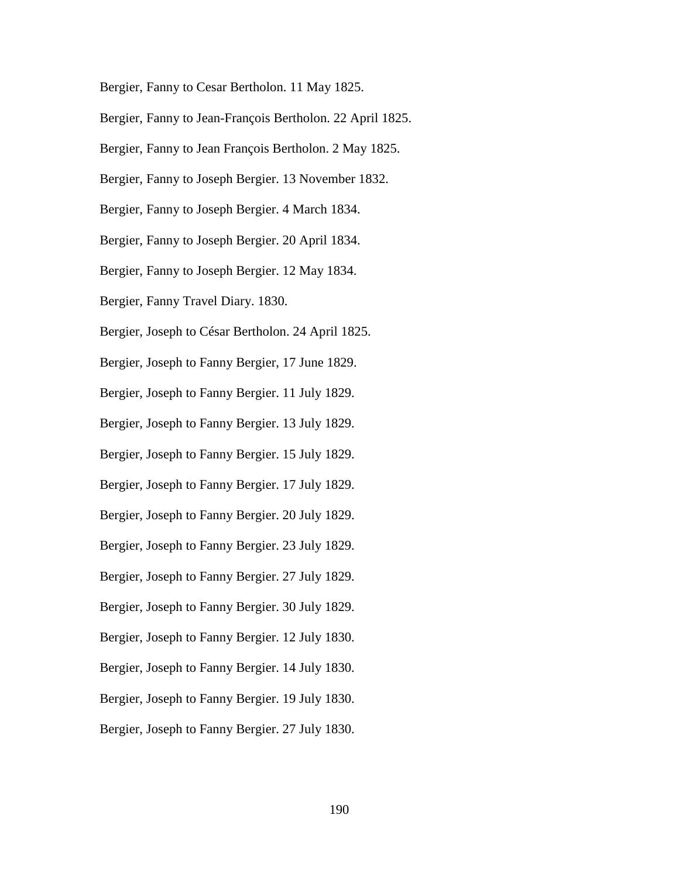Bergier, Fanny to Cesar Bertholon. 11 May 1825.

Bergier, Fanny to Jean-François Bertholon. 22 April 1825.

Bergier, Fanny to Jean François Bertholon. 2 May 1825.

Bergier, Fanny to Joseph Bergier. 13 November 1832.

Bergier, Fanny to Joseph Bergier. 4 March 1834.

Bergier, Fanny to Joseph Bergier. 20 April 1834.

Bergier, Fanny to Joseph Bergier. 12 May 1834.

Bergier, Fanny Travel Diary. 1830.

Bergier, Joseph to César Bertholon. 24 April 1825.

Bergier, Joseph to Fanny Bergier, 17 June 1829.

Bergier, Joseph to Fanny Bergier. 11 July 1829.

Bergier, Joseph to Fanny Bergier. 13 July 1829.

Bergier, Joseph to Fanny Bergier. 15 July 1829.

Bergier, Joseph to Fanny Bergier. 17 July 1829.

Bergier, Joseph to Fanny Bergier. 20 July 1829.

Bergier, Joseph to Fanny Bergier. 23 July 1829.

Bergier, Joseph to Fanny Bergier. 27 July 1829.

Bergier, Joseph to Fanny Bergier. 30 July 1829.

Bergier, Joseph to Fanny Bergier. 12 July 1830.

Bergier, Joseph to Fanny Bergier. 14 July 1830.

Bergier, Joseph to Fanny Bergier. 19 July 1830.

Bergier, Joseph to Fanny Bergier. 27 July 1830.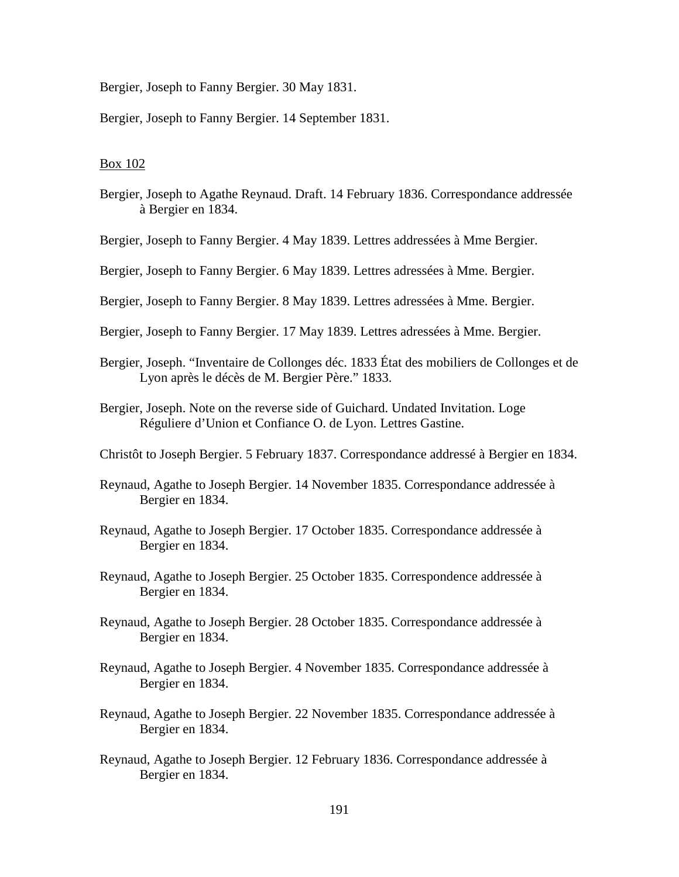Bergier, Joseph to Fanny Bergier. 30 May 1831.

Bergier, Joseph to Fanny Bergier. 14 September 1831.

### Box 102

Bergier, Joseph to Agathe Reynaud. Draft. 14 February 1836. Correspondance addressée à Bergier en 1834.

Bergier, Joseph to Fanny Bergier. 4 May 1839. Lettres addressées à Mme Bergier.

Bergier, Joseph to Fanny Bergier. 6 May 1839. Lettres adressées à Mme. Bergier.

- Bergier, Joseph to Fanny Bergier. 8 May 1839. Lettres adressées à Mme. Bergier.
- Bergier, Joseph to Fanny Bergier. 17 May 1839. Lettres adressées à Mme. Bergier.
- Bergier, Joseph. "Inventaire de Collonges déc. 1833 État des mobiliers de Collonges et de Lyon après le décès de M. Bergier Père." 1833.
- Bergier, Joseph. Note on the reverse side of Guichard. Undated Invitation. Loge Réguliere d'Union et Confiance O. de Lyon. Lettres Gastine.

Christôt to Joseph Bergier. 5 February 1837. Correspondance addressé à Bergier en 1834.

- Reynaud, Agathe to Joseph Bergier. 14 November 1835. Correspondance addressée à Bergier en 1834.
- Reynaud, Agathe to Joseph Bergier. 17 October 1835. Correspondance addressée à Bergier en 1834.
- Reynaud, Agathe to Joseph Bergier. 25 October 1835. Correspondence addressée à Bergier en 1834.
- Reynaud, Agathe to Joseph Bergier. 28 October 1835. Correspondance addressée à Bergier en 1834.
- Reynaud, Agathe to Joseph Bergier. 4 November 1835. Correspondance addressée à Bergier en 1834.
- Reynaud, Agathe to Joseph Bergier. 22 November 1835. Correspondance addressée à Bergier en 1834.
- Reynaud, Agathe to Joseph Bergier. 12 February 1836. Correspondance addressée à Bergier en 1834.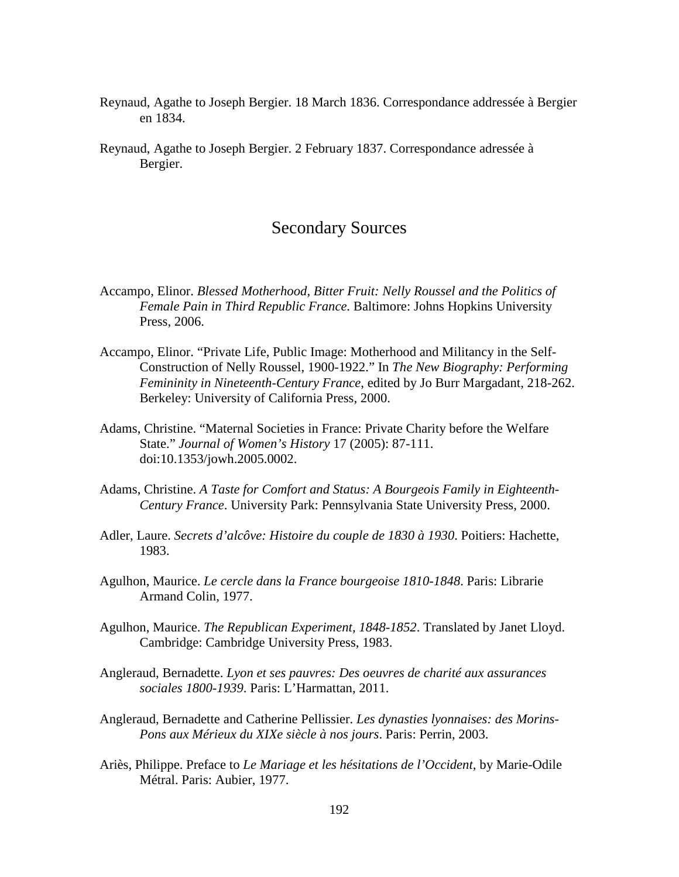- Reynaud, Agathe to Joseph Bergier. 18 March 1836. Correspondance addressée à Bergier en 1834.
- Reynaud, Agathe to Joseph Bergier. 2 February 1837. Correspondance adressée à Bergier.

# Secondary Sources

- Accampo, Elinor. *Blessed Motherhood, Bitter Fruit: Nelly Roussel and the Politics of Female Pain in Third Republic France*. Baltimore: Johns Hopkins University Press, 2006.
- Accampo, Elinor. "Private Life, Public Image: Motherhood and Militancy in the Self- Construction of Nelly Roussel, 1900-1922." In *The New Biography: Performing Femininity in Nineteenth-Century France*, edited by Jo Burr Margadant, 218-262. Berkeley: University of California Press, 2000.
- Adams, Christine. "Maternal Societies in France: Private Charity before the Welfare State." *Journal of Women's History* 17 (2005): 87-111. doi:10.1353/jowh.2005.0002.
- Adams, Christine. *A Taste for Comfort and Status: A Bourgeois Family in Eighteenth- Century France*. University Park: Pennsylvania State University Press, 2000.
- Adler, Laure. *Secrets d'alcôve: Histoire du couple de 1830 à 1930*. Poitiers: Hachette, 1983.
- Agulhon, Maurice. *Le cercle dans la France bourgeoise 1810-1848*. Paris: Librarie Armand Colin, 1977.
- Agulhon, Maurice. *The Republican Experiment, 1848-1852*. Translated by Janet Lloyd. Cambridge: Cambridge University Press, 1983.
- Angleraud, Bernadette. *Lyon et ses pauvres: Des oeuvres de charité aux assurances sociales 1800-1939*. Paris: L'Harmattan, 2011.
- Angleraud, Bernadette and Catherine Pellissier. *Les dynasties lyonnaises: des Morins- Pons aux Mérieux du XIXe siècle à nos jours*. Paris: Perrin, 2003.
- Ariès, Philippe. Preface to *Le Mariage et les hésitations de l'Occident*, by Marie-Odile Métral. Paris: Aubier, 1977.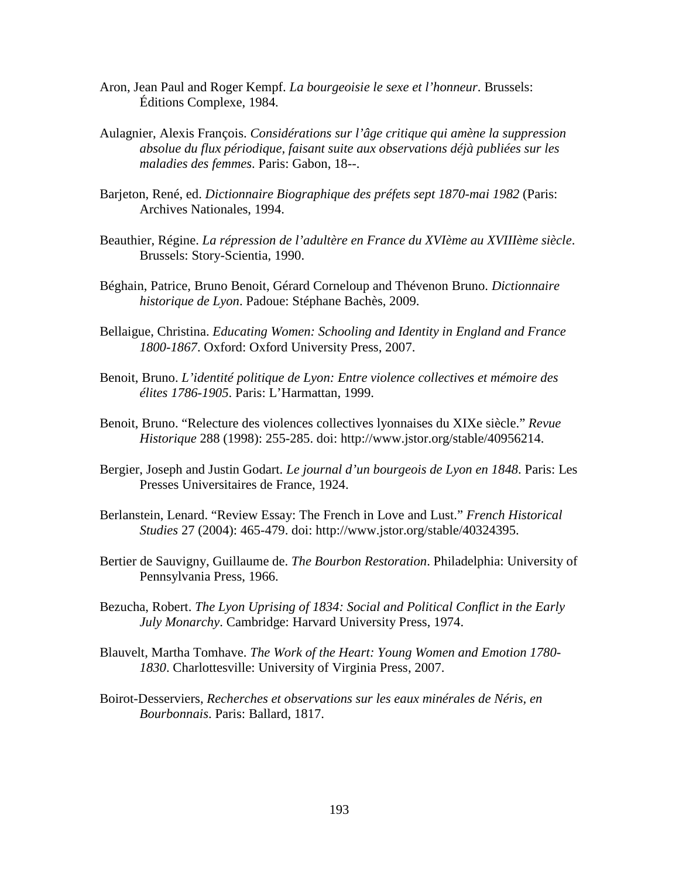- Aron, Jean Paul and Roger Kempf. *La bourgeoisie le sexe et l'honneur*. Brussels: Éditions Complexe, 1984.
- Aulagnier, Alexis François. *Considérations sur l'âge critique qui amène la suppression absolue du flux périodique, faisant suite aux observations déjà publiées sur les maladies des femmes*. Paris: Gabon, 18--.
- Barjeton, René, ed. *Dictionnaire Biographique des préfets sept 1870-mai 1982* (Paris: Archives Nationales, 1994.
- Beauthier, Régine. *La répression de l'adultère en France du XVIème au XVIIIème siècle*. Brussels: Story-Scientia, 1990.
- Béghain, Patrice, Bruno Benoit, Gérard Corneloup and Thévenon Bruno. *Dictionnaire historique de Lyon*. Padoue: Stéphane Bachès, 2009.
- Bellaigue, Christina. *Educating Women: Schooling and Identity in England and France 1800-1867*. Oxford: Oxford University Press, 2007.
- Benoit, Bruno. *L'identité politique de Lyon: Entre violence collectives et mémoire des élites 1786-1905*. Paris: L'Harmattan, 1999.
- Benoit, Bruno. "Relecture des violences collectives lyonnaises du XIXe siècle." *Revue Historique* 288 (1998): 255-285. doi: http://www.jstor.org/stable/40956214.
- Bergier, Joseph and Justin Godart. *Le journal d'un bourgeois de Lyon en 1848*. Paris: Les Presses Universitaires de France, 1924.
- Berlanstein, Lenard. "Review Essay: The French in Love and Lust." *French Historical Studies* 27 (2004): 465-479. doi: http://www.jstor.org/stable/40324395.
- Bertier de Sauvigny, Guillaume de. *The Bourbon Restoration*. Philadelphia: University of Pennsylvania Press, 1966.
- Bezucha, Robert. *The Lyon Uprising of 1834: Social and Political Conflict in the Early July Monarchy*. Cambridge: Harvard University Press, 1974.
- Blauvelt, Martha Tomhave. *The Work of the Heart: Young Women and Emotion 1780- 1830*. Charlottesville: University of Virginia Press, 2007.
- Boirot-Desserviers, *Recherches et observations sur les eaux minérales de Néris, en Bourbonnais*. Paris: Ballard, 1817.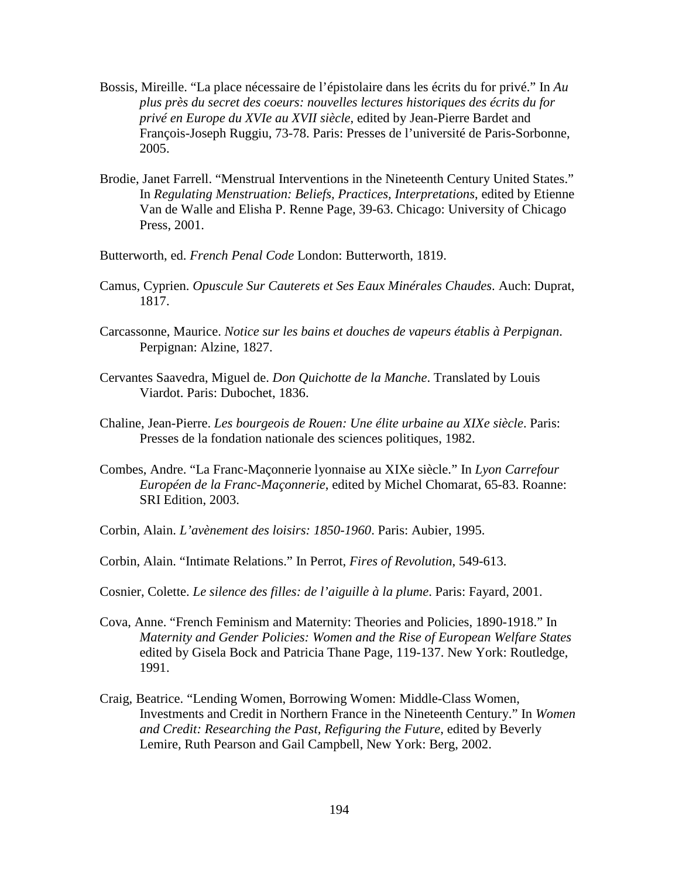- Bossis, Mireille. "La place nécessaire de l'épistolaire dans les écrits du for privé." In *Au plus près du secret des coeurs: nouvelles lectures historiques des écrits du for privé en Europe du XVIe au XVII siècle*, edited by Jean-Pierre Bardet and François-Joseph Ruggiu, 73-78. Paris: Presses de l'université de Paris-Sorbonne, 2005.
- Brodie, Janet Farrell. "Menstrual Interventions in the Nineteenth Century United States." In *Regulating Menstruation: Beliefs, Practices, Interpretations*, edited by Etienne Van de Walle and Elisha P. Renne Page, 39-63. Chicago: University of Chicago Press, 2001.
- Butterworth, ed. *French Penal Code* London: Butterworth, 1819.
- Camus, Cyprien. *Opuscule Sur Cauterets et Ses Eaux Minérales Chaudes*. Auch: Duprat, 1817.
- Carcassonne, Maurice. *Notice sur les bains et douches de vapeurs établis à Perpignan*. Perpignan: Alzine, 1827.
- Cervantes Saavedra, Miguel de. *Don Quichotte de la Manche*. Translated by Louis Viardot. Paris: Dubochet, 1836.
- Chaline, Jean-Pierre. *Les bourgeois de Rouen: Une élite urbaine au XIXe siècle*. Paris: Presses de la fondation nationale des sciences politiques, 1982.
- Combes, Andre. "La Franc-Maçonnerie lyonnaise au XIXe siècle." In *Lyon Carrefour Européen de la Franc-Maçonnerie*, edited by Michel Chomarat, 65-83. Roanne: SRI Edition, 2003.
- Corbin, Alain. *L'avènement des loisirs: 1850-1960*. Paris: Aubier, 1995.
- Corbin, Alain. "Intimate Relations." In Perrot, *Fires of Revolution*, 549-613.
- Cosnier, Colette. *Le silence des filles: de l'aiguille à la plume*. Paris: Fayard, 2001.
- Cova, Anne. "French Feminism and Maternity: Theories and Policies, 1890-1918." In *Maternity and Gender Policies: Women and the Rise of European Welfare States*  edited by Gisela Bock and Patricia Thane Page, 119-137. New York: Routledge, 1991.
- Craig, Beatrice. "Lending Women, Borrowing Women: Middle-Class Women, Investments and Credit in Northern France in the Nineteenth Century." In *Women and Credit: Researching the Past, Refiguring the Future*, edited by Beverly Lemire, Ruth Pearson and Gail Campbell, New York: Berg, 2002.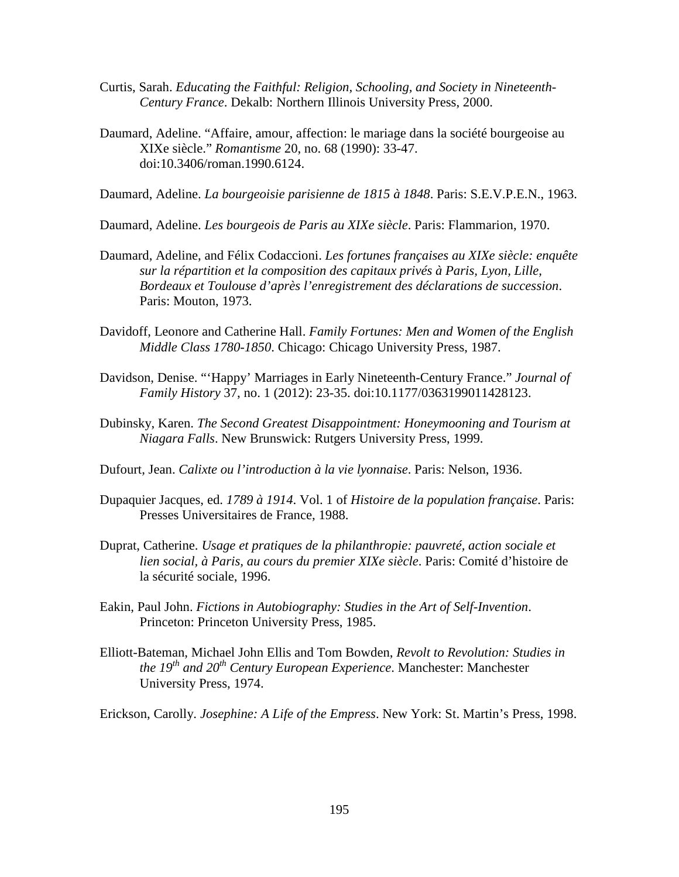- Curtis, Sarah. *Educating the Faithful: Religion, Schooling, and Society in Nineteenth- Century France*. Dekalb: Northern Illinois University Press, 2000.
- Daumard, Adeline. "Affaire, amour, affection: le mariage dans la société bourgeoise au XIXe siècle." *Romantisme* 20, no. 68 (1990): 33-47. doi:10.3406/roman.1990.6124.
- Daumard, Adeline. *La bourgeoisie parisienne de 1815 à 1848*. Paris: S.E.V.P.E.N., 1963.
- Daumard, Adeline. *Les bourgeois de Paris au XIXe siècle*. Paris: Flammarion, 1970.
- Daumard, Adeline, and Félix Codaccioni. *Les fortunes françaises au XIXe siècle: enquête sur la répartition et la composition des capitaux privés à Paris, Lyon, Lille, Bordeaux et Toulouse d'après l'enregistrement des déclarations de succession*. Paris: Mouton, 1973.
- Davidoff, Leonore and Catherine Hall. *Family Fortunes: Men and Women of the English Middle Class 1780-1850*. Chicago: Chicago University Press, 1987.
- Davidson, Denise. "'Happy' Marriages in Early Nineteenth-Century France." *Journal of Family History* 37, no. 1 (2012): 23-35. doi:10.1177/0363199011428123.
- Dubinsky, Karen. *The Second Greatest Disappointment: Honeymooning and Tourism at Niagara Falls*. New Brunswick: Rutgers University Press, 1999.
- Dufourt, Jean. *Calixte ou l'introduction à la vie lyonnaise*. Paris: Nelson, 1936.
- Dupaquier Jacques, ed. *1789 à 1914*. Vol. 1 of *Histoire de la population française*. Paris: Presses Universitaires de France, 1988.
- Duprat, Catherine. *Usage et pratiques de la philanthropie: pauvreté, action sociale et lien social, à Paris, au cours du premier XIXe siècle*. Paris: Comité d'histoire de la sécurité sociale, 1996.
- Eakin, Paul John. *Fictions in Autobiography: Studies in the Art of Self-Invention*. Princeton: Princeton University Press, 1985.
- Elliott-Bateman, Michael John Ellis and Tom Bowden, *Revolt to Revolution: Studies in the 19th and 20th Century European Experience*. Manchester: Manchester University Press, 1974.

Erickson, Carolly. *Josephine: A Life of the Empress*. New York: St. Martin's Press, 1998.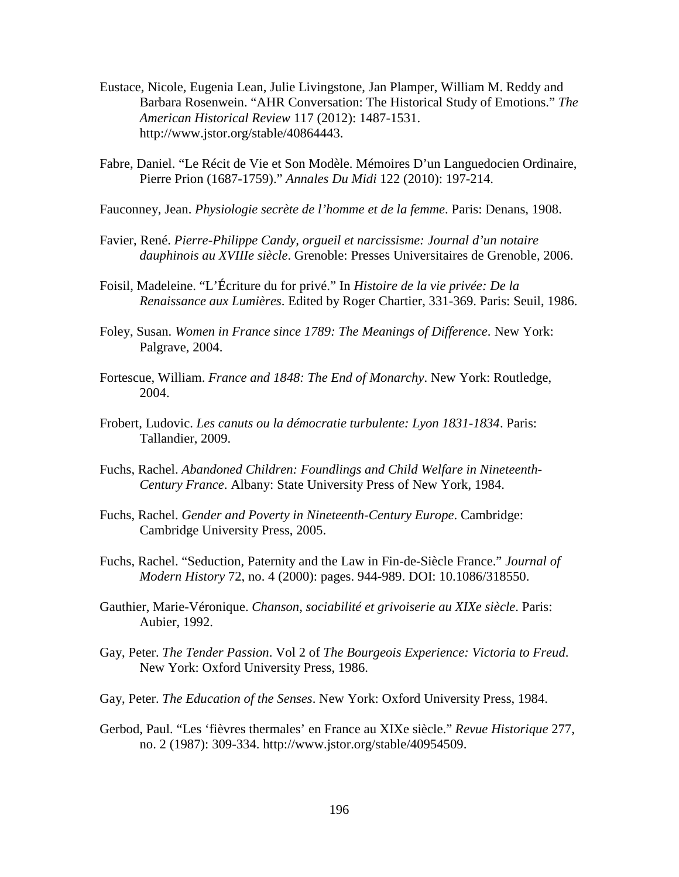- Eustace, Nicole, Eugenia Lean, Julie Livingstone, Jan Plamper, William M. Reddy and Barbara Rosenwein. "AHR Conversation: The Historical Study of Emotions." *The American Historical Review* 117 (2012): 1487-1531. http://www.jstor.org/stable/40864443.
- Fabre, Daniel. "Le Récit de Vie et Son Modèle. Mémoires D'un Languedocien Ordinaire, Pierre Prion (1687-1759)." *Annales Du Midi* 122 (2010): 197-214.
- Fauconney, Jean. *Physiologie secrète de l'homme et de la femme*. Paris: Denans, 1908.
- Favier, René. *Pierre-Philippe Candy, orgueil et narcissisme: Journal d'un notaire dauphinois au XVIIIe siècle*. Grenoble: Presses Universitaires de Grenoble, 2006.
- Foisil, Madeleine. "L'Écriture du for privé." In *Histoire de la vie privée: De la Renaissance aux Lumières*. Edited by Roger Chartier, 331-369. Paris: Seuil, 1986.
- Foley, Susan. *Women in France since 1789: The Meanings of Difference*. New York: Palgrave, 2004.
- Fortescue, William. *France and 1848: The End of Monarchy*. New York: Routledge, 2004.
- Frobert, Ludovic. *Les canuts ou la démocratie turbulente: Lyon 1831-1834*. Paris: Tallandier, 2009.
- Fuchs, Rachel. *Abandoned Children: Foundlings and Child Welfare in Nineteenth- Century France*. Albany: State University Press of New York, 1984.
- Fuchs, Rachel. *Gender and Poverty in Nineteenth-Century Europe*. Cambridge: Cambridge University Press, 2005.
- Fuchs, Rachel. "Seduction, Paternity and the Law in Fin-de-Siècle France." *Journal of Modern History* 72, no. 4 (2000): pages. 944-989. DOI: 10.1086/318550.
- Gauthier, Marie-Véronique. *Chanson, sociabilité et grivoiserie au XIXe siècle*. Paris: Aubier, 1992.
- Gay, Peter. *The Tender Passion*. Vol 2 of *The Bourgeois Experience: Victoria to Freud*. New York: Oxford University Press, 1986.
- Gay, Peter. *The Education of the Senses*. New York: Oxford University Press, 1984.
- Gerbod, Paul. "Les 'fièvres thermales' en France au XIXe siècle." *Revue Historique* 277, no. 2 (1987): 309-334. http://www.jstor.org/stable/40954509.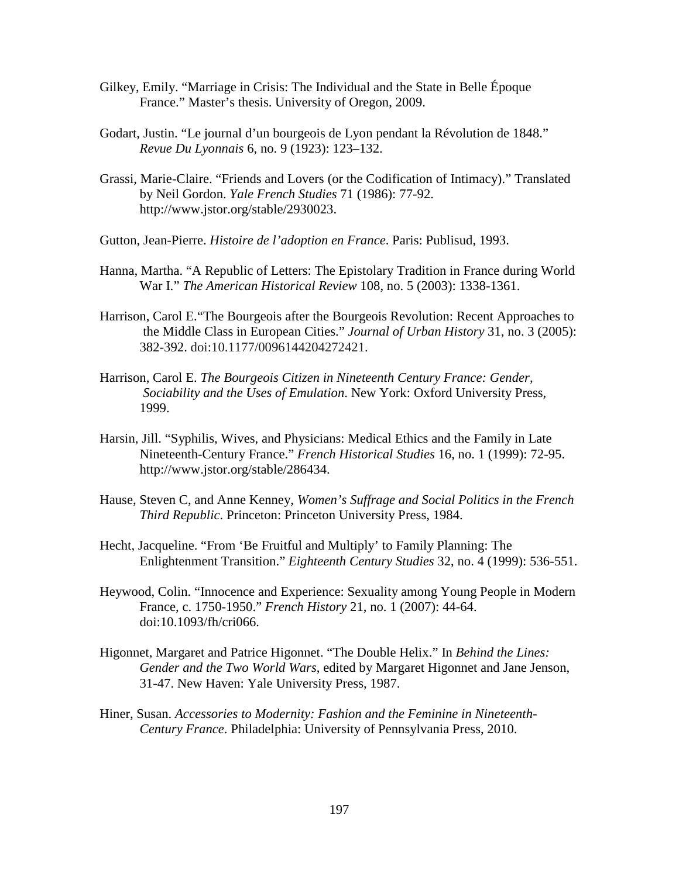- Gilkey, Emily. "Marriage in Crisis: The Individual and the State in Belle Époque France." Master's thesis. University of Oregon, 2009.
- Godart, Justin. "Le journal d'un bourgeois de Lyon pendant la Révolution de 1848." *Revue Du Lyonnais* 6, no. 9 (1923): 123–132.
- Grassi, Marie-Claire. "Friends and Lovers (or the Codification of Intimacy)." Translated by Neil Gordon. *Yale French Studies* 71 (1986): 77-92. http://www.jstor.org/stable/2930023.
- Gutton, Jean-Pierre. *Histoire de l'adoption en France*. Paris: Publisud, 1993.
- Hanna, Martha. "A Republic of Letters: The Epistolary Tradition in France during World War I." *The American Historical Review* 108, no. 5 (2003): 1338-1361.
- Harrison, Carol E."The Bourgeois after the Bourgeois Revolution: Recent Approaches to the Middle Class in European Cities." *Journal of Urban History* 31, no. 3 (2005): 382-392. doi:10.1177/0096144204272421.
- Harrison, Carol E. *The Bourgeois Citizen in Nineteenth Century France: Gender, Sociability and the Uses of Emulation*. New York: Oxford University Press, 1999.
- Harsin, Jill. "Syphilis, Wives, and Physicians: Medical Ethics and the Family in Late Nineteenth-Century France." *French Historical Studies* 16, no. 1 (1999): 72-95. http://www.jstor.org/stable/286434.
- Hause, Steven C, and Anne Kenney, *Women's Suffrage and Social Politics in the French Third Republic*. Princeton: Princeton University Press, 1984.
- Hecht, Jacqueline. "From 'Be Fruitful and Multiply' to Family Planning: The Enlightenment Transition." *Eighteenth Century Studies* 32, no. 4 (1999): 536-551.
- Heywood, Colin. "Innocence and Experience: Sexuality among Young People in Modern France, c. 1750-1950." *French History* 21, no. 1 (2007): 44-64. doi:10.1093/fh/cri066.
- Higonnet, Margaret and Patrice Higonnet. "The Double Helix." In *Behind the Lines: Gender and the Two World Wars*, edited by Margaret Higonnet and Jane Jenson, 31-47. New Haven: Yale University Press, 1987.
- Hiner, Susan. *Accessories to Modernity: Fashion and the Feminine in Nineteenth- Century France*. Philadelphia: University of Pennsylvania Press, 2010.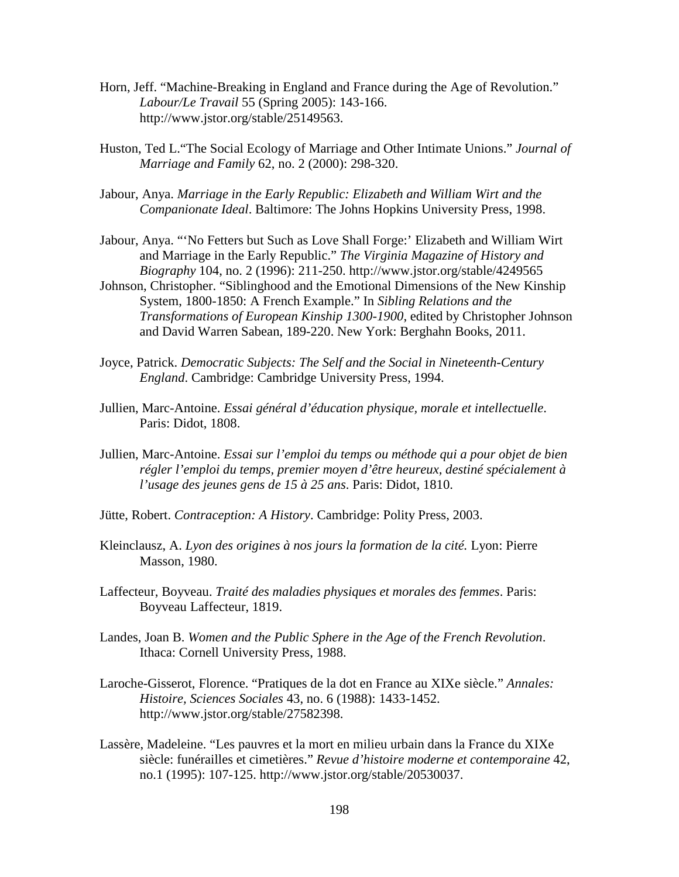- Horn, Jeff. "Machine-Breaking in England and France during the Age of Revolution." *Labour/Le Travail* 55 (Spring 2005): 143-166. http://www.jstor.org/stable/25149563.
- Huston, Ted L."The Social Ecology of Marriage and Other Intimate Unions." *Journal of Marriage and Family* 62, no. 2 (2000): 298-320.
- Jabour, Anya. *Marriage in the Early Republic: Elizabeth and William Wirt and the Companionate Ideal*. Baltimore: The Johns Hopkins University Press, 1998.
- Jabour, Anya. "'No Fetters but Such as Love Shall Forge:' Elizabeth and William Wirt and Marriage in the Early Republic." *The Virginia Magazine of History and Biography* 104, no. 2 (1996): 211-250. http://www.jstor.org/stable/4249565
- Johnson, Christopher. "Siblinghood and the Emotional Dimensions of the New Kinship System, 1800-1850: A French Example." In *Sibling Relations and the Transformations of European Kinship 1300-1900*, edited by Christopher Johnson and David Warren Sabean, 189-220. New York: Berghahn Books, 2011.
- Joyce, Patrick. *Democratic Subjects: The Self and the Social in Nineteenth-Century England*. Cambridge: Cambridge University Press, 1994.
- Jullien, Marc-Antoine. *Essai général d'éducation physique, morale et intellectuelle*. Paris: Didot, 1808.
- Jullien, Marc-Antoine. *Essai sur l'emploi du temps ou méthode qui a pour objet de bien régler l'emploi du temps, premier moyen d'être heureux, destiné spécialement à l'usage des jeunes gens de 15 à 25 ans*. Paris: Didot, 1810.
- Jütte, Robert. *Contraception: A History*. Cambridge: Polity Press, 2003.
- Kleinclausz, A. *Lyon des origines à nos jours la formation de la cité.* Lyon: Pierre Masson, 1980.
- Laffecteur, Boyveau. *Traité des maladies physiques et morales des femmes*. Paris: Boyveau Laffecteur, 1819.
- Landes, Joan B. *Women and the Public Sphere in the Age of the French Revolution*. Ithaca: Cornell University Press, 1988.
- Laroche-Gisserot, Florence. "Pratiques de la dot en France au XIXe siècle." *Annales: Histoire, Sciences Sociales* 43, no. 6 (1988): 1433-1452. http://www.jstor.org/stable/27582398.
- Lassère, Madeleine. "Les pauvres et la mort en milieu urbain dans la France du XIXe siècle: funérailles et cimetières." *Revue d'histoire moderne et contemporaine* 42, no.1 (1995): 107-125. http://www.jstor.org/stable/20530037.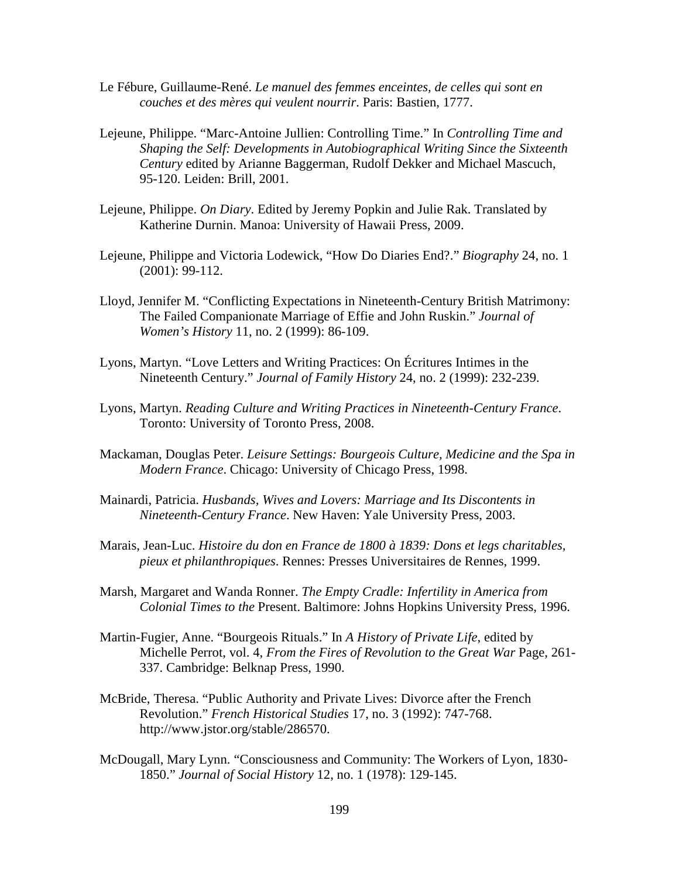- Le Fébure, Guillaume-René. *Le manuel des femmes enceintes, de celles qui sont en couches et des mères qui veulent nourrir*. Paris: Bastien, 1777.
- Lejeune, Philippe. "Marc-Antoine Jullien: Controlling Time." In *Controlling Time and Shaping the Self: Developments in Autobiographical Writing Since the Sixteenth Century* edited by Arianne Baggerman, Rudolf Dekker and Michael Mascuch, 95-120. Leiden: Brill, 2001.
- Lejeune, Philippe. *On Diary*. Edited by Jeremy Popkin and Julie Rak. Translated by Katherine Durnin. Manoa: University of Hawaii Press, 2009.
- Lejeune, Philippe and Victoria Lodewick, "How Do Diaries End?." *Biography* 24, no. 1 (2001): 99-112.
- Lloyd, Jennifer M. "Conflicting Expectations in Nineteenth-Century British Matrimony: The Failed Companionate Marriage of Effie and John Ruskin." *Journal of Women's History* 11, no. 2 (1999): 86-109.
- Lyons, Martyn. "Love Letters and Writing Practices: On Écritures Intimes in the Nineteenth Century." *Journal of Family History* 24, no. 2 (1999): 232-239.
- Lyons, Martyn. *Reading Culture and Writing Practices in Nineteenth-Century France*. Toronto: University of Toronto Press, 2008.
- Mackaman, Douglas Peter. *Leisure Settings: Bourgeois Culture, Medicine and the Spa in Modern France*. Chicago: University of Chicago Press, 1998.
- Mainardi, Patricia. *Husbands, Wives and Lovers: Marriage and Its Discontents in Nineteenth-Century France*. New Haven: Yale University Press, 2003.
- Marais, Jean-Luc. *Histoire du don en France de 1800 à 1839: Dons et legs charitables, pieux et philanthropiques*. Rennes: Presses Universitaires de Rennes, 1999.
- Marsh, Margaret and Wanda Ronner. *The Empty Cradle: Infertility in America from Colonial Times to the* Present. Baltimore: Johns Hopkins University Press, 1996.
- Martin-Fugier, Anne. "Bourgeois Rituals." In *A History of Private Life*, edited by Michelle Perrot, vol. 4, *From the Fires of Revolution to the Great War* Page, 261- 337. Cambridge: Belknap Press, 1990.
- McBride, Theresa. "Public Authority and Private Lives: Divorce after the French Revolution." *French Historical Studies* 17, no. 3 (1992): 747-768. http://www.jstor.org/stable/286570.
- McDougall, Mary Lynn. "Consciousness and Community: The Workers of Lyon, 1830- 1850." *Journal of Social History* 12, no. 1 (1978): 129-145.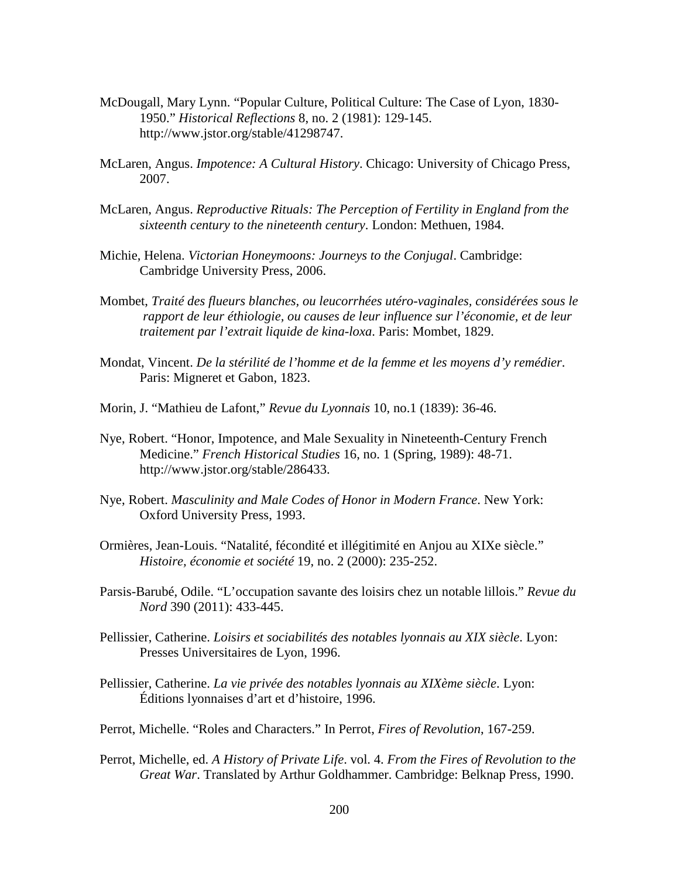- McDougall, Mary Lynn. "Popular Culture, Political Culture: The Case of Lyon, 1830- 1950." *Historical Reflections* 8, no. 2 (1981): 129-145. http://www.jstor.org/stable/41298747.
- McLaren, Angus. *Impotence: A Cultural History*. Chicago: University of Chicago Press, 2007.
- McLaren, Angus. *Reproductive Rituals: The Perception of Fertility in England from the sixteenth century to the nineteenth century*. London: Methuen, 1984.
- Michie, Helena. *Victorian Honeymoons: Journeys to the Conjugal*. Cambridge: Cambridge University Press, 2006.
- Mombet, *Traité des flueurs blanches, ou leucorrhées utéro-vaginales, considérées sous le rapport de leur éthiologie, ou causes de leur influence sur l'économie, et de leur traitement par l'extrait liquide de kina-loxa*. Paris: Mombet, 1829.
- Mondat, Vincent. *De la stérilité de l'homme et de la femme et les moyens d'y remédier*. Paris: Migneret et Gabon, 1823.
- Morin, J. "Mathieu de Lafont," *Revue du Lyonnais* 10, no.1 (1839): 36-46.
- Nye, Robert. "Honor, Impotence, and Male Sexuality in Nineteenth-Century French Medicine." *French Historical Studies* 16, no. 1 (Spring, 1989): 48-71. http://www.jstor.org/stable/286433.
- Nye, Robert. *Masculinity and Male Codes of Honor in Modern France*. New York: Oxford University Press, 1993.
- Ormières, Jean-Louis. "Natalité, fécondité et illégitimité en Anjou au XIXe siècle." *Histoire, économie et société* 19, no. 2 (2000): 235-252.
- Parsis-Barubé, Odile. "L'occupation savante des loisirs chez un notable lillois." *Revue du Nord* 390 (2011): 433-445.
- Pellissier, Catherine. *Loisirs et sociabilités des notables lyonnais au XIX siècle*. Lyon: Presses Universitaires de Lyon, 1996.
- Pellissier, Catherine. *La vie privée des notables lyonnais au XIXème siècle*. Lyon: Éditions lyonnaises d'art et d'histoire, 1996.
- Perrot, Michelle. "Roles and Characters." In Perrot, *Fires of Revolution*, 167-259.
- Perrot, Michelle, ed. *A History of Private Life*. vol. 4. *From the Fires of Revolution to the Great War*. Translated by Arthur Goldhammer. Cambridge: Belknap Press, 1990.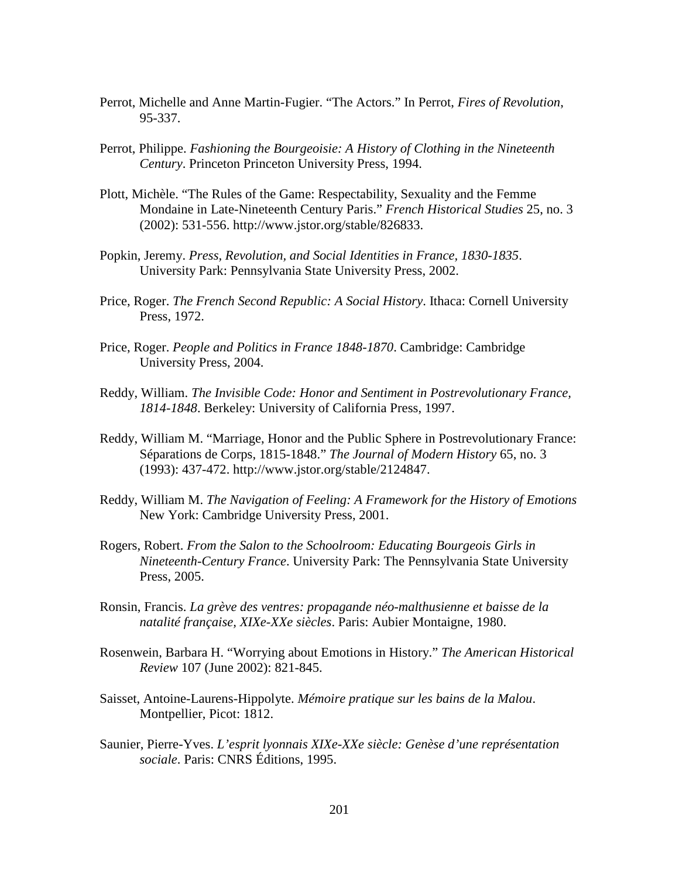- Perrot, Michelle and Anne Martin-Fugier. "The Actors." In Perrot, *Fires of Revolution*, 95-337.
- Perrot, Philippe. *Fashioning the Bourgeoisie: A History of Clothing in the Nineteenth Century*. Princeton Princeton University Press, 1994.
- Plott, Michèle. "The Rules of the Game: Respectability, Sexuality and the Femme Mondaine in Late-Nineteenth Century Paris." *French Historical Studies* 25, no. 3 (2002): 531-556. http://www.jstor.org/stable/826833.
- Popkin, Jeremy. *Press, Revolution, and Social Identities in France, 1830-1835*. University Park: Pennsylvania State University Press, 2002.
- Price, Roger. *The French Second Republic: A Social History*. Ithaca: Cornell University Press, 1972.
- Price, Roger. *People and Politics in France 1848-1870*. Cambridge: Cambridge University Press, 2004.
- Reddy, William. *The Invisible Code: Honor and Sentiment in Postrevolutionary France, 1814-1848*. Berkeley: University of California Press, 1997.
- Reddy, William M. "Marriage, Honor and the Public Sphere in Postrevolutionary France: Séparations de Corps, 1815-1848." *The Journal of Modern History* 65, no. 3 (1993): 437-472. http://www.jstor.org/stable/2124847.
- Reddy, William M. *The Navigation of Feeling: A Framework for the History of Emotions*  New York: Cambridge University Press, 2001.
- Rogers, Robert. *From the Salon to the Schoolroom: Educating Bourgeois Girls in Nineteenth-Century France*. University Park: The Pennsylvania State University Press, 2005.
- Ronsin, Francis. *La grève des ventres: propagande néo-malthusienne et baisse de la natalité française, XIXe-XXe siècles*. Paris: Aubier Montaigne, 1980.
- Rosenwein, Barbara H. "Worrying about Emotions in History." *The American Historical Review* 107 (June 2002): 821-845.
- Saisset, Antoine-Laurens-Hippolyte. *Mémoire pratique sur les bains de la Malou*. Montpellier, Picot: 1812.
- Saunier, Pierre-Yves. *L'esprit lyonnais XIXe-XXe siècle: Genèse d'une représentation sociale*. Paris: CNRS Éditions, 1995.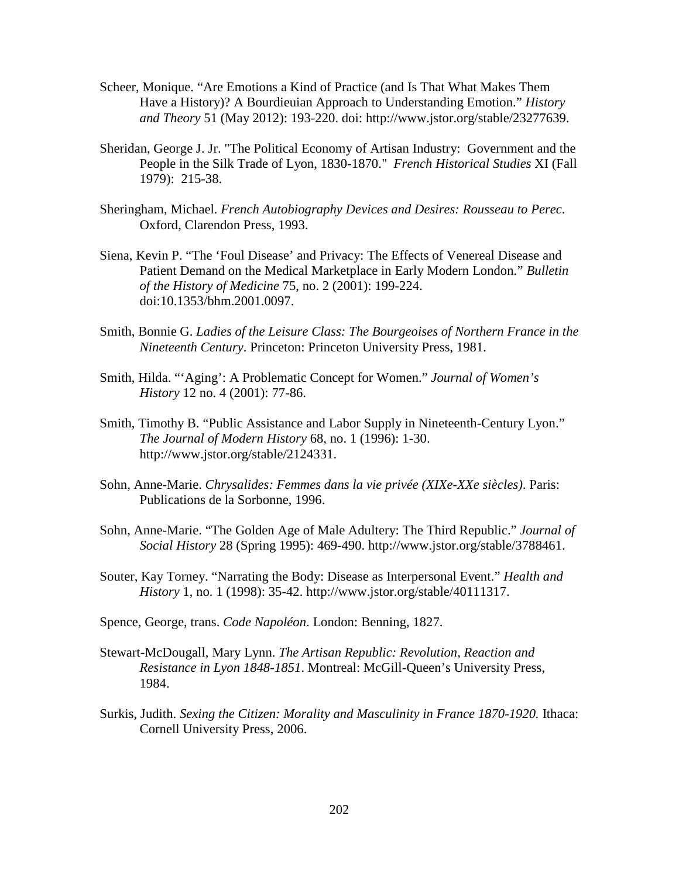- Scheer, Monique. "Are Emotions a Kind of Practice (and Is That What Makes Them Have a History)? A Bourdieuian Approach to Understanding Emotion." *History and Theory* 51 (May 2012): 193-220. doi: http://www.jstor.org/stable/23277639.
- Sheridan, George J. Jr. "The Political Economy of Artisan Industry: Government and the People in the Silk Trade of Lyon, 1830-1870." *French Historical Studies* XI (Fall 1979): 215-38.
- Sheringham, Michael. *French Autobiography Devices and Desires: Rousseau to Perec*. Oxford, Clarendon Press, 1993.
- Siena, Kevin P. "The 'Foul Disease' and Privacy: The Effects of Venereal Disease and Patient Demand on the Medical Marketplace in Early Modern London." *Bulletin of the History of Medicine* 75, no. 2 (2001): 199-224. doi:10.1353/bhm.2001.0097.
- Smith, Bonnie G. *Ladies of the Leisure Class: The Bourgeoises of Northern France in the Nineteenth Century*. Princeton: Princeton University Press, 1981.
- Smith, Hilda. "'Aging': A Problematic Concept for Women." *Journal of Women's History* 12 no. 4 (2001): 77-86.
- Smith, Timothy B. "Public Assistance and Labor Supply in Nineteenth-Century Lyon." *The Journal of Modern History* 68, no. 1 (1996): 1-30. http://www.jstor.org/stable/2124331.
- Sohn, Anne-Marie. *Chrysalides: Femmes dans la vie privée (XIXe-XXe siècles)*. Paris: Publications de la Sorbonne, 1996.
- Sohn, Anne-Marie. "The Golden Age of Male Adultery: The Third Republic." *Journal of Social History* 28 (Spring 1995): 469-490. http://www.jstor.org/stable/3788461.
- Souter, Kay Torney. "Narrating the Body: Disease as Interpersonal Event." *Health and History* 1, no. 1 (1998): 35-42. http://www.jstor.org/stable/40111317.
- Spence, George, trans. *Code Napoléon*. London: Benning, 1827.
- Stewart-McDougall, Mary Lynn. *The Artisan Republic: Revolution, Reaction and Resistance in Lyon 1848-1851*. Montreal: McGill-Queen's University Press, 1984.
- Surkis, Judith. *Sexing the Citizen: Morality and Masculinity in France 1870-1920.* Ithaca: Cornell University Press, 2006.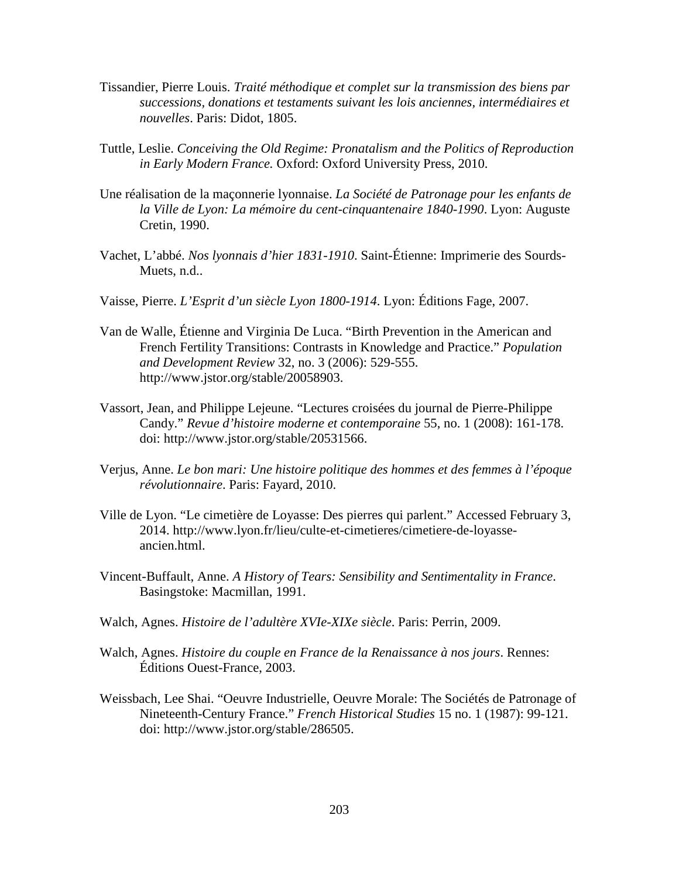- Tissandier, Pierre Louis. *Traité méthodique et complet sur la transmission des biens par successions, donations et testaments suivant les lois anciennes, intermédiaires et nouvelles*. Paris: Didot, 1805.
- Tuttle, Leslie. *Conceiving the Old Regime: Pronatalism and the Politics of Reproduction in Early Modern France.* Oxford: Oxford University Press, 2010.
- Une réalisation de la maçonnerie lyonnaise. *La Société de Patronage pour les enfants de la Ville de Lyon: La mémoire du cent-cinquantenaire 1840-1990*. Lyon: Auguste Cretin, 1990.
- Vachet, L'abbé. *Nos lyonnais d'hier 1831-1910*. Saint-Étienne: Imprimerie des Sourds- Muets, n.d..
- Vaisse, Pierre. *L'Esprit d'un siècle Lyon 1800-1914*. Lyon: Éditions Fage, 2007.
- Van de Walle, Étienne and Virginia De Luca. "Birth Prevention in the American and French Fertility Transitions: Contrasts in Knowledge and Practice." *Population and Development Review* 32, no. 3 (2006): 529-555. http://www.jstor.org/stable/20058903.
- Vassort, Jean, and Philippe Lejeune. "Lectures croisées du journal de Pierre-Philippe Candy." *Revue d'histoire moderne et contemporaine* 55, no. 1 (2008): 161-178. doi: http://www.jstor.org/stable/20531566.
- Verjus, Anne. *Le bon mari: Une histoire politique des hommes et des femmes à l'époque révolutionnaire*. Paris: Fayard, 2010.
- Ville de Lyon. "Le cimetière de Loyasse: Des pierres qui parlent." Accessed February 3, 2014. http://www.lyon.fr/lieu/culte-et-cimetieres/cimetiere-de-loyasse ancien.html.
- Vincent-Buffault, Anne. *A History of Tears: Sensibility and Sentimentality in France*. Basingstoke: Macmillan, 1991.
- Walch, Agnes. *Histoire de l'adultère XVIe-XIXe siècle*. Paris: Perrin, 2009.
- Walch, Agnes. *Histoire du couple en France de la Renaissance à nos jours*. Rennes: Éditions Ouest-France, 2003.
- Weissbach, Lee Shai. "Oeuvre Industrielle, Oeuvre Morale: The Sociétés de Patronage of Nineteenth-Century France." *French Historical Studies* 15 no. 1 (1987): 99-121. doi: http://www.jstor.org/stable/286505.